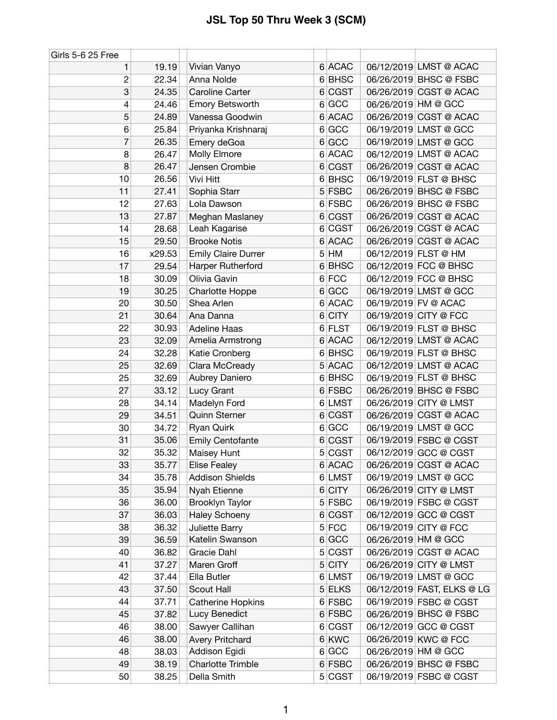| Girls 5-6 25 Free |        |                            |   |             |                     |                            |
|-------------------|--------|----------------------------|---|-------------|---------------------|----------------------------|
| 1                 | 19.19  | Vivian Vanyo               |   | 6 ACAC      |                     | 06/12/2019 LMST @ ACAC     |
| $\overline{c}$    | 22.34  | Anna Nolde                 |   | 6 BHSC      |                     | 06/26/2019 BHSC @ FSBC     |
| 3                 | 24.35  | Caroline Carter            |   | 6 CGST      |                     | 06/26/2019 CGST @ ACAC     |
| 4                 | 24.46  | <b>Emory Betsworth</b>     |   | 6 GCC       | 06/26/2019 HM @ GCC |                            |
| 5                 | 24.89  | Vanessa Goodwin            |   | 6 ACAC      |                     | 06/26/2019 CGST @ ACAC     |
| 6                 | 25.84  | Priyanka Krishnaraj        |   | 6 GCC       |                     | 06/19/2019 LMST @ GCC      |
| 7                 | 26.35  | Emery deGoa                |   | 6 GCC       |                     | 06/19/2019 LMST @ GCC      |
| 8                 | 26.47  | Molly Elmore               | 6 | <b>ACAC</b> |                     | 06/12/2019 LMST @ ACAC     |
| 8                 | 26.47  | Jensen Crombie             |   | 6 CGST      |                     | 06/26/2019 CGST @ ACAC     |
| 10                | 26.56  | Vivi Hitt                  |   | 6 BHSC      |                     | 06/19/2019 FLST @ BHSC     |
| 11                | 27.41  | Sophia Starr               |   | 5 FSBC      |                     | 06/26/2019 BHSC @ FSBC     |
| 12                | 27.63  | Lola Dawson                |   | 6 FSBC      |                     | 06/26/2019 BHSC @ FSBC     |
| 13                | 27.87  | Meghan Maslaney            |   | 6 CGST      |                     | 06/26/2019 CGST @ ACAC     |
| 14                | 28.68  | Leah Kagarise              |   | 6 CGST      |                     | 06/26/2019 CGST @ ACAC     |
| 15                | 29.50  | <b>Brooke Notis</b>        |   | 6 ACAC      |                     | 06/26/2019 CGST @ ACAC     |
| 16                | x29.53 | <b>Emily Claire Durrer</b> |   | $5$ HM      |                     | 06/12/2019 FLST @ HM       |
| 17                | 29.54  | Harper Rutherford          | 6 | <b>BHSC</b> |                     | 06/12/2019 FCC @ BHSC      |
| 18                | 30.09  | Olivia Gavin               |   | 6 FCC       |                     | 06/12/2019 FCC @ BHSC      |
| 19                | 30.25  | <b>Charlotte Hoppe</b>     |   | 6 GCC       |                     | 06/19/2019 LMST @ GCC      |
| 20                | 30.50  | Shea Arlen                 |   | 6 ACAC      |                     | 06/19/2019 FV @ ACAC       |
| 21                | 30.64  | Ana Danna                  |   | $6$ CITY    |                     | 06/19/2019 CITY @ FCC      |
| 22                | 30.93  | <b>Adeline Haas</b>        |   | 6 FLST      |                     | 06/19/2019 FLST @ BHSC     |
| 23                | 32.09  | Amelia Armstrong           |   | 6 ACAC      |                     | 06/12/2019 LMST @ ACAC     |
| 24                | 32.28  | Katie Cronberg             |   | 6 BHSC      |                     | 06/19/2019 FLST @ BHSC     |
| 25                | 32.69  | Clara McCready             |   | 5 ACAC      |                     | 06/12/2019 LMST @ ACAC     |
| 25                | 32.69  | Aubrey Daniero             | 6 | <b>BHSC</b> |                     | 06/19/2019 FLST @ BHSC     |
| 27                | 33.12  | Lucy Grant                 |   | 6 FSBC      |                     | 06/26/2019 BHSC @ FSBC     |
| 28                | 34.14  | Madelyn Ford               | 6 | <b>LMST</b> |                     | 06/26/2019 CITY @ LMST     |
| 29                | 34.51  | <b>Quinn Sterner</b>       |   | 6 CGST      |                     | 06/26/2019 CGST @ ACAC     |
| 30                | 34.72  | Ryan Quirk                 |   | 6 GCC       |                     | 06/19/2019 LMST @ GCC      |
| 31                | 35.06  | <b>Emily Centofante</b>    |   | 6 CGST      |                     | 06/19/2019 FSBC @ CGST     |
| 32                | 35.32  | Maisey Hunt                |   | 5 CGST      |                     | 06/12/2019 GCC @ CGST      |
| 33                | 35.77  | <b>Elise Fealey</b>        |   | 6 ACAC      |                     | 06/26/2019 CGST @ ACAC     |
| 34                | 35.78  | <b>Addison Shields</b>     |   | 6 LMST      |                     | 06/19/2019 LMST @ GCC      |
| 35                | 35.94  | Nyah Etienne               |   | 6 CITY      |                     | 06/26/2019 CITY @ LMST     |
| 36                | 36.00  | Brooklyn Taylor            |   | 5 FSBC      |                     | 06/19/2019 FSBC @ CGST     |
| 37                | 36.03  | <b>Haley Schoeny</b>       |   | 6 CGST      |                     | 06/12/2019 GCC @ CGST      |
| 38                | 36.32  | Juliette Barry             |   | $5$ FCC     |                     | 06/19/2019 CITY @ FCC      |
| 39                | 36.59  | Katelin Swanson            |   | 6 GCC       |                     | 06/26/2019 HM @ GCC        |
| 40                | 36.82  | Gracie Dahl                |   | 5 CGST      |                     | 06/26/2019 CGST @ ACAC     |
| 41                | 37.27  | Maren Groff                |   | $5$ CITY    |                     | 06/26/2019 CITY @ LMST     |
| 42                | 37.44  | Ella Butler                |   | 6 LMST      |                     | 06/19/2019 LMST @ GCC      |
| 43                | 37.50  | Scout Hall                 |   | 5 ELKS      |                     | 06/12/2019 FAST, ELKS @ LG |
| 44                | 37.71  | Catherine Hopkins          |   | 6 FSBC      |                     | 06/19/2019 FSBC @ CGST     |
| 45                | 37.82  | Lucy Benedict              |   | 6 FSBC      |                     | 06/26/2019 BHSC @ FSBC     |
| 46                | 38.00  | Sawyer Callihan            |   | 6 CGST      |                     | 06/12/2019 GCC @ CGST      |
| 46                | 38.00  | <b>Avery Pritchard</b>     |   | 6 KWC       |                     | 06/26/2019 KWC @ FCC       |
| 48                | 38.03  | Addison Egidi              |   | 6 GCC       |                     | 06/26/2019 HM @ GCC        |
| 49                | 38.19  | <b>Charlotte Trimble</b>   |   | 6 FSBC      |                     | 06/26/2019 BHSC @ FSBC     |
| 50                | 38.25  | Della Smith                |   | 5 CGST      |                     | 06/19/2019 FSBC @ CGST     |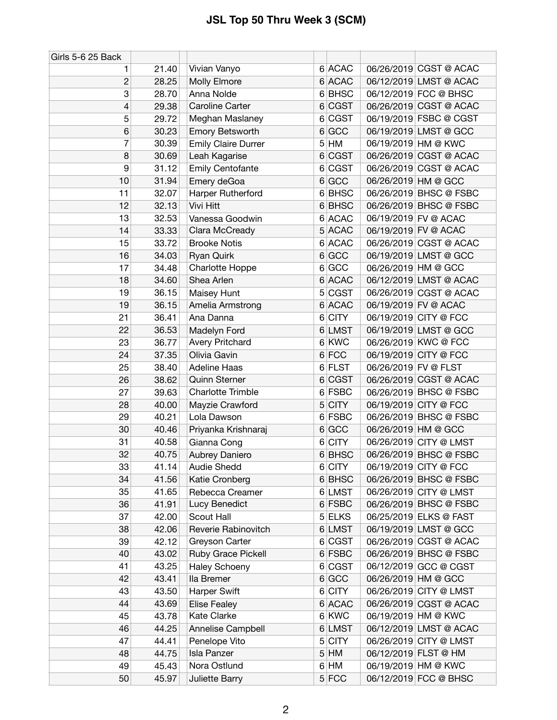| Girls 5-6 25 Back |       |                            |                |             |                      |                        |
|-------------------|-------|----------------------------|----------------|-------------|----------------------|------------------------|
| 1                 | 21.40 | Vivian Vanyo               |                | 6 ACAC      |                      | 06/26/2019 CGST @ ACAC |
| 2                 | 28.25 | Molly Elmore               |                | 6 ACAC      |                      | 06/12/2019 LMST @ ACAC |
| 3                 | 28.70 | Anna Nolde                 |                | 6 BHSC      |                      | 06/12/2019 FCC @ BHSC  |
| 4                 | 29.38 | Caroline Carter            |                | 6 CGST      |                      | 06/26/2019 CGST @ ACAC |
| 5                 | 29.72 | Meghan Maslaney            | 6              | <b>CGST</b> |                      | 06/19/2019 FSBC @ CGST |
| 6                 | 30.23 | <b>Emory Betsworth</b>     | 6              | <b>GCC</b>  |                      | 06/19/2019 LMST @ GCC  |
| 7                 | 30.39 | <b>Emily Claire Durrer</b> | 5              | HM          |                      | 06/19/2019 HM @ KWC    |
| 8                 | 30.69 | Leah Kagarise              |                | 6 CGST      |                      | 06/26/2019 CGST @ ACAC |
| 9                 | 31.12 | <b>Emily Centofante</b>    |                | 6 CGST      |                      | 06/26/2019 CGST @ ACAC |
| 10                | 31.94 | Emery deGoa                |                | 6 GCC       |                      | 06/26/2019 HM @ GCC    |
| 11                | 32.07 | Harper Rutherford          |                | 6 BHSC      |                      | 06/26/2019 BHSC @ FSBC |
| 12                | 32.13 | Vivi Hitt                  |                | 6 BHSC      |                      | 06/26/2019 BHSC @ FSBC |
| 13                | 32.53 | Vanessa Goodwin            |                | 6 ACAC      |                      | 06/19/2019 FV @ ACAC   |
| 14                | 33.33 | Clara McCready             | 5              | <b>ACAC</b> |                      | 06/19/2019 FV @ ACAC   |
| 15                | 33.72 | <b>Brooke Notis</b>        |                | 6 ACAC      |                      | 06/26/2019 CGST @ ACAC |
| 16                | 34.03 | Ryan Quirk                 | 6              | GCC         |                      | 06/19/2019 LMST @ GCC  |
| 17                | 34.48 | <b>Charlotte Hoppe</b>     |                | 6 GCC       |                      | 06/26/2019 HM @ GCC    |
| 18                | 34.60 | Shea Arlen                 |                | 6 ACAC      |                      | 06/12/2019 LMST @ ACAC |
| 19                | 36.15 | Maisey Hunt                | 5 <sup>1</sup> | <b>CGST</b> |                      | 06/26/2019 CGST @ ACAC |
| 19                | 36.15 | Amelia Armstrong           | 6              | <b>ACAC</b> |                      | 06/19/2019 FV @ ACAC   |
| 21                | 36.41 | Ana Danna                  | 6              | <b>CITY</b> |                      | 06/19/2019 CITY @ FCC  |
| 22                | 36.53 | Madelyn Ford               |                | 6 LMST      |                      | 06/19/2019 LMST @ GCC  |
| 23                | 36.77 | <b>Avery Pritchard</b>     |                | 6 KWC       |                      | 06/26/2019 KWC @ FCC   |
| 24                | 37.35 | Olivia Gavin               |                | 6 FCC       |                      | 06/19/2019 CITY @ FCC  |
| 25                | 38.40 | <b>Adeline Haas</b>        |                | 6 FLST      | 06/26/2019 FV @ FLST |                        |
| 26                | 38.62 | <b>Quinn Sterner</b>       |                | 6 CGST      |                      | 06/26/2019 CGST @ ACAC |
| 27                | 39.63 | <b>Charlotte Trimble</b>   |                | 6 FSBC      |                      | 06/26/2019 BHSC @ FSBC |
| 28                | 40.00 | Mayzie Crawford            |                | $5$ CITY    |                      | 06/19/2019 CITY @ FCC  |
| 29                | 40.21 | Lola Dawson                |                | 6 FSBC      |                      | 06/26/2019 BHSC @ FSBC |
| 30                | 40.46 | Priyanka Krishnaraj        | 6              | GCC         |                      | 06/26/2019 HM @ GCC    |
| 31                | 40.58 | Gianna Cong                |                | 6 CITY      |                      | 06/26/2019 CITY @ LMST |
| 32                | 40.75 | Aubrey Daniero             |                | 6 BHSC      |                      | 06/26/2019 BHSC @ FSBC |
| 33                | 41.14 | <b>Audie Shedd</b>         |                | 6 CITY      |                      | 06/19/2019 CITY @ FCC  |
| 34                | 41.56 | Katie Cronberg             |                | 6 BHSC      |                      | 06/26/2019 BHSC @ FSBC |
| 35                | 41.65 | Rebecca Creamer            |                | 6 LMST      |                      | 06/26/2019 CITY @ LMST |
| 36                | 41.91 | Lucy Benedict              |                | 6 FSBC      |                      | 06/26/2019 BHSC @ FSBC |
| 37                | 42.00 | Scout Hall                 |                | 5 ELKS      |                      | 06/25/2019 ELKS @ FAST |
| 38                | 42.06 | Reverie Rabinovitch        |                | 6 LMST      |                      | 06/19/2019 LMST @ GCC  |
| 39                | 42.12 | Greyson Carter             |                | 6 CGST      |                      | 06/26/2019 CGST @ ACAC |
| 40                | 43.02 | Ruby Grace Pickell         |                | 6 FSBC      |                      | 06/26/2019 BHSC @ FSBC |
| 41                | 43.25 | <b>Haley Schoeny</b>       |                | 6 CGST      |                      | 06/12/2019 GCC @ CGST  |
| 42                | 43.41 | lla Bremer                 |                | 6 GCC       |                      | 06/26/2019 HM @ GCC    |
| 43                | 43.50 | Harper Swift               |                | 6 CITY      |                      | 06/26/2019 CITY @ LMST |
| 44                | 43.69 | <b>Elise Fealey</b>        |                | 6 ACAC      |                      | 06/26/2019 CGST @ ACAC |
| 45                | 43.78 | Kate Clarke                |                | 6 KWC       |                      | 06/19/2019 HM @ KWC    |
| 46                | 44.25 | Annelise Campbell          |                | 6 LMST      |                      | 06/12/2019 LMST @ ACAC |
| 47                | 44.41 | Penelope Vito              |                | $5$ CITY    |                      | 06/26/2019 CITY @ LMST |
| 48                | 44.75 | <b>Isla Panzer</b>         | 5              | HM          |                      | 06/12/2019 FLST @ HM   |
| 49                | 45.43 | Nora Ostlund               |                | 6 HM        |                      | 06/19/2019 HM @ KWC    |
| 50                | 45.97 | Juliette Barry             |                | $5$ FCC     |                      | 06/12/2019 FCC @ BHSC  |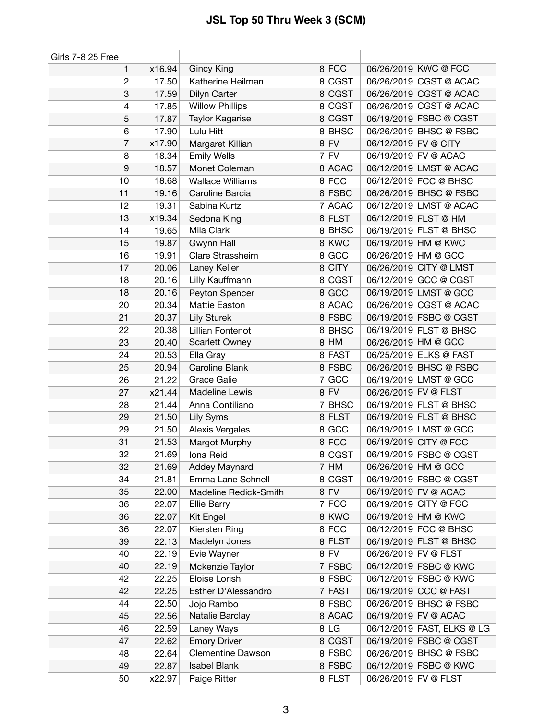| Girls 7-8 25 Free |        |                         |   |             |                      |                            |
|-------------------|--------|-------------------------|---|-------------|----------------------|----------------------------|
| 1                 | x16.94 | Gincy King              |   | 8 FCC       |                      | 06/26/2019 KWC @ FCC       |
| $\overline{c}$    | 17.50  | Katherine Heilman       |   | 8 CGST      |                      | 06/26/2019 CGST @ ACAC     |
| 3                 | 17.59  | Dilyn Carter            |   | 8 CGST      |                      | 06/26/2019 CGST @ ACAC     |
| 4                 | 17.85  | <b>Willow Phillips</b>  |   | 8 CGST      |                      | 06/26/2019 CGST @ ACAC     |
| 5                 | 17.87  | Taylor Kagarise         |   | 8 CGST      |                      | 06/19/2019 FSBC @ CGST     |
| 6                 | 17.90  | Lulu Hitt               |   | 8 BHSC      |                      | 06/26/2019 BHSC @ FSBC     |
| $\overline{7}$    | x17.90 | Margaret Killian        |   | $8$ FV      | 06/12/2019 FV @ CITY |                            |
| 8                 | 18.34  | <b>Emily Wells</b>      | 7 | FV          |                      | 06/19/2019 FV @ ACAC       |
| $\boldsymbol{9}$  | 18.57  | Monet Coleman           |   | 8 ACAC      |                      | 06/12/2019 LMST @ ACAC     |
| 10                | 18.68  | <b>Wallace Williams</b> |   | 8 FCC       |                      | 06/12/2019 FCC @ BHSC      |
| 11                | 19.16  | Caroline Barcia         |   | 8 FSBC      |                      | 06/26/2019 BHSC @ FSBC     |
| 12                | 19.31  | Sabina Kurtz            | 7 | <b>ACAC</b> |                      | 06/12/2019 LMST @ ACAC     |
| 13                | x19.34 | Sedona King             |   | 8 FLST      |                      | 06/12/2019 FLST @ HM       |
| 14                | 19.65  | Mila Clark              |   | 8 BHSC      |                      | 06/19/2019 FLST @ BHSC     |
| 15                | 19.87  | Gwynn Hall              |   | 8 KWC       |                      | 06/19/2019 HM @ KWC        |
| 16                | 19.91  | Clare Strassheim        |   | 8 GCC       |                      | 06/26/2019 HM @ GCC        |
| 17                | 20.06  | Laney Keller            |   | 8 CITY      |                      | 06/26/2019 CITY @ LMST     |
| 18                | 20.16  | Lilly Kauffmann         |   | 8 CGST      |                      | 06/12/2019 GCC @ CGST      |
| 18                | 20.16  | Peyton Spencer          |   | 8 GCC       |                      | 06/19/2019 LMST @ GCC      |
| 20                | 20.34  | Mattie Easton           |   | 8 ACAC      |                      | 06/26/2019 CGST @ ACAC     |
| 21                | 20.37  | <b>Lily Sturek</b>      |   | 8 FSBC      |                      | 06/19/2019 FSBC @ CGST     |
| 22                | 20.38  | Lillian Fontenot        |   | 8 BHSC      |                      | 06/19/2019 FLST @ BHSC     |
| 23                | 20.40  | Scarlett Owney          |   | 8 HM        |                      | 06/26/2019 HM @ GCC        |
| 24                | 20.53  | Ella Gray               |   | 8 FAST      |                      | 06/25/2019 ELKS @ FAST     |
| 25                | 20.94  | Caroline Blank          |   | 8 FSBC      |                      | 06/26/2019 BHSC @ FSBC     |
| 26                | 21.22  | <b>Grace Galie</b>      | 7 | GCC         |                      | 06/19/2019 LMST @ GCC      |
| 27                | x21.44 | Madeline Lewis          |   | $8$ FV      | 06/26/2019 FV @ FLST |                            |
| 28                | 21.44  | Anna Contiliano         | 7 | <b>BHSC</b> |                      | 06/19/2019 FLST @ BHSC     |
| 29                | 21.50  | Lily Syms               |   | 8 FLST      |                      | 06/19/2019 FLST @ BHSC     |
| 29                | 21.50  | Alexis Vergales         |   | 8 GCC       |                      | 06/19/2019 LMST @ GCC      |
| 31                | 21.53  | Margot Murphy           |   | 8 FCC       |                      | 06/19/2019 CITY @ FCC      |
| 32                | 21.69  | Iona Reid               |   | 8 CGST      |                      | 06/19/2019 FSBC @ CGST     |
| 32                | 21.69  | <b>Addey Maynard</b>    |   | $7$ HM      |                      | 06/26/2019 HM @ GCC        |
| 34                | 21.81  | Emma Lane Schnell       |   | 8 CGST      |                      | 06/19/2019 FSBC @ CGST     |
| 35                | 22.00  | Madeline Redick-Smith   |   | $8$ FV      |                      | 06/19/2019 FV @ ACAC       |
| 36                | 22.07  | <b>Ellie Barry</b>      |   | 7 FCC       |                      | 06/19/2019 CITY @ FCC      |
| 36                | 22.07  | Kit Engel               |   | 8 KWC       |                      | 06/19/2019 HM @ KWC        |
| 36                | 22.07  | Kiersten Ring           |   | 8 FCC       |                      | 06/12/2019 FCC @ BHSC      |
| 39                | 22.13  | Madelyn Jones           |   | 8 FLST      |                      | 06/19/2019 FLST @ BHSC     |
| 40                | 22.19  | Evie Wayner             |   | $8$ FV      | 06/26/2019 FV @ FLST |                            |
| 40                | 22.19  | Mckenzie Taylor         |   | 7 FSBC      |                      | 06/12/2019 FSBC @ KWC      |
| 42                | 22.25  | Eloise Lorish           |   | 8 FSBC      |                      | 06/12/2019 FSBC @ KWC      |
| 42                | 22.25  | Esther D'Alessandro     | 7 | FAST        |                      | 06/19/2019 CCC @ FAST      |
| 44                | 22.50  | Jojo Rambo              |   | 8 FSBC      |                      | 06/26/2019 BHSC @ FSBC     |
| 45                | 22.56  | Natalie Barclay         |   | 8 ACAC      |                      | 06/19/2019 FV @ ACAC       |
| 46                | 22.59  | Laney Ways              |   | 8 LG        |                      | 06/12/2019 FAST, ELKS @ LG |
| 47                | 22.62  | <b>Emory Driver</b>     |   | 8 CGST      |                      | 06/19/2019 FSBC @ CGST     |
| 48                | 22.64  | Clementine Dawson       |   | 8 FSBC      |                      | 06/26/2019 BHSC @ FSBC     |
| 49                | 22.87  | <b>Isabel Blank</b>     |   | 8 FSBC      |                      | 06/12/2019 FSBC @ KWC      |
| 50                | x22.97 | Paige Ritter            |   | 8 FLST      | 06/26/2019 FV @ FLST |                            |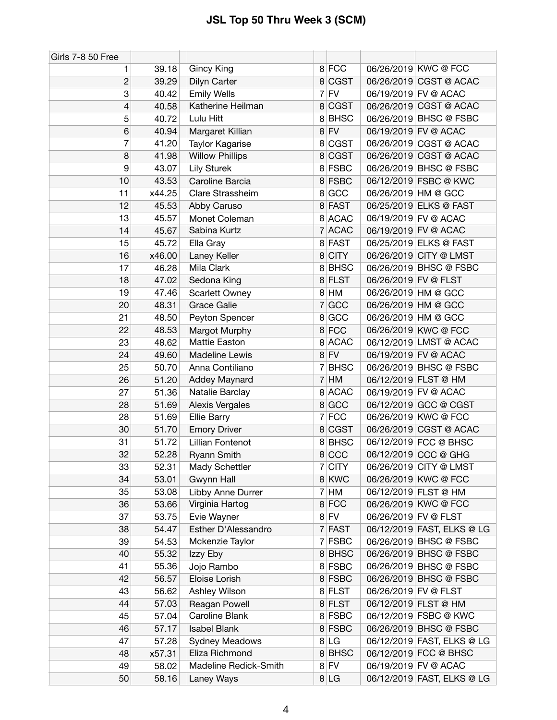| Girls 7-8 50 Free |        |                        |   |             |                      |                            |
|-------------------|--------|------------------------|---|-------------|----------------------|----------------------------|
| 1                 | 39.18  | Gincy King             |   | 8 FCC       |                      | 06/26/2019 KWC @ FCC       |
| $\overline{c}$    | 39.29  | Dilyn Carter           |   | 8 CGST      |                      | 06/26/2019 CGST @ ACAC     |
| 3                 | 40.42  | <b>Emily Wells</b>     |   | $7$ FV      |                      | 06/19/2019 FV @ ACAC       |
| 4                 | 40.58  | Katherine Heilman      | 8 | <b>CGST</b> |                      | 06/26/2019 CGST @ ACAC     |
| 5                 | 40.72  | Lulu Hitt              |   | 8BHSC       |                      | 06/26/2019 BHSC @ FSBC     |
| 6                 | 40.94  | Margaret Killian       |   | $8$ FV      |                      | 06/19/2019 FV @ ACAC       |
| 7                 | 41.20  | <b>Taylor Kagarise</b> | 8 | <b>CGST</b> |                      | 06/26/2019 CGST @ ACAC     |
| 8                 | 41.98  | <b>Willow Phillips</b> |   | 8 CGST      |                      | 06/26/2019 CGST @ ACAC     |
| 9                 | 43.07  | <b>Lily Sturek</b>     |   | 8 FSBC      |                      | 06/26/2019 BHSC @ FSBC     |
| 10                | 43.53  | Caroline Barcia        |   | 8 FSBC      |                      | 06/12/2019 FSBC @ KWC      |
| 11                | x44.25 | Clare Strassheim       | 8 | GCC         |                      | 06/26/2019 HM @ GCC        |
| 12                | 45.53  | Abby Caruso            |   | 8 FAST      |                      | 06/25/2019 ELKS @ FAST     |
| 13                | 45.57  | Monet Coleman          |   | 8 ACAC      |                      | 06/19/2019 FV @ ACAC       |
| 14                | 45.67  | Sabina Kurtz           |   | 7 ACAC      |                      | 06/19/2019 FV @ ACAC       |
| 15                | 45.72  | Ella Gray              |   | 8 FAST      |                      | 06/25/2019 ELKS @ FAST     |
| 16                | x46.00 | Laney Keller           | 8 | <b>CITY</b> |                      | 06/26/2019 CITY @ LMST     |
| 17                | 46.28  | Mila Clark             |   | 8BHSC       |                      | 06/26/2019 BHSC @ FSBC     |
| 18                | 47.02  | Sedona King            |   | 8 FLST      | 06/26/2019 FV @ FLST |                            |
| 19                | 47.46  | Scarlett Owney         |   | 8 HM        |                      | 06/26/2019 HM @ GCC        |
| 20                | 48.31  | <b>Grace Galie</b>     | 7 | GCC         |                      | 06/26/2019 HM @ GCC        |
| 21                | 48.50  | Peyton Spencer         |   | 8 GCC       |                      | 06/26/2019 HM @ GCC        |
| 22                | 48.53  | Margot Murphy          |   | 8 FCC       |                      | 06/26/2019 KWC @ FCC       |
| 23                | 48.62  | <b>Mattie Easton</b>   |   | 8 ACAC      |                      | 06/12/2019 LMST @ ACAC     |
| 24                | 49.60  | Madeline Lewis         |   | $8$ FV      |                      | 06/19/2019 FV @ ACAC       |
| 25                | 50.70  | Anna Contiliano        | 7 | <b>BHSC</b> |                      | 06/26/2019 BHSC @ FSBC     |
| 26                | 51.20  | Addey Maynard          |   | $7$ HM      |                      | 06/12/2019 FLST @ HM       |
| 27                | 51.36  | Natalie Barclay        |   | 8 ACAC      |                      | 06/19/2019 FV @ ACAC       |
| 28                | 51.69  | <b>Alexis Vergales</b> |   | 8 GCC       |                      | 06/12/2019 GCC @ CGST      |
| 28                | 51.69  | <b>Ellie Barry</b>     |   | 7 FCC       |                      | 06/26/2019 KWC @ FCC       |
| 30                | 51.70  | <b>Emory Driver</b>    |   | 8 CGST      |                      | 06/26/2019 CGST @ ACAC     |
| 31                | 51.72  | Lillian Fontenot       |   | 8BHSC       |                      | 06/12/2019 FCC @ BHSC      |
| 32                | 52.28  | <b>Ryann Smith</b>     |   | 8 CCC       |                      | 06/12/2019 CCC @ GHG       |
| 33                | 52.31  | Mady Schettler         |   | 7 CITY      |                      | 06/26/2019 CITY @ LMST     |
| 34                | 53.01  | Gwynn Hall             |   | 8 KWC       |                      | 06/26/2019 KWC @ FCC       |
| 35                | 53.08  | Libby Anne Durrer      |   | 7 HM        |                      | 06/12/2019 FLST @ HM       |
| 36                | 53.66  | Virginia Hartog        |   | 8 FCC       |                      | 06/26/2019 KWC @ FCC       |
| 37                | 53.75  | Evie Wayner            |   | $8$ FV      | 06/26/2019 FV @ FLST |                            |
| 38                | 54.47  | Esther D'Alessandro    |   | 7 FAST      |                      | 06/12/2019 FAST, ELKS @ LG |
| 39                | 54.53  | Mckenzie Taylor        |   | 7 FSBC      |                      | 06/26/2019 BHSC @ FSBC     |
| 40                | 55.32  | Izzy Eby               |   | 8BHSC       |                      | 06/26/2019 BHSC @ FSBC     |
| 41                | 55.36  | Jojo Rambo             |   | 8 FSBC      |                      | 06/26/2019 BHSC @ FSBC     |
| 42                | 56.57  | Eloise Lorish          |   | 8 FSBC      |                      | 06/26/2019 BHSC @ FSBC     |
| 43                | 56.62  | Ashley Wilson          |   | 8 FLST      | 06/26/2019 FV @ FLST |                            |
| 44                | 57.03  | Reagan Powell          |   | 8 FLST      |                      | 06/12/2019 FLST @ HM       |
| 45                | 57.04  | Caroline Blank         |   | 8 FSBC      |                      | 06/12/2019 FSBC @ KWC      |
| 46                | 57.17  | <b>Isabel Blank</b>    |   | 8 FSBC      |                      | 06/26/2019 BHSC @ FSBC     |
| 47                | 57.28  | <b>Sydney Meadows</b>  |   | 8 LG        |                      | 06/12/2019 FAST, ELKS @ LG |
| 48                | x57.31 | Eliza Richmond         |   | 8BHSC       |                      | 06/12/2019 FCC @ BHSC      |
| 49                | 58.02  | Madeline Redick-Smith  |   | $8$ FV      |                      | 06/19/2019 FV @ ACAC       |
| 50                | 58.16  | Laney Ways             |   | 8 LG        |                      | 06/12/2019 FAST, ELKS @ LG |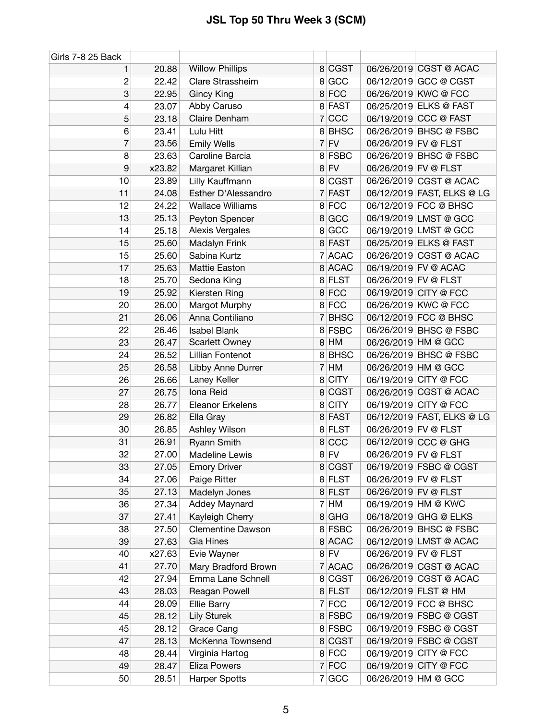| Girls 7-8 25 Back |        |                          |                       |                            |
|-------------------|--------|--------------------------|-----------------------|----------------------------|
| 1                 | 20.88  | <b>Willow Phillips</b>   | 8 CGST                | 06/26/2019 CGST @ ACAC     |
| $\overline{c}$    | 22.42  | Clare Strassheim         | 8 GCC                 | 06/12/2019 GCC @ CGST      |
| 3                 | 22.95  | <b>Gincy King</b>        | 8 FCC                 | 06/26/2019 KWC @ FCC       |
| 4                 | 23.07  | Abby Caruso              | 8 FAST                | 06/25/2019 ELKS @ FAST     |
| 5                 | 23.18  | Claire Denham            | CCC<br>$\overline{7}$ | 06/19/2019 CCC @ FAST      |
| 6                 | 23.41  | Lulu Hitt                | 8 BHSC                | 06/26/2019 BHSC @ FSBC     |
| 7                 | 23.56  | <b>Emily Wells</b>       | FV<br>$\overline{7}$  | 06/26/2019 FV @ FLST       |
| 8                 | 23.63  | Caroline Barcia          | 8 FSBC                | 06/26/2019 BHSC @ FSBC     |
| $\boldsymbol{9}$  | x23.82 | Margaret Killian         | $8$ FV                | 06/26/2019 FV @ FLST       |
| 10                | 23.89  | Lilly Kauffmann          | 8 CGST                | 06/26/2019 CGST @ ACAC     |
| 11                | 24.08  | Esther D'Alessandro      | 7 FAST                | 06/12/2019 FAST, ELKS @ LG |
| 12                | 24.22  | <b>Wallace Williams</b>  | 8 FCC                 | 06/12/2019 FCC @ BHSC      |
| 13                | 25.13  | Peyton Spencer           | 8 GCC                 | 06/19/2019 LMST @ GCC      |
| 14                | 25.18  | <b>Alexis Vergales</b>   | GCC<br>8              | 06/19/2019 LMST @ GCC      |
| 15                | 25.60  | Madalyn Frink            | 8 FAST                | 06/25/2019 ELKS @ FAST     |
| 15                | 25.60  | Sabina Kurtz             | <b>ACAC</b><br>7      | 06/26/2019 CGST @ ACAC     |
| 17                | 25.63  | Mattie Easton            | 8 ACAC                | 06/19/2019 FV @ ACAC       |
| 18                | 25.70  | Sedona King              | 8 FLST                | 06/26/2019 FV @ FLST       |
| 19                | 25.92  | Kiersten Ring            | 8 FCC                 | 06/19/2019 CITY @ FCC      |
| 20                | 26.00  | Margot Murphy            | 8 FCC                 | 06/26/2019 KWC @ FCC       |
| 21                | 26.06  | Anna Contiliano          | <b>BHSC</b><br>7      | 06/12/2019 FCC @ BHSC      |
| 22                | 26.46  | <b>Isabel Blank</b>      | 8 FSBC                | 06/26/2019 BHSC @ FSBC     |
| 23                | 26.47  | Scarlett Owney           | $8$ HM                | 06/26/2019 HM @ GCC        |
| 24                | 26.52  | Lillian Fontenot         | 8 BHSC                | 06/26/2019 BHSC @ FSBC     |
| 25                | 26.58  | Libby Anne Durrer        | $\overline{7}$<br>HM  | 06/26/2019 HM @ GCC        |
| 26                | 26.66  | Laney Keller             | <b>CITY</b><br>8      | 06/19/2019 CITY @ FCC      |
| 27                | 26.75  | Iona Reid                | 8 CGST                | 06/26/2019 CGST @ ACAC     |
| 28                | 26.77  | <b>Eleanor Erkelens</b>  | <b>CITY</b><br>8      | 06/19/2019 CITY @ FCC      |
| 29                | 26.82  | Ella Gray                | 8 FAST                | 06/12/2019 FAST, ELKS @ LG |
| 30                | 26.85  | Ashley Wilson            | 8 FLST                | 06/26/2019 FV @ FLST       |
| 31                | 26.91  | Ryann Smith              | 8 CCC                 | 06/12/2019 CCC @ GHG       |
| 32                | 27.00  | Madeline Lewis           | $8$ FV                | 06/26/2019 FV @ FLST       |
| 33                | 27.05  | <b>Emory Driver</b>      | 8 CGST                | 06/19/2019 FSBC @ CGST     |
| 34                | 27.06  | Paige Ritter             | 8 FLST                | 06/26/2019 FV @ FLST       |
| 35                | 27.13  | Madelyn Jones            | 8 FLST                | 06/26/2019 FV @ FLST       |
| 36                | 27.34  | Addey Maynard            | HM<br>$\overline{7}$  | 06/19/2019 HM @ KWC        |
| 37                | 27.41  | Kayleigh Cherry          | <b>GHG</b><br>8       | 06/18/2019 GHG @ ELKS      |
| 38                | 27.50  | <b>Clementine Dawson</b> | 8 FSBC                | 06/26/2019 BHSC @ FSBC     |
| 39                | 27.63  | Gia Hines                | 8 ACAC                | 06/12/2019 LMST @ ACAC     |
| 40                | x27.63 | Evie Wayner              | $8$ FV                | 06/26/2019 FV @ FLST       |
| 41                | 27.70  | Mary Bradford Brown      | 7 ACAC                | 06/26/2019 CGST @ ACAC     |
| 42                | 27.94  | Emma Lane Schnell        | 8 CGST                | 06/26/2019 CGST @ ACAC     |
| 43                | 28.03  | Reagan Powell            | 8 FLST                | 06/12/2019 FLST @ HM       |
| 44                | 28.09  | Ellie Barry              | 7 FCC                 | 06/12/2019 FCC @ BHSC      |
| 45                | 28.12  | <b>Lily Sturek</b>       | 8 FSBC                | 06/19/2019 FSBC @ CGST     |
| 45                | 28.12  | Grace Cang               | 8 FSBC                | 06/19/2019 FSBC @ CGST     |
| 47                | 28.13  | McKenna Townsend         | 8 CGST                | 06/19/2019 FSBC @ CGST     |
| 48                | 28.44  | Virginia Hartog          | 8 FCC                 | 06/19/2019 CITY @ FCC      |
| 49                | 28.47  | <b>Eliza Powers</b>      | $7$ FCC               | 06/19/2019 CITY @ FCC      |
| 50                | 28.51  | <b>Harper Spotts</b>     | 7 GCC                 | 06/26/2019 HM @ GCC        |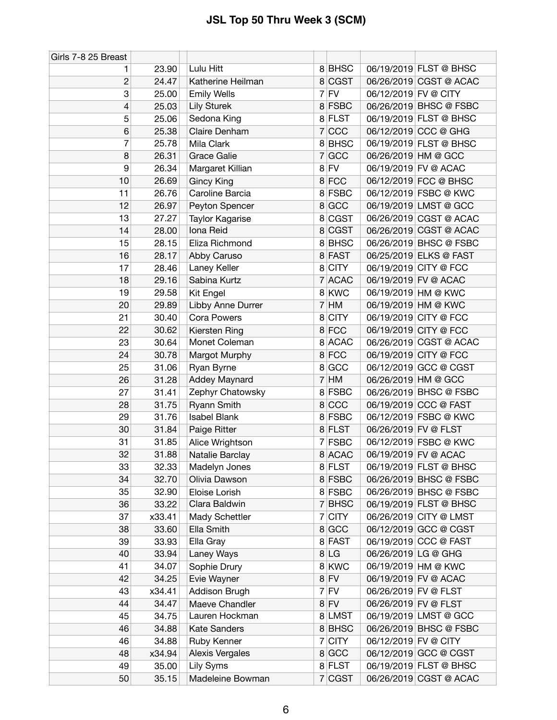| Girls 7-8 25 Breast |        |                     |                |             |                      |                        |
|---------------------|--------|---------------------|----------------|-------------|----------------------|------------------------|
| 1                   | 23.90  | Lulu Hitt           |                | 8BHSC       |                      | 06/19/2019 FLST @ BHSC |
| $\overline{c}$      | 24.47  | Katherine Heilman   |                | 8 CGST      |                      | 06/26/2019 CGST @ ACAC |
| 3                   | 25.00  | <b>Emily Wells</b>  |                | $7$ FV      | 06/12/2019 FV @ CITY |                        |
| 4                   | 25.03  | Lily Sturek         |                | 8 FSBC      |                      | 06/26/2019 BHSC @ FSBC |
| 5                   | 25.06  | Sedona King         |                | 8 FLST      |                      | 06/19/2019 FLST @ BHSC |
| 6                   | 25.38  | Claire Denham       | 7              | CCC         |                      | 06/12/2019 CCC @ GHG   |
| 7                   | 25.78  | Mila Clark          |                | 8 BHSC      |                      | 06/19/2019 FLST @ BHSC |
| 8                   | 26.31  | <b>Grace Galie</b>  | $\overline{7}$ | GCC         |                      | 06/26/2019 HM @ GCC    |
| 9                   | 26.34  | Margaret Killian    |                | $8$ FV      |                      | 06/19/2019 FV @ ACAC   |
| 10                  | 26.69  | <b>Gincy King</b>   |                | 8 FCC       |                      | 06/12/2019 FCC @ BHSC  |
| 11                  | 26.76  | Caroline Barcia     |                | 8 FSBC      |                      | 06/12/2019 FSBC @ KWC  |
| 12                  | 26.97  | Peyton Spencer      |                | 8 GCC       |                      | 06/19/2019 LMST @ GCC  |
| 13                  | 27.27  | Taylor Kagarise     | 8              | <b>CGST</b> |                      | 06/26/2019 CGST @ ACAC |
| 14                  | 28.00  | Iona Reid           |                | 8 CGST      |                      | 06/26/2019 CGST @ ACAC |
| 15                  | 28.15  | Eliza Richmond      |                | 8BHSC       |                      | 06/26/2019 BHSC @ FSBC |
| 16                  | 28.17  | Abby Caruso         |                | 8 FAST      |                      | 06/25/2019 ELKS @ FAST |
| 17                  | 28.46  | Laney Keller        |                | 8 CITY      |                      | 06/19/2019 CITY @ FCC  |
| 18                  | 29.16  | Sabina Kurtz        |                | 7 ACAC      |                      | 06/19/2019 FV @ ACAC   |
| 19                  | 29.58  | Kit Engel           |                | 8 KWC       |                      | 06/19/2019 HM @ KWC    |
| 20                  | 29.89  | Libby Anne Durrer   | 7              | HM          |                      | 06/19/2019 HM @ KWC    |
| 21                  | 30.40  | <b>Cora Powers</b>  | 8              | <b>CITY</b> |                      | 06/19/2019 CITY @ FCC  |
| 22                  | 30.62  | Kiersten Ring       |                | 8 FCC       |                      | 06/19/2019 CITY @ FCC  |
| 23                  | 30.64  | Monet Coleman       |                | 8 ACAC      |                      | 06/26/2019 CGST @ ACAC |
| 24                  | 30.78  | Margot Murphy       |                | 8 FCC       |                      | 06/19/2019 CITY @ FCC  |
| 25                  | 31.06  | Ryan Byrne          | 8              | GCC         |                      | 06/12/2019 GCC @ CGST  |
| 26                  | 31.28  | Addey Maynard       |                | $7$ HM      |                      | 06/26/2019 HM @ GCC    |
| 27                  | 31.41  | Zephyr Chatowsky    |                | 8 FSBC      |                      | 06/26/2019 BHSC @ FSBC |
| 28                  | 31.75  | Ryann Smith         |                | 8 CCC       |                      | 06/19/2019 CCC @ FAST  |
| 29                  | 31.76  | <b>Isabel Blank</b> |                | 8 FSBC      |                      | 06/12/2019 FSBC @ KWC  |
| 30                  | 31.84  | Paige Ritter        |                | 8 FLST      | 06/26/2019 FV @ FLST |                        |
| 31                  | 31.85  | Alice Wrightson     | $\mathbf{7}$   | <b>FSBC</b> |                      | 06/12/2019 FSBC @ KWC  |
| 32                  | 31.88  | Natalie Barclay     |                | 8 ACAC      |                      | 06/19/2019 FV @ ACAC   |
| 33                  | 32.33  | Madelyn Jones       |                | 8 FLST      |                      | 06/19/2019 FLST @ BHSC |
| 34                  | 32.70  | Olivia Dawson       |                | 8 FSBC      |                      | 06/26/2019 BHSC @ FSBC |
| 35                  | 32.90  | Eloise Lorish       |                | 8 FSBC      |                      | 06/26/2019 BHSC @ FSBC |
| 36                  | 33.22  | Clara Baldwin       |                | 7 BHSC      |                      | 06/19/2019 FLST @ BHSC |
| 37                  | x33.41 | Mady Schettler      |                | 7 CITY      |                      | 06/26/2019 CITY @ LMST |
| 38                  | 33.60  | Ella Smith          |                | 8 GCC       |                      | 06/12/2019 GCC @ CGST  |
| 39                  | 33.93  | Ella Gray           |                | 8 FAST      |                      | 06/19/2019 CCC @ FAST  |
| 40                  | 33.94  | Laney Ways          |                | 8 LG        | 06/26/2019 LG @ GHG  |                        |
| 41                  | 34.07  | Sophie Drury        |                | 8 KWC       |                      | 06/19/2019 HM @ KWC    |
| 42                  | 34.25  | Evie Wayner         |                | $8$ FV      |                      | 06/19/2019 FV @ ACAC   |
| 43                  | x34.41 | Addison Brugh       |                | $7$ FV      | 06/26/2019 FV @ FLST |                        |
| 44                  | 34.47  | Maeve Chandler      |                | $8$ FV      | 06/26/2019 FV @ FLST |                        |
| 45                  | 34.75  | Lauren Hockman      |                | 8 LMST      |                      | 06/19/2019 LMST @ GCC  |
| 46                  | 34.88  | <b>Kate Sanders</b> |                | 8BHSC       |                      | 06/26/2019 BHSC @ FSBC |
| 46                  | 34.88  | Ruby Kenner         | $\overline{7}$ | <b>CITY</b> | 06/12/2019 FV @ CITY |                        |
| 48                  | x34.94 | Alexis Vergales     |                | 8 GCC       |                      | 06/12/2019 GCC @ CGST  |
| 49                  | 35.00  | Lily Syms           |                | 8 FLST      |                      | 06/19/2019 FLST @ BHSC |
| 50                  | 35.15  | Madeleine Bowman    |                | 7 CGST      |                      | 06/26/2019 CGST @ ACAC |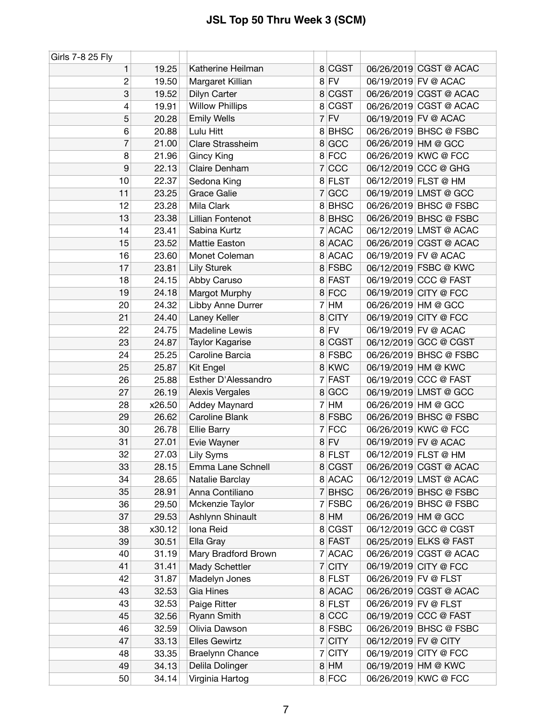| Girls 7-8 25 Fly |        |                        |   |             |                      |                        |
|------------------|--------|------------------------|---|-------------|----------------------|------------------------|
| 1                | 19.25  | Katherine Heilman      |   | 8 CGST      |                      | 06/26/2019 CGST @ ACAC |
| $\overline{c}$   | 19.50  | Margaret Killian       |   | $8$ FV      |                      | 06/19/2019 FV @ ACAC   |
| 3                | 19.52  | Dilyn Carter           |   | 8 CGST      |                      | 06/26/2019 CGST @ ACAC |
| 4                | 19.91  | <b>Willow Phillips</b> |   | 8 CGST      |                      | 06/26/2019 CGST @ ACAC |
| 5                | 20.28  | <b>Emily Wells</b>     |   | $7$ FV      |                      | 06/19/2019 FV @ ACAC   |
| 6                | 20.88  | Lulu Hitt              |   | 8 BHSC      |                      | 06/26/2019 BHSC @ FSBC |
| $\overline{7}$   | 21.00  | Clare Strassheim       |   | 8 GCC       |                      | 06/26/2019 HM @ GCC    |
| 8                | 21.96  | <b>Gincy King</b>      |   | 8 FCC       |                      | 06/26/2019 KWC @ FCC   |
| 9                | 22.13  | Claire Denham          |   | 7 CCC       |                      | 06/12/2019 CCC @ GHG   |
| 10               | 22.37  | Sedona King            |   | 8 FLST      |                      | 06/12/2019 FLST @ HM   |
| 11               | 23.25  | <b>Grace Galie</b>     |   | 7 GCC       |                      | 06/19/2019 LMST @ GCC  |
| 12               | 23.28  | Mila Clark             |   | 8 BHSC      |                      | 06/26/2019 BHSC @ FSBC |
| 13               | 23.38  | Lillian Fontenot       |   | 8 BHSC      |                      | 06/26/2019 BHSC @ FSBC |
| 14               | 23.41  | Sabina Kurtz           | 7 | <b>ACAC</b> |                      | 06/12/2019 LMST @ ACAC |
| 15               | 23.52  | <b>Mattie Easton</b>   |   | 8 ACAC      |                      | 06/26/2019 CGST @ ACAC |
| 16               | 23.60  | Monet Coleman          |   | 8 ACAC      |                      | 06/19/2019 FV @ ACAC   |
| 17               | 23.81  | <b>Lily Sturek</b>     |   | 8 FSBC      |                      | 06/12/2019 FSBC @ KWC  |
| 18               | 24.15  | Abby Caruso            |   | 8 FAST      |                      | 06/19/2019 CCC @ FAST  |
| 19               | 24.18  | Margot Murphy          | 8 | FCC         |                      | 06/19/2019 CITY @ FCC  |
| 20               | 24.32  | Libby Anne Durrer      | 7 | HM          |                      | 06/26/2019 HM @ GCC    |
| 21               | 24.40  | Laney Keller           | 8 | <b>CITY</b> |                      | 06/19/2019 CITY @ FCC  |
| 22               | 24.75  | <b>Madeline Lewis</b>  |   | $8$ FV      |                      | 06/19/2019 FV @ ACAC   |
| 23               | 24.87  | Taylor Kagarise        |   | 8 CGST      |                      | 06/12/2019 GCC @ CGST  |
| 24               | 25.25  | Caroline Barcia        |   | 8 FSBC      |                      | 06/26/2019 BHSC @ FSBC |
| 25               | 25.87  | Kit Engel              |   | 8 KWC       |                      | 06/19/2019 HM @ KWC    |
| 26               | 25.88  | Esther D'Alessandro    | 7 | <b>FAST</b> |                      | 06/19/2019 CCC @ FAST  |
| 27               | 26.19  | Alexis Vergales        |   | 8 GCC       |                      | 06/19/2019 LMST @ GCC  |
| 28               | x26.50 | Addey Maynard          | 7 | HM          | 06/26/2019 HM @ GCC  |                        |
| 29               | 26.62  | Caroline Blank         |   | 8 FSBC      |                      | 06/26/2019 BHSC @ FSBC |
| 30               | 26.78  | <b>Ellie Barry</b>     | 7 | FCC         |                      | 06/26/2019 KWC @ FCC   |
| 31               | 27.01  | Evie Wayner            |   | $8$ FV      |                      | 06/19/2019 FV @ ACAC   |
| 32               | 27.03  | Lily Syms              |   | 8 FLST      |                      | 06/12/2019 FLST @ HM   |
| 33               | 28.15  | Emma Lane Schnell      |   | 8 CGST      |                      | 06/26/2019 CGST @ ACAC |
| 34               | 28.65  | Natalie Barclay        |   | 8 ACAC      |                      | 06/12/2019 LMST @ ACAC |
| 35               | 28.91  | Anna Contiliano        |   | 7 BHSC      |                      | 06/26/2019 BHSC @ FSBC |
| 36               | 29.50  | Mckenzie Taylor        | 7 | <b>FSBC</b> |                      | 06/26/2019 BHSC @ FSBC |
| 37               | 29.53  | Ashlynn Shinault       |   | $8$ HM      |                      | 06/26/2019 HM @ GCC    |
| 38               | x30.12 | Iona Reid              |   | 8 CGST      |                      | 06/12/2019 GCC @ CGST  |
| 39               | 30.51  | Ella Gray              |   | 8 FAST      |                      | 06/25/2019 ELKS @ FAST |
| 40               | 31.19  | Mary Bradford Brown    |   | 7 ACAC      |                      | 06/26/2019 CGST @ ACAC |
| 41               | 31.41  | Mady Schettler         |   | 7 CITY      |                      | 06/19/2019 CITY @ FCC  |
| 42               | 31.87  | Madelyn Jones          |   | 8 FLST      | 06/26/2019 FV @ FLST |                        |
| 43               | 32.53  | Gia Hines              |   | 8 ACAC      |                      | 06/26/2019 CGST @ ACAC |
| 43               | 32.53  | Paige Ritter           |   | 8 FLST      | 06/26/2019 FV @ FLST |                        |
| 45               | 32.56  | Ryann Smith            |   | 8 CCC       |                      | 06/19/2019 CCC @ FAST  |
| 46               | 32.59  | Olivia Dawson          |   | 8 FSBC      |                      | 06/26/2019 BHSC @ FSBC |
| 47               | 33.13  | <b>Elles Gewirtz</b>   |   | $7$ CITY    | 06/12/2019 FV @ CITY |                        |
| 48               | 33.35  | <b>Braelynn Chance</b> |   | 7 CITY      |                      | 06/19/2019 CITY @ FCC  |
| 49               | 34.13  | Delila Dolinger        |   | 8 HM        |                      | 06/19/2019 HM @ KWC    |
| 50               | 34.14  | Virginia Hartog        |   | 8 FCC       |                      | 06/26/2019 KWC @ FCC   |
|                  |        |                        |   |             |                      |                        |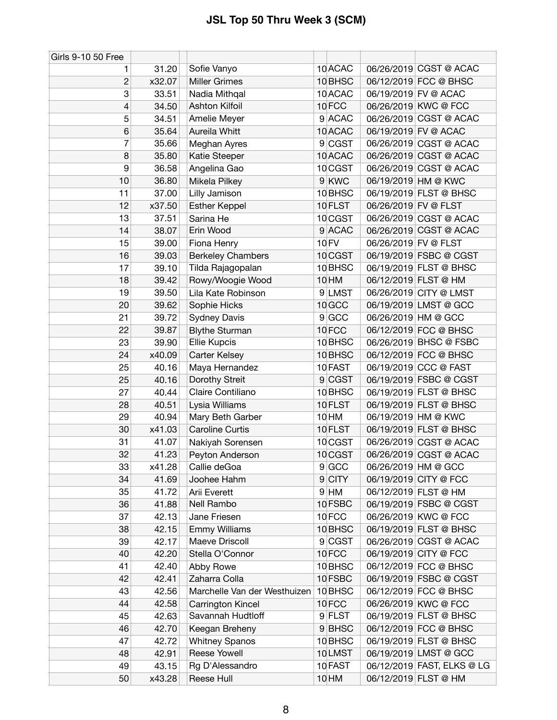| Girls 9-10 50 Free |        |                              |                    |                      |                            |
|--------------------|--------|------------------------------|--------------------|----------------------|----------------------------|
| 1                  | 31.20  | Sofie Vanyo                  | 10 ACAC            |                      | 06/26/2019 CGST @ ACAC     |
| $\overline{c}$     | x32.07 | <b>Miller Grimes</b>         | 10 <sub>BHSC</sub> |                      | 06/12/2019 FCC @ BHSC      |
| 3                  | 33.51  | Nadia Mithqal                | 10 ACAC            |                      | 06/19/2019 FV @ ACAC       |
| 4                  | 34.50  | Ashton Kilfoil               | 10FCC              |                      | 06/26/2019 KWC @ FCC       |
| 5                  | 34.51  | Amelie Meyer                 | 9 ACAC             |                      | 06/26/2019 CGST @ ACAC     |
| 6                  | 35.64  | Aureila Whitt                | 10 ACAC            |                      | 06/19/2019 FV @ ACAC       |
| 7                  | 35.66  | Meghan Ayres                 | 9 CGST             |                      | 06/26/2019 CGST @ ACAC     |
| 8                  | 35.80  | Katie Steeper                | 10 ACAC            |                      | 06/26/2019 CGST @ ACAC     |
| 9                  | 36.58  | Angelina Gao                 | 10 CGST            |                      | 06/26/2019 CGST @ ACAC     |
| 10                 | 36.80  | Mikela Pilkey                | 9 KWC              |                      | 06/19/2019 HM @ KWC        |
| 11                 | 37.00  | Lilly Jamison                | 10 BHSC            |                      | 06/19/2019 FLST @ BHSC     |
| 12                 | x37.50 | <b>Esther Keppel</b>         | 10 FLST            | 06/26/2019 FV @ FLST |                            |
| 13                 | 37.51  | Sarina He                    | 10 CGST            |                      | 06/26/2019 CGST @ ACAC     |
| 14                 | 38.07  | Erin Wood                    | 9 ACAC             |                      | 06/26/2019 CGST @ ACAC     |
| 15                 | 39.00  | Fiona Henry                  | 10 FV              | 06/26/2019 FV @ FLST |                            |
| 16                 | 39.03  | <b>Berkeley Chambers</b>     | 10 CGST            |                      | 06/19/2019 FSBC @ CGST     |
| 17                 | 39.10  | Tilda Rajagopalan            | 10 BHSC            |                      | 06/19/2019 FLST @ BHSC     |
| 18                 | 39.42  | Rowy/Woogie Wood             | 10 HM              |                      | 06/12/2019 FLST @ HM       |
| 19                 | 39.50  | Lila Kate Robinson           | 9 LMST             |                      | 06/26/2019 CITY @ LMST     |
| 20                 | 39.62  | Sophie Hicks                 | 10 GCC             |                      | 06/19/2019 LMST @ GCC      |
| 21                 | 39.72  | <b>Sydney Davis</b>          | 9 GCC              |                      | 06/26/2019 HM @ GCC        |
| 22                 | 39.87  | <b>Blythe Sturman</b>        | 10FCC              |                      | 06/12/2019 FCC @ BHSC      |
| 23                 | 39.90  | Ellie Kupcis                 | 10 BHSC            |                      | 06/26/2019 BHSC @ FSBC     |
| 24                 | x40.09 | Carter Kelsey                | 10 BHSC            |                      | 06/12/2019 FCC @ BHSC      |
| 25                 | 40.16  | Maya Hernandez               | 10 FAST            |                      | 06/19/2019 CCC @ FAST      |
| 25                 | 40.16  | Dorothy Streit               | 9 CGST             |                      | 06/19/2019 FSBC @ CGST     |
| 27                 | 40.44  | Claire Contiliano            | 10 <sub>BHSC</sub> |                      | 06/19/2019 FLST @ BHSC     |
| 28                 | 40.51  | Lysia Williams               | 10 FLST            |                      | 06/19/2019 FLST @ BHSC     |
| 29                 | 40.94  | Mary Beth Garber             | 10 HM              |                      | 06/19/2019 HM @ KWC        |
| 30                 | x41.03 | <b>Caroline Curtis</b>       | 10 FLST            |                      | 06/19/2019 FLST @ BHSC     |
| 31                 | 41.07  | Nakiyah Sorensen             | 10 CGST            |                      | 06/26/2019 CGST @ ACAC     |
| 32                 | 41.23  | Peyton Anderson              | 10 CGST            |                      | 06/26/2019 CGST @ ACAC     |
| 33                 | x41.28 | Callie deGoa                 | 9 GCC              |                      | 06/26/2019 HM @ GCC        |
| 34                 | 41.69  | Joohee Hahm                  | 9 CITY             |                      | 06/19/2019 CITY @ FCC      |
| 35                 | 41.72  | Arii Everett                 | $9$ HM             |                      | 06/12/2019 FLST @ HM       |
| 36                 | 41.88  | Nell Rambo                   | 10 FSBC            |                      | 06/19/2019 FSBC @ CGST     |
| 37                 | 42.13  | Jane Friesen                 | 10FCC              |                      | 06/26/2019 KWC @ FCC       |
| 38                 | 42.15  | <b>Emmy Williams</b>         | 10 <sub>BHSC</sub> |                      | 06/19/2019 FLST @ BHSC     |
| 39                 | 42.17  | Maeve Driscoll               | 9 CGST             |                      | 06/26/2019 CGST @ ACAC     |
| 40                 | 42.20  | Stella O'Connor              | 10FCC              |                      | 06/19/2019 CITY @ FCC      |
| 41                 | 42.40  | Abby Rowe                    | 10 <sub>BHSC</sub> |                      | 06/12/2019 FCC @ BHSC      |
| 42                 | 42.41  | Zaharra Colla                | 10 FSBC            |                      | 06/19/2019 FSBC @ CGST     |
| 43                 | 42.56  | Marchelle Van der Westhuizen | 10 BHSC            |                      | 06/12/2019 FCC @ BHSC      |
| 44                 | 42.58  | Carrington Kincel            | 10 <sub>FCC</sub>  |                      | 06/26/2019 KWC @ FCC       |
| 45                 | 42.63  | Savannah Hudtloff            | 9 FLST             |                      | 06/19/2019 FLST @ BHSC     |
| 46                 | 42.70  | Keegan Breheny               | 9BHSC              |                      | 06/12/2019 FCC @ BHSC      |
| 47                 | 42.72  | <b>Whitney Spanos</b>        | 10 <sub>BHSC</sub> |                      | 06/19/2019 FLST @ BHSC     |
| 48                 | 42.91  | Reese Yowell                 | 10LMST             |                      | 06/19/2019 LMST @ GCC      |
| 49                 | 43.15  | Rg D'Alessandro              | 10 FAST            |                      | 06/12/2019 FAST, ELKS @ LG |
| 50                 | x43.28 | Reese Hull                   | 10 HM              |                      | 06/12/2019 FLST @ HM       |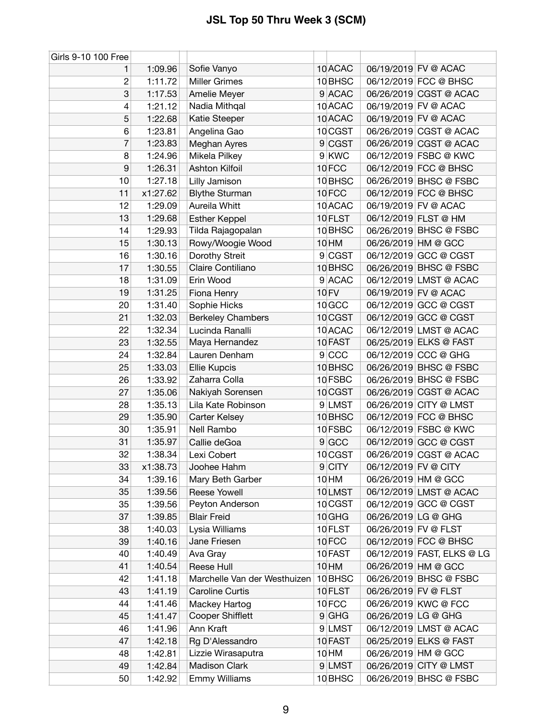| Girls 9-10 100 Free |          |                              |                    |                      |                            |
|---------------------|----------|------------------------------|--------------------|----------------------|----------------------------|
| 1                   | 1:09.96  | Sofie Vanyo                  | 10 ACAC            |                      | 06/19/2019 FV @ ACAC       |
| $\boldsymbol{2}$    | 1:11.72  | <b>Miller Grimes</b>         | 10 BHSC            |                      | 06/12/2019 FCC @ BHSC      |
| 3                   | 1:17.53  | Amelie Meyer                 | 9 ACAC             |                      | 06/26/2019 CGST @ ACAC     |
| $\overline{4}$      | 1:21.12  | Nadia Mithqal                | 10 ACAC            |                      | 06/19/2019 FV @ ACAC       |
| 5                   | 1:22.68  | Katie Steeper                | 10 ACAC            |                      | 06/19/2019 FV @ ACAC       |
| 6                   | 1:23.81  | Angelina Gao                 | 10 CGST            |                      | 06/26/2019 CGST @ ACAC     |
| 7                   | 1:23.83  | Meghan Ayres                 | 9 CGST             |                      | 06/26/2019 CGST @ ACAC     |
| 8                   | 1:24.96  | Mikela Pilkey                | 9 KWC              |                      | 06/12/2019 FSBC @ KWC      |
| 9                   | 1:26.31  | <b>Ashton Kilfoil</b>        | 10FCC              |                      | 06/12/2019 FCC @ BHSC      |
| 10                  | 1:27.18  | Lilly Jamison                | 10 <sub>BHSC</sub> |                      | 06/26/2019 BHSC @ FSBC     |
| 11                  | x1:27.62 | <b>Blythe Sturman</b>        | 10FCC              |                      | 06/12/2019 FCC @ BHSC      |
| 12                  | 1:29.09  | Aureila Whitt                | 10 ACAC            |                      | 06/19/2019 FV @ ACAC       |
| 13                  | 1:29.68  | <b>Esther Keppel</b>         | 10 FLST            |                      | 06/12/2019 FLST @ HM       |
| 14                  | 1:29.93  | Tilda Rajagopalan            | 10 BHSC            |                      | 06/26/2019 BHSC @ FSBC     |
| 15                  | 1:30.13  | Rowy/Woogie Wood             | 10 HM              |                      | 06/26/2019 HM @ GCC        |
| 16                  | 1:30.16  | Dorothy Streit               | 9 CGST             |                      | 06/12/2019 GCC @ CGST      |
| 17                  | 1:30.55  | Claire Contiliano            | 10 BHSC            |                      | 06/26/2019 BHSC @ FSBC     |
| 18                  | 1:31.09  | Erin Wood                    | 9 ACAC             |                      | 06/12/2019 LMST @ ACAC     |
| 19                  | 1:31.25  | Fiona Henry                  | <b>10 FV</b>       |                      | 06/19/2019 FV @ ACAC       |
| 20                  | 1:31.40  | Sophie Hicks                 | 10 GCC             |                      | 06/12/2019 GCC @ CGST      |
| 21                  | 1:32.03  | <b>Berkeley Chambers</b>     | 10 CGST            |                      | 06/12/2019 GCC @ CGST      |
| 22                  | 1:32.34  | Lucinda Ranalli              | 10 ACAC            |                      | 06/12/2019 LMST @ ACAC     |
| 23                  | 1:32.55  | Maya Hernandez               | 10 FAST            |                      | 06/25/2019 ELKS @ FAST     |
| 24                  | 1:32.84  | Lauren Denham                | 9 CCC              |                      | 06/12/2019 CCC @ GHG       |
| 25                  | 1:33.03  | <b>Ellie Kupcis</b>          | 10 <sub>BHSC</sub> |                      | 06/26/2019 BHSC @ FSBC     |
| 26                  | 1:33.92  | Zaharra Colla                | 10 FSBC            |                      | 06/26/2019 BHSC @ FSBC     |
| 27                  | 1:35.06  | Nakiyah Sorensen             | 10 CGST            |                      | 06/26/2019 CGST @ ACAC     |
| 28                  | 1:35.13  | Lila Kate Robinson           | 9 LMST             |                      | 06/26/2019 CITY @ LMST     |
| 29                  | 1:35.90  | Carter Kelsey                | 10 BHSC            |                      | 06/12/2019 FCC @ BHSC      |
| 30                  | 1:35.91  | Nell Rambo                   | 10 FSBC            |                      | 06/12/2019 FSBC @ KWC      |
| 31                  | 1:35.97  | Callie deGoa                 | 9 GCC              |                      | 06/12/2019 GCC @ CGST      |
| 32                  | 1:38.34  | Lexi Cobert                  | 10 CGST            |                      | 06/26/2019 CGST @ ACAC     |
| 33                  | x1:38.73 | Joohee Hahm                  | $9$ CITY           | 06/12/2019 FV @ CITY |                            |
| 34                  | 1:39.16  | Mary Beth Garber             | 10 HM              |                      | 06/26/2019 HM @ GCC        |
| 35                  | 1:39.56  | <b>Reese Yowell</b>          | 10LMST             |                      | 06/12/2019 LMST @ ACAC     |
| 35                  | 1:39.56  | Peyton Anderson              | 10 CGST            |                      | 06/12/2019 GCC @ CGST      |
| 37                  | 1:39.85  | <b>Blair Freid</b>           | 10 GHG             | 06/26/2019 LG @ GHG  |                            |
| 38                  | 1:40.03  | Lysia Williams               | 10 FLST            | 06/26/2019 FV @ FLST |                            |
| 39                  | 1:40.16  | Jane Friesen                 | 10FCC              |                      | 06/12/2019 FCC @ BHSC      |
| 40                  | 1:40.49  | Ava Gray                     | 10 FAST            |                      | 06/12/2019 FAST, ELKS @ LG |
| 41                  | 1:40.54  | Reese Hull                   | 10 HM              |                      | 06/26/2019 HM @ GCC        |
| 42                  | 1:41.18  | Marchelle Van der Westhuizen | 10 BHSC            |                      | 06/26/2019 BHSC @ FSBC     |
| 43                  | 1:41.19  | <b>Caroline Curtis</b>       | 10 FLST            | 06/26/2019 FV @ FLST |                            |
| 44                  | 1:41.46  | Mackey Hartog                | 10FCC              |                      | 06/26/2019 KWC @ FCC       |
| 45                  | 1:41.47  | <b>Cooper Shifflett</b>      | $9$ GHG            | 06/26/2019 LG @ GHG  |                            |
| 46                  | 1:41.96  | Ann Kraft                    | 9 LMST             |                      | 06/12/2019 LMST @ ACAC     |
| 47                  | 1:42.18  | Rg D'Alessandro              | 10 FAST            |                      | 06/25/2019 ELKS @ FAST     |
| 48                  | 1:42.81  | Lizzie Wirasaputra           | 10 HM              |                      | 06/26/2019 HM @ GCC        |
| 49                  | 1:42.84  | Madison Clark                | 9 LMST             |                      | 06/26/2019 CITY @ LMST     |
| 50                  | 1:42.92  | <b>Emmy Williams</b>         | 10 <sub>BHSC</sub> |                      | 06/26/2019 BHSC @ FSBC     |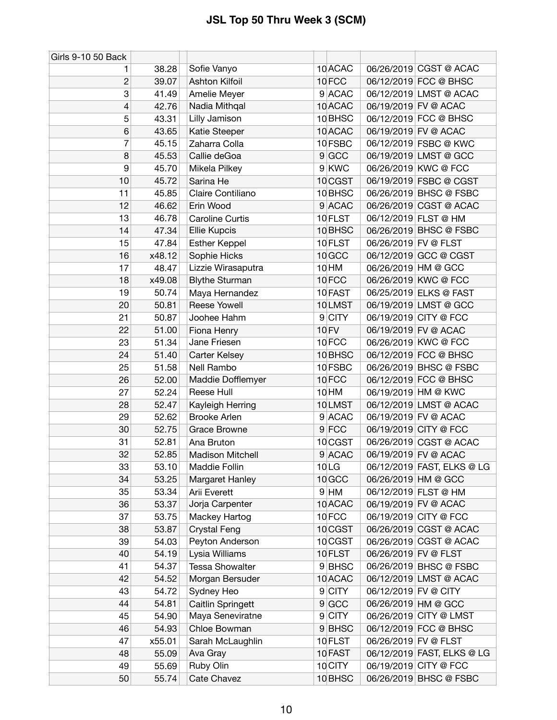| Girls 9-10 50 Back |        |                         |                    |                      |                            |
|--------------------|--------|-------------------------|--------------------|----------------------|----------------------------|
| 1                  | 38.28  | Sofie Vanyo             | 10 ACAC            |                      | 06/26/2019 CGST @ ACAC     |
| $\overline{c}$     | 39.07  | Ashton Kilfoil          | 10FCC              |                      | 06/12/2019 FCC @ BHSC      |
| 3                  | 41.49  | Amelie Meyer            | 9 ACAC             |                      | 06/12/2019 LMST @ ACAC     |
| 4                  | 42.76  | Nadia Mithqal           | 10 ACAC            |                      | 06/19/2019 FV @ ACAC       |
| 5                  | 43.31  | Lilly Jamison           | 10 BHSC            |                      | 06/12/2019 FCC @ BHSC      |
| 6                  | 43.65  | Katie Steeper           | 10 ACAC            |                      | 06/19/2019 FV @ ACAC       |
| 7                  | 45.15  | Zaharra Colla           | 10 FSBC            |                      | 06/12/2019 FSBC @ KWC      |
| 8                  | 45.53  | Callie deGoa            | 9 GCC              |                      | 06/19/2019 LMST @ GCC      |
| 9                  | 45.70  | Mikela Pilkey           | 9 KWC              |                      | 06/26/2019 KWC @ FCC       |
| 10                 | 45.72  | Sarina He               | 10 CGST            |                      | 06/19/2019 FSBC @ CGST     |
| 11                 | 45.85  | Claire Contiliano       | 10 BHSC            |                      | 06/26/2019 BHSC @ FSBC     |
| 12                 | 46.62  | Erin Wood               | 9 ACAC             |                      | 06/26/2019 CGST @ ACAC     |
| 13                 | 46.78  | <b>Caroline Curtis</b>  | 10 FLST            |                      | 06/12/2019 FLST @ HM       |
| 14                 | 47.34  | <b>Ellie Kupcis</b>     | 10 BHSC            |                      | 06/26/2019 BHSC @ FSBC     |
| 15                 | 47.84  | <b>Esther Keppel</b>    | 10 FLST            | 06/26/2019 FV @ FLST |                            |
| 16                 | x48.12 | Sophie Hicks            | 10 GCC             |                      | 06/12/2019 GCC @ CGST      |
| 17                 | 48.47  | Lizzie Wirasaputra      | 10 HM              |                      | 06/26/2019 HM @ GCC        |
| 18                 | x49.08 | <b>Blythe Sturman</b>   | 10FCC              |                      | 06/26/2019 KWC @ FCC       |
| 19                 | 50.74  | Maya Hernandez          | 10 FAST            |                      | 06/25/2019 ELKS @ FAST     |
| 20                 | 50.81  | Reese Yowell            | 10LMST             |                      | 06/19/2019 LMST @ GCC      |
| 21                 | 50.87  | Joohee Hahm             | 9 CITY             |                      | 06/19/2019 CITY @ FCC      |
| 22                 | 51.00  | Fiona Henry             | <b>10 FV</b>       |                      | 06/19/2019 FV @ ACAC       |
| 23                 | 51.34  | Jane Friesen            | 10FCC              |                      | 06/26/2019 KWC @ FCC       |
| 24                 | 51.40  | Carter Kelsey           | 10 <sub>BHSC</sub> |                      | 06/12/2019 FCC @ BHSC      |
| 25                 | 51.58  | Nell Rambo              | 10 FSBC            |                      | 06/26/2019 BHSC @ FSBC     |
| 26                 | 52.00  | Maddie Dofflemyer       | 10FCC              |                      | 06/12/2019 FCC @ BHSC      |
| 27                 | 52.24  | Reese Hull              | 10 HM              |                      | 06/19/2019 HM @ KWC        |
| 28                 | 52.47  | Kayleigh Herring        | 10LMST             |                      | 06/12/2019 LMST @ ACAC     |
| 29                 | 52.62  | <b>Brooke Arlen</b>     | 9 ACAC             |                      | 06/19/2019 FV @ ACAC       |
| 30                 | 52.75  | <b>Grace Browne</b>     | $9$ FCC            |                      | 06/19/2019 CITY @ FCC      |
| 31                 | 52.81  | Ana Bruton              | 10 CGST            |                      | 06/26/2019 CGST @ ACAC     |
| 32                 | 52.85  | <b>Madison Mitchell</b> | 9 ACAC             |                      | 06/19/2019 FV @ ACAC       |
| 33                 | 53.10  | Maddie Follin           | 10LG               |                      | 06/12/2019 FAST, ELKS @ LG |
| 34                 | 53.25  | Margaret Hanley         | 10 <sub>GCC</sub>  |                      | 06/26/2019 HM @ GCC        |
| 35                 | 53.34  | Arii Everett            | $9$ HM             |                      | 06/12/2019 FLST @ HM       |
| 36                 | 53.37  | Jorja Carpenter         | 10 ACAC            |                      | 06/19/2019 FV @ ACAC       |
| 37                 | 53.75  | Mackey Hartog           | 10FCC              |                      | 06/19/2019 CITY @ FCC      |
| 38                 | 53.87  | <b>Crystal Feng</b>     | 10 CGST            |                      | 06/26/2019 CGST @ ACAC     |
| 39                 | 54.03  | Peyton Anderson         | 10 CGST            |                      | 06/26/2019 CGST @ ACAC     |
| 40                 | 54.19  | Lysia Williams          | 10 FLST            | 06/26/2019 FV @ FLST |                            |
| 41                 | 54.37  | <b>Tessa Showalter</b>  | 9BHSC              |                      | 06/26/2019 BHSC @ FSBC     |
| 42                 | 54.52  | Morgan Bersuder         | 10 ACAC            |                      | 06/12/2019 LMST @ ACAC     |
| 43                 | 54.72  | Sydney Heo              | 9 CITY             | 06/12/2019 FV @ CITY |                            |
| 44                 | 54.81  | Caitlin Springett       | 9 GCC              |                      | 06/26/2019 HM @ GCC        |
| 45                 | 54.90  | Maya Seneviratne        | $9$ CITY           |                      | 06/26/2019 CITY @ LMST     |
| 46                 | 54.93  | Chloe Bowman            | 9BHSC              |                      | 06/12/2019 FCC @ BHSC      |
| 47                 | x55.01 | Sarah McLaughlin        | 10 FLST            | 06/26/2019 FV @ FLST |                            |
| 48                 | 55.09  | Ava Gray                | 10 FAST            |                      | 06/12/2019 FAST, ELKS @ LG |
| 49                 | 55.69  | Ruby Olin               | 10 CITY            |                      | 06/19/2019 CITY @ FCC      |
| 50                 | 55.74  | Cate Chavez             | 10 <sub>BHSC</sub> |                      | 06/26/2019 BHSC @ FSBC     |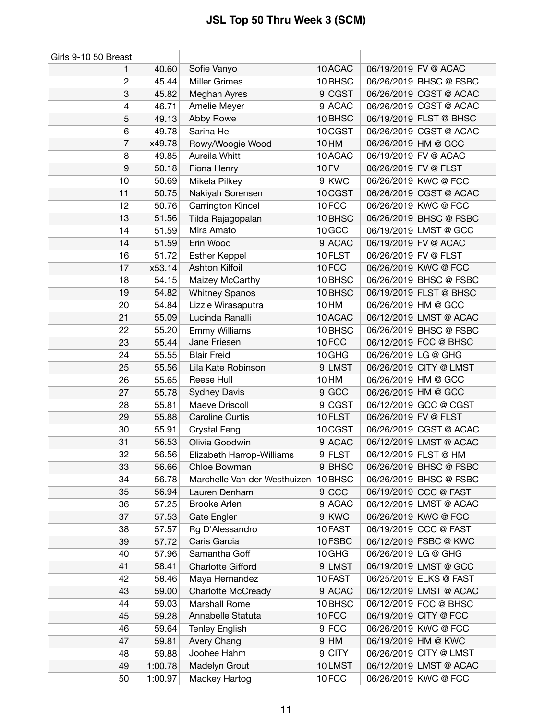| Girls 9-10 50 Breast |         |                              |                    |                      |                        |
|----------------------|---------|------------------------------|--------------------|----------------------|------------------------|
| 1                    | 40.60   | Sofie Vanyo                  | 10 ACAC            |                      | 06/19/2019 FV @ ACAC   |
| 2                    | 45.44   | <b>Miller Grimes</b>         | 10 BHSC            |                      | 06/26/2019 BHSC @ FSBC |
| 3                    | 45.82   | Meghan Ayres                 | 9 CGST             |                      | 06/26/2019 CGST @ ACAC |
| 4                    | 46.71   | Amelie Meyer                 | 9 ACAC             |                      | 06/26/2019 CGST @ ACAC |
| 5                    | 49.13   | Abby Rowe                    | 10 BHSC            |                      | 06/19/2019 FLST @ BHSC |
| 6                    | 49.78   | Sarina He                    | 10 CGST            |                      | 06/26/2019 CGST @ ACAC |
| 7                    | x49.78  | Rowy/Woogie Wood             | 10 HM              |                      | 06/26/2019 HM @ GCC    |
| 8                    | 49.85   | Aureila Whitt                | 10 ACAC            |                      | 06/19/2019 FV @ ACAC   |
| 9                    | 50.18   | Fiona Henry                  | <b>10 FV</b>       | 06/26/2019 FV @ FLST |                        |
| 10                   | 50.69   | Mikela Pilkey                | 9 KWC              |                      | 06/26/2019 KWC @ FCC   |
| 11                   | 50.75   | Nakiyah Sorensen             | 10 CGST            |                      | 06/26/2019 CGST @ ACAC |
| 12                   | 50.76   | Carrington Kincel            | 10FCC              |                      | 06/26/2019 KWC @ FCC   |
| 13                   | 51.56   | Tilda Rajagopalan            | 10 BHSC            |                      | 06/26/2019 BHSC @ FSBC |
| 14                   | 51.59   | Mira Amato                   | 10 GCC             |                      | 06/19/2019 LMST @ GCC  |
| 14                   | 51.59   | Erin Wood                    | 9 ACAC             |                      | 06/19/2019 FV @ ACAC   |
| 16                   | 51.72   | <b>Esther Keppel</b>         | 10 FLST            | 06/26/2019 FV @ FLST |                        |
| 17                   | x53.14  | Ashton Kilfoil               | 10FCC              |                      | 06/26/2019 KWC @ FCC   |
| 18                   | 54.15   | Maizey McCarthy              | 10 BHSC            |                      | 06/26/2019 BHSC @ FSBC |
| 19                   | 54.82   | <b>Whitney Spanos</b>        | 10 <sub>BHSC</sub> |                      | 06/19/2019 FLST @ BHSC |
| 20                   | 54.84   | Lizzie Wirasaputra           | 10 HM              |                      | 06/26/2019 HM @ GCC    |
| 21                   | 55.09   | Lucinda Ranalli              | 10 ACAC            |                      | 06/12/2019 LMST @ ACAC |
| 22                   | 55.20   | <b>Emmy Williams</b>         | 10 BHSC            |                      | 06/26/2019 BHSC @ FSBC |
| 23                   | 55.44   | Jane Friesen                 | 10FCC              |                      | 06/12/2019 FCC @ BHSC  |
| 24                   | 55.55   | <b>Blair Freid</b>           | 10 GHG             | 06/26/2019 LG @ GHG  |                        |
| 25                   | 55.56   | Lila Kate Robinson           | 9 LMST             |                      | 06/26/2019 CITY @ LMST |
| 26                   | 55.65   | Reese Hull                   | 10 HM              |                      | 06/26/2019 HM @ GCC    |
| 27                   | 55.78   | <b>Sydney Davis</b>          | 9 GCC              |                      | 06/26/2019 HM @ GCC    |
| 28                   | 55.81   | Maeve Driscoll               | 9 CGST             |                      | 06/12/2019 GCC @ CGST  |
| 29                   | 55.88   | <b>Caroline Curtis</b>       | 10 FLST            | 06/26/2019 FV @ FLST |                        |
| 30                   | 55.91   | <b>Crystal Feng</b>          | 10 CGST            |                      | 06/26/2019 CGST @ ACAC |
| 31                   | 56.53   | Olivia Goodwin               | 9 ACAC             |                      | 06/12/2019 LMST @ ACAC |
| 32                   | 56.56   | Elizabeth Harrop-Williams    | 9 FLST             |                      | 06/12/2019 FLST @ HM   |
| 33                   | 56.66   | Chloe Bowman                 | 9BHSC              |                      | 06/26/2019 BHSC @ FSBC |
| 34                   | 56.78   | Marchelle Van der Westhuizen | 10 BHSC            |                      | 06/26/2019 BHSC @ FSBC |
| 35                   | 56.94   | Lauren Denham                | 9 CCC              |                      | 06/19/2019 CCC @ FAST  |
| 36                   | 57.25   | <b>Brooke Arlen</b>          | 9 ACAC             |                      | 06/12/2019 LMST @ ACAC |
| 37                   | 57.53   | <b>Cate Engler</b>           | 9 KWC              |                      | 06/26/2019 KWC @ FCC   |
| 38                   | 57.57   | Rg D'Alessandro              | 10 FAST            |                      | 06/19/2019 CCC @ FAST  |
| 39                   | 57.72   | Caris Garcia                 | 10 FSBC            |                      | 06/12/2019 FSBC @ KWC  |
| 40                   | 57.96   | Samantha Goff                | 10 GHG             | 06/26/2019 LG @ GHG  |                        |
| 41                   | 58.41   | <b>Charlotte Gifford</b>     | 9 LMST             |                      | 06/19/2019 LMST @ GCC  |
| 42                   | 58.46   | Maya Hernandez               | 10 FAST            |                      | 06/25/2019 ELKS @ FAST |
| 43                   | 59.00   | <b>Charlotte McCready</b>    | 9 ACAC             |                      | 06/12/2019 LMST @ ACAC |
| 44                   | 59.03   | <b>Marshall Rome</b>         | 10 BHSC            |                      | 06/12/2019 FCC @ BHSC  |
| 45                   | 59.28   | Annabelle Statuta            | 10FCC              |                      | 06/19/2019 CITY @ FCC  |
| 46                   | 59.64   | <b>Tenley English</b>        | $9$ FCC            |                      | 06/26/2019 KWC @ FCC   |
| 47                   | 59.81   | Avery Chang                  | $9$ HM             |                      | 06/19/2019 HM @ KWC    |
| 48                   | 59.88   | Joohee Hahm                  | 9 CITY             |                      | 06/26/2019 CITY @ LMST |
| 49                   | 1:00.78 | Madelyn Grout                | 10LMST             |                      | 06/12/2019 LMST @ ACAC |
| 50                   | 1:00.97 | Mackey Hartog                | 10FCC              |                      | 06/26/2019 KWC @ FCC   |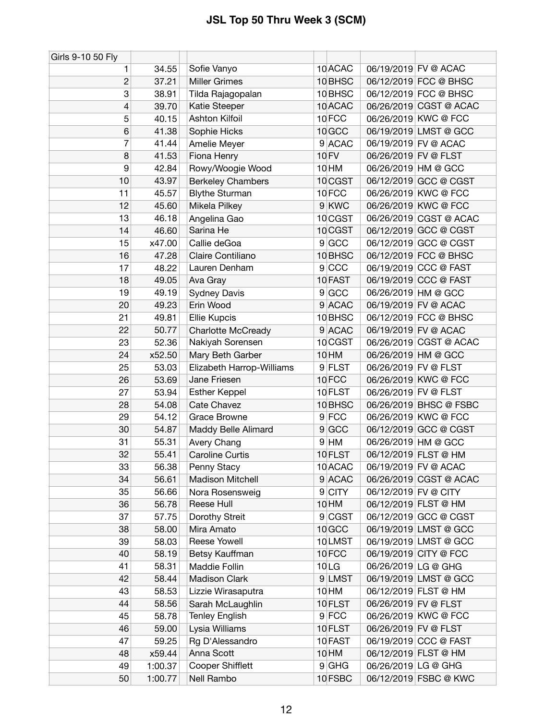| Girls 9-10 50 Fly |         |                           |                    |                      |                        |
|-------------------|---------|---------------------------|--------------------|----------------------|------------------------|
| 1                 | 34.55   | Sofie Vanyo               | 10 ACAC            |                      | 06/19/2019 FV @ ACAC   |
| $\overline{c}$    | 37.21   | <b>Miller Grimes</b>      | 10 BHSC            |                      | 06/12/2019 FCC @ BHSC  |
| 3                 | 38.91   | Tilda Rajagopalan         | 10 BHSC            |                      | 06/12/2019 FCC @ BHSC  |
| 4                 | 39.70   | Katie Steeper             | 10 ACAC            |                      | 06/26/2019 CGST @ ACAC |
| 5                 | 40.15   | Ashton Kilfoil            | 10FCC              |                      | 06/26/2019 KWC @ FCC   |
| 6                 | 41.38   | Sophie Hicks              | 10 <sub>GCC</sub>  |                      | 06/19/2019 LMST @ GCC  |
| 7                 | 41.44   | Amelie Meyer              | 9 ACAC             |                      | 06/19/2019 FV @ ACAC   |
| 8                 | 41.53   | Fiona Henry               | <b>10 FV</b>       | 06/26/2019 FV @ FLST |                        |
| 9                 | 42.84   | Rowy/Woogie Wood          | 10 HM              |                      | 06/26/2019 HM @ GCC    |
| 10                | 43.97   | <b>Berkeley Chambers</b>  | 10 CGST            |                      | 06/12/2019 GCC @ CGST  |
| 11                | 45.57   | <b>Blythe Sturman</b>     | 10FCC              |                      | 06/26/2019 KWC @ FCC   |
| 12                | 45.60   | Mikela Pilkey             | 9 KWC              |                      | 06/26/2019 KWC @ FCC   |
| 13                | 46.18   | Angelina Gao              | 10 CGST            |                      | 06/26/2019 CGST @ ACAC |
| 14                | 46.60   | Sarina He                 | 10 CGST            |                      | 06/12/2019 GCC @ CGST  |
| 15                | x47.00  | Callie deGoa              | 9 GCC              |                      | 06/12/2019 GCC @ CGST  |
| 16                | 47.28   | Claire Contiliano         | 10 <sub>BHSC</sub> |                      | 06/12/2019 FCC @ BHSC  |
| 17                | 48.22   | Lauren Denham             | 9 CCC              |                      | 06/19/2019 CCC @ FAST  |
| 18                | 49.05   | Ava Gray                  | 10 FAST            |                      | 06/19/2019 CCC @ FAST  |
| 19                | 49.19   | <b>Sydney Davis</b>       | 9 GCC              |                      | 06/26/2019 HM @ GCC    |
| 20                | 49.23   | Erin Wood                 | 9 ACAC             |                      | 06/19/2019 FV @ ACAC   |
| 21                | 49.81   | Ellie Kupcis              | 10 BHSC            |                      | 06/12/2019 FCC @ BHSC  |
| 22                | 50.77   | Charlotte McCready        | 9 ACAC             |                      | 06/19/2019 FV @ ACAC   |
| 23                | 52.36   | Nakiyah Sorensen          | 10 CGST            |                      | 06/26/2019 CGST @ ACAC |
| 24                | x52.50  | Mary Beth Garber          | 10 HM              |                      | 06/26/2019 HM @ GCC    |
| 25                | 53.03   | Elizabeth Harrop-Williams | 9 FLST             | 06/26/2019 FV @ FLST |                        |
| 26                | 53.69   | Jane Friesen              | 10FCC              |                      | 06/26/2019 KWC @ FCC   |
| 27                | 53.94   | <b>Esther Keppel</b>      | 10 FLST            | 06/26/2019 FV @ FLST |                        |
| 28                | 54.08   | Cate Chavez               | 10 BHSC            |                      | 06/26/2019 BHSC @ FSBC |
| 29                | 54.12   | Grace Browne              | $9$ FCC            |                      | 06/26/2019 KWC @ FCC   |
| 30                | 54.87   | Maddy Belle Alimard       | $9$ GCC            |                      | 06/12/2019 GCC @ CGST  |
| 31                | 55.31   | Avery Chang               | $9$ HM             |                      | 06/26/2019 HM @ GCC    |
| 32                | 55.41   | Caroline Curtis           | 10 FLST            |                      | 06/12/2019 FLST @ HM   |
| 33                | 56.38   | Penny Stacy               | 10 ACAC            |                      | 06/19/2019 FV @ ACAC   |
| 34                | 56.61   | <b>Madison Mitchell</b>   | 9 ACAC             |                      | 06/26/2019 CGST @ ACAC |
| 35                | 56.66   | Nora Rosensweig           | 9 CITY             | 06/12/2019 FV @ CITY |                        |
| 36                | 56.78   | Reese Hull                | 10 HM              |                      | 06/12/2019 FLST @ HM   |
| 37                | 57.75   | Dorothy Streit            | 9 CGST             |                      | 06/12/2019 GCC @ CGST  |
| 38                | 58.00   | Mira Amato                | 10 GCC             |                      | 06/19/2019 LMST @ GCC  |
| 39                | 58.03   | Reese Yowell              | 10LMST             |                      | 06/19/2019 LMST @ GCC  |
| 40                | 58.19   | Betsy Kauffman            | 10FCC              |                      | 06/19/2019 CITY @ FCC  |
| 41                | 58.31   | Maddie Follin             | 10 <sub>LG</sub>   | 06/26/2019 LG @ GHG  |                        |
| 42                | 58.44   | Madison Clark             | 9 LMST             |                      | 06/19/2019 LMST @ GCC  |
| 43                | 58.53   | Lizzie Wirasaputra        | 10 HM              |                      | 06/12/2019 FLST @ HM   |
| 44                | 58.56   | Sarah McLaughlin          | 10 FLST            | 06/26/2019 FV @ FLST |                        |
| 45                | 58.78   | <b>Tenley English</b>     | $9$ FCC            |                      | 06/26/2019 KWC @ FCC   |
| 46                | 59.00   | Lysia Williams            | 10 FLST            | 06/26/2019 FV @ FLST |                        |
| 47                | 59.25   | Rg D'Alessandro           | 10 FAST            |                      | 06/19/2019 CCC @ FAST  |
| 48                | x59.44  | Anna Scott                | 10 HM              |                      | 06/12/2019 FLST @ HM   |
| 49                | 1:00.37 | Cooper Shifflett          | $9$ GHG            | 06/26/2019 LG @ GHG  |                        |
| 50                | 1:00.77 | Nell Rambo                | 10 FSBC            |                      | 06/12/2019 FSBC @ KWC  |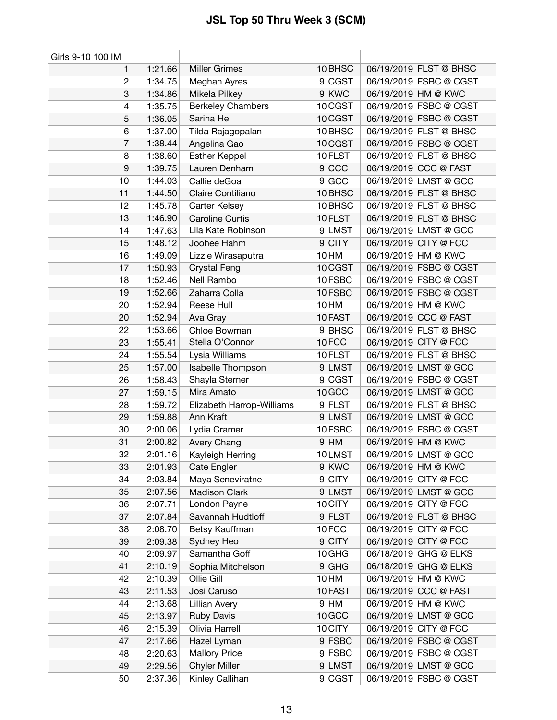| Girls 9-10 100 IM |         |                           |                    |                        |
|-------------------|---------|---------------------------|--------------------|------------------------|
| 1                 | 1:21.66 | <b>Miller Grimes</b>      | 10 BHSC            | 06/19/2019 FLST @ BHSC |
| $\overline{c}$    | 1:34.75 | Meghan Ayres              | 9 CGST             | 06/19/2019 FSBC @ CGST |
| 3                 | 1:34.86 | Mikela Pilkey             | 9 KWC              | 06/19/2019 HM @ KWC    |
| 4                 | 1:35.75 | <b>Berkeley Chambers</b>  | 10 CGST            | 06/19/2019 FSBC @ CGST |
| 5                 | 1:36.05 | Sarina He                 | 10 CGST            | 06/19/2019 FSBC @ CGST |
| 6                 | 1:37.00 | Tilda Rajagopalan         | 10 <sub>BHSC</sub> | 06/19/2019 FLST @ BHSC |
| 7                 | 1:38.44 | Angelina Gao              | 10 CGST            | 06/19/2019 FSBC @ CGST |
| 8                 | 1:38.60 | <b>Esther Keppel</b>      | 10 FLST            | 06/19/2019 FLST @ BHSC |
| 9                 | 1:39.75 | Lauren Denham             | 9 CCC              | 06/19/2019 CCC @ FAST  |
| 10                | 1:44.03 | Callie deGoa              | 9 GCC              | 06/19/2019 LMST @ GCC  |
| 11                | 1:44.50 | Claire Contiliano         | 10 BHSC            | 06/19/2019 FLST @ BHSC |
| 12                | 1:45.78 | <b>Carter Kelsey</b>      | 10 BHSC            | 06/19/2019 FLST @ BHSC |
| 13                | 1:46.90 | <b>Caroline Curtis</b>    | 10 FLST            | 06/19/2019 FLST @ BHSC |
| 14                | 1:47.63 | Lila Kate Robinson        | 9 LMST             | 06/19/2019 LMST @ GCC  |
| 15                | 1:48.12 | Joohee Hahm               | $9$ CITY           | 06/19/2019 CITY @ FCC  |
| 16                | 1:49.09 | Lizzie Wirasaputra        | 10 HM              | 06/19/2019 HM @ KWC    |
| 17                | 1:50.93 | <b>Crystal Feng</b>       | 10 CGST            | 06/19/2019 FSBC @ CGST |
| 18                | 1:52.46 | Nell Rambo                | 10 FSBC            | 06/19/2019 FSBC @ CGST |
| 19                | 1:52.66 | Zaharra Colla             | 10 FSBC            | 06/19/2019 FSBC @ CGST |
| 20                | 1:52.94 | Reese Hull                | 10 <sub>HM</sub>   | 06/19/2019 HM @ KWC    |
| 20                | 1:52.94 | Ava Gray                  | 10 FAST            | 06/19/2019 CCC @ FAST  |
| 22                | 1:53.66 | Chloe Bowman              | 9 BHSC             | 06/19/2019 FLST @ BHSC |
| 23                | 1:55.41 | Stella O'Connor           | 10FCC              | 06/19/2019 CITY @ FCC  |
| 24                | 1:55.54 | Lysia Williams            | 10 FLST            | 06/19/2019 FLST @ BHSC |
| 25                | 1:57.00 | Isabelle Thompson         | 9 LMST             | 06/19/2019 LMST @ GCC  |
| 26                | 1:58.43 | Shayla Sterner            | 9 CGST             | 06/19/2019 FSBC @ CGST |
| 27                | 1:59.15 | Mira Amato                | 10 GCC             | 06/19/2019 LMST @ GCC  |
| 28                | 1:59.72 | Elizabeth Harrop-Williams | 9 FLST             | 06/19/2019 FLST @ BHSC |
| 29                | 1:59.88 | Ann Kraft                 | 9 LMST             | 06/19/2019 LMST @ GCC  |
| 30                | 2:00.06 | Lydia Cramer              | 10 FSBC            | 06/19/2019 FSBC @ CGST |
| 31                | 2:00.82 | Avery Chang               | $9$ HM             | 06/19/2019 HM @ KWC    |
| 32                | 2:01.16 | Kayleigh Herring          | 10LMST             | 06/19/2019 LMST @ GCC  |
| 33                | 2:01.93 | Cate Engler               | 9 KWC              | 06/19/2019 HM @ KWC    |
| 34                | 2:03.84 | Maya Seneviratne          | 9 CITY             | 06/19/2019 CITY @ FCC  |
| 35                | 2:07.56 | <b>Madison Clark</b>      | 9 LMST             | 06/19/2019 LMST @ GCC  |
| 36                | 2:07.71 | London Payne              | 10 CITY            | 06/19/2019 CITY @ FCC  |
| 37                | 2:07.84 | Savannah Hudtloff         | $9$ FLST           | 06/19/2019 FLST @ BHSC |
| 38                | 2:08.70 | Betsy Kauffman            | 10FCC              | 06/19/2019 CITY @ FCC  |
| 39                | 2:09.38 | Sydney Heo                | $9$ CITY           | 06/19/2019 CITY @ FCC  |
| 40                | 2:09.97 | Samantha Goff             | 10 GHG             | 06/18/2019 GHG @ ELKS  |
| 41                | 2:10.19 | Sophia Mitchelson         | $9$ GHG            | 06/18/2019 GHG @ ELKS  |
| 42                | 2:10.39 | Ollie Gill                | 10 HM              | 06/19/2019 HM @ KWC    |
| 43                | 2:11.53 | Josi Caruso               | 10 FAST            | 06/19/2019 CCC @ FAST  |
| 44                | 2:13.68 | <b>Lillian Avery</b>      | $9$ HM             | 06/19/2019 HM @ KWC    |
| 45                | 2:13.97 | <b>Ruby Davis</b>         | 10 GCC             | 06/19/2019 LMST @ GCC  |
| 46                | 2:15.39 | Olivia Harrell            | 10 CITY            | 06/19/2019 CITY @ FCC  |
| 47                | 2:17.66 | Hazel Lyman               | 9 FSBC             | 06/19/2019 FSBC @ CGST |
| 48                | 2:20.63 | <b>Mallory Price</b>      | 9 FSBC             | 06/19/2019 FSBC @ CGST |
| 49                | 2:29.56 | <b>Chyler Miller</b>      | 9 LMST             | 06/19/2019 LMST @ GCC  |
| 50                | 2:37.36 | Kinley Callihan           | 9 CGST             | 06/19/2019 FSBC @ CGST |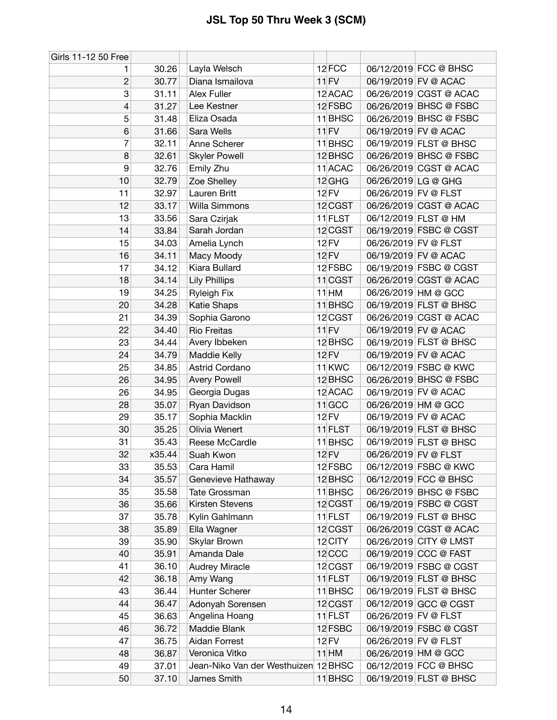| Girls 11-12 50 Free |        |                                      |                    |                      |                        |
|---------------------|--------|--------------------------------------|--------------------|----------------------|------------------------|
| 1                   | 30.26  | Layla Welsch                         | 12 FCC             |                      | 06/12/2019 FCC @ BHSC  |
| $\overline{c}$      | 30.77  | Diana Ismailova                      | $11$ FV            |                      | 06/19/2019 FV @ ACAC   |
| 3                   | 31.11  | <b>Alex Fuller</b>                   | 12 ACAC            |                      | 06/26/2019 CGST @ ACAC |
| 4                   | 31.27  | Lee Kestner                          | 12 FSBC            |                      | 06/26/2019 BHSC @ FSBC |
| 5                   | 31.48  | Eliza Osada                          | 11 <sup>BHSC</sup> |                      | 06/26/2019 BHSC @ FSBC |
| 6                   | 31.66  | Sara Wells                           | $11$ FV            |                      | 06/19/2019 FV @ ACAC   |
| 7                   | 32.11  | Anne Scherer                         | 11 BHSC            |                      | 06/19/2019 FLST @ BHSC |
| 8                   | 32.61  | <b>Skyler Powell</b>                 | 12 BHSC            |                      | 06/26/2019 BHSC @ FSBC |
| 9                   | 32.76  | Emily Zhu                            | 11 ACAC            |                      | 06/26/2019 CGST @ ACAC |
| 10                  | 32.79  | Zoe Shelley                          | 12 GHG             | 06/26/2019 LG @ GHG  |                        |
| 11                  | 32.97  | Lauren Britt                         | <b>12 FV</b>       | 06/26/2019 FV @ FLST |                        |
| 12                  | 33.17  | Willa Simmons                        | 12 CGST            |                      | 06/26/2019 CGST @ ACAC |
| 13                  | 33.56  | Sara Czirjak                         | 11 FLST            |                      | 06/12/2019 FLST @ HM   |
| 14                  | 33.84  | Sarah Jordan                         | 12 CGST            |                      | 06/19/2019 FSBC @ CGST |
| 15                  | 34.03  | Amelia Lynch                         | <b>12 FV</b>       | 06/26/2019 FV @ FLST |                        |
| 16                  | 34.11  | Macy Moody                           | 12 FV              |                      | 06/19/2019 FV @ ACAC   |
| 17                  | 34.12  | Kiara Bullard                        | 12 FSBC            |                      | 06/19/2019 FSBC @ CGST |
| 18                  | 34.14  | <b>Lily Phillips</b>                 | $11$ CGST          |                      | 06/26/2019 CGST @ ACAC |
| 19                  | 34.25  | <b>Ryleigh Fix</b>                   | $11$ HM            |                      | 06/26/2019 HM @ GCC    |
| 20                  | 34.28  | <b>Katie Shaps</b>                   | $11$ BHSC          |                      | 06/19/2019 FLST @ BHSC |
| 21                  | 34.39  | Sophia Garono                        | 12 CGST            |                      | 06/26/2019 CGST @ ACAC |
| 22                  | 34.40  | <b>Rio Freitas</b>                   | $11$ FV            |                      | 06/19/2019 FV @ ACAC   |
| 23                  | 34.44  | Avery Ibbeken                        | 12 BHSC            |                      | 06/19/2019 FLST @ BHSC |
| 24                  | 34.79  | Maddie Kelly                         | <b>12 FV</b>       |                      | 06/19/2019 FV @ ACAC   |
| 25                  | 34.85  | Astrid Cordano                       | 11 <sub>KWC</sub>  |                      | 06/12/2019 FSBC @ KWC  |
| 26                  | 34.95  | <b>Avery Powell</b>                  | 12 BHSC            |                      | 06/26/2019 BHSC @ FSBC |
| 26                  | 34.95  | Georgia Dugas                        | 12 ACAC            |                      | 06/19/2019 FV @ ACAC   |
| 28                  | 35.07  | Ryan Davidson                        | $11$ GCC           |                      | 06/26/2019 HM @ GCC    |
| 29                  | 35.17  | Sophia Macklin                       | 12 FV              |                      | 06/19/2019 FV @ ACAC   |
| 30                  | 35.25  | Olivia Wenert                        | $11$ FLST          |                      | 06/19/2019 FLST @ BHSC |
| 31                  | 35.43  | Reese McCardle                       | $11$ BHSC          |                      | 06/19/2019 FLST @ BHSC |
| 32                  | x35.44 | Suah Kwon                            | <b>12 FV</b>       | 06/26/2019 FV @ FLST |                        |
| 33                  | 35.53  | Cara Hamil                           | 12 FSBC            |                      | 06/12/2019 FSBC @ KWC  |
| 34                  | 35.57  | Genevieve Hathaway                   | 12 BHSC            |                      | 06/12/2019 FCC @ BHSC  |
| 35                  | 35.58  | Tate Grossman                        | 11 BHSC            |                      | 06/26/2019 BHSC @ FSBC |
| 36                  | 35.66  | <b>Kirsten Stevens</b>               | 12 CGST            |                      | 06/19/2019 FSBC @ CGST |
| 37                  | 35.78  | Kylin Gahlmann                       | $11$ FLST          |                      | 06/19/2019 FLST @ BHSC |
| 38                  | 35.89  | Ella Wagner                          | 12 CGST            |                      | 06/26/2019 CGST @ ACAC |
| 39                  | 35.90  | Skylar Brown                         | 12 CITY            |                      | 06/26/2019 CITY @ LMST |
| 40                  | 35.91  | Amanda Dale                          | 12 CCC             |                      | 06/19/2019 CCC @ FAST  |
| 41                  | 36.10  | <b>Audrey Miracle</b>                | 12 CGST            |                      | 06/19/2019 FSBC @ CGST |
| 42                  | 36.18  | Amy Wang                             | $11$ FLST          |                      | 06/19/2019 FLST @ BHSC |
| 43                  | 36.44  | Hunter Scherer                       | 11 BHSC            |                      | 06/19/2019 FLST @ BHSC |
| 44                  | 36.47  | Adonyah Sorensen                     | 12 CGST            |                      | 06/12/2019 GCC @ CGST  |
| 45                  | 36.63  | Angelina Hoang                       | $11$ FLST          | 06/26/2019 FV @ FLST |                        |
| 46                  | 36.72  | Maddie Blank                         | 12 FSBC            |                      | 06/19/2019 FSBC @ CGST |
| 47                  | 36.75  | Aidan Forrest                        | 12 FV              | 06/26/2019 FV @ FLST |                        |
| 48                  | 36.87  | Veronica Vitko                       | $11$ HM            |                      | 06/26/2019 HM @ GCC    |
| 49                  | 37.01  | Jean-Niko Van der Westhuizen 12 BHSC |                    |                      | 06/12/2019 FCC @ BHSC  |
| 50                  | 37.10  | James Smith                          | 11 BHSC            |                      | 06/19/2019 FLST @ BHSC |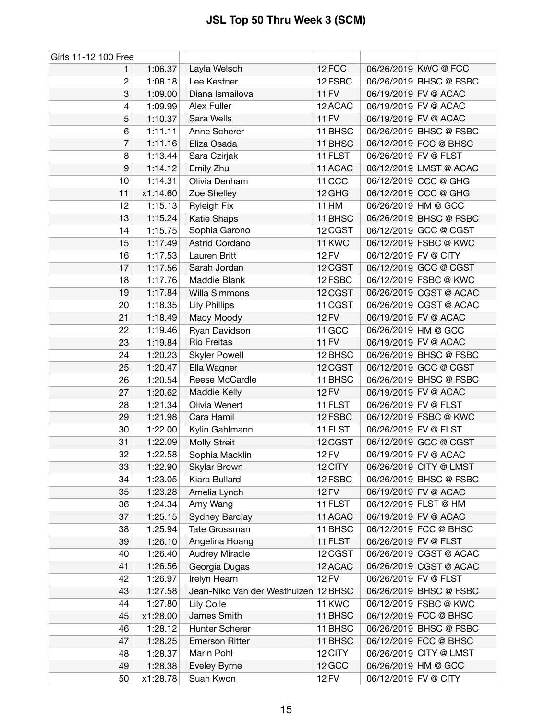| Girls 11-12 100 Free |          |                                      |                   |                      |                        |
|----------------------|----------|--------------------------------------|-------------------|----------------------|------------------------|
| 1.                   | 1:06.37  | Layla Welsch                         | 12 FCC            |                      | 06/26/2019 KWC @ FCC   |
| $\overline{c}$       | 1:08.18  | Lee Kestner                          | 12 FSBC           |                      | 06/26/2019 BHSC @ FSBC |
| 3                    | 1:09.00  | Diana Ismailova                      | 11 FV             |                      | 06/19/2019 FV @ ACAC   |
| 4                    | 1:09.99  | Alex Fuller                          | 12 ACAC           |                      | 06/19/2019 FV @ ACAC   |
| 5                    | 1:10.37  | Sara Wells                           | $11$ FV           |                      | 06/19/2019 FV @ ACAC   |
| 6                    | 1:11.11  | Anne Scherer                         | $11$ BHSC         |                      | 06/26/2019 BHSC @ FSBC |
| 7                    | 1:11.16  | Eliza Osada                          | $11$ BHSC         |                      | 06/12/2019 FCC @ BHSC  |
| 8                    | 1:13.44  | Sara Czirjak                         | 11 FLST           | 06/26/2019 FV @ FLST |                        |
| 9                    | 1:14.12  | Emily Zhu                            | 11 ACAC           |                      | 06/12/2019 LMST @ ACAC |
| 10                   | 1:14.31  | Olivia Denham                        | $11$ CCC          |                      | 06/12/2019 CCC @ GHG   |
| 11                   | x1:14.60 | Zoe Shelley                          | $12$ GHG          |                      | 06/12/2019 CCC @ GHG   |
| 12                   | 1:15.13  | <b>Ryleigh Fix</b>                   | $11$ HM           |                      | 06/26/2019 HM @ GCC    |
| 13                   | 1:15.24  | Katie Shaps                          | $11$ BHSC         |                      | 06/26/2019 BHSC @ FSBC |
| 14                   | 1:15.75  | Sophia Garono                        | 12 CGST           |                      | 06/12/2019 GCC @ CGST  |
| 15                   | 1:17.49  | Astrid Cordano                       | 11 <sub>KWC</sub> |                      | 06/12/2019 FSBC @ KWC  |
| 16                   | 1:17.53  | Lauren Britt                         | 12 FV             | 06/12/2019 FV @ CITY |                        |
| 17                   | 1:17.56  | Sarah Jordan                         | 12 CGST           |                      | 06/12/2019 GCC @ CGST  |
| 18                   | 1:17.76  | Maddie Blank                         | 12 FSBC           |                      | 06/12/2019 FSBC @ KWC  |
| 19                   | 1:17.84  | Willa Simmons                        | 12 CGST           |                      | 06/26/2019 CGST @ ACAC |
| 20                   | 1:18.35  | <b>Lily Phillips</b>                 | $11$ CGST         |                      | 06/26/2019 CGST @ ACAC |
| 21                   | 1:18.49  | Macy Moody                           | 12 FV             |                      | 06/19/2019 FV @ ACAC   |
| 22                   | 1:19.46  | Ryan Davidson                        | $11$ GCC          |                      | 06/26/2019 HM @ GCC    |
| 23                   | 1:19.84  | <b>Rio Freitas</b>                   | $11$ FV           |                      | 06/19/2019 FV @ ACAC   |
| 24                   | 1:20.23  | <b>Skyler Powell</b>                 | 12 BHSC           |                      | 06/26/2019 BHSC @ FSBC |
| 25                   | 1:20.47  | Ella Wagner                          | 12 CGST           |                      | 06/12/2019 GCC @ CGST  |
| 26                   | 1:20.54  | Reese McCardle                       | 11 BHSC           |                      | 06/26/2019 BHSC @ FSBC |
| 27                   | 1:20.62  | Maddie Kelly                         | <b>12 FV</b>      |                      | 06/19/2019 FV @ ACAC   |
| 28                   | 1:21.34  | Olivia Wenert                        | 11 FLST           | 06/26/2019 FV @ FLST |                        |
| 29                   | 1:21.98  | Cara Hamil                           | 12 FSBC           |                      | 06/12/2019 FSBC @ KWC  |
| 30                   | 1:22.00  | Kylin Gahlmann                       | 11 FLST           | 06/26/2019 FV @ FLST |                        |
| 31                   | 1:22.09  | <b>Molly Streit</b>                  | 12 CGST           |                      | 06/12/2019 GCC @ CGST  |
| 32                   | 1:22.58  | Sophia Macklin                       | <b>12 FV</b>      |                      | 06/19/2019 FV @ ACAC   |
| 33                   | 1:22.90  | Skylar Brown                         | 12 CITY           |                      | 06/26/2019 CITY @ LMST |
| 34                   | 1:23.05  | Kiara Bullard                        | 12 FSBC           |                      | 06/26/2019 BHSC @ FSBC |
| 35                   | 1:23.28  | Amelia Lynch                         | 12 FV             |                      | 06/19/2019 FV @ ACAC   |
| 36                   | 1:24.34  | Amy Wang                             | 11 FLST           |                      | 06/12/2019 FLST @ HM   |
| 37                   | 1:25.15  | Sydney Barclay                       | 11 ACAC           |                      | 06/19/2019 FV @ ACAC   |
| 38                   | 1:25.94  | Tate Grossman                        | $11$ BHSC         |                      | 06/12/2019 FCC @ BHSC  |
| 39                   | 1:26.10  | Angelina Hoang                       | $11$ FLST         | 06/26/2019 FV @ FLST |                        |
| 40                   | 1:26.40  | <b>Audrey Miracle</b>                | 12 CGST           |                      | 06/26/2019 CGST @ ACAC |
| 41                   | 1:26.56  | Georgia Dugas                        | 12 ACAC           |                      | 06/26/2019 CGST @ ACAC |
| 42                   | 1:26.97  | Irelyn Hearn                         | 12 FV             | 06/26/2019 FV @ FLST |                        |
| 43                   | 1:27.58  | Jean-Niko Van der Westhuizen 12 BHSC |                   |                      | 06/26/2019 BHSC @ FSBC |
| 44                   | 1:27.80  | Lily Colle                           | 11 <sub>KWC</sub> |                      | 06/12/2019 FSBC @ KWC  |
| 45                   | x1:28.00 | James Smith                          | $11$ BHSC         |                      | 06/12/2019 FCC @ BHSC  |
| 46                   | 1:28.12  | Hunter Scherer                       | 11 BHSC           |                      | 06/26/2019 BHSC @ FSBC |
| 47                   | 1:28.25  | <b>Emerson Ritter</b>                | $11$ BHSC         |                      | 06/12/2019 FCC @ BHSC  |
| 48                   | 1:28.37  | Marin Pohl                           | 12 CITY           |                      | 06/26/2019 CITY @ LMST |
| 49                   | 1:28.38  | Eveley Byrne                         | 12 GCC            |                      | 06/26/2019 HM @ GCC    |
| 50                   | x1:28.78 | Suah Kwon                            | <b>12 FV</b>      | 06/12/2019 FV @ CITY |                        |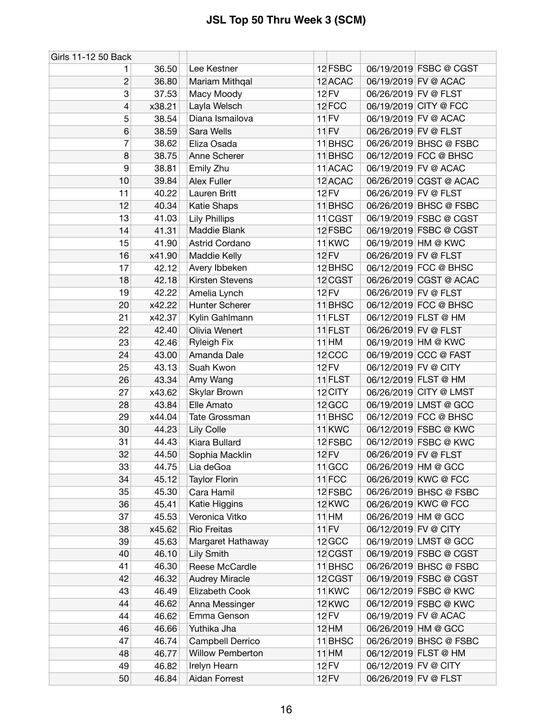| Girls 11-12 50 Back |        |                         |                   |                      |                        |
|---------------------|--------|-------------------------|-------------------|----------------------|------------------------|
| 1.                  | 36.50  | Lee Kestner             | 12 FSBC           |                      | 06/19/2019 FSBC @ CGST |
| $\mathbf{2}$        | 36.80  | Mariam Mithqal          | 12 ACAC           |                      | 06/19/2019 FV @ ACAC   |
| 3                   | 37.53  | Macy Moody              | 12 FV             |                      | 06/26/2019 FV @ FLST   |
| 4                   | x38.21 | Layla Welsch            | 12FCC             |                      | 06/19/2019 CITY @ FCC  |
| 5                   | 38.54  | Diana Ismailova         | $11$ FV           |                      | 06/19/2019 FV @ ACAC   |
| 6                   | 38.59  | Sara Wells              | $11$ FV           | 06/26/2019 FV @ FLST |                        |
| 7                   | 38.62  | Eliza Osada             | 11 BHSC           |                      | 06/26/2019 BHSC @ FSBC |
| 8                   | 38.75  | Anne Scherer            | 11 BHSC           |                      | 06/12/2019 FCC @ BHSC  |
| 9                   | 38.81  | Emily Zhu               | 11 ACAC           |                      | 06/19/2019 FV @ ACAC   |
| 10                  | 39.84  | Alex Fuller             | 12 ACAC           |                      | 06/26/2019 CGST @ ACAC |
| 11                  | 40.22  | Lauren Britt            | <b>12 FV</b>      | 06/26/2019 FV @ FLST |                        |
| 12                  | 40.34  | Katie Shaps             | 11 BHSC           |                      | 06/26/2019 BHSC @ FSBC |
| 13                  | 41.03  | <b>Lily Phillips</b>    | $11$ CGST         |                      | 06/19/2019 FSBC @ CGST |
| 14                  | 41.31  | Maddie Blank            | 12 FSBC           |                      | 06/19/2019 FSBC @ CGST |
| 15                  | 41.90  | Astrid Cordano          | 11 <sub>KWC</sub> |                      | 06/19/2019 HM @ KWC    |
| 16                  | x41.90 | Maddie Kelly            | <b>12 FV</b>      |                      | 06/26/2019 FV @ FLST   |
| 17                  | 42.12  | Avery Ibbeken           | 12 BHSC           |                      | 06/12/2019 FCC @ BHSC  |
| 18                  | 42.18  | Kirsten Stevens         | 12 CGST           |                      | 06/26/2019 CGST @ ACAC |
| 19                  | 42.22  | Amelia Lynch            | <b>12 FV</b>      | 06/26/2019 FV @ FLST |                        |
| 20                  | x42.22 | Hunter Scherer          | 11 BHSC           |                      | 06/12/2019 FCC @ BHSC  |
| 21                  | x42.37 | Kylin Gahlmann          | $11$ FLST         |                      | 06/12/2019 FLST @ HM   |
| 22                  | 42.40  | Olivia Wenert           | 11 FLST           | 06/26/2019 FV @ FLST |                        |
| 23                  | 42.46  | <b>Ryleigh Fix</b>      | 11 HM             |                      | 06/19/2019 HM @ KWC    |
| 24                  | 43.00  | Amanda Dale             | 12 CCC            |                      | 06/19/2019 CCC @ FAST  |
| 25                  | 43.13  | Suah Kwon               | <b>12 FV</b>      | 06/12/2019 FV @ CITY |                        |
| 26                  | 43.34  | Amy Wang                | 11 FLST           |                      | 06/12/2019 FLST @ HM   |
| 27                  | x43.62 | Skylar Brown            | 12 CITY           |                      | 06/26/2019 CITY @ LMST |
| 28                  | 43.84  | Elle Amato              | 12 GCC            |                      | 06/19/2019 LMST @ GCC  |
| 29                  | x44.04 | Tate Grossman           | 11 BHSC           |                      | 06/12/2019 FCC @ BHSC  |
| 30                  | 44.23  | Lily Colle              | 11 <sub>KWC</sub> |                      | 06/12/2019 FSBC @ KWC  |
| 31                  | 44.43  | Kiara Bullard           | 12 FSBC           |                      | 06/12/2019 FSBC @ KWC  |
| 32                  | 44.50  | Sophia Macklin          | <b>12 FV</b>      | 06/26/2019 FV @ FLST |                        |
| 33                  | 44.75  | Lia deGoa               | $11$ GCC          |                      | 06/26/2019 HM @ GCC    |
| 34                  | 45.12  | <b>Taylor Florin</b>    | $11$ FCC          |                      | 06/26/2019 KWC @ FCC   |
| 35                  | 45.30  | Cara Hamil              | 12 FSBC           |                      | 06/26/2019 BHSC @ FSBC |
| 36                  | 45.41  | Katie Higgins           | 12 KWC            |                      | 06/26/2019 KWC @ FCC   |
| 37                  | 45.53  | Veronica Vitko          | 11 HM             |                      | 06/26/2019 HM @ GCC    |
| 38                  | x45.62 | <b>Rio Freitas</b>      | $11$ FV           | 06/12/2019 FV @ CITY |                        |
| 39                  | 45.63  | Margaret Hathaway       | 12 GCC            |                      | 06/19/2019 LMST @ GCC  |
| 40                  | 46.10  | Lily Smith              | 12 CGST           |                      | 06/19/2019 FSBC @ CGST |
| 41                  | 46.30  | Reese McCardle          | 11 BHSC           |                      | 06/26/2019 BHSC @ FSBC |
| 42                  | 46.32  | <b>Audrey Miracle</b>   | 12 CGST           |                      | 06/19/2019 FSBC @ CGST |
| 43                  | 46.49  | Elizabeth Cook          | 11 <sub>KWC</sub> |                      | 06/12/2019 FSBC @ KWC  |
| 44                  | 46.62  | Anna Messinger          | 12 KWC            |                      | 06/12/2019 FSBC @ KWC  |
| 44                  | 46.62  | Emma Genson             | 12 FV             |                      | 06/19/2019 FV @ ACAC   |
| 46                  | 46.66  | Yuthika Jha             | <b>12 HM</b>      |                      | 06/26/2019 HM @ GCC    |
| 47                  | 46.74  | Campbell Derrico        | 11 BHSC           |                      | 06/26/2019 BHSC @ FSBC |
| 48                  | 46.77  | <b>Willow Pemberton</b> | $11$ HM           |                      | 06/12/2019 FLST @ HM   |
| 49                  | 46.82  | Irelyn Hearn            | 12 FV             | 06/12/2019 FV @ CITY |                        |
| 50                  | 46.84  | Aidan Forrest           | <b>12 FV</b>      | 06/26/2019 FV @ FLST |                        |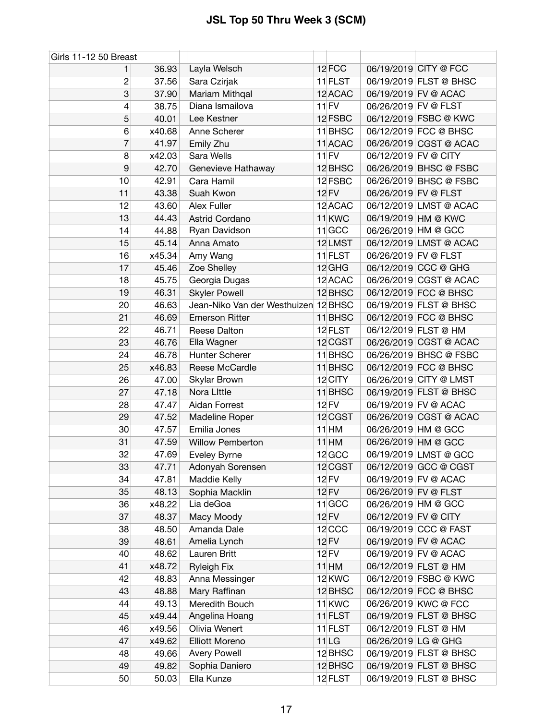| Girls 11-12 50 Breast |        |                                      |                   |                      |                        |
|-----------------------|--------|--------------------------------------|-------------------|----------------------|------------------------|
| 1                     | 36.93  | Layla Welsch                         | 12 FCC            |                      | 06/19/2019 CITY @ FCC  |
| 2                     | 37.56  | Sara Czirjak                         | 11 FLST           |                      | 06/19/2019 FLST @ BHSC |
| 3                     | 37.90  | Mariam Mithqal                       | 12 ACAC           |                      | 06/19/2019 FV @ ACAC   |
| 4                     | 38.75  | Diana Ismailova                      | 11 FV             | 06/26/2019 FV @ FLST |                        |
| 5                     | 40.01  | Lee Kestner                          | 12 FSBC           |                      | 06/12/2019 FSBC @ KWC  |
| 6                     | x40.68 | Anne Scherer                         | 11 BHSC           |                      | 06/12/2019 FCC @ BHSC  |
| 7                     | 41.97  | Emily Zhu                            | 11 ACAC           |                      | 06/26/2019 CGST @ ACAC |
| 8                     | x42.03 | Sara Wells                           | $11$ FV           | 06/12/2019 FV @ CITY |                        |
| 9                     | 42.70  | Genevieve Hathaway                   | 12 BHSC           |                      | 06/26/2019 BHSC @ FSBC |
| 10                    | 42.91  | Cara Hamil                           | 12 FSBC           |                      | 06/26/2019 BHSC @ FSBC |
| 11                    | 43.38  | Suah Kwon                            | <b>12 FV</b>      | 06/26/2019 FV @ FLST |                        |
| 12                    | 43.60  | Alex Fuller                          | 12 ACAC           |                      | 06/12/2019 LMST @ ACAC |
| 13                    | 44.43  | <b>Astrid Cordano</b>                | 11 <sub>KWC</sub> |                      | 06/19/2019 HM @ KWC    |
| 14                    | 44.88  | Ryan Davidson                        | $11$ GCC          |                      | 06/26/2019 HM @ GCC    |
| 15                    | 45.14  | Anna Amato                           | 12LMST            |                      | 06/12/2019 LMST @ ACAC |
| 16                    | x45.34 | Amy Wang                             | 11 FLST           | 06/26/2019 FV @ FLST |                        |
| 17                    | 45.46  | Zoe Shelley                          | $12$ GHG          |                      | 06/12/2019 CCC @ GHG   |
| 18                    | 45.75  | Georgia Dugas                        | 12 ACAC           |                      | 06/26/2019 CGST @ ACAC |
| 19                    | 46.31  | <b>Skyler Powell</b>                 | 12 BHSC           |                      | 06/12/2019 FCC @ BHSC  |
| 20                    | 46.63  | Jean-Niko Van der Westhuizen 12 BHSC |                   |                      | 06/19/2019 FLST @ BHSC |
| 21                    | 46.69  | <b>Emerson Ritter</b>                | 11 BHSC           |                      | 06/12/2019 FCC @ BHSC  |
| 22                    | 46.71  | Reese Dalton                         | 12 FLST           |                      | 06/12/2019 FLST @ HM   |
| 23                    | 46.76  | Ella Wagner                          | 12 CGST           |                      | 06/26/2019 CGST @ ACAC |
| 24                    | 46.78  | Hunter Scherer                       | 11 BHSC           |                      | 06/26/2019 BHSC @ FSBC |
| 25                    | x46.83 | Reese McCardle                       | $11$ BHSC         |                      | 06/12/2019 FCC @ BHSC  |
| 26                    | 47.00  | Skylar Brown                         | 12 CITY           |                      | 06/26/2019 CITY @ LMST |
| 27                    | 47.18  | Nora Little                          | 11 BHSC           |                      | 06/19/2019 FLST @ BHSC |
| 28                    | 47.47  | Aidan Forrest                        | <b>12 FV</b>      |                      | 06/19/2019 FV @ ACAC   |
| 29                    | 47.52  | Madeline Roper                       | 12 CGST           |                      | 06/26/2019 CGST @ ACAC |
| 30                    | 47.57  | Emilia Jones                         | $11$ HM           |                      | 06/26/2019 HM @ GCC    |
| 31                    | 47.59  | <b>Willow Pemberton</b>              | $11$ HM           |                      | 06/26/2019 HM @ GCC    |
| 32                    | 47.69  | <b>Eveley Byrne</b>                  | 12 GCC            |                      | 06/19/2019 LMST @ GCC  |
| 33                    | 47.71  | Adonyah Sorensen                     | 12 CGST           |                      | 06/12/2019 GCC @ CGST  |
| 34                    | 47.81  | Maddie Kelly                         | 12 FV             |                      | 06/19/2019 FV @ ACAC   |
| 35                    | 48.13  | Sophia Macklin                       | <b>12 FV</b>      |                      | 06/26/2019 FV @ FLST   |
| 36                    | x48.22 | Lia deGoa                            | $11$ GCC          |                      | 06/26/2019 HM @ GCC    |
| 37                    | 48.37  | Macy Moody                           | 12 FV             | 06/12/2019 FV @ CITY |                        |
| 38                    | 48.50  | Amanda Dale                          | 12 <sub>CCC</sub> |                      | 06/19/2019 CCC @ FAST  |
| 39                    | 48.61  | Amelia Lynch                         | <b>12 FV</b>      |                      | 06/19/2019 FV @ ACAC   |
| 40                    | 48.62  | Lauren Britt                         | 12 FV             |                      | 06/19/2019 FV @ ACAC   |
| 41                    | x48.72 | <b>Ryleigh Fix</b>                   | $11$ HM           |                      | 06/12/2019 FLST @ HM   |
| 42                    | 48.83  | Anna Messinger                       | 12 KWC            |                      | 06/12/2019 FSBC @ KWC  |
| 43                    | 48.88  | Mary Raffinan                        | 12 BHSC           |                      | 06/12/2019 FCC @ BHSC  |
| 44                    | 49.13  | Meredith Bouch                       | 11 <sub>KWC</sub> |                      | 06/26/2019 KWC @ FCC   |
| 45                    | x49.44 | Angelina Hoang                       | $11$ FLST         |                      | 06/19/2019 FLST @ BHSC |
| 46                    | x49.56 | Olivia Wenert                        | 11 FLST           |                      | 06/12/2019 FLST @ HM   |
| 47                    | x49.62 | <b>Elliott Moreno</b>                | 11 <sub>LG</sub>  |                      | 06/26/2019 LG @ GHG    |
| 48                    | 49.66  | Avery Powell                         | 12 BHSC           |                      | 06/19/2019 FLST @ BHSC |
| 49                    | 49.82  | Sophia Daniero                       | 12 BHSC           |                      | 06/19/2019 FLST @ BHSC |
| 50                    | 50.03  | Ella Kunze                           | 12 FLST           |                      | 06/19/2019 FLST @ BHSC |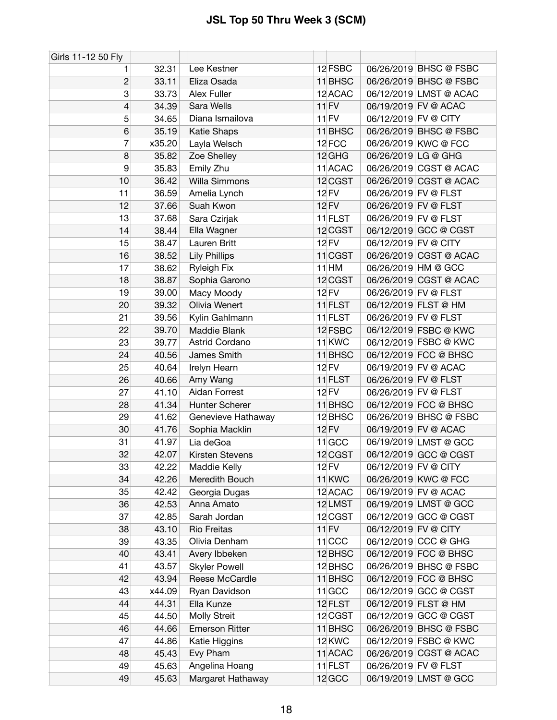| Girls 11-12 50 Fly |        |                       |                   |                      |                        |
|--------------------|--------|-----------------------|-------------------|----------------------|------------------------|
| 1                  | 32.31  | Lee Kestner           | 12 FSBC           |                      | 06/26/2019 BHSC @ FSBC |
| $\overline{c}$     | 33.11  | Eliza Osada           | 11 BHSC           |                      | 06/26/2019 BHSC @ FSBC |
| 3                  | 33.73  | Alex Fuller           | 12 ACAC           |                      | 06/12/2019 LMST @ ACAC |
| 4                  | 34.39  | Sara Wells            | $11$ FV           |                      | 06/19/2019 FV @ ACAC   |
| 5                  | 34.65  | Diana Ismailova       | $11$ FV           | 06/12/2019 FV @ CITY |                        |
| 6                  | 35.19  | Katie Shaps           | $11$ BHSC         |                      | 06/26/2019 BHSC @ FSBC |
| 7                  | x35.20 | Layla Welsch          | 12 FCC            |                      | 06/26/2019 KWC @ FCC   |
| 8                  | 35.82  | Zoe Shelley           | 12 GHG            | 06/26/2019 LG @ GHG  |                        |
| 9                  | 35.83  | Emily Zhu             | 11 ACAC           |                      | 06/26/2019 CGST @ ACAC |
| 10                 | 36.42  | <b>Willa Simmons</b>  | 12 CGST           |                      | 06/26/2019 CGST @ ACAC |
| 11                 | 36.59  | Amelia Lynch          | 12 FV             | 06/26/2019 FV @ FLST |                        |
| 12                 | 37.66  | Suah Kwon             | <b>12 FV</b>      | 06/26/2019 FV @ FLST |                        |
| 13                 | 37.68  | Sara Czirjak          | 11 FLST           | 06/26/2019 FV @ FLST |                        |
| 14                 | 38.44  | Ella Wagner           | 12 CGST           |                      | 06/12/2019 GCC @ CGST  |
| 15                 | 38.47  | Lauren Britt          | 12 FV             | 06/12/2019 FV @ CITY |                        |
| 16                 | 38.52  | <b>Lily Phillips</b>  | $11$ CGST         |                      | 06/26/2019 CGST @ ACAC |
| 17                 | 38.62  | <b>Ryleigh Fix</b>    | $11$ HM           |                      | 06/26/2019 HM @ GCC    |
| 18                 | 38.87  | Sophia Garono         | 12 CGST           |                      | 06/26/2019 CGST @ ACAC |
| 19                 | 39.00  | Macy Moody            | <b>12 FV</b>      | 06/26/2019 FV @ FLST |                        |
| 20                 | 39.32  | Olivia Wenert         | 11 FLST           |                      | 06/12/2019 FLST @ HM   |
| 21                 | 39.56  | Kylin Gahlmann        | 11 FLST           | 06/26/2019 FV @ FLST |                        |
| 22                 | 39.70  | Maddie Blank          | 12 FSBC           |                      | 06/12/2019 FSBC @ KWC  |
| 23                 | 39.77  | Astrid Cordano        | 11 <sub>KWC</sub> |                      | 06/12/2019 FSBC @ KWC  |
| 24                 | 40.56  | James Smith           | 11 BHSC           |                      | 06/12/2019 FCC @ BHSC  |
| 25                 | 40.64  | Irelyn Hearn          | <b>12 FV</b>      |                      | 06/19/2019 FV @ ACAC   |
| 26                 | 40.66  | Amy Wang              | 11 FLST           | 06/26/2019 FV @ FLST |                        |
| 27                 | 41.10  | Aidan Forrest         | <b>12 FV</b>      | 06/26/2019 FV @ FLST |                        |
| 28                 | 41.34  | Hunter Scherer        | 11 BHSC           |                      | 06/12/2019 FCC @ BHSC  |
| 29                 | 41.62  | Genevieve Hathaway    | 12 BHSC           |                      | 06/26/2019 BHSC @ FSBC |
| 30                 | 41.76  | Sophia Macklin        | <b>12 FV</b>      |                      | 06/19/2019 FV @ ACAC   |
| 31                 | 41.97  | Lia deGoa             | $11$ GCC          |                      | 06/19/2019 LMST @ GCC  |
| 32                 | 42.07  | Kirsten Stevens       | 12 CGST           |                      | 06/12/2019 GCC @ CGST  |
| 33                 | 42.22  | Maddie Kelly          | 12 FV             | 06/12/2019 FV @ CITY |                        |
| 34                 | 42.26  | Meredith Bouch        | 11 <sub>KWC</sub> |                      | 06/26/2019 KWC @ FCC   |
| 35                 | 42.42  | Georgia Dugas         | 12 ACAC           |                      | 06/19/2019 FV @ ACAC   |
| 36                 | 42.53  | Anna Amato            | 12LMST            |                      | 06/19/2019 LMST @ GCC  |
| 37                 | 42.85  | Sarah Jordan          | 12 CGST           |                      | 06/12/2019 GCC @ CGST  |
| 38                 | 43.10  | <b>Rio Freitas</b>    | 11 FV             | 06/12/2019 FV @ CITY |                        |
| 39                 | 43.35  | Olivia Denham         | $11$ CCC          |                      | 06/12/2019 CCC @ GHG   |
| 40                 | 43.41  | Avery Ibbeken         | 12 BHSC           |                      | 06/12/2019 FCC @ BHSC  |
| 41                 | 43.57  | <b>Skyler Powell</b>  | 12 BHSC           |                      | 06/26/2019 BHSC @ FSBC |
| 42                 | 43.94  | Reese McCardle        | 11 BHSC           |                      | 06/12/2019 FCC @ BHSC  |
| 43                 | x44.09 | Ryan Davidson         | $11$ GCC          |                      | 06/12/2019 GCC @ CGST  |
| 44                 | 44.31  | Ella Kunze            | 12 FLST           |                      | 06/12/2019 FLST @ HM   |
| 45                 | 44.50  | Molly Streit          | 12 CGST           |                      | 06/12/2019 GCC @ CGST  |
| 46                 | 44.66  | <b>Emerson Ritter</b> | 11 BHSC           |                      | 06/26/2019 BHSC @ FSBC |
| 47                 | 44.86  | Katie Higgins         | 12 KWC            |                      | 06/12/2019 FSBC @ KWC  |
| 48                 | 45.43  | Evy Pham              | 11 ACAC           |                      | 06/26/2019 CGST @ ACAC |
| 49                 | 45.63  | Angelina Hoang        | $11$ FLST         | 06/26/2019 FV @ FLST |                        |
| 49                 | 45.63  | Margaret Hathaway     | 12 GCC            |                      | 06/19/2019 LMST @ GCC  |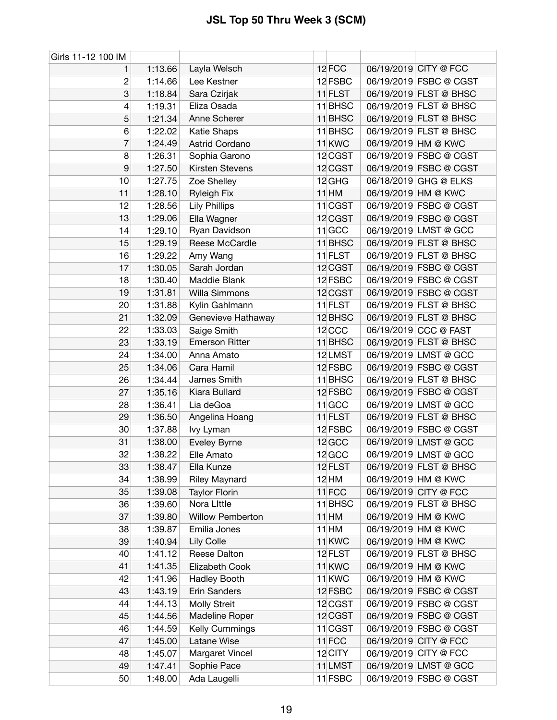| Girls 11-12 100 IM |         |                         |                   |                        |
|--------------------|---------|-------------------------|-------------------|------------------------|
| 1                  | 1:13.66 | Layla Welsch            | 12FCC             | 06/19/2019 CITY @ FCC  |
| 2                  | 1:14.66 | Lee Kestner             | 12 FSBC           | 06/19/2019 FSBC @ CGST |
| 3                  | 1:18.84 | Sara Czirjak            | 11 FLST           | 06/19/2019 FLST @ BHSC |
| 4                  | 1:19.31 | Eliza Osada             | 11 BHSC           | 06/19/2019 FLST @ BHSC |
| 5                  | 1:21.34 | Anne Scherer            | 11 BHSC           | 06/19/2019 FLST @ BHSC |
| 6                  | 1:22.02 | Katie Shaps             | 11 BHSC           | 06/19/2019 FLST @ BHSC |
| 7                  | 1:24.49 | Astrid Cordano          | 11 <sub>KWC</sub> | 06/19/2019 HM @ KWC    |
| 8                  | 1:26.31 | Sophia Garono           | 12 CGST           | 06/19/2019 FSBC @ CGST |
| 9                  | 1:27.50 | Kirsten Stevens         | 12 CGST           | 06/19/2019 FSBC @ CGST |
| 10                 | 1:27.75 | Zoe Shelley             | 12 GHG            | 06/18/2019 GHG @ ELKS  |
| 11                 | 1:28.10 | <b>Ryleigh Fix</b>      | $11$ HM           | 06/19/2019 HM @ KWC    |
| 12                 | 1:28.56 | <b>Lily Phillips</b>    | 11 CGST           | 06/19/2019 FSBC @ CGST |
| 13                 | 1:29.06 | Ella Wagner             | 12 CGST           | 06/19/2019 FSBC @ CGST |
| 14                 | 1:29.10 | Ryan Davidson           | $11$ GCC          | 06/19/2019 LMST @ GCC  |
| 15                 | 1:29.19 | Reese McCardle          | 11 BHSC           | 06/19/2019 FLST @ BHSC |
| 16                 | 1:29.22 | Amy Wang                | 11 FLST           | 06/19/2019 FLST @ BHSC |
| 17                 | 1:30.05 | Sarah Jordan            | 12 CGST           | 06/19/2019 FSBC @ CGST |
| 18                 | 1:30.40 | Maddie Blank            | 12 FSBC           | 06/19/2019 FSBC @ CGST |
| 19                 | 1:31.81 | Willa Simmons           | 12 CGST           | 06/19/2019 FSBC @ CGST |
| 20                 | 1:31.88 | Kylin Gahlmann          | 11 FLST           | 06/19/2019 FLST @ BHSC |
| 21                 | 1:32.09 | Genevieve Hathaway      | 12 BHSC           | 06/19/2019 FLST @ BHSC |
| 22                 | 1:33.03 | Saige Smith             | 12 <sub>CCC</sub> | 06/19/2019 CCC @ FAST  |
| 23                 | 1:33.19 | <b>Emerson Ritter</b>   | 11 BHSC           | 06/19/2019 FLST @ BHSC |
| 24                 | 1:34.00 | Anna Amato              | 12LMST            | 06/19/2019 LMST @ GCC  |
| 25                 | 1:34.06 | Cara Hamil              | 12 FSBC           | 06/19/2019 FSBC @ CGST |
| 26                 | 1:34.44 | James Smith             | 11 BHSC           | 06/19/2019 FLST @ BHSC |
| 27                 | 1:35.16 | Kiara Bullard           | 12 FSBC           | 06/19/2019 FSBC @ CGST |
| 28                 | 1:36.41 | Lia deGoa               | $11$ GCC          | 06/19/2019 LMST @ GCC  |
| 29                 | 1:36.50 | Angelina Hoang          | 11 FLST           | 06/19/2019 FLST @ BHSC |
| 30                 | 1:37.88 | lvy Lyman               | 12 FSBC           | 06/19/2019 FSBC @ CGST |
| 31                 | 1:38.00 | Eveley Byrne            | 12 GCC            | 06/19/2019 LMST @ GCC  |
| 32                 | 1:38.22 | Elle Amato              | 12 GCC            | 06/19/2019 LMST @ GCC  |
| 33                 | 1:38.47 | Ella Kunze              | 12 FLST           | 06/19/2019 FLST @ BHSC |
| 34                 | 1:38.99 | <b>Riley Maynard</b>    | 12 HM             | 06/19/2019 HM @ KWC    |
| 35                 | 1:39.08 | <b>Taylor Florin</b>    | $11$ FCC          | 06/19/2019 CITY @ FCC  |
| 36                 | 1:39.60 | Nora Little             | 11 BHSC           | 06/19/2019 FLST @ BHSC |
| 37                 | 1:39.80 | <b>Willow Pemberton</b> | $11$ HM           | 06/19/2019 HM @ KWC    |
| 38                 | 1:39.87 | Emilia Jones            | $11$ HM           | 06/19/2019 HM @ KWC    |
| 39                 | 1:40.94 | Lily Colle              | 11 <sub>KWC</sub> | 06/19/2019 HM @ KWC    |
| 40                 | 1:41.12 | Reese Dalton            | 12 FLST           | 06/19/2019 FLST @ BHSC |
| 41                 | 1:41.35 | Elizabeth Cook          | 11 <sub>KWC</sub> | 06/19/2019 HM @ KWC    |
| 42                 | 1:41.96 | Hadley Booth            | $11$ KWC          | 06/19/2019 HM @ KWC    |
| 43                 | 1:43.19 | Erin Sanders            | 12 FSBC           | 06/19/2019 FSBC @ CGST |
| 44                 | 1:44.13 | <b>Molly Streit</b>     | 12 CGST           | 06/19/2019 FSBC @ CGST |
| 45                 | 1:44.56 | Madeline Roper          | 12 CGST           | 06/19/2019 FSBC @ CGST |
| 46                 | 1:44.59 | Kelly Cummings          | 11 CGST           | 06/19/2019 FSBC @ CGST |
| 47                 | 1:45.00 | Latane Wise             | 11 <sub>FCC</sub> | 06/19/2019 CITY @ FCC  |
| 48                 | 1:45.07 | Margaret Vincel         | 12 CITY           | 06/19/2019 CITY @ FCC  |
| 49                 | 1:47.41 | Sophie Pace             | 11 LMST           | 06/19/2019 LMST @ GCC  |
| 50                 | 1:48.00 | Ada Laugelli            | $11$ FSBC         | 06/19/2019 FSBC @ CGST |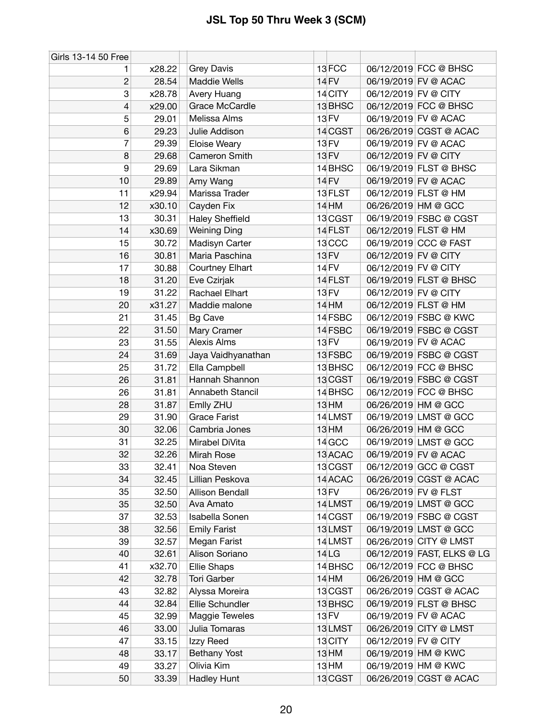| Girls 13-14 50 Free      |        |                        |                   |                            |
|--------------------------|--------|------------------------|-------------------|----------------------------|
| 1                        | x28.22 | <b>Grey Davis</b>      | 13FCC             | 06/12/2019 FCC @ BHSC      |
| $\overline{c}$           | 28.54  | <b>Maddie Wells</b>    | 14 FV             | 06/19/2019 FV @ ACAC       |
| 3                        | x28.78 | Avery Huang            | 14 CITY           | 06/12/2019 FV @ CITY       |
| $\overline{\mathcal{L}}$ | x29.00 | Grace McCardle         | 13 BHSC           | 06/12/2019 FCC @ BHSC      |
| 5                        | 29.01  | Melissa Alms           | 13 FV             | 06/19/2019 FV @ ACAC       |
| 6                        | 29.23  | Julie Addison          | 14 CGST           | 06/26/2019 CGST @ ACAC     |
| 7                        | 29.39  | Eloise Weary           | <b>13 FV</b>      | 06/19/2019 FV @ ACAC       |
| 8                        | 29.68  | Cameron Smith          | <b>13 FV</b>      | 06/12/2019 FV @ CITY       |
| 9                        | 29.69  | Lara Sikman            | 14 BHSC           | 06/19/2019 FLST @ BHSC     |
| 10                       | 29.89  | Amy Wang               | <b>14 FV</b>      | 06/19/2019 FV @ ACAC       |
| 11                       | x29.94 | Marissa Trader         | 13 FLST           | 06/12/2019 FLST @ HM       |
| 12                       | x30.10 | Cayden Fix             | 14 HM             | 06/26/2019 HM @ GCC        |
| 13                       | 30.31  | <b>Haley Sheffield</b> | 13 CGST           | 06/19/2019 FSBC @ CGST     |
| 14                       | x30.69 | <b>Weining Ding</b>    | 14 FLST           | 06/12/2019 FLST @ HM       |
| 15                       | 30.72  | Madisyn Carter         | 13 <sub>CCC</sub> | 06/19/2019 CCC @ FAST      |
| 16                       | 30.81  | Maria Paschina         | <b>13 FV</b>      | 06/12/2019 FV @ CITY       |
| 17                       | 30.88  | Courtney Elhart        | 14 FV             | 06/12/2019 FV @ CITY       |
| 18                       | 31.20  | Eve Czirjak            | 14 FLST           | 06/19/2019 FLST @ BHSC     |
| 19                       | 31.22  | Rachael Elhart         | <b>13 FV</b>      | 06/12/2019 FV @ CITY       |
| 20                       | x31.27 | Maddie malone          | 14 HM             | 06/12/2019 FLST @ HM       |
| 21                       | 31.45  | <b>Bg Cave</b>         | 14 FSBC           | 06/12/2019 FSBC @ KWC      |
| 22                       | 31.50  | Mary Cramer            | 14 FSBC           | 06/19/2019 FSBC @ CGST     |
| 23                       | 31.55  | <b>Alexis Alms</b>     | 13 FV             | 06/19/2019 FV @ ACAC       |
| 24                       | 31.69  | Jaya Vaidhyanathan     | 13 FSBC           | 06/19/2019 FSBC @ CGST     |
| 25                       | 31.72  | Ella Campbell          | 13 BHSC           | 06/12/2019 FCC @ BHSC      |
| 26                       | 31.81  | Hannah Shannon         | 13 CGST           | 06/19/2019 FSBC @ CGST     |
| 26                       | 31.81  | Annabeth Stancil       | 14 BHSC           | 06/12/2019 FCC @ BHSC      |
| 28                       | 31.87  | Emlly ZHU              | 13 HM             | 06/26/2019 HM @ GCC        |
| 29                       | 31.90  | <b>Grace Farist</b>    | 14 LMST           | 06/19/2019 LMST @ GCC      |
| 30                       | 32.06  | Cambria Jones          | $13$ HM           | 06/26/2019 HM @ GCC        |
| 31                       | 32.25  | Mirabel DiVita         | 14 GCC            | 06/19/2019 LMST @ GCC      |
| 32                       | 32.26  | Mirah Rose             | 13 ACAC           | 06/19/2019 FV @ ACAC       |
| 33                       | 32.41  | Noa Steven             | 13 CGST           | 06/12/2019 GCC @ CGST      |
| 34                       | 32.45  | Lillian Peskova        | 14 ACAC           | 06/26/2019 CGST @ ACAC     |
| 35                       | 32.50  | Allison Bendall        | 13 FV             | 06/26/2019 FV @ FLST       |
| 35                       | 32.50  | Ava Amato              | 14 LMST           | 06/19/2019 LMST @ GCC      |
| 37                       | 32.53  | Isabella Sonen         | 14 CGST           | 06/19/2019 FSBC @ CGST     |
| 38                       | 32.56  | <b>Emily Farist</b>    | 13LMST            | 06/19/2019 LMST @ GCC      |
| 39                       | 32.57  | Megan Farist           | 14 LMST           | 06/26/2019 CITY @ LMST     |
| 40                       | 32.61  | Alison Soriano         | 14 LG             | 06/12/2019 FAST, ELKS @ LG |
| 41                       | x32.70 | Ellie Shaps            | 14 BHSC           | 06/12/2019 FCC @ BHSC      |
| 42                       | 32.78  | <b>Tori Garber</b>     | 14 HM             | 06/26/2019 HM @ GCC        |
| 43                       | 32.82  | Alyssa Moreira         | 13 CGST           | 06/26/2019 CGST @ ACAC     |
| 44                       | 32.84  | Ellie Schundler        | 13 BHSC           | 06/19/2019 FLST @ BHSC     |
| 45                       | 32.99  | Maggie Teweles         | 13 FV             | 06/19/2019 FV @ ACAC       |
| 46                       | 33.00  | Julia Tomaras          | 13LMST            | 06/26/2019 CITY @ LMST     |
| 47                       | 33.15  | Izzy Reed              | 13 CITY           | 06/12/2019 FV @ CITY       |
| 48                       | 33.17  | Bethany Yost           | 13 HM             | 06/19/2019 HM @ KWC        |
| 49                       | 33.27  | Olivia Kim             | 13 HM             | 06/19/2019 HM @ KWC        |
| 50                       | 33.39  | <b>Hadley Hunt</b>     | 13 CGST           | 06/26/2019 CGST @ ACAC     |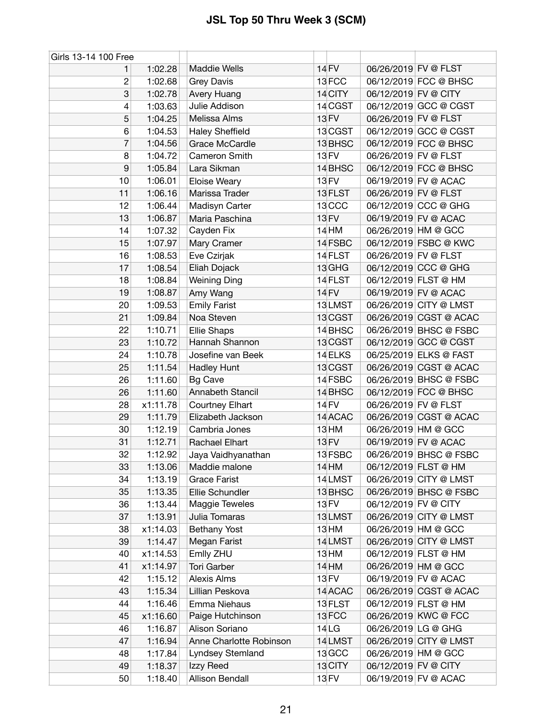| Girls 13-14 100 Free |          |                         |                   |                      |                        |
|----------------------|----------|-------------------------|-------------------|----------------------|------------------------|
| 1.                   | 1:02.28  | <b>Maddie Wells</b>     | 14 FV             | 06/26/2019 FV @ FLST |                        |
| 2                    | 1:02.68  | <b>Grey Davis</b>       | 13 FCC            |                      | 06/12/2019 FCC @ BHSC  |
| 3                    | 1:02.78  | Avery Huang             | 14 CITY           | 06/12/2019 FV @ CITY |                        |
| 4                    | 1:03.63  | Julie Addison           | 14 CGST           |                      | 06/12/2019 GCC @ CGST  |
| 5                    | 1:04.25  | Melissa Alms            | 13 FV             | 06/26/2019 FV @ FLST |                        |
| 6                    | 1:04.53  | <b>Haley Sheffield</b>  | 13 CGST           |                      | 06/12/2019 GCC @ CGST  |
| 7                    | 1:04.56  | Grace McCardle          | 13 BHSC           |                      | 06/12/2019 FCC @ BHSC  |
| 8                    | 1:04.72  | Cameron Smith           | <b>13 FV</b>      | 06/26/2019 FV @ FLST |                        |
| 9                    | 1:05.84  | Lara Sikman             | 14 BHSC           |                      | 06/12/2019 FCC @ BHSC  |
| 10                   | 1:06.01  | Eloise Weary            | <b>13 FV</b>      |                      | 06/19/2019 FV @ ACAC   |
| 11                   | 1:06.16  | Marissa Trader          | 13 FLST           | 06/26/2019 FV @ FLST |                        |
| 12                   | 1:06.44  | Madisyn Carter          | 13 <sub>CCC</sub> |                      | 06/12/2019 CCC @ GHG   |
| 13                   | 1:06.87  | Maria Paschina          | 13 FV             |                      | 06/19/2019 FV @ ACAC   |
| 14                   | 1:07.32  | Cayden Fix              | 14 HM             |                      | 06/26/2019 HM @ GCC    |
| 15                   | 1:07.97  | Mary Cramer             | 14 FSBC           |                      | 06/12/2019 FSBC @ KWC  |
| 16                   | 1:08.53  | Eve Czirjak             | 14 FLST           | 06/26/2019 FV @ FLST |                        |
| 17                   | 1:08.54  | Eliah Dojack            | 13 GHG            |                      | 06/12/2019 CCC @ GHG   |
| 18                   | 1:08.84  | <b>Weining Ding</b>     | 14 FLST           |                      | 06/12/2019 FLST @ HM   |
| 19                   | 1:08.87  | Amy Wang                | <b>14 FV</b>      |                      | 06/19/2019 FV @ ACAC   |
| 20                   | 1:09.53  | <b>Emily Farist</b>     | 13LMST            |                      | 06/26/2019 CITY @ LMST |
| 21                   | 1:09.84  | Noa Steven              | 13 CGST           |                      | 06/26/2019 CGST @ ACAC |
| 22                   | 1:10.71  | <b>Ellie Shaps</b>      | 14 BHSC           |                      | 06/26/2019 BHSC @ FSBC |
| 23                   | 1:10.72  | Hannah Shannon          | 13 CGST           |                      | 06/12/2019 GCC @ CGST  |
| 24                   | 1:10.78  | Josefine van Beek       | 14 ELKS           |                      | 06/25/2019 ELKS @ FAST |
| 25                   | 1:11.54  | <b>Hadley Hunt</b>      | 13 CGST           |                      | 06/26/2019 CGST @ ACAC |
| 26                   | 1:11.60  | <b>Bg Cave</b>          | 14 FSBC           |                      | 06/26/2019 BHSC @ FSBC |
| 26                   | 1:11.60  | Annabeth Stancil        | 14 BHSC           |                      | 06/12/2019 FCC @ BHSC  |
| 28                   | x1:11.78 | Courtney Elhart         | <b>14 FV</b>      | 06/26/2019 FV @ FLST |                        |
| 29                   | 1:11.79  | Elizabeth Jackson       | 14 ACAC           |                      | 06/26/2019 CGST @ ACAC |
| 30                   | 1:12.19  | Cambria Jones           | 13 HM             |                      | 06/26/2019 HM @ GCC    |
| 31                   | 1:12.71  | Rachael Elhart          | 13 FV             |                      | 06/19/2019 FV @ ACAC   |
| 32                   | 1:12.92  | Jaya Vaidhyanathan      | 13 FSBC           |                      | 06/26/2019 BHSC @ FSBC |
| 33                   | 1:13.06  | Maddie malone           | 14 HM             |                      | 06/12/2019 FLST @ HM   |
| 34                   | 1:13.19  | <b>Grace Farist</b>     | 14 LMST           |                      | 06/26/2019 CITY @ LMST |
| 35                   | 1:13.35  | Ellie Schundler         | 13 BHSC           |                      | 06/26/2019 BHSC @ FSBC |
| 36                   | 1:13.44  | Maggie Teweles          | 13 FV             | 06/12/2019 FV @ CITY |                        |
| 37                   | 1:13.91  | Julia Tomaras           | 13LMST            |                      | 06/26/2019 CITY @ LMST |
| 38                   | x1:14.03 | <b>Bethany Yost</b>     | 13 <sub>HM</sub>  |                      | 06/26/2019 HM @ GCC    |
| 39                   | 1:14.47  | Megan Farist            | 14 LMST           |                      | 06/26/2019 CITY @ LMST |
| 40                   | x1:14.53 | Emlly ZHU               | 13 HM             |                      | 06/12/2019 FLST @ HM   |
| 41                   | x1:14.97 | <b>Tori Garber</b>      | 14 HM             |                      | 06/26/2019 HM @ GCC    |
| 42                   | 1:15.12  | Alexis Alms             | 13 FV             |                      | 06/19/2019 FV @ ACAC   |
| 43                   | 1:15.34  | Lillian Peskova         | 14 ACAC           |                      | 06/26/2019 CGST @ ACAC |
| 44                   | 1:16.46  | Emma Niehaus            | 13 FLST           |                      | 06/12/2019 FLST @ HM   |
| 45                   | x1:16.60 | Paige Hutchinson        | 13FCC             |                      | 06/26/2019 KWC @ FCC   |
| 46                   | 1:16.87  | Alison Soriano          | 14 LG             | 06/26/2019 LG @ GHG  |                        |
| 47                   | 1:16.94  | Anne Charlotte Robinson | 14 LMST           |                      | 06/26/2019 CITY @ LMST |
| 48                   | 1:17.84  | Lyndsey Stemland        | 13 GCC            |                      | 06/26/2019 HM @ GCC    |
| 49                   | 1:18.37  | Izzy Reed               | 13 CITY           | 06/12/2019 FV @ CITY |                        |
| 50                   | 1:18.40  | Allison Bendall         | 13 FV             |                      | 06/19/2019 FV @ ACAC   |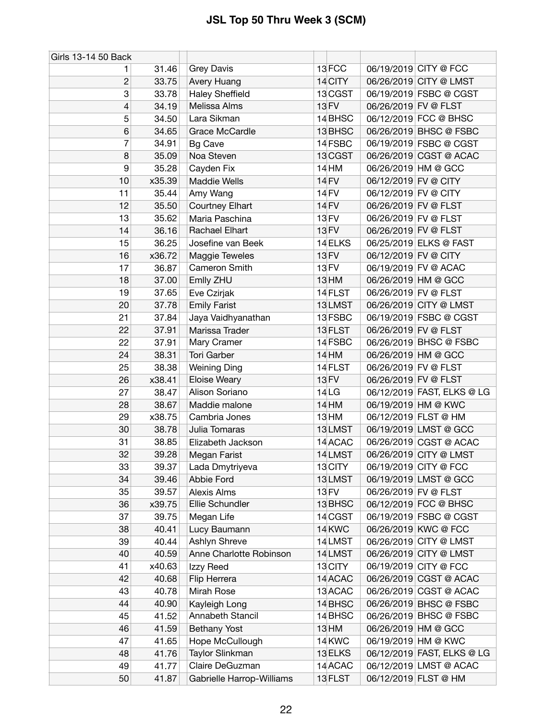| Girls 13-14 50 Back |        |                           |                  |                            |
|---------------------|--------|---------------------------|------------------|----------------------------|
| 1.                  | 31.46  | Grey Davis                | 13FCC            | 06/19/2019 CITY @ FCC      |
| $\mathbf{2}$        | 33.75  | Avery Huang               | 14 CITY          | 06/26/2019 CITY @ LMST     |
| 3                   | 33.78  | <b>Haley Sheffield</b>    | 13 CGST          | 06/19/2019 FSBC @ CGST     |
| 4                   | 34.19  | Melissa Alms              | 13 FV            | 06/26/2019 FV @ FLST       |
| 5                   | 34.50  | Lara Sikman               | 14 BHSC          | 06/12/2019 FCC @ BHSC      |
| 6                   | 34.65  | Grace McCardle            | 13 BHSC          | 06/26/2019 BHSC @ FSBC     |
| 7                   | 34.91  | <b>Bg Cave</b>            | 14 FSBC          | 06/19/2019 FSBC @ CGST     |
| 8                   | 35.09  | Noa Steven                | 13 CGST          | 06/26/2019 CGST @ ACAC     |
| 9                   | 35.28  | Cayden Fix                | 14 HM            | 06/26/2019 HM @ GCC        |
| 10                  | x35.39 | <b>Maddie Wells</b>       | 14 FV            | 06/12/2019 FV @ CITY       |
| 11                  | 35.44  | Amy Wang                  | 14 FV            | 06/12/2019 FV @ CITY       |
| 12                  | 35.50  | <b>Courtney Elhart</b>    | 14 FV            | 06/26/2019 FV @ FLST       |
| 13                  | 35.62  | Maria Paschina            | 13 FV            | 06/26/2019 FV @ FLST       |
| 14                  | 36.16  | Rachael Elhart            | 13 FV            | 06/26/2019 FV @ FLST       |
| 15                  | 36.25  | Josefine van Beek         | 14 ELKS          | 06/25/2019 ELKS @ FAST     |
| 16                  | x36.72 | Maggie Teweles            | <b>13 FV</b>     | 06/12/2019 FV @ CITY       |
| 17                  | 36.87  | Cameron Smith             | 13 FV            | 06/19/2019 FV @ ACAC       |
| 18                  | 37.00  | Emlly ZHU                 | 13 HM            | 06/26/2019 HM @ GCC        |
| 19                  | 37.65  | Eve Czirjak               | 14 FLST          | 06/26/2019 FV @ FLST       |
| 20                  | 37.78  | <b>Emily Farist</b>       | 13LMST           | 06/26/2019 CITY @ LMST     |
| 21                  | 37.84  | Jaya Vaidhyanathan        | 13 FSBC          | 06/19/2019 FSBC @ CGST     |
| 22                  | 37.91  | Marissa Trader            | 13 FLST          | 06/26/2019 FV @ FLST       |
| 22                  | 37.91  | Mary Cramer               | 14 FSBC          | 06/26/2019 BHSC @ FSBC     |
| 24                  | 38.31  | <b>Tori Garber</b>        | <b>14 HM</b>     | 06/26/2019 HM @ GCC        |
| 25                  | 38.38  | <b>Weining Ding</b>       | 14 FLST          | 06/26/2019 FV @ FLST       |
| 26                  | x38.41 | <b>Eloise Weary</b>       | 13 FV            | 06/26/2019 FV @ FLST       |
| 27                  | 38.47  | Alison Soriano            | 14 <sub>LG</sub> | 06/12/2019 FAST, ELKS @ LG |
| 28                  | 38.67  | Maddie malone             | 14 HM            | 06/19/2019 HM @ KWC        |
| 29                  | x38.75 | Cambria Jones             | 13HM             | 06/12/2019 FLST @ HM       |
| 30                  | 38.78  | Julia Tomaras             | 13LMST           | 06/19/2019 LMST @ GCC      |
| 31                  | 38.85  | Elizabeth Jackson         | 14 ACAC          | 06/26/2019 CGST @ ACAC     |
| 32                  | 39.28  | Megan Farist              | 14LMST           | 06/26/2019 CITY @ LMST     |
| 33                  | 39.37  | Lada Dmytriyeva           | 13 CITY          | 06/19/2019 CITY @ FCC      |
| 34                  | 39.46  | Abbie Ford                | 13LMST           | 06/19/2019 LMST @ GCC      |
| 35                  | 39.57  | <b>Alexis Alms</b>        | 13 FV            | 06/26/2019 FV @ FLST       |
| 36                  | x39.75 | Ellie Schundler           | 13 BHSC          | 06/12/2019 FCC @ BHSC      |
| 37                  | 39.75  | Megan Life                | 14 CGST          | 06/19/2019 FSBC @ CGST     |
| 38                  | 40.41  | Lucy Baumann              | 14 KWC           | 06/26/2019 KWC @ FCC       |
| 39                  | 40.44  | Ashlyn Shreve             | 14 LMST          | 06/26/2019 CITY @ LMST     |
| 40                  | 40.59  | Anne Charlotte Robinson   | 14 LMST          | 06/26/2019 CITY @ LMST     |
| 41                  | x40.63 | Izzy Reed                 | 13 CITY          | 06/19/2019 CITY @ FCC      |
| 42                  | 40.68  | Flip Herrera              | 14 ACAC          | 06/26/2019 CGST @ ACAC     |
| 43                  | 40.78  | Mirah Rose                | 13 ACAC          | 06/26/2019 CGST @ ACAC     |
| 44                  | 40.90  | Kayleigh Long             | 14 BHSC          | 06/26/2019 BHSC @ FSBC     |
| 45                  | 41.52  | Annabeth Stancil          | 14 BHSC          | 06/26/2019 BHSC @ FSBC     |
| 46                  | 41.59  | <b>Bethany Yost</b>       | 13 HM            | 06/26/2019 HM @ GCC        |
| 47                  | 41.65  | Hope McCullough           | 14 KWC           | 06/19/2019 HM @ KWC        |
| 48                  | 41.76  | Taylor Slinkman           | 13 ELKS          | 06/12/2019 FAST, ELKS @ LG |
| 49                  | 41.77  | Claire DeGuzman           | 14 ACAC          | 06/12/2019 LMST @ ACAC     |
| 50                  | 41.87  | Gabrielle Harrop-Williams | 13 FLST          | 06/12/2019 FLST @ HM       |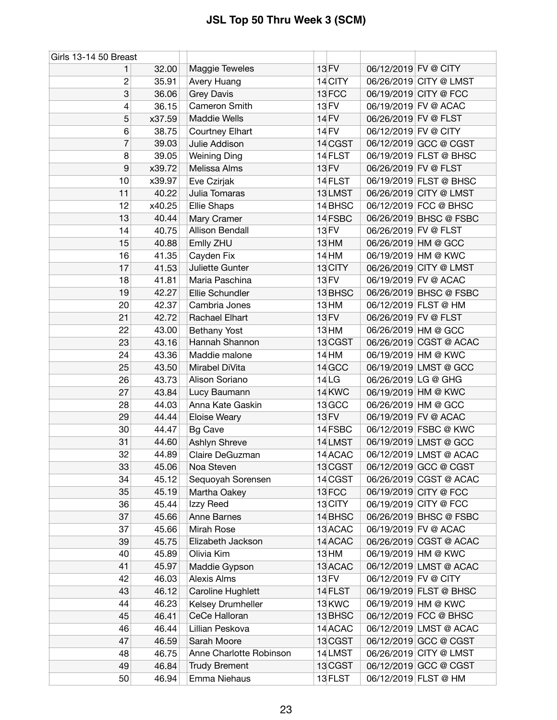| Girls 13-14 50 Breast |        |                         |                  |                      |                        |
|-----------------------|--------|-------------------------|------------------|----------------------|------------------------|
| 1                     | 32.00  | Maggie Teweles          | 13 FV            | 06/12/2019 FV @ CITY |                        |
| 2                     | 35.91  | Avery Huang             | 14 CITY          |                      | 06/26/2019 CITY @ LMST |
| 3                     | 36.06  | <b>Grey Davis</b>       | 13FCC            |                      | 06/19/2019 CITY @ FCC  |
| 4                     | 36.15  | Cameron Smith           | 13 FV            |                      | 06/19/2019 FV @ ACAC   |
| 5                     | x37.59 | <b>Maddie Wells</b>     | 14 FV            |                      | 06/26/2019 FV @ FLST   |
| 6                     | 38.75  | Courtney Elhart         | 14 FV            | 06/12/2019 FV @ CITY |                        |
| 7                     | 39.03  | Julie Addison           | 14 CGST          |                      | 06/12/2019 GCC @ CGST  |
| 8                     | 39.05  | <b>Weining Ding</b>     | 14 FLST          |                      | 06/19/2019 FLST @ BHSC |
| 9                     | x39.72 | Melissa Alms            | <b>13 FV</b>     | 06/26/2019 FV @ FLST |                        |
| 10                    | x39.97 | Eve Czirjak             | 14 FLST          |                      | 06/19/2019 FLST @ BHSC |
| 11                    | 40.22  | Julia Tomaras           | 13LMST           |                      | 06/26/2019 CITY @ LMST |
| 12                    | x40.25 | Ellie Shaps             | 14 BHSC          |                      | 06/12/2019 FCC @ BHSC  |
| 13                    | 40.44  | Mary Cramer             | 14 FSBC          |                      | 06/26/2019 BHSC @ FSBC |
| 14                    | 40.75  | Allison Bendall         | 13 FV            | 06/26/2019 FV @ FLST |                        |
| 15                    | 40.88  | Emlly ZHU               | 13 HM            |                      | 06/26/2019 HM @ GCC    |
| 16                    | 41.35  | Cayden Fix              | 14 HM            |                      | 06/19/2019 HM @ KWC    |
| 17                    | 41.53  | Juliette Gunter         | 13 CITY          |                      | 06/26/2019 CITY @ LMST |
| 18                    | 41.81  | Maria Paschina          | 13 FV            |                      | 06/19/2019 FV @ ACAC   |
| 19                    | 42.27  | Ellie Schundler         | 13 BHSC          |                      | 06/26/2019 BHSC @ FSBC |
| 20                    | 42.37  | Cambria Jones           | 13 HM            |                      | 06/12/2019 FLST @ HM   |
| 21                    | 42.72  | Rachael Elhart          | 13 FV            |                      | 06/26/2019 FV @ FLST   |
| 22                    | 43.00  | <b>Bethany Yost</b>     | 13 <sub>HM</sub> |                      | 06/26/2019 HM @ GCC    |
| 23                    | 43.16  | Hannah Shannon          | 13 CGST          |                      | 06/26/2019 CGST @ ACAC |
| 24                    | 43.36  | Maddie malone           | $14$ HM          |                      | 06/19/2019 HM @ KWC    |
| 25                    | 43.50  | Mirabel DiVita          | 14 GCC           |                      | 06/19/2019 LMST @ GCC  |
| 26                    | 43.73  | Alison Soriano          | 14LG             |                      | 06/26/2019 LG @ GHG    |
| 27                    | 43.84  | Lucy Baumann            | 14 KWC           |                      | 06/19/2019 HM @ KWC    |
| 28                    | 44.03  | Anna Kate Gaskin        | 13 GCC           |                      | 06/26/2019 HM @ GCC    |
| 29                    | 44.44  | Eloise Weary            | 13 FV            |                      | 06/19/2019 FV @ ACAC   |
| 30                    | 44.47  | <b>Bg Cave</b>          | 14 FSBC          |                      | 06/12/2019 FSBC @ KWC  |
| 31                    | 44.60  | Ashlyn Shreve           | 14LMST           |                      | 06/19/2019 LMST @ GCC  |
| 32                    | 44.89  | Claire DeGuzman         | 14 ACAC          |                      | 06/12/2019 LMST @ ACAC |
| 33                    | 45.06  | Noa Steven              | 13 CGST          |                      | 06/12/2019 GCC @ CGST  |
| 34                    | 45.12  | Sequoyah Sorensen       | 14 CGST          |                      | 06/26/2019 CGST @ ACAC |
| 35                    | 45.19  | Martha Oakey            | 13 FCC           |                      | 06/19/2019 CITY @ FCC  |
| 36                    | 45.44  | Izzy Reed               | 13 CITY          |                      | 06/19/2019 CITY @ FCC  |
| 37                    | 45.66  | Anne Barnes             | 14 BHSC          |                      | 06/26/2019 BHSC @ FSBC |
| 37                    | 45.66  | Mirah Rose              | 13 ACAC          |                      | 06/19/2019 FV @ ACAC   |
| 39                    | 45.75  | Elizabeth Jackson       | 14 ACAC          |                      | 06/26/2019 CGST @ ACAC |
| 40                    | 45.89  | Olivia Kim              | 13 HM            |                      | 06/19/2019 HM @ KWC    |
| 41                    | 45.97  | Maddie Gypson           | 13 ACAC          |                      | 06/12/2019 LMST @ ACAC |
| 42                    | 46.03  | Alexis Alms             | 13 FV            | 06/12/2019 FV @ CITY |                        |
| 43                    | 46.12  | Caroline Hughlett       | 14 FLST          |                      | 06/19/2019 FLST @ BHSC |
| 44                    | 46.23  | Kelsey Drumheller       | 13 KWC           |                      | 06/19/2019 HM @ KWC    |
| 45                    | 46.41  | CeCe Halloran           | 13 BHSC          |                      | 06/12/2019 FCC @ BHSC  |
| 46                    | 46.44  | Lillian Peskova         | 14 ACAC          |                      | 06/12/2019 LMST @ ACAC |
| 47                    | 46.59  | Sarah Moore             | 13 CGST          |                      | 06/12/2019 GCC @ CGST  |
| 48                    | 46.75  | Anne Charlotte Robinson | 14 LMST          |                      | 06/26/2019 CITY @ LMST |
| 49                    | 46.84  | <b>Trudy Brement</b>    | 13 CGST          |                      | 06/12/2019 GCC @ CGST  |
| 50                    | 46.94  | Emma Niehaus            | 13 FLST          |                      | 06/12/2019 FLST @ HM   |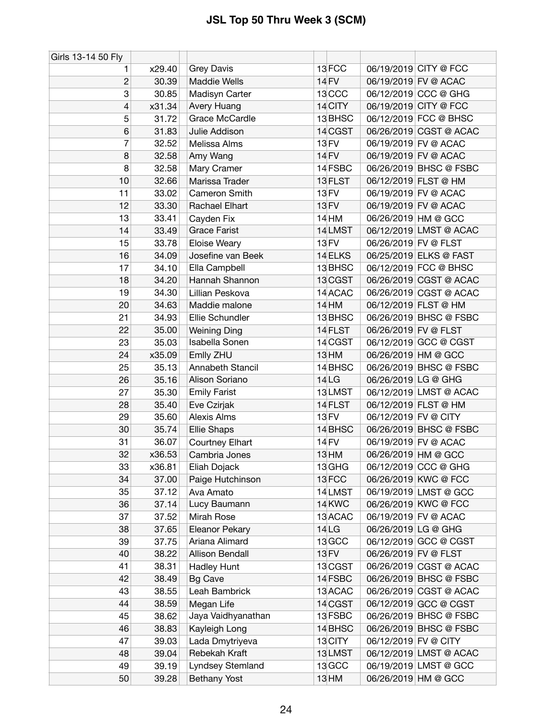| Girls 13-14 50 Fly |        |                      |                   |                        |
|--------------------|--------|----------------------|-------------------|------------------------|
| 1                  | x29.40 | <b>Grey Davis</b>    | 13FCC             | 06/19/2019 CITY @ FCC  |
| $\overline{c}$     | 30.39  | <b>Maddie Wells</b>  | 14 FV             | 06/19/2019 FV @ ACAC   |
| 3                  | 30.85  | Madisyn Carter       | 13 <sub>CCC</sub> | 06/12/2019 CCC @ GHG   |
| 4                  | x31.34 | Avery Huang          | 14 CITY           | 06/19/2019 CITY @ FCC  |
| 5                  | 31.72  | Grace McCardle       | 13 BHSC           | 06/12/2019 FCC @ BHSC  |
| 6                  | 31.83  | Julie Addison        | 14 CGST           | 06/26/2019 CGST @ ACAC |
| 7                  | 32.52  | Melissa Alms         | <b>13 FV</b>      | 06/19/2019 FV @ ACAC   |
| 8                  | 32.58  | Amy Wang             | <b>14 FV</b>      | 06/19/2019 FV @ ACAC   |
| 8                  | 32.58  | Mary Cramer          | 14 FSBC           | 06/26/2019 BHSC @ FSBC |
| 10                 | 32.66  | Marissa Trader       | 13 FLST           | 06/12/2019 FLST @ HM   |
| 11                 | 33.02  | Cameron Smith        | 13 FV             | 06/19/2019 FV @ ACAC   |
| 12                 | 33.30  | Rachael Elhart       | 13 FV             | 06/19/2019 FV @ ACAC   |
| 13                 | 33.41  | Cayden Fix           | $14$ HM           | 06/26/2019 HM @ GCC    |
| 14                 | 33.49  | <b>Grace Farist</b>  | 14 LMST           | 06/12/2019 LMST @ ACAC |
| 15                 | 33.78  | Eloise Weary         | 13 FV             | 06/26/2019 FV @ FLST   |
| 16                 | 34.09  | Josefine van Beek    | 14 ELKS           | 06/25/2019 ELKS @ FAST |
| 17                 | 34.10  | Ella Campbell        | 13 BHSC           | 06/12/2019 FCC @ BHSC  |
| 18                 | 34.20  | Hannah Shannon       | 13 CGST           | 06/26/2019 CGST @ ACAC |
| 19                 | 34.30  | Lillian Peskova      | 14 ACAC           | 06/26/2019 CGST @ ACAC |
| 20                 | 34.63  | Maddie malone        | 14 HM             | 06/12/2019 FLST @ HM   |
| 21                 | 34.93  | Ellie Schundler      | 13BHSC            | 06/26/2019 BHSC @ FSBC |
| 22                 | 35.00  | <b>Weining Ding</b>  | 14 FLST           | 06/26/2019 FV @ FLST   |
| 23                 | 35.03  | Isabella Sonen       | 14 CGST           | 06/12/2019 GCC @ CGST  |
| 24                 | x35.09 | Emlly ZHU            | 13 HM             | 06/26/2019 HM @ GCC    |
| 25                 | 35.13  | Annabeth Stancil     | 14 BHSC           | 06/26/2019 BHSC @ FSBC |
| 26                 | 35.16  | Alison Soriano       | 14LG              | 06/26/2019 LG @ GHG    |
| 27                 | 35.30  | <b>Emily Farist</b>  | 13LMST            | 06/12/2019 LMST @ ACAC |
| 28                 | 35.40  | Eve Czirjak          | 14 FLST           | 06/12/2019 FLST @ HM   |
| 29                 | 35.60  | Alexis Alms          | <b>13 FV</b>      | 06/12/2019 FV @ CITY   |
| 30                 | 35.74  | <b>Ellie Shaps</b>   | 14 BHSC           | 06/26/2019 BHSC @ FSBC |
| 31                 | 36.07  | Courtney Elhart      | <b>14 FV</b>      | 06/19/2019 FV @ ACAC   |
| 32                 | x36.53 | Cambria Jones        | 13 HM             | 06/26/2019 HM @ GCC    |
| 33                 | x36.81 | Eliah Dojack         | 13 GHG            | 06/12/2019 CCC @ GHG   |
| 34                 | 37.00  | Paige Hutchinson     | 13FCC             | 06/26/2019 KWC @ FCC   |
| 35                 | 37.12  | Ava Amato            | 14 LMST           | 06/19/2019 LMST @ GCC  |
| 36                 | 37.14  | Lucy Baumann         | 14 KWC            | 06/26/2019 KWC @ FCC   |
| 37                 | 37.52  | Mirah Rose           | 13 ACAC           | 06/19/2019 FV @ ACAC   |
| 38                 | 37.65  | Eleanor Pekary       | 14 <sub>LG</sub>  | 06/26/2019 LG @ GHG    |
| 39                 | 37.75  | Ariana Alimard       | 13 GCC            | 06/12/2019 GCC @ CGST  |
| 40                 | 38.22  | Allison Bendall      | <b>13 FV</b>      | 06/26/2019 FV @ FLST   |
| 41                 | 38.31  | Hadley Hunt          | 13 CGST           | 06/26/2019 CGST @ ACAC |
| 42                 | 38.49  | <b>Bg Cave</b>       | 14 FSBC           | 06/26/2019 BHSC @ FSBC |
| 43                 | 38.55  | Leah Bambrick        | 13 ACAC           | 06/26/2019 CGST @ ACAC |
| 44                 | 38.59  | Megan Life           | 14 CGST           | 06/12/2019 GCC @ CGST  |
| 45                 | 38.62  | Jaya Vaidhyanathan   | 13 FSBC           | 06/26/2019 BHSC @ FSBC |
| 46                 | 38.83  | Kayleigh Long        | 14 BHSC           | 06/26/2019 BHSC @ FSBC |
| 47                 | 39.03  | Lada Dmytriyeva      | 13 CITY           | 06/12/2019 FV @ CITY   |
| 48                 | 39.04  | <b>Rebekah Kraft</b> | 13LMST            | 06/12/2019 LMST @ ACAC |
| 49                 | 39.19  | Lyndsey Stemland     | 13 GCC            | 06/19/2019 LMST @ GCC  |
| 50                 | 39.28  | <b>Bethany Yost</b>  | $13$ HM           | 06/26/2019 HM @ GCC    |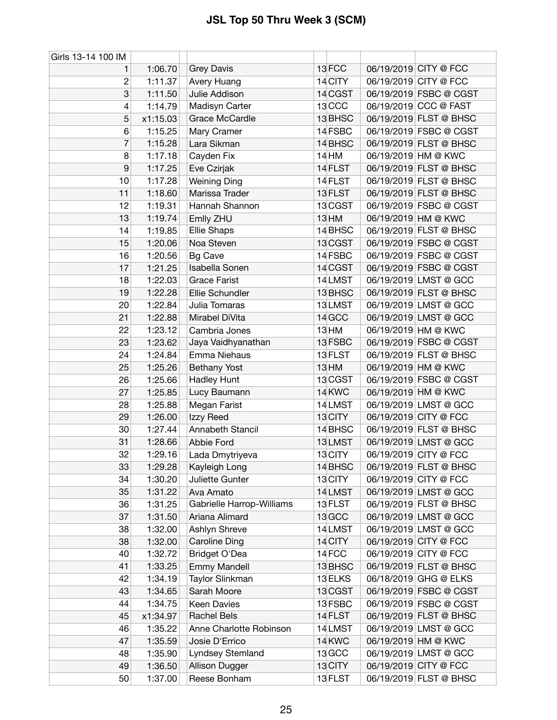| Girls 13-14 100 IM |          |                           |                  |                        |
|--------------------|----------|---------------------------|------------------|------------------------|
| 1                  | 1:06.70  | <b>Grey Davis</b>         | 13FCC            | 06/19/2019 CITY @ FCC  |
| $\overline{c}$     | 1:11.37  | Avery Huang               | 14 CITY          | 06/19/2019 CITY @ FCC  |
| 3                  | 1:11.50  | Julie Addison             | 14 CGST          | 06/19/2019 FSBC @ CGST |
| 4                  | 1:14.79  | Madisyn Carter            | 13 CCC           | 06/19/2019 CCC @ FAST  |
| 5                  | x1:15.03 | Grace McCardle            | 13 BHSC          | 06/19/2019 FLST @ BHSC |
| 6                  | 1:15.25  | Mary Cramer               | 14 FSBC          | 06/19/2019 FSBC @ CGST |
| 7                  | 1:15.28  | Lara Sikman               | 14 BHSC          | 06/19/2019 FLST @ BHSC |
| 8                  | 1:17.18  | Cayden Fix                | 14 HM            | 06/19/2019 HM @ KWC    |
| 9                  | 1:17.25  | Eve Czirjak               | 14 FLST          | 06/19/2019 FLST @ BHSC |
| 10                 | 1:17.28  | <b>Weining Ding</b>       | 14 FLST          | 06/19/2019 FLST @ BHSC |
| 11                 | 1:18.60  | Marissa Trader            | 13 FLST          | 06/19/2019 FLST @ BHSC |
| 12                 | 1:19.31  | Hannah Shannon            | 13 CGST          | 06/19/2019 FSBC @ CGST |
| 13                 | 1:19.74  | Emlly ZHU                 | 13 HM            | 06/19/2019 HM @ KWC    |
| 14                 | 1:19.85  | <b>Ellie Shaps</b>        | 14 BHSC          | 06/19/2019 FLST @ BHSC |
| 15                 | 1:20.06  | Noa Steven                | 13 CGST          | 06/19/2019 FSBC @ CGST |
| 16                 | 1:20.56  | <b>Bg Cave</b>            | 14 FSBC          | 06/19/2019 FSBC @ CGST |
| 17                 | 1:21.25  | Isabella Sonen            | 14 CGST          | 06/19/2019 FSBC @ CGST |
| 18                 | 1:22.03  | <b>Grace Farist</b>       | 14 LMST          | 06/19/2019 LMST @ GCC  |
| 19                 | 1:22.28  | Ellie Schundler           | 13 BHSC          | 06/19/2019 FLST @ BHSC |
| 20                 | 1:22.84  | Julia Tomaras             | 13LMST           | 06/19/2019 LMST @ GCC  |
| 21                 | 1:22.88  | Mirabel DiVita            | 14 GCC           | 06/19/2019 LMST @ GCC  |
| 22                 | 1:23.12  | Cambria Jones             | 13 <sub>HM</sub> | 06/19/2019 HM @ KWC    |
| 23                 | 1:23.62  | Jaya Vaidhyanathan        | 13 FSBC          | 06/19/2019 FSBC @ CGST |
| 24                 | 1:24.84  | Emma Niehaus              | 13 FLST          | 06/19/2019 FLST @ BHSC |
| 25                 | 1:25.26  | <b>Bethany Yost</b>       | 13 HM            | 06/19/2019 HM @ KWC    |
| 26                 | 1:25.66  | Hadley Hunt               | 13 CGST          | 06/19/2019 FSBC @ CGST |
| 27                 | 1:25.85  | Lucy Baumann              | 14 KWC           | 06/19/2019 HM @ KWC    |
| 28                 | 1:25.88  | Megan Farist              | 14LMST           | 06/19/2019 LMST @ GCC  |
| 29                 | 1:26.00  | Izzy Reed                 | 13 CITY          | 06/19/2019 CITY @ FCC  |
| 30                 | 1:27.44  | Annabeth Stancil          | 14 BHSC          | 06/19/2019 FLST @ BHSC |
| 31                 | 1:28.66  | Abbie Ford                | 13LMST           | 06/19/2019 LMST @ GCC  |
| 32                 | 1:29.16  | Lada Dmytriyeva           | 13 CITY          | 06/19/2019 CITY @ FCC  |
| 33                 | 1:29.28  | Kayleigh Long             | 14 BHSC          | 06/19/2019 FLST @ BHSC |
| 34                 | 1:30.20  | Juliette Gunter           | 13 CITY          | 06/19/2019 CITY @ FCC  |
| 35                 | 1:31.22  | Ava Amato                 | 14 LMST          | 06/19/2019 LMST @ GCC  |
| 36                 | 1:31.25  | Gabrielle Harrop-Williams | 13 FLST          | 06/19/2019 FLST @ BHSC |
| 37                 | 1:31.50  | Ariana Alimard            | 13 GCC           | 06/19/2019 LMST @ GCC  |
| 38                 | 1:32.00  | Ashlyn Shreve             | 14LMST           | 06/19/2019 LMST @ GCC  |
| 38                 | 1:32.00  | <b>Caroline Ding</b>      | 14 CITY          | 06/19/2019 CITY @ FCC  |
| 40                 | 1:32.72  | Bridget O'Dea             | 14 FCC           | 06/19/2019 CITY @ FCC  |
| 41                 | 1:33.25  | <b>Emmy Mandell</b>       | 13 BHSC          | 06/19/2019 FLST @ BHSC |
| 42                 | 1:34.19  | Taylor Slinkman           | 13 ELKS          | 06/18/2019 GHG @ ELKS  |
| 43                 | 1:34.65  | Sarah Moore               | 13 CGST          | 06/19/2019 FSBC @ CGST |
| 44                 | 1:34.75  | Keen Davies               | 13 FSBC          | 06/19/2019 FSBC @ CGST |
| 45                 | x1:34.97 | <b>Rachel Bels</b>        | 14 FLST          | 06/19/2019 FLST @ BHSC |
| 46                 | 1:35.22  | Anne Charlotte Robinson   | 14 LMST          | 06/19/2019 LMST @ GCC  |
| 47                 | 1:35.59  | Josie D'Errico            | 14 KWC           | 06/19/2019 HM @ KWC    |
| 48                 | 1:35.90  | Lyndsey Stemland          | 13 GCC           | 06/19/2019 LMST @ GCC  |
| 49                 | 1:36.50  | Allison Dugger            | 13 CITY          | 06/19/2019 CITY @ FCC  |
| 50                 | 1:37.00  | Reese Bonham              | 13 FLST          | 06/19/2019 FLST @ BHSC |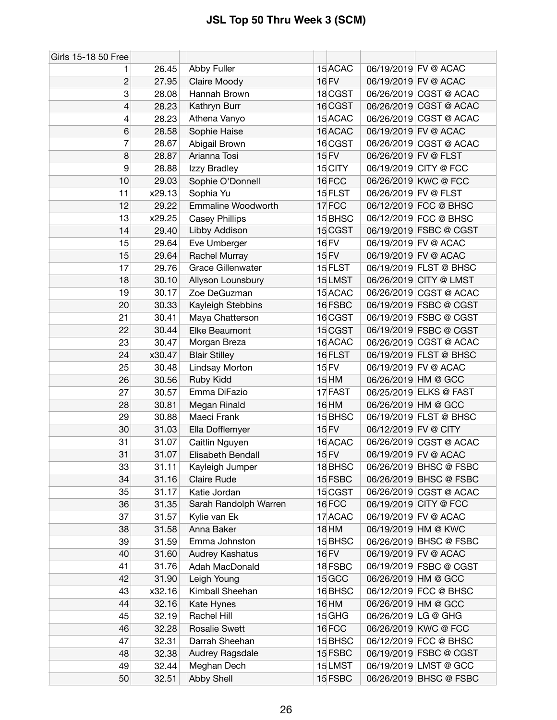| Girls 15-18 50 Free |        |                          |                    |                       |                        |
|---------------------|--------|--------------------------|--------------------|-----------------------|------------------------|
| 1                   | 26.45  | Abby Fuller              | 15 ACAC            | 06/19/2019 FV @ ACAC  |                        |
| $\overline{c}$      | 27.95  | Claire Moody             | 16 FV              | 06/19/2019 FV @ ACAC  |                        |
| 3                   | 28.08  | Hannah Brown             | 18 CGST            |                       | 06/26/2019 CGST @ ACAC |
| 4                   | 28.23  | Kathryn Burr             | 16 CGST            |                       | 06/26/2019 CGST @ ACAC |
| 4                   | 28.23  | Athena Vanyo             | 15 ACAC            |                       | 06/26/2019 CGST @ ACAC |
| 6                   | 28.58  | Sophie Haise             | 16 ACAC            | 06/19/2019 FV @ ACAC  |                        |
| 7                   | 28.67  | Abigail Brown            | 16 CGST            |                       | 06/26/2019 CGST @ ACAC |
| 8                   | 28.87  | Arianna Tosi             | <b>15 FV</b>       | 06/26/2019 FV @ FLST  |                        |
| 9                   | 28.88  | Izzy Bradley             | 15 CITY            | 06/19/2019 CITY @ FCC |                        |
| 10                  | 29.03  | Sophie O'Donnell         | 16FCC              | 06/26/2019 KWC @ FCC  |                        |
| 11                  | x29.13 | Sophia Yu                | 15 FLST            | 06/26/2019 FV @ FLST  |                        |
| 12                  | 29.22  | Emmaline Woodworth       | 17FCC              |                       | 06/12/2019 FCC @ BHSC  |
| 13                  | x29.25 | <b>Casey Phillips</b>    | 15 BHSC            |                       | 06/12/2019 FCC @ BHSC  |
| 14                  | 29.40  | Libby Addison            | 15 CGST            |                       | 06/19/2019 FSBC @ CGST |
| 15                  | 29.64  | Eve Umberger             | <b>16 FV</b>       | 06/19/2019 FV @ ACAC  |                        |
| 15                  | 29.64  | Rachel Murray            | 15 FV              | 06/19/2019 FV @ ACAC  |                        |
| 17                  | 29.76  | <b>Grace Gillenwater</b> | 15 FLST            |                       | 06/19/2019 FLST @ BHSC |
| 18                  | 30.10  | Allyson Lounsbury        | 15LMST             |                       | 06/26/2019 CITY @ LMST |
| 19                  | 30.17  | Zoe DeGuzman             | 15 ACAC            |                       | 06/26/2019 CGST @ ACAC |
| 20                  | 30.33  | Kayleigh Stebbins        | 16 FSBC            |                       | 06/19/2019 FSBC @ CGST |
| 21                  | 30.41  | Maya Chatterson          | 16 CGST            |                       | 06/19/2019 FSBC @ CGST |
| 22                  | 30.44  | Elke Beaumont            | 15 CGST            |                       | 06/19/2019 FSBC @ CGST |
| 23                  | 30.47  | Morgan Breza             | 16 ACAC            |                       | 06/26/2019 CGST @ ACAC |
| 24                  | x30.47 | <b>Blair Stilley</b>     | 16 FLST            |                       | 06/19/2019 FLST @ BHSC |
| 25                  | 30.48  | Lindsay Morton           | 15 FV              | 06/19/2019 FV @ ACAC  |                        |
| 26                  | 30.56  | Ruby Kidd                | 15 HM              | 06/26/2019 HM @ GCC   |                        |
| 27                  | 30.57  | Emma DiFazio             | 17 FAST            |                       | 06/25/2019 ELKS @ FAST |
| 28                  | 30.81  | Megan Rinald             | 16 HM              | 06/26/2019 HM @ GCC   |                        |
| 29                  | 30.88  | Maeci Frank              | 15 BHSC            |                       | 06/19/2019 FLST @ BHSC |
| 30                  | 31.03  | Ella Dofflemyer          | 15 FV              | 06/12/2019 FV @ CITY  |                        |
| 31                  | 31.07  | Caitlin Nguyen           | 16 ACAC            |                       | 06/26/2019 CGST @ ACAC |
| 31                  | 31.07  | Elisabeth Bendall        | 15 FV              | 06/19/2019 FV @ ACAC  |                        |
| 33                  | 31.11  | Kayleigh Jumper          | 18 BHSC            |                       | 06/26/2019 BHSC @ FSBC |
| 34                  | 31.16  | <b>Claire Rude</b>       | 15 FSBC            |                       | 06/26/2019 BHSC @ FSBC |
| 35                  | 31.17  | Katie Jordan             | 15 CGST            |                       | 06/26/2019 CGST @ ACAC |
| 36                  | 31.35  | Sarah Randolph Warren    | 16FCC              | 06/19/2019 CITY @ FCC |                        |
| 37                  | 31.57  | Kylie van Ek             | 17 ACAC            | 06/19/2019 FV @ ACAC  |                        |
| 38                  | 31.58  | Anna Baker               | <b>18 HM</b>       | 06/19/2019 HM @ KWC   |                        |
| 39                  | 31.59  | Emma Johnston            | 15 BHSC            |                       | 06/26/2019 BHSC @ FSBC |
| 40                  | 31.60  | Audrey Kashatus          | 16 FV              | 06/19/2019 FV @ ACAC  |                        |
| 41                  | 31.76  | Adah MacDonald           | 18 FSBC            |                       | 06/19/2019 FSBC @ CGST |
| 42                  | 31.90  | Leigh Young              | 15 GCC             | 06/26/2019 HM @ GCC   |                        |
| 43                  | x32.16 | Kimball Sheehan          | 16BHSC             |                       | 06/12/2019 FCC @ BHSC  |
| 44                  | 32.16  | Kate Hynes               | 16 HM              | 06/26/2019 HM @ GCC   |                        |
| 45                  | 32.19  | Rachel Hill              | 15 GHG             | 06/26/2019 LG @ GHG   |                        |
| 46                  | 32.28  | <b>Rosalie Swett</b>     | 16FCC              | 06/26/2019 KWC @ FCC  |                        |
| 47                  | 32.31  | Darrah Sheehan           | 15 <sub>BHSC</sub> |                       | 06/12/2019 FCC @ BHSC  |
| 48                  | 32.38  | Audrey Ragsdale          | 15 FSBC            |                       | 06/19/2019 FSBC @ CGST |
| 49                  | 32.44  | Meghan Dech              | 15LMST             |                       | 06/19/2019 LMST @ GCC  |
| 50                  | 32.51  | Abby Shell               | 15 FSBC            |                       | 06/26/2019 BHSC @ FSBC |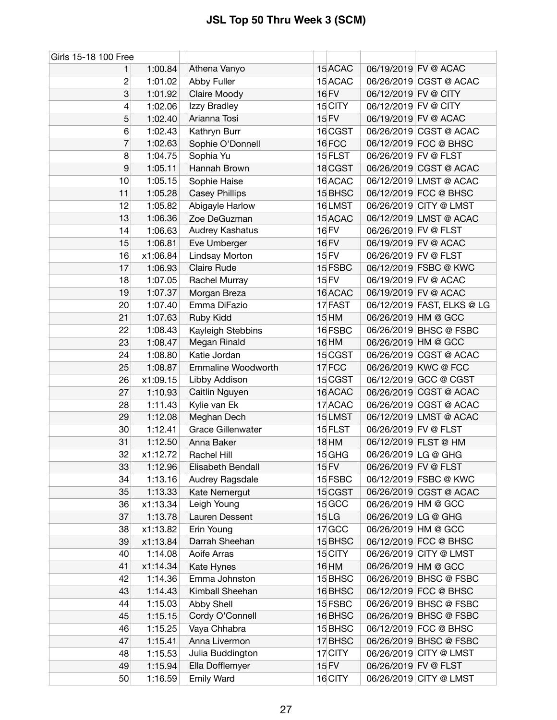| Girls 15-18 100 Free |          |                           |                   |                            |
|----------------------|----------|---------------------------|-------------------|----------------------------|
| 1.                   | 1:00.84  | Athena Vanyo              | 15 ACAC           | 06/19/2019 FV @ ACAC       |
| $\overline{c}$       | 1:01.02  | Abby Fuller               | 15 ACAC           | 06/26/2019 CGST @ ACAC     |
| 3                    | 1:01.92  | Claire Moody              | 16 FV             | 06/12/2019 FV @ CITY       |
| 4                    | 1:02.06  | Izzy Bradley              | 15 CITY           | 06/12/2019 FV @ CITY       |
| 5                    | 1:02.40  | Arianna Tosi              | 15 FV             | 06/19/2019 FV @ ACAC       |
| 6                    | 1:02.43  | Kathryn Burr              | 16 CGST           | 06/26/2019 CGST @ ACAC     |
| 7                    | 1:02.63  | Sophie O'Donnell          | 16FCC             | 06/12/2019 FCC @ BHSC      |
| 8                    | 1:04.75  | Sophia Yu                 | 15 FLST           | 06/26/2019 FV @ FLST       |
| 9                    | 1:05.11  | Hannah Brown              | 18 CGST           | 06/26/2019 CGST @ ACAC     |
| 10                   | 1:05.15  | Sophie Haise              | 16 ACAC           | 06/12/2019 LMST @ ACAC     |
| 11                   | 1:05.28  | <b>Casey Phillips</b>     | 15 BHSC           | 06/12/2019 FCC @ BHSC      |
| 12                   | 1:05.82  | Abigayle Harlow           | 16LMST            | 06/26/2019 CITY @ LMST     |
| 13                   | 1:06.36  | Zoe DeGuzman              | 15 ACAC           | 06/12/2019 LMST @ ACAC     |
| 14                   | 1:06.63  | Audrey Kashatus           | 16 FV             | 06/26/2019 FV @ FLST       |
| 15                   | 1:06.81  | Eve Umberger              | 16 FV             | 06/19/2019 FV @ ACAC       |
| 16                   | x1:06.84 | Lindsay Morton            | 15 FV             | 06/26/2019 FV @ FLST       |
| 17                   | 1:06.93  | Claire Rude               | 15 FSBC           | 06/12/2019 FSBC @ KWC      |
| 18                   | 1:07.05  | Rachel Murray             | <b>15 FV</b>      | 06/19/2019 FV @ ACAC       |
| 19                   | 1:07.37  | Morgan Breza              | 16 ACAC           | 06/19/2019 FV @ ACAC       |
| 20                   | 1:07.40  | Emma DiFazio              | 17 FAST           | 06/12/2019 FAST, ELKS @ LG |
| 21                   | 1:07.63  | Ruby Kidd                 | $15$ HM           | 06/26/2019 HM @ GCC        |
| 22                   | 1:08.43  | Kayleigh Stebbins         | 16 FSBC           | 06/26/2019 BHSC @ FSBC     |
| 23                   | 1:08.47  | Megan Rinald              | 16 HM             | 06/26/2019 HM @ GCC        |
| 24                   | 1:08.80  | Katie Jordan              | 15 CGST           | 06/26/2019 CGST @ ACAC     |
| 25                   | 1:08.87  | <b>Emmaline Woodworth</b> | 17FCC             | 06/26/2019 KWC @ FCC       |
| 26                   | x1:09.15 | Libby Addison             | 15 CGST           | 06/12/2019 GCC @ CGST      |
| 27                   | 1:10.93  | Caitlin Nguyen            | 16 ACAC           | 06/26/2019 CGST @ ACAC     |
| 28                   | 1:11.43  | Kylie van Ek              | 17 ACAC           | 06/26/2019 CGST @ ACAC     |
| 29                   | 1:12.08  | Meghan Dech               | 15LMST            | 06/12/2019 LMST @ ACAC     |
| 30                   | 1:12.41  | <b>Grace Gillenwater</b>  | 15 FLST           | 06/26/2019 FV @ FLST       |
| 31                   | 1:12.50  | Anna Baker                | <b>18 HM</b>      | 06/12/2019 FLST @ HM       |
| 32                   | x1:12.72 | Rachel Hill               | 15 GHG            | 06/26/2019 LG @ GHG        |
| 33                   | 1:12.96  | Elisabeth Bendall         | 15 FV             | 06/26/2019 FV @ FLST       |
| 34                   | 1:13.16  | Audrey Ragsdale           | 15 FSBC           | 06/12/2019 FSBC @ KWC      |
| 35                   | 1:13.33  | Kate Nemergut             | 15 CGST           | 06/26/2019 CGST @ ACAC     |
| 36                   | x1:13.34 | Leigh Young               | 15 GCC            | 06/26/2019 HM @ GCC        |
| 37                   | 1:13.78  | Lauren Dessent            | 15 <sub>LG</sub>  | 06/26/2019 LG @ GHG        |
| 38                   | x1:13.82 | Erin Young                | 17 <sub>GCC</sub> | 06/26/2019 HM @ GCC        |
| 39                   | x1:13.84 | Darrah Sheehan            | 15 BHSC           | 06/12/2019 FCC @ BHSC      |
| 40                   | 1:14.08  | Aoife Arras               | 15 CITY           | 06/26/2019 CITY @ LMST     |
| 41                   | x1:14.34 | Kate Hynes                | 16 HM             | 06/26/2019 HM @ GCC        |
| 42                   | 1:14.36  | Emma Johnston             | 15 BHSC           | 06/26/2019 BHSC @ FSBC     |
| 43                   | 1:14.43  | Kimball Sheehan           | 16BHSC            | 06/12/2019 FCC @ BHSC      |
| 44                   | 1:15.03  | Abby Shell                | 15 FSBC           | 06/26/2019 BHSC @ FSBC     |
| 45                   | 1:15.15  | Cordy O'Connell           | 16 BHSC           | 06/26/2019 BHSC @ FSBC     |
| 46                   | 1:15.25  | Vaya Chhabra              | 15 BHSC           | 06/12/2019 FCC @ BHSC      |
| 47                   | 1:15.41  | Anna Livermon             | 17 BHSC           | 06/26/2019 BHSC @ FSBC     |
| 48                   | 1:15.53  | Julia Buddington          | 17 CITY           | 06/26/2019 CITY @ LMST     |
| 49                   | 1:15.94  | Ella Dofflemyer           | <b>15 FV</b>      | 06/26/2019 FV @ FLST       |
| 50                   | 1:16.59  | <b>Emily Ward</b>         | 16 CITY           | 06/26/2019 CITY @ LMST     |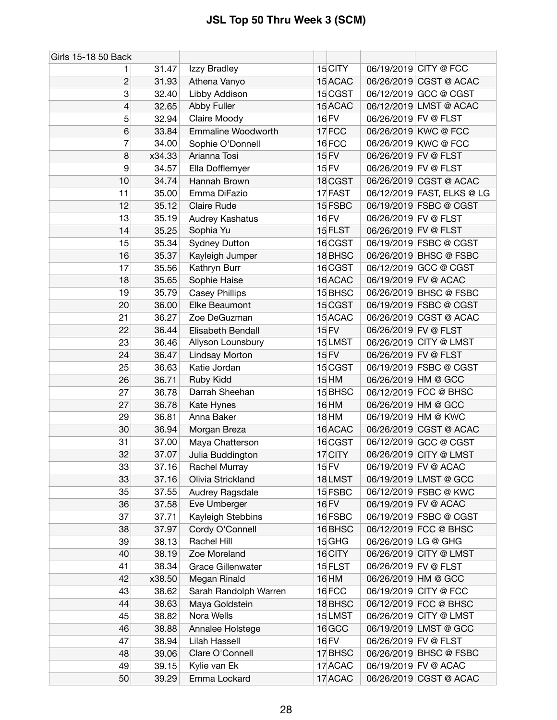| Girls 15-18 50 Back |        |                       |                    |                      |                            |
|---------------------|--------|-----------------------|--------------------|----------------------|----------------------------|
| 1                   | 31.47  | Izzy Bradley          | 15 CITY            |                      | 06/19/2019 CITY @ FCC      |
| $\overline{c}$      | 31.93  | Athena Vanyo          | 15 ACAC            |                      | 06/26/2019 CGST @ ACAC     |
| 3                   | 32.40  | Libby Addison         | 15 CGST            |                      | 06/12/2019 GCC @ CGST      |
| 4                   | 32.65  | Abby Fuller           | 15 ACAC            |                      | 06/12/2019 LMST @ ACAC     |
| 5                   | 32.94  | Claire Moody          | 16 FV              | 06/26/2019 FV @ FLST |                            |
| 6                   | 33.84  | Emmaline Woodworth    | 17FCC              |                      | 06/26/2019 KWC @ FCC       |
| 7                   | 34.00  | Sophie O'Donnell      | 16FCC              |                      | 06/26/2019 KWC @ FCC       |
| 8                   | x34.33 | Arianna Tosi          | 15 FV              |                      | 06/26/2019 FV @ FLST       |
| 9                   | 34.57  | Ella Dofflemyer       | 15 FV              |                      | 06/26/2019 FV @ FLST       |
| 10                  | 34.74  | Hannah Brown          | 18 CGST            |                      | 06/26/2019 CGST @ ACAC     |
| 11                  | 35.00  | Emma DiFazio          | 17 FAST            |                      | 06/12/2019 FAST, ELKS @ LG |
| 12                  | 35.12  | <b>Claire Rude</b>    | 15 FSBC            |                      | 06/19/2019 FSBC @ CGST     |
| 13                  | 35.19  | Audrey Kashatus       | <b>16 FV</b>       |                      | 06/26/2019 FV @ FLST       |
| 14                  | 35.25  | Sophia Yu             | 15 FLST            |                      | 06/26/2019 FV @ FLST       |
| 15                  | 35.34  | <b>Sydney Dutton</b>  | 16 CGST            |                      | 06/19/2019 FSBC @ CGST     |
| 16                  | 35.37  | Kayleigh Jumper       | 18 BHSC            |                      | 06/26/2019 BHSC @ FSBC     |
| 17                  | 35.56  | Kathryn Burr          | 16 CGST            |                      | 06/12/2019 GCC @ CGST      |
| 18                  | 35.65  | Sophie Haise          | 16 ACAC            |                      | 06/19/2019 FV @ ACAC       |
| 19                  | 35.79  | <b>Casey Phillips</b> | 15 <sub>BHSC</sub> |                      | 06/26/2019 BHSC @ FSBC     |
| 20                  | 36.00  | Elke Beaumont         | 15 CGST            |                      | 06/19/2019 FSBC @ CGST     |
| 21                  | 36.27  | Zoe DeGuzman          | 15 ACAC            |                      | 06/26/2019 CGST @ ACAC     |
| 22                  | 36.44  | Elisabeth Bendall     | 15 FV              |                      | 06/26/2019 FV @ FLST       |
| 23                  | 36.46  | Allyson Lounsbury     | 15LMST             |                      | 06/26/2019 CITY @ LMST     |
| 24                  | 36.47  | Lindsay Morton        | 15 FV              |                      | 06/26/2019 FV @ FLST       |
| 25                  | 36.63  | Katie Jordan          | 15 CGST            |                      | 06/19/2019 FSBC @ CGST     |
| 26                  | 36.71  | Ruby Kidd             | 15 HM              |                      | 06/26/2019 HM @ GCC        |
| 27                  | 36.78  | Darrah Sheehan        | 15 BHSC            |                      | 06/12/2019 FCC @ BHSC      |
| 27                  | 36.78  | Kate Hynes            | 16 HM              |                      | 06/26/2019 HM @ GCC        |
| 29                  | 36.81  | Anna Baker            | 18 HM              |                      | 06/19/2019 HM @ KWC        |
| 30                  | 36.94  | Morgan Breza          | 16 ACAC            |                      | 06/26/2019 CGST @ ACAC     |
| 31                  | 37.00  | Maya Chatterson       | 16 CGST            |                      | 06/12/2019 GCC @ CGST      |
| 32                  | 37.07  | Julia Buddington      | 17 CITY            |                      | 06/26/2019 CITY @ LMST     |
| 33                  | 37.16  | Rachel Murray         | 15 FV              |                      | 06/19/2019 FV @ ACAC       |
| 33                  | 37.16  | Olivia Strickland     | 18LMST             |                      | 06/19/2019 LMST @ GCC      |
| 35                  | 37.55  | Audrey Ragsdale       | 15 FSBC            |                      | 06/12/2019 FSBC @ KWC      |
| 36                  | 37.58  | Eve Umberger          | 16 FV              |                      | 06/19/2019 FV @ ACAC       |
| 37                  | 37.71  | Kayleigh Stebbins     | 16 FSBC            |                      | 06/19/2019 FSBC @ CGST     |
| 38                  | 37.97  | Cordy O'Connell       | 16 BHSC            |                      | 06/12/2019 FCC @ BHSC      |
| 39                  | 38.13  | Rachel Hill           | $15$ GHG           |                      | 06/26/2019 LG @ GHG        |
| 40                  | 38.19  | Zoe Moreland          | 16 CITY            |                      | 06/26/2019 CITY @ LMST     |
| 41                  | 38.34  | Grace Gillenwater     | 15 FLST            |                      | 06/26/2019 FV @ FLST       |
| 42                  | x38.50 | Megan Rinald          | 16 HM              |                      | 06/26/2019 HM @ GCC        |
| 43                  | 38.62  | Sarah Randolph Warren | 16FCC              |                      | 06/19/2019 CITY @ FCC      |
| 44                  | 38.63  | Maya Goldstein        | 18 BHSC            |                      | 06/12/2019 FCC @ BHSC      |
| 45                  | 38.82  | Nora Wells            | 15LMST             |                      | 06/26/2019 CITY @ LMST     |
| 46                  | 38.88  | Annalee Holstege      | 16 GCC             |                      | 06/19/2019 LMST @ GCC      |
| 47                  | 38.94  | Lilah Hassell         | 16 FV              |                      | 06/26/2019 FV @ FLST       |
| 48                  | 39.06  | Clare O'Connell       | 17 BHSC            |                      | 06/26/2019 BHSC @ FSBC     |
| 49                  | 39.15  | Kylie van Ek          | 17 ACAC            |                      | 06/19/2019 FV @ ACAC       |
| 50                  | 39.29  | Emma Lockard          | 17 ACAC            |                      | 06/26/2019 CGST @ ACAC     |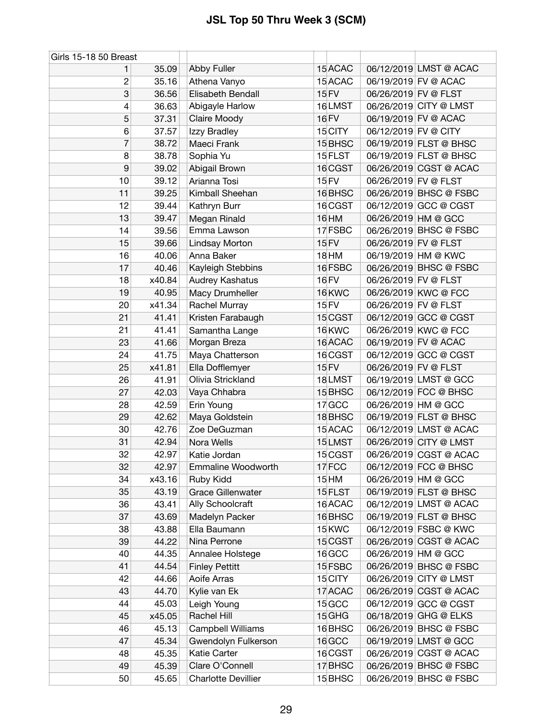| Girls 15-18 50 Breast |        |                            |                    |                      |                        |
|-----------------------|--------|----------------------------|--------------------|----------------------|------------------------|
| 1                     | 35.09  | Abby Fuller                | 15 ACAC            |                      | 06/12/2019 LMST @ ACAC |
| 2                     | 35.16  | Athena Vanyo               | 15 ACAC            |                      | 06/19/2019 FV @ ACAC   |
| 3                     | 36.56  | Elisabeth Bendall          | 15 FV              | 06/26/2019 FV @ FLST |                        |
| 4                     | 36.63  | Abigayle Harlow            | 16LMST             |                      | 06/26/2019 CITY @ LMST |
| 5                     | 37.31  | Claire Moody               | 16 FV              |                      | 06/19/2019 FV @ ACAC   |
| 6                     | 37.57  | Izzy Bradley               | 15 CITY            | 06/12/2019 FV @ CITY |                        |
| 7                     | 38.72  | Maeci Frank                | 15 BHSC            |                      | 06/19/2019 FLST @ BHSC |
| 8                     | 38.78  | Sophia Yu                  | 15 FLST            |                      | 06/19/2019 FLST @ BHSC |
| 9                     | 39.02  | Abigail Brown              | 16 CGST            |                      | 06/26/2019 CGST @ ACAC |
| 10                    | 39.12  | Arianna Tosi               | 15 FV              | 06/26/2019 FV @ FLST |                        |
| 11                    | 39.25  | Kimball Sheehan            | 16BHSC             |                      | 06/26/2019 BHSC @ FSBC |
| 12                    | 39.44  | Kathryn Burr               | 16 CGST            |                      | 06/12/2019 GCC @ CGST  |
| 13                    | 39.47  | Megan Rinald               | 16 HM              |                      | 06/26/2019 HM @ GCC    |
| 14                    | 39.56  | Emma Lawson                | 17 FSBC            |                      | 06/26/2019 BHSC @ FSBC |
| 15                    | 39.66  | Lindsay Morton             | 15 FV              | 06/26/2019 FV @ FLST |                        |
| 16                    | 40.06  | Anna Baker                 | 18 HM              |                      | 06/19/2019 HM @ KWC    |
| 17                    | 40.46  | Kayleigh Stebbins          | 16 FSBC            |                      | 06/26/2019 BHSC @ FSBC |
| 18                    | x40.84 | Audrey Kashatus            | <b>16 FV</b>       | 06/26/2019 FV @ FLST |                        |
| 19                    | 40.95  | Macy Drumheller            | 16 KWC             |                      | 06/26/2019 KWC @ FCC   |
| 20                    | x41.34 | Rachel Murray              | 15 FV              | 06/26/2019 FV @ FLST |                        |
| 21                    | 41.41  | Kristen Farabaugh          | 15 CGST            |                      | 06/12/2019 GCC @ CGST  |
| 21                    | 41.41  | Samantha Lange             | 16KWC              |                      | 06/26/2019 KWC @ FCC   |
| 23                    | 41.66  | Morgan Breza               | 16 ACAC            |                      | 06/19/2019 FV @ ACAC   |
| 24                    | 41.75  | Maya Chatterson            | 16 CGST            |                      | 06/12/2019 GCC @ CGST  |
| 25                    | x41.81 | Ella Dofflemyer            | 15 FV              | 06/26/2019 FV @ FLST |                        |
| 26                    | 41.91  | Olivia Strickland          | 18LMST             |                      | 06/19/2019 LMST @ GCC  |
| 27                    | 42.03  | Vaya Chhabra               | 15 BHSC            |                      | 06/12/2019 FCC @ BHSC  |
| 28                    | 42.59  | Erin Young                 | 17 GCC             | 06/26/2019 HM @ GCC  |                        |
| 29                    | 42.62  | Maya Goldstein             | 18BHSC             |                      | 06/19/2019 FLST @ BHSC |
| 30                    | 42.76  | Zoe DeGuzman               | 15 ACAC            |                      | 06/12/2019 LMST @ ACAC |
| 31                    | 42.94  | Nora Wells                 | 15LMST             |                      | 06/26/2019 CITY @ LMST |
| 32                    | 42.97  | Katie Jordan               | 15 CGST            |                      | 06/26/2019 CGST @ ACAC |
| 32                    | 42.97  | <b>Emmaline Woodworth</b>  | 17FCC              |                      | 06/12/2019 FCC @ BHSC  |
| 34                    | x43.16 | Ruby Kidd                  | $15$ HM            |                      | 06/26/2019 HM @ GCC    |
| 35                    | 43.19  | <b>Grace Gillenwater</b>   | 15 FLST            |                      | 06/19/2019 FLST @ BHSC |
| 36                    | 43.41  | Ally Schoolcraft           | 16 ACAC            |                      | 06/12/2019 LMST @ ACAC |
| 37                    | 43.69  | Madelyn Packer             | 16 BHSC            |                      | 06/19/2019 FLST @ BHSC |
| 38                    | 43.88  | Ella Baumann               | 15 KWC             |                      | 06/12/2019 FSBC @ KWC  |
| 39                    | 44.22  | Nina Perrone               | 15 CGST            |                      | 06/26/2019 CGST @ ACAC |
| 40                    | 44.35  | Annalee Holstege           | 16 GCC             |                      | 06/26/2019 HM @ GCC    |
| 41                    | 44.54  | <b>Finley Pettitt</b>      | 15 FSBC            |                      | 06/26/2019 BHSC @ FSBC |
| 42                    | 44.66  | Aoife Arras                | 15 CITY            |                      | 06/26/2019 CITY @ LMST |
| 43                    | 44.70  | Kylie van Ek               | 17 ACAC            |                      | 06/26/2019 CGST @ ACAC |
| 44                    | 45.03  | Leigh Young                | 15 <sub>GCC</sub>  |                      | 06/12/2019 GCC @ CGST  |
| 45                    | x45.05 | Rachel Hill                | $15$ GHG           |                      | 06/18/2019 GHG @ ELKS  |
| 46                    | 45.13  | Campbell Williams          | 16BHSC             |                      | 06/26/2019 BHSC @ FSBC |
| 47                    | 45.34  | Gwendolyn Fulkerson        | 16 <sub>GCC</sub>  |                      | 06/19/2019 LMST @ GCC  |
| 48                    | 45.35  | Katie Carter               | 16 CGST            |                      | 06/26/2019 CGST @ ACAC |
| 49                    | 45.39  | Clare O'Connell            | 17 BHSC            |                      | 06/26/2019 BHSC @ FSBC |
| 50                    | 45.65  | <b>Charlotte Devillier</b> | 15 <sub>BHSC</sub> |                      | 06/26/2019 BHSC @ FSBC |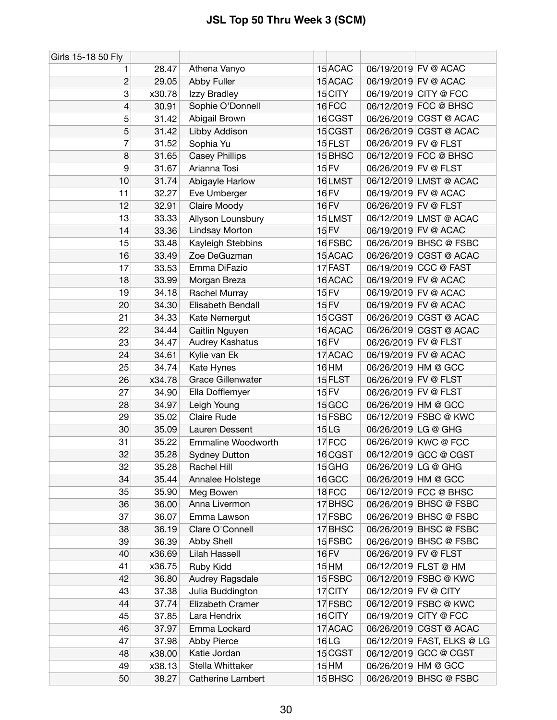| Girls 15-18 50 Fly |        |                          |                  |                            |  |
|--------------------|--------|--------------------------|------------------|----------------------------|--|
| 1                  | 28.47  | Athena Vanyo             | 15 ACAC          | 06/19/2019 FV @ ACAC       |  |
| $\overline{c}$     | 29.05  | Abby Fuller              | 15 ACAC          | 06/19/2019 FV @ ACAC       |  |
| 3                  | x30.78 | Izzy Bradley             | 15 CITY          | 06/19/2019 CITY @ FCC      |  |
| 4                  | 30.91  | Sophie O'Donnell         | 16FCC            | 06/12/2019 FCC @ BHSC      |  |
| 5                  | 31.42  | Abigail Brown            | 16 CGST          | 06/26/2019 CGST @ ACAC     |  |
| 5                  | 31.42  | Libby Addison            | 15 CGST          | 06/26/2019 CGST @ ACAC     |  |
| 7                  | 31.52  | Sophia Yu                | 15 FLST          | 06/26/2019 FV @ FLST       |  |
| 8                  | 31.65  | <b>Casey Phillips</b>    | 15 BHSC          | 06/12/2019 FCC @ BHSC      |  |
| 9                  | 31.67  | Arianna Tosi             | <b>15 FV</b>     | 06/26/2019 FV @ FLST       |  |
| 10                 | 31.74  | Abigayle Harlow          | 16LMST           | 06/12/2019 LMST @ ACAC     |  |
| 11                 | 32.27  | Eve Umberger             | 16 FV            | 06/19/2019 FV @ ACAC       |  |
| 12                 | 32.91  | Claire Moody             | <b>16 FV</b>     | 06/26/2019 FV @ FLST       |  |
| 13                 | 33.33  | Allyson Lounsbury        | 15LMST           | 06/12/2019 LMST @ ACAC     |  |
| 14                 | 33.36  | Lindsay Morton           | <b>15 FV</b>     | 06/19/2019 FV @ ACAC       |  |
| 15                 | 33.48  | Kayleigh Stebbins        | 16 FSBC          | 06/26/2019 BHSC @ FSBC     |  |
| 16                 | 33.49  | Zoe DeGuzman             | 15 ACAC          | 06/26/2019 CGST @ ACAC     |  |
| 17                 | 33.53  | Emma DiFazio             | 17 FAST          | 06/19/2019 CCC @ FAST      |  |
| 18                 | 33.99  | Morgan Breza             | 16 ACAC          | 06/19/2019 FV @ ACAC       |  |
| 19                 | 34.18  | Rachel Murray            | 15 FV            | 06/19/2019 FV @ ACAC       |  |
| 20                 | 34.30  | Elisabeth Bendall        | 15 FV            | 06/19/2019 FV @ ACAC       |  |
| 21                 | 34.33  | Kate Nemergut            | 15 CGST          | 06/26/2019 CGST @ ACAC     |  |
| 22                 | 34.44  | Caitlin Nguyen           | 16 ACAC          | 06/26/2019 CGST @ ACAC     |  |
| 23                 | 34.47  | Audrey Kashatus          | 16 FV            | 06/26/2019 FV @ FLST       |  |
| 24                 | 34.61  | Kylie van Ek             | 17 ACAC          | 06/19/2019 FV @ ACAC       |  |
| 25                 | 34.74  | Kate Hynes               | 16 HM            | 06/26/2019 HM @ GCC        |  |
| 26                 | x34.78 | <b>Grace Gillenwater</b> | 15 FLST          | 06/26/2019 FV @ FLST       |  |
| 27                 | 34.90  | Ella Dofflemyer          | <b>15 FV</b>     | 06/26/2019 FV @ FLST       |  |
| 28                 | 34.97  | Leigh Young              | 15 GCC           | 06/26/2019 HM @ GCC        |  |
| 29                 | 35.02  | <b>Claire Rude</b>       | 15 FSBC          | 06/12/2019 FSBC @ KWC      |  |
| 30                 | 35.09  | Lauren Dessent           | 15 <sub>LG</sub> | 06/26/2019 LG @ GHG        |  |
| 31                 | 35.22  | Emmaline Woodworth       | 17FCC            | 06/26/2019 KWC @ FCC       |  |
| 32                 | 35.28  | <b>Sydney Dutton</b>     | 16 CGST          | 06/12/2019 GCC @ CGST      |  |
| 32                 | 35.28  | Rachel Hill              | $15$ GHG         | 06/26/2019 LG @ GHG        |  |
| 34                 | 35.44  | Annalee Holstege         | 16 GCC           | 06/26/2019 HM @ GCC        |  |
| 35                 | 35.90  | Meg Bowen                | 18FCC            | 06/12/2019 FCC @ BHSC      |  |
| 36                 | 36.00  | Anna Livermon            | 17 BHSC          | 06/26/2019 BHSC @ FSBC     |  |
| 37                 | 36.07  | Emma Lawson              | 17 FSBC          | 06/26/2019 BHSC @ FSBC     |  |
| 38                 | 36.19  | Clare O'Connell          | 17 BHSC          | 06/26/2019 BHSC @ FSBC     |  |
| 39                 | 36.39  | Abby Shell               | 15 FSBC          | 06/26/2019 BHSC @ FSBC     |  |
| 40                 | x36.69 | Lilah Hassell            | <b>16 FV</b>     | 06/26/2019 FV @ FLST       |  |
| 41                 | x36.75 | Ruby Kidd                | 15 HM            | 06/12/2019 FLST @ HM       |  |
| 42                 | 36.80  | Audrey Ragsdale          | 15 FSBC          | 06/12/2019 FSBC @ KWC      |  |
| 43                 | 37.38  | Julia Buddington         | 17 CITY          | 06/12/2019 FV @ CITY       |  |
| 44                 | 37.74  | Elizabeth Cramer         | 17 FSBC          | 06/12/2019 FSBC @ KWC      |  |
| 45                 | 37.85  | Lara Hendrix             | 16 CITY          | 06/19/2019 CITY @ FCC      |  |
| 46                 | 37.97  | Emma Lockard             | 17 ACAC          | 06/26/2019 CGST @ ACAC     |  |
| 47                 | 37.98  | Abby Pierce              | 16LG             | 06/12/2019 FAST, ELKS @ LG |  |
| 48                 | x38.00 | Katie Jordan             | 15 CGST          | 06/12/2019 GCC @ CGST      |  |
| 49                 | x38.13 | Stella Whittaker         | 15 HM            | 06/26/2019 HM @ GCC        |  |
| 50                 | 38.27  | Catherine Lambert        | 15 BHSC          | 06/26/2019 BHSC @ FSBC     |  |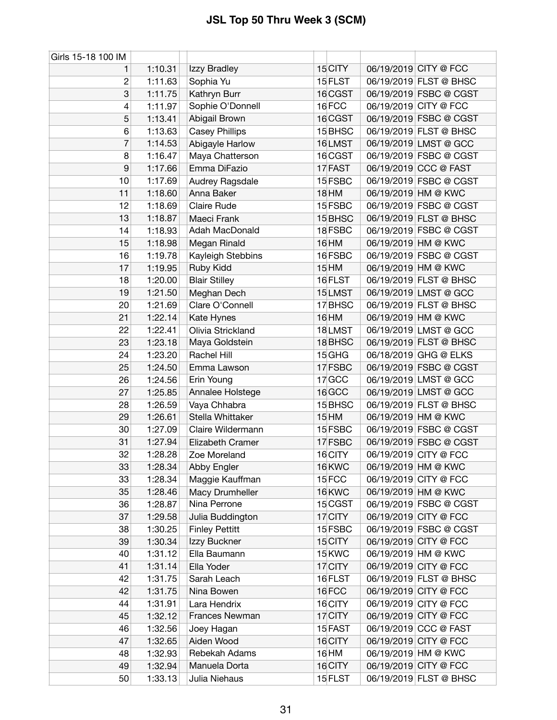| Girls 15-18 100 IM |         |                       |              |                        |
|--------------------|---------|-----------------------|--------------|------------------------|
| 1                  | 1:10.31 | Izzy Bradley          | 15 CITY      | 06/19/2019 CITY @ FCC  |
| 2                  | 1:11.63 | Sophia Yu             | 15 FLST      | 06/19/2019 FLST @ BHSC |
| 3                  | 1:11.75 | Kathryn Burr          | 16 CGST      | 06/19/2019 FSBC @ CGST |
| 4                  | 1:11.97 | Sophie O'Donnell      | 16FCC        | 06/19/2019 CITY @ FCC  |
| 5                  | 1:13.41 | Abigail Brown         | 16 CGST      | 06/19/2019 FSBC @ CGST |
| 6                  | 1:13.63 | <b>Casey Phillips</b> | 15 BHSC      | 06/19/2019 FLST @ BHSC |
| 7                  | 1:14.53 | Abigayle Harlow       | 16LMST       | 06/19/2019 LMST @ GCC  |
| 8                  | 1:16.47 | Maya Chatterson       | 16 CGST      | 06/19/2019 FSBC @ CGST |
| 9                  | 1:17.66 | Emma DiFazio          | 17 FAST      | 06/19/2019 CCC @ FAST  |
| 10                 | 1:17.69 | Audrey Ragsdale       | 15 FSBC      | 06/19/2019 FSBC @ CGST |
| 11                 | 1:18.60 | Anna Baker            | <b>18 HM</b> | 06/19/2019 HM @ KWC    |
| 12                 | 1:18.69 | <b>Claire Rude</b>    | 15 FSBC      | 06/19/2019 FSBC @ CGST |
| 13                 | 1:18.87 | Maeci Frank           | 15 BHSC      | 06/19/2019 FLST @ BHSC |
| 14                 | 1:18.93 | Adah MacDonald        | 18 FSBC      | 06/19/2019 FSBC @ CGST |
| 15                 | 1:18.98 | Megan Rinald          | 16 HM        | 06/19/2019 HM @ KWC    |
| 16                 | 1:19.78 | Kayleigh Stebbins     | 16 FSBC      | 06/19/2019 FSBC @ CGST |
| 17                 | 1:19.95 | Ruby Kidd             | $15$ HM      | 06/19/2019 HM @ KWC    |
| 18                 | 1:20.00 | <b>Blair Stilley</b>  | 16 FLST      | 06/19/2019 FLST @ BHSC |
| 19                 | 1:21.50 | Meghan Dech           | 15LMST       | 06/19/2019 LMST @ GCC  |
| 20                 | 1:21.69 | Clare O'Connell       | 17 BHSC      | 06/19/2019 FLST @ BHSC |
| 21                 | 1:22.14 | Kate Hynes            | 16 HM        | 06/19/2019 HM @ KWC    |
| 22                 | 1:22.41 | Olivia Strickland     | 18LMST       | 06/19/2019 LMST @ GCC  |
| 23                 | 1:23.18 | Maya Goldstein        | 18 BHSC      | 06/19/2019 FLST @ BHSC |
| 24                 | 1:23.20 | Rachel Hill           | $15$ GHG     | 06/18/2019 GHG @ ELKS  |
| 25                 | 1:24.50 | Emma Lawson           | 17 FSBC      | 06/19/2019 FSBC @ CGST |
| 26                 | 1:24.56 | Erin Young            | 17 GCC       | 06/19/2019 LMST @ GCC  |
| 27                 | 1:25.85 | Annalee Holstege      | 16 GCC       | 06/19/2019 LMST @ GCC  |
| 28                 | 1:26.59 | Vaya Chhabra          | 15 BHSC      | 06/19/2019 FLST @ BHSC |
| 29                 | 1:26.61 | Stella Whittaker      | 15 HM        | 06/19/2019 HM @ KWC    |
| 30                 | 1:27.09 | Claire Wildermann     | 15 FSBC      | 06/19/2019 FSBC @ CGST |
| 31                 | 1:27.94 | Elizabeth Cramer      | 17 FSBC      | 06/19/2019 FSBC @ CGST |
| 32                 | 1:28.28 | Zoe Moreland          | 16 CITY      | 06/19/2019 CITY @ FCC  |
| 33                 | 1:28.34 | Abby Engler           | 16KWC        | 06/19/2019 HM @ KWC    |
| 33                 | 1:28.34 | Maggie Kauffman       | 15FCC        | 06/19/2019 CITY @ FCC  |
| 35                 | 1:28.46 | Macy Drumheller       | 16 KWC       | 06/19/2019 HM @ KWC    |
| 36                 | 1:28.87 | Nina Perrone          | 15 CGST      | 06/19/2019 FSBC @ CGST |
| 37                 | 1:29.58 | Julia Buddington      | 17 CITY      | 06/19/2019 CITY @ FCC  |
| 38                 | 1:30.25 | <b>Finley Pettitt</b> | 15 FSBC      | 06/19/2019 FSBC @ CGST |
| 39                 | 1:30.34 | Izzy Buckner          | 15 CITY      | 06/19/2019 CITY @ FCC  |
| 40                 | 1:31.12 | Ella Baumann          | 15 KWC       | 06/19/2019 HM @ KWC    |
| 41                 | 1:31.14 | Ella Yoder            | 17 CITY      | 06/19/2019 CITY @ FCC  |
| 42                 | 1:31.75 | Sarah Leach           | 16 FLST      | 06/19/2019 FLST @ BHSC |
| 42                 | 1:31.75 | Nina Bowen            | 16FCC        | 06/19/2019 CITY @ FCC  |
| 44                 | 1:31.91 | Lara Hendrix          | 16 CITY      | 06/19/2019 CITY @ FCC  |
| 45                 | 1:32.12 | Frances Newman        | 17 CITY      | 06/19/2019 CITY @ FCC  |
| 46                 | 1:32.56 | Joey Hagan            | 15 FAST      | 06/19/2019 CCC @ FAST  |
| 47                 | 1:32.65 | Aiden Wood            | 16 CITY      | 06/19/2019 CITY @ FCC  |
| 48                 | 1:32.93 | Rebekah Adams         | 16 HM        | 06/19/2019 HM @ KWC    |
| 49                 | 1:32.94 | Manuela Dorta         | 16 CITY      | 06/19/2019 CITY @ FCC  |
| 50                 | 1:33.13 | Julia Niehaus         | 15 FLST      | 06/19/2019 FLST @ BHSC |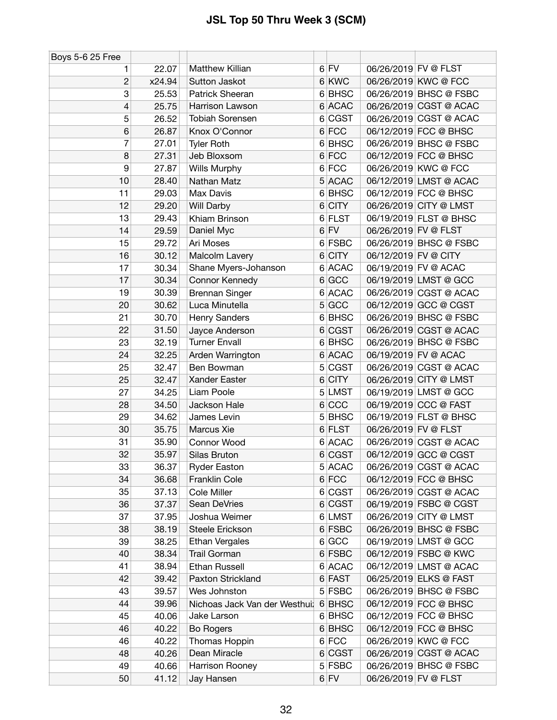| $6$ FV<br>Matthew Killian<br>06/26/2019 FV @ FLST<br>22.07<br>1<br>6 KWC<br>$\overline{c}$<br>Sutton Jaskot<br>06/26/2019 KWC @ FCC<br>x24.94<br>3<br>6 BHSC<br>06/26/2019 BHSC @ FSBC<br>25.53<br>Patrick Sheeran<br>6 ACAC<br>06/26/2019 CGST @ ACAC<br>4<br>25.75<br>Harrison Lawson<br>Tobiah Sorensen<br>6 CGST<br>06/26/2019 CGST @ ACAC<br>5<br>26.52<br>$6$ FCC<br>6<br>26.87<br>06/12/2019 FCC @ BHSC<br>Knox O'Connor<br>7<br>27.01<br>6 BHSC<br>06/26/2019 BHSC @ FSBC<br><b>Tyler Roth</b><br>8<br>$6$ FCC<br>Jeb Bloxsom<br>06/12/2019 FCC @ BHSC<br>27.31<br>6 FCC<br>9<br>27.87<br>Wills Murphy<br>06/26/2019 KWC @ FCC<br><b>ACAC</b><br>10<br>28.40<br>06/12/2019 LMST @ ACAC<br>Nathan Matz<br>5<br>06/12/2019 FCC @ BHSC<br>Max Davis<br>6 BHSC<br>11<br>29.03<br>$6$ CITY<br>12<br>29.20<br>06/26/2019 CITY @ LMST<br>Will Darby<br>13<br>29.43<br><b>FLST</b><br>06/19/2019 FLST @ BHSC<br>Khiam Brinson<br>6<br>$6$ FV<br>06/26/2019 FV @ FLST<br>14<br>29.59<br>Daniel Myc<br>6 FSBC<br>Ari Moses<br>06/26/2019 BHSC @ FSBC<br>15<br>29.72<br>16<br>30.12<br>$6$ CITY<br>06/12/2019 FV @ CITY<br>Malcolm Lavery<br><b>ACAC</b><br>Shane Myers-Johanson<br>06/19/2019 FV @ ACAC<br>17<br>30.34<br>6<br>6 GCC<br>06/19/2019 LMST @ GCC<br>17<br>30.34<br>Connor Kennedy<br><b>ACAC</b><br>06/26/2019 CGST @ ACAC<br>19<br>30.39<br><b>Brennan Singer</b><br>6<br>5 GCC<br>06/12/2019 GCC @ CGST<br>Luca Minutella<br>30.62<br>20<br>6 BHSC<br>06/26/2019 BHSC @ FSBC<br>21<br>30.70<br>Henry Sanders<br>22<br>31.50<br>6 CGST<br>06/26/2019 CGST @ ACAC<br>Jayce Anderson<br><b>Turner Envall</b><br>6 BHSC<br>06/26/2019 BHSC @ FSBC<br>23<br>32.19<br>6 ACAC<br>06/19/2019 FV @ ACAC<br>24<br>32.25<br>Arden Warrington<br>25<br>32.47<br>5 CGST<br>06/26/2019 CGST @ ACAC<br>Ben Bowman<br>Xander Easter<br><b>CITY</b><br>06/26/2019 CITY @ LMST<br>25<br>32.47<br>6<br>27<br>34.25<br>Liam Poole<br>5 LMST<br>06/19/2019 LMST @ GCC<br>6 CCC<br>06/19/2019 CCC @ FAST<br>28<br>34.50<br>Jackson Hale<br>5 BHSC<br>06/19/2019 FLST @ BHSC<br>29<br>34.62<br>James Levin<br>Marcus Xie<br>6 FLST<br>06/26/2019 FV @ FLST<br>35.75<br>30<br>35.90<br>6 ACAC<br>06/26/2019 CGST @ ACAC<br>31<br>Connor Wood<br>35.97<br>32<br>6 CGST<br>06/12/2019 GCC @ CGST<br>Silas Bruton<br>33<br>36.37<br>5 ACAC<br>06/26/2019 CGST @ ACAC<br><b>Ryder Easton</b><br>$6$ FCC<br>06/12/2019 FCC @ BHSC<br>34<br>36.68<br><b>Franklin Cole</b><br>Cole Miller<br>6 CGST<br>06/26/2019 CGST @ ACAC<br>35<br>37.13<br>6 CGST<br>06/19/2019 FSBC @ CGST<br>Sean DeVries<br>36<br>37.37<br>37<br>6 LMST<br>06/26/2019 CITY @ LMST<br>37.95<br>Joshua Weimer<br>38.19<br>6 FSBC<br>06/26/2019 BHSC @ FSBC<br>38<br>Steele Erickson<br>6 GCC<br>38.25<br><b>Ethan Vergales</b><br>06/19/2019 LMST @ GCC<br>39<br>6 FSBC<br>06/12/2019 FSBC @ KWC<br>40<br>38.34<br><b>Trail Gorman</b><br>38.94<br><b>Ethan Russell</b><br>6 ACAC<br>06/12/2019 LMST @ ACAC<br>41<br>Paxton Strickland<br>6 FAST<br>06/25/2019 ELKS @ FAST<br>39.42<br>42<br>5 FSBC<br>06/26/2019 BHSC @ FSBC<br>43<br>39.57<br>Wes Johnston<br>44<br>39.96<br>Nichoas Jack Van der Westhui: 6 BHSC<br>06/12/2019 FCC @ BHSC<br>06/12/2019 FCC @ BHSC<br>Jake Larson<br>6 BHSC<br>45<br>40.06<br>6 BHSC<br>06/12/2019 FCC @ BHSC<br>46<br>40.22<br><b>Bo Rogers</b><br>6 FCC<br>06/26/2019 KWC @ FCC<br>46<br>40.22<br>Thomas Hoppin<br>Dean Miracle<br>6 CGST<br>06/26/2019 CGST @ ACAC<br>48<br>40.26<br>5 FSBC<br>06/26/2019 BHSC @ FSBC | Boys 5-6 25 Free |       |                 |  |  |
|-----------------------------------------------------------------------------------------------------------------------------------------------------------------------------------------------------------------------------------------------------------------------------------------------------------------------------------------------------------------------------------------------------------------------------------------------------------------------------------------------------------------------------------------------------------------------------------------------------------------------------------------------------------------------------------------------------------------------------------------------------------------------------------------------------------------------------------------------------------------------------------------------------------------------------------------------------------------------------------------------------------------------------------------------------------------------------------------------------------------------------------------------------------------------------------------------------------------------------------------------------------------------------------------------------------------------------------------------------------------------------------------------------------------------------------------------------------------------------------------------------------------------------------------------------------------------------------------------------------------------------------------------------------------------------------------------------------------------------------------------------------------------------------------------------------------------------------------------------------------------------------------------------------------------------------------------------------------------------------------------------------------------------------------------------------------------------------------------------------------------------------------------------------------------------------------------------------------------------------------------------------------------------------------------------------------------------------------------------------------------------------------------------------------------------------------------------------------------------------------------------------------------------------------------------------------------------------------------------------------------------------------------------------------------------------------------------------------------------------------------------------------------------------------------------------------------------------------------------------------------------------------------------------------------------------------------------------------------------------------------------------------------------------------------------------------------------------------------------------------------------------------------------------------------------------------------------------------------------------------------------------------------------------------------------------------------------------------------------------------------------------------------------------------------------------------------------------------------------------------------------------------|------------------|-------|-----------------|--|--|
|                                                                                                                                                                                                                                                                                                                                                                                                                                                                                                                                                                                                                                                                                                                                                                                                                                                                                                                                                                                                                                                                                                                                                                                                                                                                                                                                                                                                                                                                                                                                                                                                                                                                                                                                                                                                                                                                                                                                                                                                                                                                                                                                                                                                                                                                                                                                                                                                                                                                                                                                                                                                                                                                                                                                                                                                                                                                                                                                                                                                                                                                                                                                                                                                                                                                                                                                                                                                                                                                                                                 |                  |       |                 |  |  |
|                                                                                                                                                                                                                                                                                                                                                                                                                                                                                                                                                                                                                                                                                                                                                                                                                                                                                                                                                                                                                                                                                                                                                                                                                                                                                                                                                                                                                                                                                                                                                                                                                                                                                                                                                                                                                                                                                                                                                                                                                                                                                                                                                                                                                                                                                                                                                                                                                                                                                                                                                                                                                                                                                                                                                                                                                                                                                                                                                                                                                                                                                                                                                                                                                                                                                                                                                                                                                                                                                                                 |                  |       |                 |  |  |
|                                                                                                                                                                                                                                                                                                                                                                                                                                                                                                                                                                                                                                                                                                                                                                                                                                                                                                                                                                                                                                                                                                                                                                                                                                                                                                                                                                                                                                                                                                                                                                                                                                                                                                                                                                                                                                                                                                                                                                                                                                                                                                                                                                                                                                                                                                                                                                                                                                                                                                                                                                                                                                                                                                                                                                                                                                                                                                                                                                                                                                                                                                                                                                                                                                                                                                                                                                                                                                                                                                                 |                  |       |                 |  |  |
|                                                                                                                                                                                                                                                                                                                                                                                                                                                                                                                                                                                                                                                                                                                                                                                                                                                                                                                                                                                                                                                                                                                                                                                                                                                                                                                                                                                                                                                                                                                                                                                                                                                                                                                                                                                                                                                                                                                                                                                                                                                                                                                                                                                                                                                                                                                                                                                                                                                                                                                                                                                                                                                                                                                                                                                                                                                                                                                                                                                                                                                                                                                                                                                                                                                                                                                                                                                                                                                                                                                 |                  |       |                 |  |  |
|                                                                                                                                                                                                                                                                                                                                                                                                                                                                                                                                                                                                                                                                                                                                                                                                                                                                                                                                                                                                                                                                                                                                                                                                                                                                                                                                                                                                                                                                                                                                                                                                                                                                                                                                                                                                                                                                                                                                                                                                                                                                                                                                                                                                                                                                                                                                                                                                                                                                                                                                                                                                                                                                                                                                                                                                                                                                                                                                                                                                                                                                                                                                                                                                                                                                                                                                                                                                                                                                                                                 |                  |       |                 |  |  |
|                                                                                                                                                                                                                                                                                                                                                                                                                                                                                                                                                                                                                                                                                                                                                                                                                                                                                                                                                                                                                                                                                                                                                                                                                                                                                                                                                                                                                                                                                                                                                                                                                                                                                                                                                                                                                                                                                                                                                                                                                                                                                                                                                                                                                                                                                                                                                                                                                                                                                                                                                                                                                                                                                                                                                                                                                                                                                                                                                                                                                                                                                                                                                                                                                                                                                                                                                                                                                                                                                                                 |                  |       |                 |  |  |
|                                                                                                                                                                                                                                                                                                                                                                                                                                                                                                                                                                                                                                                                                                                                                                                                                                                                                                                                                                                                                                                                                                                                                                                                                                                                                                                                                                                                                                                                                                                                                                                                                                                                                                                                                                                                                                                                                                                                                                                                                                                                                                                                                                                                                                                                                                                                                                                                                                                                                                                                                                                                                                                                                                                                                                                                                                                                                                                                                                                                                                                                                                                                                                                                                                                                                                                                                                                                                                                                                                                 |                  |       |                 |  |  |
|                                                                                                                                                                                                                                                                                                                                                                                                                                                                                                                                                                                                                                                                                                                                                                                                                                                                                                                                                                                                                                                                                                                                                                                                                                                                                                                                                                                                                                                                                                                                                                                                                                                                                                                                                                                                                                                                                                                                                                                                                                                                                                                                                                                                                                                                                                                                                                                                                                                                                                                                                                                                                                                                                                                                                                                                                                                                                                                                                                                                                                                                                                                                                                                                                                                                                                                                                                                                                                                                                                                 |                  |       |                 |  |  |
|                                                                                                                                                                                                                                                                                                                                                                                                                                                                                                                                                                                                                                                                                                                                                                                                                                                                                                                                                                                                                                                                                                                                                                                                                                                                                                                                                                                                                                                                                                                                                                                                                                                                                                                                                                                                                                                                                                                                                                                                                                                                                                                                                                                                                                                                                                                                                                                                                                                                                                                                                                                                                                                                                                                                                                                                                                                                                                                                                                                                                                                                                                                                                                                                                                                                                                                                                                                                                                                                                                                 |                  |       |                 |  |  |
|                                                                                                                                                                                                                                                                                                                                                                                                                                                                                                                                                                                                                                                                                                                                                                                                                                                                                                                                                                                                                                                                                                                                                                                                                                                                                                                                                                                                                                                                                                                                                                                                                                                                                                                                                                                                                                                                                                                                                                                                                                                                                                                                                                                                                                                                                                                                                                                                                                                                                                                                                                                                                                                                                                                                                                                                                                                                                                                                                                                                                                                                                                                                                                                                                                                                                                                                                                                                                                                                                                                 |                  |       |                 |  |  |
|                                                                                                                                                                                                                                                                                                                                                                                                                                                                                                                                                                                                                                                                                                                                                                                                                                                                                                                                                                                                                                                                                                                                                                                                                                                                                                                                                                                                                                                                                                                                                                                                                                                                                                                                                                                                                                                                                                                                                                                                                                                                                                                                                                                                                                                                                                                                                                                                                                                                                                                                                                                                                                                                                                                                                                                                                                                                                                                                                                                                                                                                                                                                                                                                                                                                                                                                                                                                                                                                                                                 |                  |       |                 |  |  |
|                                                                                                                                                                                                                                                                                                                                                                                                                                                                                                                                                                                                                                                                                                                                                                                                                                                                                                                                                                                                                                                                                                                                                                                                                                                                                                                                                                                                                                                                                                                                                                                                                                                                                                                                                                                                                                                                                                                                                                                                                                                                                                                                                                                                                                                                                                                                                                                                                                                                                                                                                                                                                                                                                                                                                                                                                                                                                                                                                                                                                                                                                                                                                                                                                                                                                                                                                                                                                                                                                                                 |                  |       |                 |  |  |
|                                                                                                                                                                                                                                                                                                                                                                                                                                                                                                                                                                                                                                                                                                                                                                                                                                                                                                                                                                                                                                                                                                                                                                                                                                                                                                                                                                                                                                                                                                                                                                                                                                                                                                                                                                                                                                                                                                                                                                                                                                                                                                                                                                                                                                                                                                                                                                                                                                                                                                                                                                                                                                                                                                                                                                                                                                                                                                                                                                                                                                                                                                                                                                                                                                                                                                                                                                                                                                                                                                                 |                  |       |                 |  |  |
|                                                                                                                                                                                                                                                                                                                                                                                                                                                                                                                                                                                                                                                                                                                                                                                                                                                                                                                                                                                                                                                                                                                                                                                                                                                                                                                                                                                                                                                                                                                                                                                                                                                                                                                                                                                                                                                                                                                                                                                                                                                                                                                                                                                                                                                                                                                                                                                                                                                                                                                                                                                                                                                                                                                                                                                                                                                                                                                                                                                                                                                                                                                                                                                                                                                                                                                                                                                                                                                                                                                 |                  |       |                 |  |  |
|                                                                                                                                                                                                                                                                                                                                                                                                                                                                                                                                                                                                                                                                                                                                                                                                                                                                                                                                                                                                                                                                                                                                                                                                                                                                                                                                                                                                                                                                                                                                                                                                                                                                                                                                                                                                                                                                                                                                                                                                                                                                                                                                                                                                                                                                                                                                                                                                                                                                                                                                                                                                                                                                                                                                                                                                                                                                                                                                                                                                                                                                                                                                                                                                                                                                                                                                                                                                                                                                                                                 |                  |       |                 |  |  |
|                                                                                                                                                                                                                                                                                                                                                                                                                                                                                                                                                                                                                                                                                                                                                                                                                                                                                                                                                                                                                                                                                                                                                                                                                                                                                                                                                                                                                                                                                                                                                                                                                                                                                                                                                                                                                                                                                                                                                                                                                                                                                                                                                                                                                                                                                                                                                                                                                                                                                                                                                                                                                                                                                                                                                                                                                                                                                                                                                                                                                                                                                                                                                                                                                                                                                                                                                                                                                                                                                                                 |                  |       |                 |  |  |
|                                                                                                                                                                                                                                                                                                                                                                                                                                                                                                                                                                                                                                                                                                                                                                                                                                                                                                                                                                                                                                                                                                                                                                                                                                                                                                                                                                                                                                                                                                                                                                                                                                                                                                                                                                                                                                                                                                                                                                                                                                                                                                                                                                                                                                                                                                                                                                                                                                                                                                                                                                                                                                                                                                                                                                                                                                                                                                                                                                                                                                                                                                                                                                                                                                                                                                                                                                                                                                                                                                                 |                  |       |                 |  |  |
|                                                                                                                                                                                                                                                                                                                                                                                                                                                                                                                                                                                                                                                                                                                                                                                                                                                                                                                                                                                                                                                                                                                                                                                                                                                                                                                                                                                                                                                                                                                                                                                                                                                                                                                                                                                                                                                                                                                                                                                                                                                                                                                                                                                                                                                                                                                                                                                                                                                                                                                                                                                                                                                                                                                                                                                                                                                                                                                                                                                                                                                                                                                                                                                                                                                                                                                                                                                                                                                                                                                 |                  |       |                 |  |  |
|                                                                                                                                                                                                                                                                                                                                                                                                                                                                                                                                                                                                                                                                                                                                                                                                                                                                                                                                                                                                                                                                                                                                                                                                                                                                                                                                                                                                                                                                                                                                                                                                                                                                                                                                                                                                                                                                                                                                                                                                                                                                                                                                                                                                                                                                                                                                                                                                                                                                                                                                                                                                                                                                                                                                                                                                                                                                                                                                                                                                                                                                                                                                                                                                                                                                                                                                                                                                                                                                                                                 |                  |       |                 |  |  |
|                                                                                                                                                                                                                                                                                                                                                                                                                                                                                                                                                                                                                                                                                                                                                                                                                                                                                                                                                                                                                                                                                                                                                                                                                                                                                                                                                                                                                                                                                                                                                                                                                                                                                                                                                                                                                                                                                                                                                                                                                                                                                                                                                                                                                                                                                                                                                                                                                                                                                                                                                                                                                                                                                                                                                                                                                                                                                                                                                                                                                                                                                                                                                                                                                                                                                                                                                                                                                                                                                                                 |                  |       |                 |  |  |
|                                                                                                                                                                                                                                                                                                                                                                                                                                                                                                                                                                                                                                                                                                                                                                                                                                                                                                                                                                                                                                                                                                                                                                                                                                                                                                                                                                                                                                                                                                                                                                                                                                                                                                                                                                                                                                                                                                                                                                                                                                                                                                                                                                                                                                                                                                                                                                                                                                                                                                                                                                                                                                                                                                                                                                                                                                                                                                                                                                                                                                                                                                                                                                                                                                                                                                                                                                                                                                                                                                                 |                  |       |                 |  |  |
|                                                                                                                                                                                                                                                                                                                                                                                                                                                                                                                                                                                                                                                                                                                                                                                                                                                                                                                                                                                                                                                                                                                                                                                                                                                                                                                                                                                                                                                                                                                                                                                                                                                                                                                                                                                                                                                                                                                                                                                                                                                                                                                                                                                                                                                                                                                                                                                                                                                                                                                                                                                                                                                                                                                                                                                                                                                                                                                                                                                                                                                                                                                                                                                                                                                                                                                                                                                                                                                                                                                 |                  |       |                 |  |  |
|                                                                                                                                                                                                                                                                                                                                                                                                                                                                                                                                                                                                                                                                                                                                                                                                                                                                                                                                                                                                                                                                                                                                                                                                                                                                                                                                                                                                                                                                                                                                                                                                                                                                                                                                                                                                                                                                                                                                                                                                                                                                                                                                                                                                                                                                                                                                                                                                                                                                                                                                                                                                                                                                                                                                                                                                                                                                                                                                                                                                                                                                                                                                                                                                                                                                                                                                                                                                                                                                                                                 |                  |       |                 |  |  |
|                                                                                                                                                                                                                                                                                                                                                                                                                                                                                                                                                                                                                                                                                                                                                                                                                                                                                                                                                                                                                                                                                                                                                                                                                                                                                                                                                                                                                                                                                                                                                                                                                                                                                                                                                                                                                                                                                                                                                                                                                                                                                                                                                                                                                                                                                                                                                                                                                                                                                                                                                                                                                                                                                                                                                                                                                                                                                                                                                                                                                                                                                                                                                                                                                                                                                                                                                                                                                                                                                                                 |                  |       |                 |  |  |
|                                                                                                                                                                                                                                                                                                                                                                                                                                                                                                                                                                                                                                                                                                                                                                                                                                                                                                                                                                                                                                                                                                                                                                                                                                                                                                                                                                                                                                                                                                                                                                                                                                                                                                                                                                                                                                                                                                                                                                                                                                                                                                                                                                                                                                                                                                                                                                                                                                                                                                                                                                                                                                                                                                                                                                                                                                                                                                                                                                                                                                                                                                                                                                                                                                                                                                                                                                                                                                                                                                                 |                  |       |                 |  |  |
|                                                                                                                                                                                                                                                                                                                                                                                                                                                                                                                                                                                                                                                                                                                                                                                                                                                                                                                                                                                                                                                                                                                                                                                                                                                                                                                                                                                                                                                                                                                                                                                                                                                                                                                                                                                                                                                                                                                                                                                                                                                                                                                                                                                                                                                                                                                                                                                                                                                                                                                                                                                                                                                                                                                                                                                                                                                                                                                                                                                                                                                                                                                                                                                                                                                                                                                                                                                                                                                                                                                 |                  |       |                 |  |  |
|                                                                                                                                                                                                                                                                                                                                                                                                                                                                                                                                                                                                                                                                                                                                                                                                                                                                                                                                                                                                                                                                                                                                                                                                                                                                                                                                                                                                                                                                                                                                                                                                                                                                                                                                                                                                                                                                                                                                                                                                                                                                                                                                                                                                                                                                                                                                                                                                                                                                                                                                                                                                                                                                                                                                                                                                                                                                                                                                                                                                                                                                                                                                                                                                                                                                                                                                                                                                                                                                                                                 |                  |       |                 |  |  |
|                                                                                                                                                                                                                                                                                                                                                                                                                                                                                                                                                                                                                                                                                                                                                                                                                                                                                                                                                                                                                                                                                                                                                                                                                                                                                                                                                                                                                                                                                                                                                                                                                                                                                                                                                                                                                                                                                                                                                                                                                                                                                                                                                                                                                                                                                                                                                                                                                                                                                                                                                                                                                                                                                                                                                                                                                                                                                                                                                                                                                                                                                                                                                                                                                                                                                                                                                                                                                                                                                                                 |                  |       |                 |  |  |
|                                                                                                                                                                                                                                                                                                                                                                                                                                                                                                                                                                                                                                                                                                                                                                                                                                                                                                                                                                                                                                                                                                                                                                                                                                                                                                                                                                                                                                                                                                                                                                                                                                                                                                                                                                                                                                                                                                                                                                                                                                                                                                                                                                                                                                                                                                                                                                                                                                                                                                                                                                                                                                                                                                                                                                                                                                                                                                                                                                                                                                                                                                                                                                                                                                                                                                                                                                                                                                                                                                                 |                  |       |                 |  |  |
|                                                                                                                                                                                                                                                                                                                                                                                                                                                                                                                                                                                                                                                                                                                                                                                                                                                                                                                                                                                                                                                                                                                                                                                                                                                                                                                                                                                                                                                                                                                                                                                                                                                                                                                                                                                                                                                                                                                                                                                                                                                                                                                                                                                                                                                                                                                                                                                                                                                                                                                                                                                                                                                                                                                                                                                                                                                                                                                                                                                                                                                                                                                                                                                                                                                                                                                                                                                                                                                                                                                 |                  |       |                 |  |  |
|                                                                                                                                                                                                                                                                                                                                                                                                                                                                                                                                                                                                                                                                                                                                                                                                                                                                                                                                                                                                                                                                                                                                                                                                                                                                                                                                                                                                                                                                                                                                                                                                                                                                                                                                                                                                                                                                                                                                                                                                                                                                                                                                                                                                                                                                                                                                                                                                                                                                                                                                                                                                                                                                                                                                                                                                                                                                                                                                                                                                                                                                                                                                                                                                                                                                                                                                                                                                                                                                                                                 |                  |       |                 |  |  |
|                                                                                                                                                                                                                                                                                                                                                                                                                                                                                                                                                                                                                                                                                                                                                                                                                                                                                                                                                                                                                                                                                                                                                                                                                                                                                                                                                                                                                                                                                                                                                                                                                                                                                                                                                                                                                                                                                                                                                                                                                                                                                                                                                                                                                                                                                                                                                                                                                                                                                                                                                                                                                                                                                                                                                                                                                                                                                                                                                                                                                                                                                                                                                                                                                                                                                                                                                                                                                                                                                                                 |                  |       |                 |  |  |
|                                                                                                                                                                                                                                                                                                                                                                                                                                                                                                                                                                                                                                                                                                                                                                                                                                                                                                                                                                                                                                                                                                                                                                                                                                                                                                                                                                                                                                                                                                                                                                                                                                                                                                                                                                                                                                                                                                                                                                                                                                                                                                                                                                                                                                                                                                                                                                                                                                                                                                                                                                                                                                                                                                                                                                                                                                                                                                                                                                                                                                                                                                                                                                                                                                                                                                                                                                                                                                                                                                                 |                  |       |                 |  |  |
|                                                                                                                                                                                                                                                                                                                                                                                                                                                                                                                                                                                                                                                                                                                                                                                                                                                                                                                                                                                                                                                                                                                                                                                                                                                                                                                                                                                                                                                                                                                                                                                                                                                                                                                                                                                                                                                                                                                                                                                                                                                                                                                                                                                                                                                                                                                                                                                                                                                                                                                                                                                                                                                                                                                                                                                                                                                                                                                                                                                                                                                                                                                                                                                                                                                                                                                                                                                                                                                                                                                 |                  |       |                 |  |  |
|                                                                                                                                                                                                                                                                                                                                                                                                                                                                                                                                                                                                                                                                                                                                                                                                                                                                                                                                                                                                                                                                                                                                                                                                                                                                                                                                                                                                                                                                                                                                                                                                                                                                                                                                                                                                                                                                                                                                                                                                                                                                                                                                                                                                                                                                                                                                                                                                                                                                                                                                                                                                                                                                                                                                                                                                                                                                                                                                                                                                                                                                                                                                                                                                                                                                                                                                                                                                                                                                                                                 |                  |       |                 |  |  |
|                                                                                                                                                                                                                                                                                                                                                                                                                                                                                                                                                                                                                                                                                                                                                                                                                                                                                                                                                                                                                                                                                                                                                                                                                                                                                                                                                                                                                                                                                                                                                                                                                                                                                                                                                                                                                                                                                                                                                                                                                                                                                                                                                                                                                                                                                                                                                                                                                                                                                                                                                                                                                                                                                                                                                                                                                                                                                                                                                                                                                                                                                                                                                                                                                                                                                                                                                                                                                                                                                                                 |                  |       |                 |  |  |
|                                                                                                                                                                                                                                                                                                                                                                                                                                                                                                                                                                                                                                                                                                                                                                                                                                                                                                                                                                                                                                                                                                                                                                                                                                                                                                                                                                                                                                                                                                                                                                                                                                                                                                                                                                                                                                                                                                                                                                                                                                                                                                                                                                                                                                                                                                                                                                                                                                                                                                                                                                                                                                                                                                                                                                                                                                                                                                                                                                                                                                                                                                                                                                                                                                                                                                                                                                                                                                                                                                                 |                  |       |                 |  |  |
|                                                                                                                                                                                                                                                                                                                                                                                                                                                                                                                                                                                                                                                                                                                                                                                                                                                                                                                                                                                                                                                                                                                                                                                                                                                                                                                                                                                                                                                                                                                                                                                                                                                                                                                                                                                                                                                                                                                                                                                                                                                                                                                                                                                                                                                                                                                                                                                                                                                                                                                                                                                                                                                                                                                                                                                                                                                                                                                                                                                                                                                                                                                                                                                                                                                                                                                                                                                                                                                                                                                 |                  |       |                 |  |  |
|                                                                                                                                                                                                                                                                                                                                                                                                                                                                                                                                                                                                                                                                                                                                                                                                                                                                                                                                                                                                                                                                                                                                                                                                                                                                                                                                                                                                                                                                                                                                                                                                                                                                                                                                                                                                                                                                                                                                                                                                                                                                                                                                                                                                                                                                                                                                                                                                                                                                                                                                                                                                                                                                                                                                                                                                                                                                                                                                                                                                                                                                                                                                                                                                                                                                                                                                                                                                                                                                                                                 |                  |       |                 |  |  |
|                                                                                                                                                                                                                                                                                                                                                                                                                                                                                                                                                                                                                                                                                                                                                                                                                                                                                                                                                                                                                                                                                                                                                                                                                                                                                                                                                                                                                                                                                                                                                                                                                                                                                                                                                                                                                                                                                                                                                                                                                                                                                                                                                                                                                                                                                                                                                                                                                                                                                                                                                                                                                                                                                                                                                                                                                                                                                                                                                                                                                                                                                                                                                                                                                                                                                                                                                                                                                                                                                                                 |                  |       |                 |  |  |
|                                                                                                                                                                                                                                                                                                                                                                                                                                                                                                                                                                                                                                                                                                                                                                                                                                                                                                                                                                                                                                                                                                                                                                                                                                                                                                                                                                                                                                                                                                                                                                                                                                                                                                                                                                                                                                                                                                                                                                                                                                                                                                                                                                                                                                                                                                                                                                                                                                                                                                                                                                                                                                                                                                                                                                                                                                                                                                                                                                                                                                                                                                                                                                                                                                                                                                                                                                                                                                                                                                                 |                  |       |                 |  |  |
|                                                                                                                                                                                                                                                                                                                                                                                                                                                                                                                                                                                                                                                                                                                                                                                                                                                                                                                                                                                                                                                                                                                                                                                                                                                                                                                                                                                                                                                                                                                                                                                                                                                                                                                                                                                                                                                                                                                                                                                                                                                                                                                                                                                                                                                                                                                                                                                                                                                                                                                                                                                                                                                                                                                                                                                                                                                                                                                                                                                                                                                                                                                                                                                                                                                                                                                                                                                                                                                                                                                 |                  |       |                 |  |  |
|                                                                                                                                                                                                                                                                                                                                                                                                                                                                                                                                                                                                                                                                                                                                                                                                                                                                                                                                                                                                                                                                                                                                                                                                                                                                                                                                                                                                                                                                                                                                                                                                                                                                                                                                                                                                                                                                                                                                                                                                                                                                                                                                                                                                                                                                                                                                                                                                                                                                                                                                                                                                                                                                                                                                                                                                                                                                                                                                                                                                                                                                                                                                                                                                                                                                                                                                                                                                                                                                                                                 |                  |       |                 |  |  |
|                                                                                                                                                                                                                                                                                                                                                                                                                                                                                                                                                                                                                                                                                                                                                                                                                                                                                                                                                                                                                                                                                                                                                                                                                                                                                                                                                                                                                                                                                                                                                                                                                                                                                                                                                                                                                                                                                                                                                                                                                                                                                                                                                                                                                                                                                                                                                                                                                                                                                                                                                                                                                                                                                                                                                                                                                                                                                                                                                                                                                                                                                                                                                                                                                                                                                                                                                                                                                                                                                                                 |                  |       |                 |  |  |
|                                                                                                                                                                                                                                                                                                                                                                                                                                                                                                                                                                                                                                                                                                                                                                                                                                                                                                                                                                                                                                                                                                                                                                                                                                                                                                                                                                                                                                                                                                                                                                                                                                                                                                                                                                                                                                                                                                                                                                                                                                                                                                                                                                                                                                                                                                                                                                                                                                                                                                                                                                                                                                                                                                                                                                                                                                                                                                                                                                                                                                                                                                                                                                                                                                                                                                                                                                                                                                                                                                                 |                  |       |                 |  |  |
|                                                                                                                                                                                                                                                                                                                                                                                                                                                                                                                                                                                                                                                                                                                                                                                                                                                                                                                                                                                                                                                                                                                                                                                                                                                                                                                                                                                                                                                                                                                                                                                                                                                                                                                                                                                                                                                                                                                                                                                                                                                                                                                                                                                                                                                                                                                                                                                                                                                                                                                                                                                                                                                                                                                                                                                                                                                                                                                                                                                                                                                                                                                                                                                                                                                                                                                                                                                                                                                                                                                 |                  |       |                 |  |  |
|                                                                                                                                                                                                                                                                                                                                                                                                                                                                                                                                                                                                                                                                                                                                                                                                                                                                                                                                                                                                                                                                                                                                                                                                                                                                                                                                                                                                                                                                                                                                                                                                                                                                                                                                                                                                                                                                                                                                                                                                                                                                                                                                                                                                                                                                                                                                                                                                                                                                                                                                                                                                                                                                                                                                                                                                                                                                                                                                                                                                                                                                                                                                                                                                                                                                                                                                                                                                                                                                                                                 |                  |       |                 |  |  |
|                                                                                                                                                                                                                                                                                                                                                                                                                                                                                                                                                                                                                                                                                                                                                                                                                                                                                                                                                                                                                                                                                                                                                                                                                                                                                                                                                                                                                                                                                                                                                                                                                                                                                                                                                                                                                                                                                                                                                                                                                                                                                                                                                                                                                                                                                                                                                                                                                                                                                                                                                                                                                                                                                                                                                                                                                                                                                                                                                                                                                                                                                                                                                                                                                                                                                                                                                                                                                                                                                                                 |                  |       |                 |  |  |
|                                                                                                                                                                                                                                                                                                                                                                                                                                                                                                                                                                                                                                                                                                                                                                                                                                                                                                                                                                                                                                                                                                                                                                                                                                                                                                                                                                                                                                                                                                                                                                                                                                                                                                                                                                                                                                                                                                                                                                                                                                                                                                                                                                                                                                                                                                                                                                                                                                                                                                                                                                                                                                                                                                                                                                                                                                                                                                                                                                                                                                                                                                                                                                                                                                                                                                                                                                                                                                                                                                                 | 49               | 40.66 | Harrison Rooney |  |  |
| 50<br>41.12<br>$6$ FV<br>06/26/2019 FV @ FLST<br>Jay Hansen                                                                                                                                                                                                                                                                                                                                                                                                                                                                                                                                                                                                                                                                                                                                                                                                                                                                                                                                                                                                                                                                                                                                                                                                                                                                                                                                                                                                                                                                                                                                                                                                                                                                                                                                                                                                                                                                                                                                                                                                                                                                                                                                                                                                                                                                                                                                                                                                                                                                                                                                                                                                                                                                                                                                                                                                                                                                                                                                                                                                                                                                                                                                                                                                                                                                                                                                                                                                                                                     |                  |       |                 |  |  |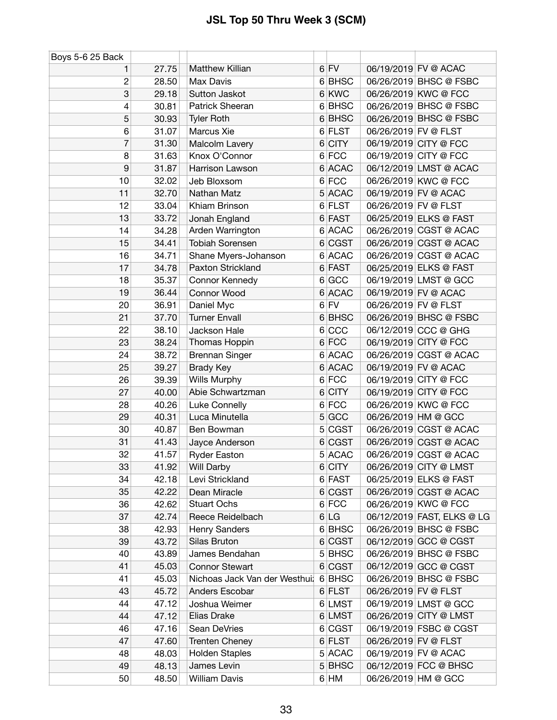| Boys 5-6 25 Back |       |                                      |   |             |                      |                            |
|------------------|-------|--------------------------------------|---|-------------|----------------------|----------------------------|
|                  | 27.75 | Matthew Killian                      |   | $6$ FV      |                      | 06/19/2019 FV @ ACAC       |
| $\overline{c}$   | 28.50 | Max Davis                            |   | 6 BHSC      |                      | 06/26/2019 BHSC @ FSBC     |
| 3                | 29.18 | Sutton Jaskot                        |   | 6 KWC       |                      | 06/26/2019 KWC @ FCC       |
| 4                | 30.81 | Patrick Sheeran                      |   | 6 BHSC      |                      | 06/26/2019 BHSC @ FSBC     |
| 5                | 30.93 | <b>Tyler Roth</b>                    |   | 6 BHSC      |                      | 06/26/2019 BHSC @ FSBC     |
| 6                | 31.07 | Marcus Xie                           |   | 6 FLST      | 06/26/2019 FV @ FLST |                            |
| $\overline{7}$   | 31.30 | Malcolm Lavery                       |   | $6$ CITY    |                      | 06/19/2019 CITY @ FCC      |
| 8                | 31.63 | Knox O'Connor                        |   | 6 FCC       |                      | 06/19/2019 CITY @ FCC      |
| $\boldsymbol{9}$ | 31.87 | Harrison Lawson                      |   | 6 ACAC      |                      | 06/12/2019 LMST @ ACAC     |
| 10               | 32.02 | Jeb Bloxsom                          |   | 6 FCC       |                      | 06/26/2019 KWC @ FCC       |
| 11               | 32.70 | Nathan Matz                          |   | 5 ACAC      |                      | 06/19/2019 FV @ ACAC       |
| 12               | 33.04 | Khiam Brinson                        |   | 6 FLST      | 06/26/2019 FV @ FLST |                            |
| 13               | 33.72 | Jonah England                        |   | 6 FAST      |                      | 06/25/2019 ELKS @ FAST     |
| 14               | 34.28 | Arden Warrington                     |   | 6 ACAC      |                      | 06/26/2019 CGST @ ACAC     |
| 15               | 34.41 | <b>Tobiah Sorensen</b>               |   | 6 CGST      |                      | 06/26/2019 CGST @ ACAC     |
| 16               | 34.71 | Shane Myers-Johanson                 |   | 6 ACAC      |                      | 06/26/2019 CGST @ ACAC     |
| 17               | 34.78 | Paxton Strickland                    |   | 6 FAST      |                      | 06/25/2019 ELKS @ FAST     |
| 18               | 35.37 | Connor Kennedy                       |   | 6 GCC       |                      | 06/19/2019 LMST @ GCC      |
| 19               | 36.44 | Connor Wood                          | 6 | <b>ACAC</b> |                      | 06/19/2019 FV @ ACAC       |
| 20               | 36.91 | Daniel Myc                           |   | $6$ FV      | 06/26/2019 FV @ FLST |                            |
| 21               | 37.70 | <b>Turner Envall</b>                 |   | 6 BHSC      |                      | 06/26/2019 BHSC @ FSBC     |
| 22               | 38.10 | Jackson Hale                         |   | 6 CC        |                      | 06/12/2019 CCC @ GHG       |
| 23               | 38.24 | Thomas Hoppin                        |   | $6$ FCC     |                      | 06/19/2019 CITY @ FCC      |
| 24               | 38.72 | <b>Brennan Singer</b>                |   | 6 ACAC      |                      | 06/26/2019 CGST @ ACAC     |
| 25               | 39.27 | <b>Brady Key</b>                     |   | 6 ACAC      |                      | 06/19/2019 FV @ ACAC       |
| 26               | 39.39 | Wills Murphy                         |   | $6$ FCC     |                      | 06/19/2019 CITY @ FCC      |
| 27               | 40.00 | Abie Schwartzman                     |   | 6 CITY      |                      | 06/19/2019 CITY @ FCC      |
| 28               | 40.26 | Luke Connelly                        | 6 | <b>FCC</b>  |                      | 06/26/2019 KWC @ FCC       |
| 29               | 40.31 | Luca Minutella                       |   | 5 GCC       |                      | 06/26/2019 HM @ GCC        |
| 30               | 40.87 | Ben Bowman                           |   | 5 CGST      |                      | 06/26/2019 CGST @ ACAC     |
| 31               | 41.43 | Jayce Anderson                       |   | 6 CGST      |                      | 06/26/2019 CGST @ ACAC     |
| 32               | 41.57 | <b>Ryder Easton</b>                  |   | 5 ACAC      |                      | 06/26/2019 CGST @ ACAC     |
| 33               | 41.92 | Will Darby                           |   | $6$ CITY    |                      | 06/26/2019 CITY @ LMST     |
| 34               | 42.18 | Levi Strickland                      |   | 6 FAST      |                      | 06/25/2019 ELKS @ FAST     |
| 35               | 42.22 | Dean Miracle                         |   | 6 CGST      |                      | 06/26/2019 CGST @ ACAC     |
| 36               | 42.62 | <b>Stuart Ochs</b>                   |   | 6 FCC       |                      | 06/26/2019 KWC @ FCC       |
| 37               | 42.74 | Reece Reidelbach                     |   | 6 LG        |                      | 06/12/2019 FAST, ELKS @ LG |
| 38               | 42.93 | Henry Sanders                        |   | 6 BHSC      |                      | 06/26/2019 BHSC @ FSBC     |
| 39               | 43.72 | Silas Bruton                         |   | 6 CGST      |                      | 06/12/2019 GCC @ CGST      |
| 40               | 43.89 | James Bendahan                       |   | 5 BHSC      |                      | 06/26/2019 BHSC @ FSBC     |
| 41               | 45.03 | <b>Connor Stewart</b>                |   | 6 CGST      |                      | 06/12/2019 GCC @ CGST      |
| 41               | 45.03 | Nichoas Jack Van der Westhui; 6 BHSC |   |             |                      | 06/26/2019 BHSC @ FSBC     |
| 43               | 45.72 | Anders Escobar                       |   | 6 FLST      | 06/26/2019 FV @ FLST |                            |
| 44               | 47.12 | Joshua Weimer                        |   | 6 LMST      |                      | 06/19/2019 LMST @ GCC      |
| 44               | 47.12 | Elias Drake                          |   | 6 LMST      |                      | 06/26/2019 CITY @ LMST     |
| 46               | 47.16 | Sean DeVries                         |   | 6 CGST      |                      | 06/19/2019 FSBC @ CGST     |
| 47               | 47.60 | <b>Trenten Cheney</b>                |   | 6 FLST      | 06/26/2019 FV @ FLST |                            |
| 48               | 48.03 | <b>Holden Staples</b>                |   | 5 ACAC      |                      | 06/19/2019 FV @ ACAC       |
| 49               | 48.13 | James Levin                          |   | 5 BHSC      |                      | 06/12/2019 FCC @ BHSC      |
| 50               | 48.50 | <b>William Davis</b>                 |   | 6 HM        |                      | 06/26/2019 HM @ GCC        |
|                  |       |                                      |   |             |                      |                            |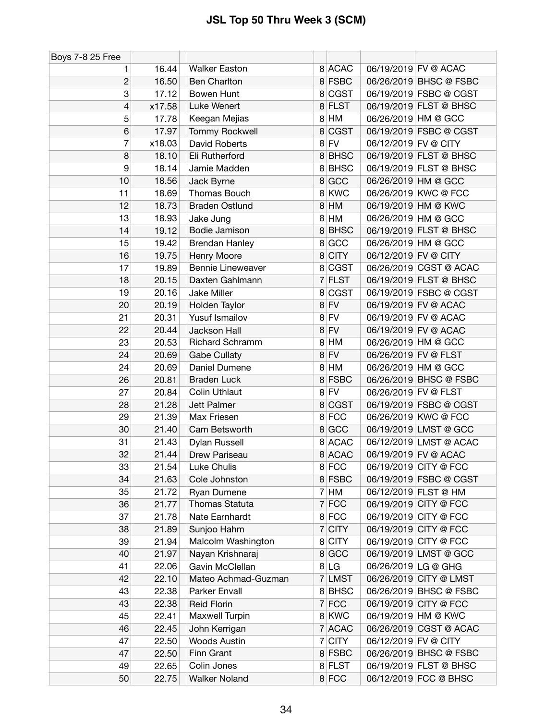| Boys 7-8 25 Free |        |                          |                               |                        |  |
|------------------|--------|--------------------------|-------------------------------|------------------------|--|
| 1                | 16.44  | <b>Walker Easton</b>     | 8 ACAC                        | 06/19/2019 FV @ ACAC   |  |
| 2                | 16.50  | <b>Ben Charlton</b>      | 8 FSBC                        | 06/26/2019 BHSC @ FSBC |  |
| 3                | 17.12  | Bowen Hunt               | 8 CGST                        | 06/19/2019 FSBC @ CGST |  |
| 4                | x17.58 | Luke Wenert              | 8 FLST                        | 06/19/2019 FLST @ BHSC |  |
| 5                | 17.78  | Keegan Mejias            | 8 HM                          | 06/26/2019 HM @ GCC    |  |
| 6                | 17.97  | <b>Tommy Rockwell</b>    | <b>CGST</b><br>8              | 06/19/2019 FSBC @ CGST |  |
| 7                | x18.03 | David Roberts            | $8$ FV                        | 06/12/2019 FV @ CITY   |  |
| 8                | 18.10  | Eli Rutherford           | 8BHSC                         | 06/19/2019 FLST @ BHSC |  |
| 9                | 18.14  | Jamie Madden             | 8 BHSC                        | 06/19/2019 FLST @ BHSC |  |
| 10               | 18.56  | Jack Byrne               | 8 GCC                         | 06/26/2019 HM @ GCC    |  |
| 11               | 18.69  | Thomas Bouch             | 8 KWC                         | 06/26/2019 KWC @ FCC   |  |
| 12               | 18.73  | <b>Braden Ostlund</b>    | $8$ HM                        | 06/19/2019 HM @ KWC    |  |
| 13               | 18.93  | Jake Jung                | HM<br>8                       | 06/26/2019 HM @ GCC    |  |
| 14               | 19.12  | Bodie Jamison            | <b>BHSC</b><br>8 <sup>1</sup> | 06/19/2019 FLST @ BHSC |  |
| 15               | 19.42  | Brendan Hanley           | GCC<br>8                      | 06/26/2019 HM @ GCC    |  |
| 16               | 19.75  | Henry Moore              | 8 CITY                        | 06/12/2019 FV @ CITY   |  |
| 17               | 19.89  | <b>Bennie Lineweaver</b> | <b>CGST</b><br>8 <sup>1</sup> | 06/26/2019 CGST @ ACAC |  |
| 18               | 20.15  | Daxten Gahlmann          | 7 FLST                        | 06/19/2019 FLST @ BHSC |  |
| 19               | 20.16  | <b>Jake Miller</b>       | <b>CGST</b><br>8              | 06/19/2019 FSBC @ CGST |  |
| 20               | 20.19  | Holden Taylor            | $8$ FV                        | 06/19/2019 FV @ ACAC   |  |
| 21               | 20.31  | Yusuf Ismailov           | $8$ FV                        | 06/19/2019 FV @ ACAC   |  |
| 22               | 20.44  | Jackson Hall             | $8$ FV                        | 06/19/2019 FV @ ACAC   |  |
| 23               | 20.53  | Richard Schramm          | HM<br>8 <sup>1</sup>          | 06/26/2019 HM @ GCC    |  |
| 24               | 20.69  | <b>Gabe Cullaty</b>      | <b>FV</b><br>8                | 06/26/2019 FV @ FLST   |  |
| 24               | 20.69  | Daniel Dumene            | 8 HM                          | 06/26/2019 HM @ GCC    |  |
| 26               | 20.81  | <b>Braden Luck</b>       | <b>FSBC</b><br>8              | 06/26/2019 BHSC @ FSBC |  |
| 27               | 20.84  | <b>Colin Uthlaut</b>     | $8$ FV                        | 06/26/2019 FV @ FLST   |  |
| 28               | 21.28  | Jett Palmer              | <b>CGST</b><br>8              | 06/19/2019 FSBC @ CGST |  |
| 29               | 21.39  | Max Friesen              | 8 FCC                         | 06/26/2019 KWC @ FCC   |  |
| 30               | 21.40  | Cam Betsworth            | 8 GCC                         | 06/19/2019 LMST @ GCC  |  |
| 31               | 21.43  | Dylan Russell            | 8 ACAC                        | 06/12/2019 LMST @ ACAC |  |
| 32               | 21.44  | Drew Pariseau            | 8 ACAC                        | 06/19/2019 FV @ ACAC   |  |
| 33               | 21.54  | Luke Chulis              | 8 FCC                         | 06/19/2019 CITY @ FCC  |  |
| 34               | 21.63  | Cole Johnston            | 8 FSBC                        | 06/19/2019 FSBC @ CGST |  |
| 35               | 21.72  | Ryan Dumene              | HM<br>$\overline{7}$          | 06/12/2019 FLST @ HM   |  |
| 36               | 21.77  | Thomas Statuta           | 7 FCC                         | 06/19/2019 CITY @ FCC  |  |
| 37               | 21.78  | Nate Earnhardt           | 8 FCC                         | 06/19/2019 CITY @ FCC  |  |
| 38               | 21.89  | Sunjoo Hahm              | <b>CITY</b><br>7              | 06/19/2019 CITY @ FCC  |  |
| 39               | 21.94  | Malcolm Washington       | <b>CITY</b><br>8              | 06/19/2019 CITY @ FCC  |  |
| 40               | 21.97  | Nayan Krishnaraj         | 8 GCC                         | 06/19/2019 LMST @ GCC  |  |
| 41               | 22.06  | Gavin McClellan          | 8 LG                          | 06/26/2019 LG @ GHG    |  |
| 42               | 22.10  | Mateo Achmad-Guzman      | 7 LMST                        | 06/26/2019 CITY @ LMST |  |
| 43               | 22.38  | Parker Envall            | 8 BHSC                        | 06/26/2019 BHSC @ FSBC |  |
| 43               | 22.38  | <b>Reid Florin</b>       | $7$ FCC                       | 06/19/2019 CITY @ FCC  |  |
| 45               | 22.41  | Maxwell Turpin           | 8 KWC                         | 06/19/2019 HM @ KWC    |  |
| 46               | 22.45  | John Kerrigan            | 7 ACAC                        | 06/26/2019 CGST @ ACAC |  |
| 47               | 22.50  | <b>Woods Austin</b>      | <b>CITY</b><br>7              | 06/12/2019 FV @ CITY   |  |
| 47               | 22.50  | Finn Grant               | 8 FSBC                        | 06/26/2019 BHSC @ FSBC |  |
| 49               | 22.65  | Colin Jones              | 8 FLST                        | 06/19/2019 FLST @ BHSC |  |
| 50               | 22.75  | <b>Walker Noland</b>     | 8 FCC                         | 06/12/2019 FCC @ BHSC  |  |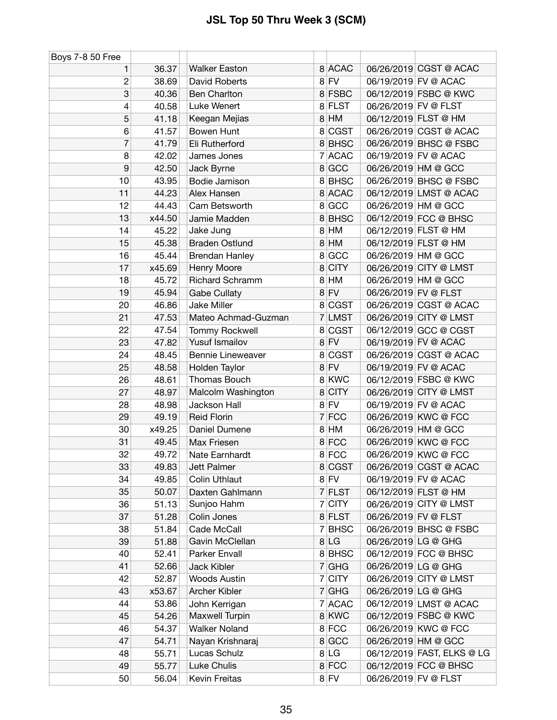| Boys 7-8 50 Free |        |                          |   |             |                      |                            |
|------------------|--------|--------------------------|---|-------------|----------------------|----------------------------|
|                  | 36.37  | <b>Walker Easton</b>     |   | 8 ACAC      |                      | 06/26/2019 CGST @ ACAC     |
| $\mathbf{2}$     | 38.69  | David Roberts            |   | $8$ FV      |                      | 06/19/2019 FV @ ACAC       |
| 3                | 40.36  | <b>Ben Charlton</b>      |   | 8 FSBC      |                      | 06/12/2019 FSBC @ KWC      |
| 4                | 40.58  | Luke Wenert              |   | 8 FLST      | 06/26/2019 FV @ FLST |                            |
| 5                | 41.18  | Keegan Mejias            |   | $8$ HM      |                      | 06/12/2019 FLST @ HM       |
| 6                | 41.57  | <b>Bowen Hunt</b>        |   | 8 CGST      |                      | 06/26/2019 CGST @ ACAC     |
| 7                | 41.79  | Eli Rutherford           |   | 8 BHSC      |                      | 06/26/2019 BHSC @ FSBC     |
| 8                | 42.02  | James Jones              | 7 | <b>ACAC</b> |                      | 06/19/2019 FV @ ACAC       |
| $\boldsymbol{9}$ | 42.50  | Jack Byrne               |   | 8 GCC       | 06/26/2019 HM @ GCC  |                            |
| 10               | 43.95  | Bodie Jamison            |   | 8 BHSC      |                      | 06/26/2019 BHSC @ FSBC     |
| 11               | 44.23  | Alex Hansen              |   | 8 ACAC      |                      | 06/12/2019 LMST @ ACAC     |
| 12               | 44.43  | Cam Betsworth            |   | 8 GCC       | 06/26/2019 HM @ GCC  |                            |
| 13               | x44.50 | Jamie Madden             |   | 8 BHSC      |                      | 06/12/2019 FCC @ BHSC      |
| 14               | 45.22  | Jake Jung                | 8 | HM          |                      | 06/12/2019 FLST @ HM       |
| 15               | 45.38  | <b>Braden Ostlund</b>    |   | 8 HM        |                      | 06/12/2019 FLST @ HM       |
| 16               | 45.44  | <b>Brendan Hanley</b>    |   | 8 GCC       | 06/26/2019 HM @ GCC  |                            |
| 17               | x45.69 | Henry Moore              | 8 | <b>CITY</b> |                      | 06/26/2019 CITY @ LMST     |
| 18               | 45.72  | <b>Richard Schramm</b>   |   | 8 HM        | 06/26/2019 HM @ GCC  |                            |
| 19               | 45.94  | <b>Gabe Cullaty</b>      |   | $8$ FV      | 06/26/2019 FV @ FLST |                            |
| 20               | 46.86  | <b>Jake Miller</b>       |   | 8 CGST      |                      | 06/26/2019 CGST @ ACAC     |
| 21               | 47.53  | Mateo Achmad-Guzman      | 7 | <b>LMST</b> |                      | 06/26/2019 CITY @ LMST     |
| 22               | 47.54  | <b>Tommy Rockwell</b>    |   | 8 CGST      |                      | 06/12/2019 GCC @ CGST      |
| 23               | 47.82  | Yusuf Ismailov           |   | $8$ FV      |                      | 06/19/2019 FV @ ACAC       |
| 24               | 48.45  | <b>Bennie Lineweaver</b> |   | 8 CGST      |                      | 06/26/2019 CGST @ ACAC     |
| 25               | 48.58  | Holden Taylor            |   | $8$ FV      |                      | 06/19/2019 FV @ ACAC       |
| 26               | 48.61  | Thomas Bouch             |   | 8 KWC       |                      | 06/12/2019 FSBC @ KWC      |
| 27               | 48.97  | Malcolm Washington       |   | 8 CITY      |                      | 06/26/2019 CITY @ LMST     |
| 28               | 48.98  | Jackson Hall             | 8 | <b>FV</b>   |                      | 06/19/2019 FV @ ACAC       |
| 29               | 49.19  | <b>Reid Florin</b>       | 7 | <b>FCC</b>  |                      | 06/26/2019 KWC @ FCC       |
| 30               | x49.25 | Daniel Dumene            | 8 | HM          | 06/26/2019 HM @ GCC  |                            |
| 31               | 49.45  | Max Friesen              |   | 8 FCC       |                      | 06/26/2019 KWC @ FCC       |
| 32               | 49.72  | Nate Earnhardt           |   | 8 FCC       |                      | 06/26/2019 KWC @ FCC       |
| 33               | 49.83  | Jett Palmer              |   | 8 CGST      |                      | 06/26/2019 CGST @ ACAC     |
| 34               | 49.85  | <b>Colin Uthlaut</b>     |   | $8$ FV      |                      | 06/19/2019 FV @ ACAC       |
| 35               | 50.07  | Daxten Gahlmann          |   | 7 FLST      |                      | 06/12/2019 FLST @ HM       |
| 36               | 51.13  | Sunjoo Hahm              |   | 7 CITY      |                      | 06/26/2019 CITY @ LMST     |
| 37               | 51.28  | Colin Jones              |   | 8 FLST      | 06/26/2019 FV @ FLST |                            |
| 38               | 51.84  | Cade McCall              |   | 7 BHSC      |                      | 06/26/2019 BHSC @ FSBC     |
| 39               | 51.88  | Gavin McClellan          |   | 8 LG        | 06/26/2019 LG @ GHG  |                            |
| 40               | 52.41  | Parker Envall            |   | 8 BHSC      |                      | 06/12/2019 FCC @ BHSC      |
| 41               | 52.66  | Jack Kibler              |   | 7 GHG       | 06/26/2019 LG @ GHG  |                            |
| 42               | 52.87  | <b>Woods Austin</b>      |   | 7 CITY      |                      | 06/26/2019 CITY @ LMST     |
| 43               | x53.67 | <b>Archer Kibler</b>     |   | $7$ GHG     | 06/26/2019 LG @ GHG  |                            |
| 44               | 53.86  | John Kerrigan            | 7 | <b>ACAC</b> |                      | 06/12/2019 LMST @ ACAC     |
| 45               | 54.26  | Maxwell Turpin           |   | 8 KWC       |                      | 06/12/2019 FSBC @ KWC      |
| 46               | 54.37  | <b>Walker Noland</b>     |   | 8 FCC       |                      | 06/26/2019 KWC @ FCC       |
| 47               | 54.71  | Nayan Krishnaraj         |   | 8 GCC       | 06/26/2019 HM @ GCC  |                            |
| 48               | 55.71  | Lucas Schulz             |   | 8 LG        |                      | 06/12/2019 FAST, ELKS @ LG |
| 49               | 55.77  | Luke Chulis              |   | 8 FCC       |                      | 06/12/2019 FCC @ BHSC      |
| 50               | 56.04  | Kevin Freitas            |   | $8$ FV      | 06/26/2019 FV @ FLST |                            |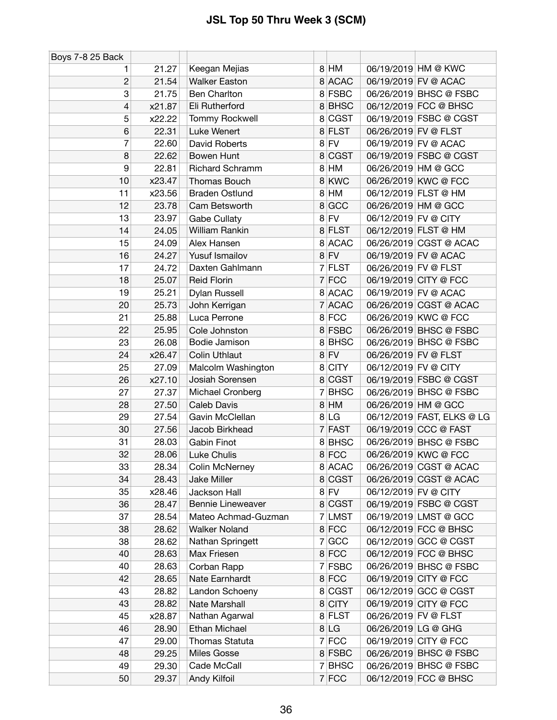| Boys 7-8 25 Back |        |                          |                |             |                      |                            |
|------------------|--------|--------------------------|----------------|-------------|----------------------|----------------------------|
| 1                | 21.27  | Keegan Mejias            |                | 8 HM        |                      | 06/19/2019 HM @ KWC        |
| $\overline{c}$   | 21.54  | <b>Walker Easton</b>     |                | 8 ACAC      |                      | 06/19/2019 FV @ ACAC       |
| 3                | 21.75  | <b>Ben Charlton</b>      |                | 8 FSBC      |                      | 06/26/2019 BHSC @ FSBC     |
| 4                | x21.87 | Eli Rutherford           |                | 8 BHSC      |                      | 06/12/2019 FCC @ BHSC      |
| 5                | x22.22 | <b>Tommy Rockwell</b>    |                | 8 CGST      |                      | 06/19/2019 FSBC @ CGST     |
| 6                | 22.31  | Luke Wenert              |                | 8 FLST      | 06/26/2019 FV @ FLST |                            |
| 7                | 22.60  | David Roberts            |                | $8$ FV      |                      | 06/19/2019 FV @ ACAC       |
| 8                | 22.62  | Bowen Hunt               | 8              | <b>CGST</b> |                      | 06/19/2019 FSBC @ CGST     |
| 9                | 22.81  | <b>Richard Schramm</b>   |                | 8 HM        | 06/26/2019 HM @ GCC  |                            |
| 10               | x23.47 | <b>Thomas Bouch</b>      | 8              | KWC         |                      | 06/26/2019 KWC @ FCC       |
| 11               | x23.56 | <b>Braden Ostlund</b>    |                | 8 HM        |                      | 06/12/2019 FLST @ HM       |
| 12               | 23.78  | Cam Betsworth            | 8              | <b>GCC</b>  | 06/26/2019 HM @ GCC  |                            |
| 13               | 23.97  | <b>Gabe Cullaty</b>      |                | $8$ FV      | 06/12/2019 FV @ CITY |                            |
| 14               | 24.05  | William Rankin           |                | 8 FLST      |                      | 06/12/2019 FLST @ HM       |
| 15               | 24.09  | Alex Hansen              | 8              | <b>ACAC</b> |                      | 06/26/2019 CGST @ ACAC     |
| 16               | 24.27  | Yusuf Ismailov           |                | $8$ FV      |                      | 06/19/2019 FV @ ACAC       |
| 17               | 24.72  | Daxten Gahlmann          | 7              | <b>FLST</b> | 06/26/2019 FV @ FLST |                            |
| 18               | 25.07  | <b>Reid Florin</b>       |                | $7$ FCC     |                      | 06/19/2019 CITY @ FCC      |
| 19               | 25.21  | Dylan Russell            |                | 8 ACAC      |                      | 06/19/2019 FV @ ACAC       |
| 20               | 25.73  | John Kerrigan            | $\overline{7}$ | <b>ACAC</b> |                      | 06/26/2019 CGST @ ACAC     |
| 21               | 25.88  | Luca Perrone             |                | 8 FCC       |                      | 06/26/2019 KWC @ FCC       |
| 22               | 25.95  | Cole Johnston            |                | 8 FSBC      |                      | 06/26/2019 BHSC @ FSBC     |
| 23               | 26.08  | Bodie Jamison            |                | 8 BHSC      |                      | 06/26/2019 BHSC @ FSBC     |
| 24               | x26.47 | <b>Colin Uthlaut</b>     |                | $8$ FV      | 06/26/2019 FV @ FLST |                            |
| 25               | 27.09  | Malcolm Washington       |                | 8 CITY      | 06/12/2019 FV @ CITY |                            |
| 26               | x27.10 | Josiah Sorensen          | 8              | <b>CGST</b> |                      | 06/19/2019 FSBC @ CGST     |
| 27               | 27.37  | Michael Cronberg         | 7              | <b>BHSC</b> |                      | 06/26/2019 BHSC @ FSBC     |
| 28               | 27.50  | Caleb Davis              | 8              | HM          | 06/26/2019 HM @ GCC  |                            |
| 29               | 27.54  | Gavin McClellan          |                | 8 LG        |                      | 06/12/2019 FAST, ELKS @ LG |
| 30               | 27.56  | Jacob Birkhead           |                | 7 FAST      |                      | 06/19/2019 CCC @ FAST      |
| 31               | 28.03  | <b>Gabin Finot</b>       |                | 8 BHSC      |                      | 06/26/2019 BHSC @ FSBC     |
| 32               | 28.06  | <b>Luke Chulis</b>       |                | 8 FCC       |                      | 06/26/2019 KWC @ FCC       |
| 33               | 28.34  | Colin McNerney           |                | 8 ACAC      |                      | 06/26/2019 CGST @ ACAC     |
| 34               | 28.43  | <b>Jake Miller</b>       |                | 8 CGST      |                      | 06/26/2019 CGST @ ACAC     |
| 35               | x28.46 | Jackson Hall             |                | $8$ FV      | 06/12/2019 FV @ CITY |                            |
| 36               | 28.47  | <b>Bennie Lineweaver</b> |                | 8 CGST      |                      | 06/19/2019 FSBC @ CGST     |
| 37               | 28.54  | Mateo Achmad-Guzman      |                | 7 LMST      |                      | 06/19/2019 LMST @ GCC      |
| 38               | 28.62  | <b>Walker Noland</b>     |                | 8 FCC       |                      | 06/12/2019 FCC @ BHSC      |
| 38               | 28.62  | Nathan Springett         | 7              | <b>GCC</b>  |                      | 06/12/2019 GCC @ CGST      |
| 40               | 28.63  | Max Friesen              |                | 8 FCC       |                      | 06/12/2019 FCC @ BHSC      |
| 40               | 28.63  | Corban Rapp              |                | 7 FSBC      |                      | 06/26/2019 BHSC @ FSBC     |
| 42               | 28.65  | Nate Earnhardt           |                | 8 FCC       |                      | 06/19/2019 CITY @ FCC      |
| 43               | 28.82  | Landon Schoeny           |                | 8 CGST      |                      | 06/12/2019 GCC @ CGST      |
| 43               | 28.82  | Nate Marshall            |                | 8 CITY      |                      | 06/19/2019 CITY @ FCC      |
| 45               | x28.87 | Nathan Agarwal           |                | 8 FLST      | 06/26/2019 FV @ FLST |                            |
| 46               | 28.90  | Ethan Michael            |                | 8 LG        | 06/26/2019 LG @ GHG  |                            |
| 47               | 29.00  | <b>Thomas Statuta</b>    | 7              | FCC         |                      | 06/19/2019 CITY @ FCC      |
| 48               | 29.25  | <b>Miles Gosse</b>       |                | 8 FSBC      |                      | 06/26/2019 BHSC @ FSBC     |
| 49               | 29.30  | Cade McCall              | 7              | <b>BHSC</b> |                      | 06/26/2019 BHSC @ FSBC     |
| 50               | 29.37  | Andy Kilfoil             |                | $7$ FCC     |                      | 06/12/2019 FCC @ BHSC      |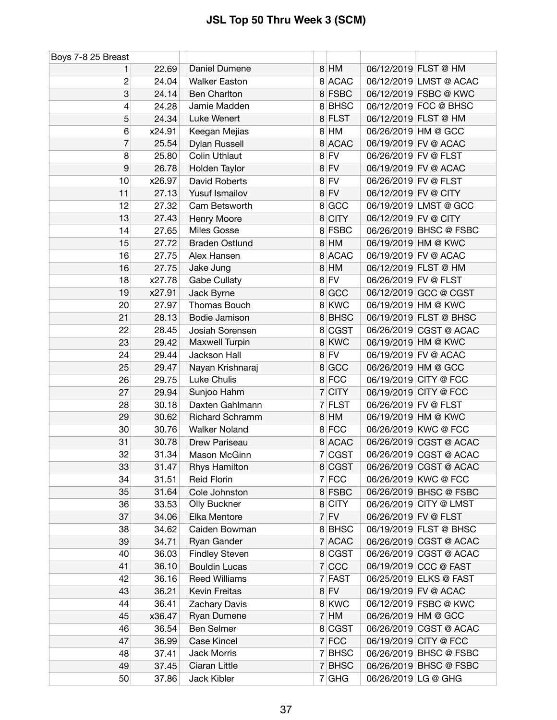| Boys 7-8 25 Breast |        |                        |   |             |                      |                        |
|--------------------|--------|------------------------|---|-------------|----------------------|------------------------|
| 1                  | 22.69  | Daniel Dumene          |   | 8 HM        |                      | 06/12/2019 FLST @ HM   |
| $\overline{c}$     | 24.04  | <b>Walker Easton</b>   |   | 8 ACAC      |                      | 06/12/2019 LMST @ ACAC |
| 3                  | 24.14  | <b>Ben Charlton</b>    |   | 8 FSBC      |                      | 06/12/2019 FSBC @ KWC  |
| 4                  | 24.28  | Jamie Madden           |   | 8BHSC       |                      | 06/12/2019 FCC @ BHSC  |
| 5                  | 24.34  | Luke Wenert            |   | 8 FLST      |                      | 06/12/2019 FLST @ HM   |
| 6                  | x24.91 | Keegan Mejias          |   | 8 HM        | 06/26/2019 HM @ GCC  |                        |
| 7                  | 25.54  | Dylan Russell          |   | 8 ACAC      |                      | 06/19/2019 FV @ ACAC   |
| 8                  | 25.80  | <b>Colin Uthlaut</b>   | 8 | FV          | 06/26/2019 FV @ FLST |                        |
| 9                  | 26.78  | Holden Taylor          |   | $8$ FV      |                      | 06/19/2019 FV @ ACAC   |
| 10                 | x26.97 | David Roberts          | 8 | FV          | 06/26/2019 FV @ FLST |                        |
| 11                 | 27.13  | Yusuf Ismailov         |   | $8$ FV      | 06/12/2019 FV @ CITY |                        |
| 12                 | 27.32  | Cam Betsworth          |   | 8 GCC       |                      | 06/19/2019 LMST @ GCC  |
| 13                 | 27.43  | Henry Moore            |   | 8 CITY      | 06/12/2019 FV @ CITY |                        |
| 14                 | 27.65  | <b>Miles Gosse</b>     |   | 8 FSBC      |                      | 06/26/2019 BHSC @ FSBC |
| 15                 | 27.72  | <b>Braden Ostlund</b>  |   | 8 HM        |                      | 06/19/2019 HM @ KWC    |
| 16                 | 27.75  | Alex Hansen            |   | 8 ACAC      |                      | 06/19/2019 FV @ ACAC   |
| 16                 | 27.75  | Jake Jung              | 8 | HM          |                      | 06/12/2019 FLST @ HM   |
| 18                 | x27.78 | Gabe Cullaty           |   | $8$ FV      | 06/26/2019 FV @ FLST |                        |
| 19                 | x27.91 | Jack Byrne             | 8 | <b>GCC</b>  |                      | 06/12/2019 GCC @ CGST  |
| 20                 | 27.97  | Thomas Bouch           |   | 8 KWC       |                      | 06/19/2019 HM @ KWC    |
| 21                 | 28.13  | Bodie Jamison          |   | 8 BHSC      |                      | 06/19/2019 FLST @ BHSC |
| 22                 | 28.45  | Josiah Sorensen        |   | 8 CGST      |                      | 06/26/2019 CGST @ ACAC |
| 23                 | 29.42  | Maxwell Turpin         |   | 8 KWC       |                      | 06/19/2019 HM @ KWC    |
| 24                 | 29.44  | Jackson Hall           | 8 | <b>FV</b>   |                      | 06/19/2019 FV @ ACAC   |
| 25                 | 29.47  | Nayan Krishnaraj       |   | 8 GCC       | 06/26/2019 HM @ GCC  |                        |
| 26                 | 29.75  | Luke Chulis            |   | 8 FCC       |                      | 06/19/2019 CITY @ FCC  |
| 27                 | 29.94  | Sunjoo Hahm            |   | 7 CITY      |                      | 06/19/2019 CITY @ FCC  |
| 28                 | 30.18  | Daxten Gahlmann        | 7 | <b>FLST</b> | 06/26/2019 FV @ FLST |                        |
| 29                 | 30.62  | <b>Richard Schramm</b> |   | $8$ HM      |                      | 06/19/2019 HM @ KWC    |
| 30                 | 30.76  | <b>Walker Noland</b>   |   | 8 FCC       |                      | 06/26/2019 KWC @ FCC   |
| 31                 | 30.78  | Drew Pariseau          |   | 8 ACAC      |                      | 06/26/2019 CGST @ ACAC |
| 32                 | 31.34  | Mason McGinn           |   | 7 CGST      |                      | 06/26/2019 CGST @ ACAC |
| 33                 | 31.47  | <b>Rhys Hamilton</b>   |   | 8 CGST      |                      | 06/26/2019 CGST @ ACAC |
| 34                 | 31.51  | <b>Reid Florin</b>     |   | 7 FCC       |                      | 06/26/2019 KWC @ FCC   |
| 35                 | 31.64  | Cole Johnston          |   | 8 FSBC      |                      | 06/26/2019 BHSC @ FSBC |
| 36                 | 33.53  | Olly Buckner           |   | 8 CITY      |                      | 06/26/2019 CITY @ LMST |
| 37                 | 34.06  | Elka Mentore           |   | $7$ FV      | 06/26/2019 FV @ FLST |                        |
| 38                 | 34.62  | Caiden Bowman          |   | 8 BHSC      |                      | 06/19/2019 FLST @ BHSC |
| 39                 | 34.71  | Ryan Gander            |   | 7 ACAC      |                      | 06/26/2019 CGST @ ACAC |
| 40                 | 36.03  | <b>Findley Steven</b>  |   | 8 CGST      |                      | 06/26/2019 CGST @ ACAC |
| 41                 | 36.10  | <b>Bouldin Lucas</b>   |   | 7 CCC       |                      | 06/19/2019 CCC @ FAST  |
| 42                 | 36.16  | <b>Reed Williams</b>   | 7 | FAST        |                      | 06/25/2019 ELKS @ FAST |
| 43                 | 36.21  | Kevin Freitas          |   | $8$ FV      |                      | 06/19/2019 FV @ ACAC   |
| 44                 | 36.41  | Zachary Davis          |   | 8 KWC       |                      | 06/12/2019 FSBC @ KWC  |
| 45                 | x36.47 | Ryan Dumene            |   | $7$ HM      | 06/26/2019 HM @ GCC  |                        |
| 46                 | 36.54  | Ben Selmer             |   | 8 CGST      |                      | 06/26/2019 CGST @ ACAC |
| 47                 | 36.99  | <b>Case Kincel</b>     |   | $7$ FCC     |                      | 06/19/2019 CITY @ FCC  |
| 48                 | 37.41  | Jack Morris            |   | 7 BHSC      |                      | 06/26/2019 BHSC @ FSBC |
| 49                 | 37.45  | Ciaran Little          |   | 7 BHSC      |                      | 06/26/2019 BHSC @ FSBC |
| 50                 |        |                        |   |             |                      |                        |
|                    | 37.86  | Jack Kibler            |   | $7$ GHG     | 06/26/2019 LG @ GHG  |                        |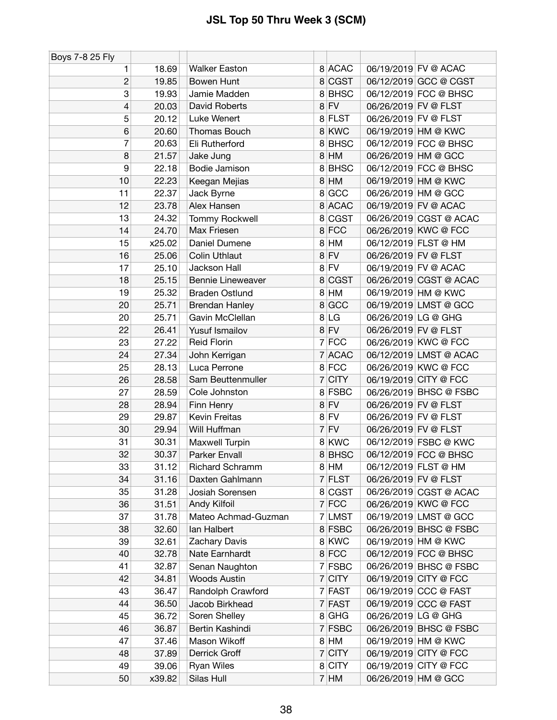| Boys 7-8 25 Fly |        |                          |                |             |                      |                        |
|-----------------|--------|--------------------------|----------------|-------------|----------------------|------------------------|
| 1               | 18.69  | <b>Walker Easton</b>     |                | 8 ACAC      |                      | 06/19/2019 FV @ ACAC   |
| $\overline{c}$  | 19.85  | Bowen Hunt               |                | 8 CGST      |                      | 06/12/2019 GCC @ CGST  |
| 3               | 19.93  | Jamie Madden             |                | 8 BHSC      |                      | 06/12/2019 FCC @ BHSC  |
| 4               | 20.03  | David Roberts            |                | $8$ FV      | 06/26/2019 FV @ FLST |                        |
| 5               | 20.12  | Luke Wenert              |                | 8 FLST      | 06/26/2019 FV @ FLST |                        |
| $6\phantom{1}6$ | 20.60  | Thomas Bouch             |                | 8 KWC       |                      | 06/19/2019 HM @ KWC    |
| 7               | 20.63  | Eli Rutherford           |                | 8 BHSC      |                      | 06/12/2019 FCC @ BHSC  |
| 8               | 21.57  | Jake Jung                |                | $8$ HM      | 06/26/2019 HM @ GCC  |                        |
| 9               | 22.18  | Bodie Jamison            |                | 8BHSC       |                      | 06/12/2019 FCC @ BHSC  |
| 10              | 22.23  | Keegan Mejias            |                | $8$ HM      |                      | 06/19/2019 HM @ KWC    |
| 11              | 22.37  | Jack Byrne               | 8              | GCC         | 06/26/2019 HM @ GCC  |                        |
| 12              | 23.78  | Alex Hansen              |                | 8 ACAC      |                      | 06/19/2019 FV @ ACAC   |
| 13              | 24.32  | Tommy Rockwell           | 8              | <b>CGST</b> |                      | 06/26/2019 CGST @ ACAC |
| 14              | 24.70  | Max Friesen              |                | 8 FCC       |                      | 06/26/2019 KWC @ FCC   |
| 15              | x25.02 | Daniel Dumene            | 8 <sup>1</sup> | <b>HM</b>   |                      | 06/12/2019 FLST @ HM   |
| 16              | 25.06  | <b>Colin Uthlaut</b>     |                | $8$ FV      | 06/26/2019 FV @ FLST |                        |
| 17              | 25.10  | Jackson Hall             |                | $8$ FV      |                      | 06/19/2019 FV @ ACAC   |
| 18              | 25.15  | <b>Bennie Lineweaver</b> | 8              | <b>CGST</b> |                      | 06/26/2019 CGST @ ACAC |
| 19              | 25.32  | <b>Braden Ostlund</b>    |                | $8$ HM      |                      | 06/19/2019 HM @ KWC    |
| 20              | 25.71  | <b>Brendan Hanley</b>    | 8              | GCC         |                      | 06/19/2019 LMST @ GCC  |
| 20              | 25.71  | Gavin McClellan          |                | 8 LG        | 06/26/2019 LG @ GHG  |                        |
| 22              | 26.41  | Yusuf Ismailov           |                | $8$ FV      | 06/26/2019 FV @ FLST |                        |
| 23              | 27.22  | <b>Reid Florin</b>       |                | $7$ FCC     |                      | 06/26/2019 KWC @ FCC   |
| 24              | 27.34  | John Kerrigan            |                | 7 ACAC      |                      | 06/12/2019 LMST @ ACAC |
| 25              | 28.13  | Luca Perrone             |                | 8 FCC       |                      | 06/26/2019 KWC @ FCC   |
| 26              | 28.58  | Sam Beuttenmuller        | 7 <sup>1</sup> | <b>CITY</b> |                      | 06/19/2019 CITY @ FCC  |
| 27              | 28.59  | Cole Johnston            |                | 8 FSBC      |                      | 06/26/2019 BHSC @ FSBC |
| 28              | 28.94  | Finn Henry               |                | $8$ FV      | 06/26/2019 FV @ FLST |                        |
| 29              | 29.87  | Kevin Freitas            |                | $8$ FV      | 06/26/2019 FV @ FLST |                        |
| 30              | 29.94  | Will Huffman             |                | $7$ FV      | 06/26/2019 FV @ FLST |                        |
| 31              | 30.31  | Maxwell Turpin           |                | 8 KWC       |                      | 06/12/2019 FSBC @ KWC  |
| 32              | 30.37  | Parker Envall            |                | 8BHSC       |                      | 06/12/2019 FCC @ BHSC  |
| 33              | 31.12  | <b>Richard Schramm</b>   |                | 8 HM        |                      | 06/12/2019 FLST @ HM   |
| 34              | 31.16  | Daxten Gahlmann          |                | $7$ FLST    | 06/26/2019 FV @ FLST |                        |
| 35              | 31.28  | Josiah Sorensen          |                | 8 CGST      |                      | 06/26/2019 CGST @ ACAC |
| 36              | 31.51  | Andy Kilfoil             |                | $7$ FCC     |                      | 06/26/2019 KWC @ FCC   |
| 37              | 31.78  | Mateo Achmad-Guzman      |                | 7 LMST      |                      | 06/19/2019 LMST @ GCC  |
| 38              | 32.60  | lan Halbert              |                | 8 FSBC      |                      | 06/26/2019 BHSC @ FSBC |
| 39              | 32.61  | Zachary Davis            |                | 8 KWC       |                      | 06/19/2019 HM @ KWC    |
| 40              | 32.78  | Nate Earnhardt           |                | 8 FCC       |                      | 06/12/2019 FCC @ BHSC  |
| 41              | 32.87  | Senan Naughton           |                | 7 FSBC      |                      | 06/26/2019 BHSC @ FSBC |
| 42              | 34.81  | <b>Woods Austin</b>      |                | $7$ CITY    |                      | 06/19/2019 CITY @ FCC  |
| 43              | 36.47  | Randolph Crawford        |                | 7 FAST      |                      | 06/19/2019 CCC @ FAST  |
| 44              | 36.50  | Jacob Birkhead           |                | 7 FAST      |                      | 06/19/2019 CCC @ FAST  |
| 45              | 36.72  | Soren Shelley            |                | $8$ GHG     | 06/26/2019 LG @ GHG  |                        |
| 46              | 36.87  | Bertin Kashindi          |                | 7 FSBC      |                      | 06/26/2019 BHSC @ FSBC |
| 47              | 37.46  | Mason Wikoff             |                | 8 HM        |                      | 06/19/2019 HM @ KWC    |
| 48              | 37.89  | Derrick Groff            |                | $7$ CITY    |                      | 06/19/2019 CITY @ FCC  |
| 49              | 39.06  | Ryan Wiles               |                | 8 CITY      |                      | 06/19/2019 CITY @ FCC  |
| 50              | x39.82 | Silas Hull               |                | 7 HM        |                      | 06/26/2019 HM @ GCC    |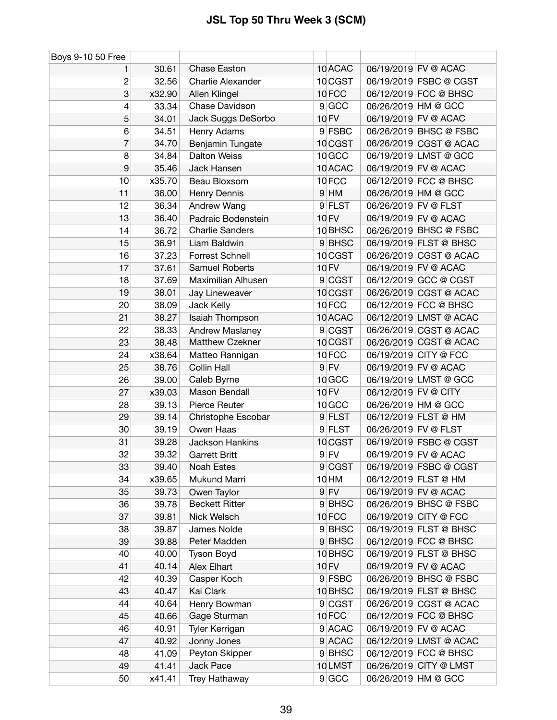| Boys 9-10 50 Free |        |                          |                   |                      |                        |
|-------------------|--------|--------------------------|-------------------|----------------------|------------------------|
| 1                 | 30.61  | <b>Chase Easton</b>      | 10 ACAC           |                      | 06/19/2019 FV @ ACAC   |
| $\overline{c}$    | 32.56  | <b>Charlie Alexander</b> | 10 CGST           |                      | 06/19/2019 FSBC @ CGST |
| 3                 | x32.90 | Allen Klingel            | 10FCC             |                      | 06/12/2019 FCC @ BHSC  |
| 4                 | 33.34  | Chase Davidson           | 9 GCC             |                      | 06/26/2019 HM @ GCC    |
| 5                 | 34.01  | Jack Suggs DeSorbo       | 10 FV             |                      | 06/19/2019 FV @ ACAC   |
| 6                 | 34.51  | Henry Adams              | 9 FSBC            |                      | 06/26/2019 BHSC @ FSBC |
| $\overline{7}$    | 34.70  | Benjamin Tungate         | 10 CGST           |                      | 06/26/2019 CGST @ ACAC |
| 8                 | 34.84  | <b>Dalton Weiss</b>      | 10 <sub>GCC</sub> |                      | 06/19/2019 LMST @ GCC  |
| $\boldsymbol{9}$  | 35.46  | Jack Hansen              | 10 ACAC           |                      | 06/19/2019 FV @ ACAC   |
| 10                | x35.70 | Beau Bloxsom             | 10FCC             |                      | 06/12/2019 FCC @ BHSC  |
| 11                | 36.00  | Henry Dennis             | $9$ HM            |                      | 06/26/2019 HM @ GCC    |
| 12                | 36.34  | Andrew Wang              | 9 FLST            | 06/26/2019 FV @ FLST |                        |
| 13                | 36.40  | Padraic Bodenstein       | <b>10 FV</b>      |                      | 06/19/2019 FV @ ACAC   |
| 14                | 36.72  | <b>Charlie Sanders</b>   | 10BHSC            |                      | 06/26/2019 BHSC @ FSBC |
| 15                | 36.91  | Liam Baldwin             | 9BHSC             |                      | 06/19/2019 FLST @ BHSC |
| 16                | 37.23  | Forrest Schnell          | 10 CGST           |                      | 06/26/2019 CGST @ ACAC |
| 17                | 37.61  | <b>Samuel Roberts</b>    | 10 FV             |                      | 06/19/2019 FV @ ACAC   |
| 18                | 37.69  | Maximilian Alhusen       | 9 CGST            |                      | 06/12/2019 GCC @ CGST  |
| 19                | 38.01  | Jay Lineweaver           | 10 CGST           |                      | 06/26/2019 CGST @ ACAC |
| 20                | 38.09  | Jack Kelly               | 10FCC             |                      | 06/12/2019 FCC @ BHSC  |
| 21                | 38.27  | Isaiah Thompson          | 10 ACAC           |                      | 06/12/2019 LMST @ ACAC |
| 22                | 38.33  | <b>Andrew Maslaney</b>   | 9 CGST            |                      | 06/26/2019 CGST @ ACAC |
| 23                | 38.48  | Matthew Czekner          | 10 CGST           |                      | 06/26/2019 CGST @ ACAC |
| 24                | x38.64 | Matteo Rannigan          | 10FCC             |                      | 06/19/2019 CITY @ FCC  |
| 25                | 38.76  | Collin Hall              | $9$ FV            |                      | 06/19/2019 FV @ ACAC   |
| 26                | 39.00  | Caleb Byrne              | 10 GCC            |                      | 06/19/2019 LMST @ GCC  |
| 27                | x39.03 | Mason Bendall            | <b>10 FV</b>      | 06/12/2019 FV @ CITY |                        |
| 28                | 39.13  | Pierce Reuter            | 10 GCC            |                      | 06/26/2019 HM @ GCC    |
| 29                | 39.14  | Christophe Escobar       | $9$ FLST          |                      | 06/12/2019 FLST @ HM   |
| 30                | 39.19  | Owen Haas                | 9 FLST            | 06/26/2019 FV @ FLST |                        |
| 31                | 39.28  | Jackson Hankins          | 10 CGST           |                      | 06/19/2019 FSBC @ CGST |
| 32                | 39.32  | <b>Garrett Britt</b>     | $9$ FV            |                      | 06/19/2019 FV @ ACAC   |
| 33                | 39.40  | Noah Estes               | 9 CGST            |                      | 06/19/2019 FSBC @ CGST |
| 34                | x39.65 | Mukund Marri             | 10 HM             |                      | 06/12/2019 FLST @ HM   |
| 35                | 39.73  | Owen Taylor              | $9$ FV            |                      | 06/19/2019 FV @ ACAC   |
| 36                | 39.78  | <b>Beckett Ritter</b>    | 9BHSC             |                      | 06/26/2019 BHSC @ FSBC |
| 37                | 39.81  | Nick Welsch              | 10FCC             |                      | 06/19/2019 CITY @ FCC  |
| 38                | 39.87  | James Nolde              | 9BHSC             |                      | 06/19/2019 FLST @ BHSC |
| 39                | 39.88  | Peter Madden             | 9BHSC             |                      | 06/12/2019 FCC @ BHSC  |
| 40                | 40.00  | <b>Tyson Boyd</b>        | 10 BHSC           |                      | 06/19/2019 FLST @ BHSC |
| 41                | 40.14  | Alex Elhart              | <b>10 FV</b>      |                      | 06/19/2019 FV @ ACAC   |
| 42                | 40.39  | Casper Koch              | 9 FSBC            |                      | 06/26/2019 BHSC @ FSBC |
| 43                | 40.47  | Kai Clark                | 10 BHSC           |                      | 06/19/2019 FLST @ BHSC |
| 44                | 40.64  | Henry Bowman             | 9 CGST            |                      | 06/26/2019 CGST @ ACAC |
| 45                | 40.66  | Gage Sturman             | 10FCC             |                      | 06/12/2019 FCC @ BHSC  |
| 46                | 40.91  | Tyler Kerrigan           | 9 ACAC            |                      | 06/19/2019 FV @ ACAC   |
| 47                | 40.92  | Jonny Jones              | 9 ACAC            |                      | 06/12/2019 LMST @ ACAC |
| 48                | 41.09  | Peyton Skipper           | 9BHSC             |                      | 06/12/2019 FCC @ BHSC  |
| 49                | 41.41  | Jack Pace                | 10LMST            |                      | 06/26/2019 CITY @ LMST |
| 50                | x41.41 | Trey Hathaway            | 9 GCC             |                      | 06/26/2019 HM @ GCC    |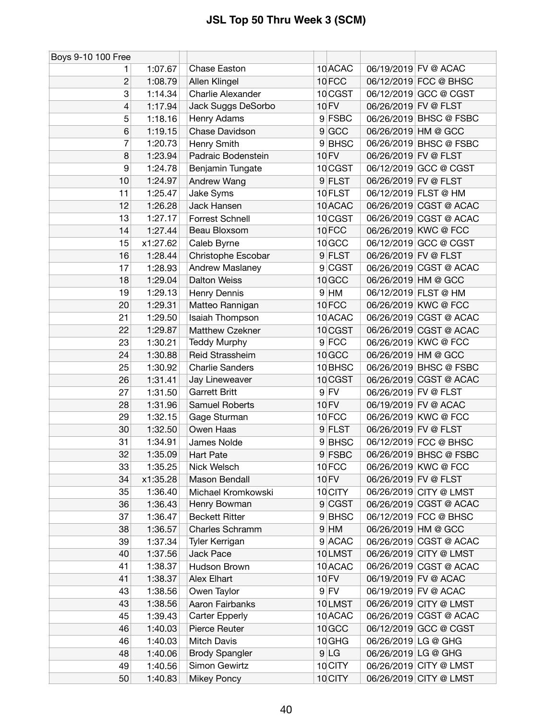| Boys 9-10 100 Free |          |                        |                    |                      |                        |
|--------------------|----------|------------------------|--------------------|----------------------|------------------------|
|                    | 1:07.67  | <b>Chase Easton</b>    | 10 ACAC            |                      | 06/19/2019 FV @ ACAC   |
| 2                  | 1:08.79  | Allen Klingel          | 10FCC              |                      | 06/12/2019 FCC @ BHSC  |
| 3                  | 1:14.34  | Charlie Alexander      | 10 CGST            |                      | 06/12/2019 GCC @ CGST  |
| 4                  | 1:17.94  | Jack Suggs DeSorbo     | 10 FV              | 06/26/2019 FV @ FLST |                        |
| 5                  | 1:18.16  | Henry Adams            | 9 FSBC             |                      | 06/26/2019 BHSC @ FSBC |
| 6                  | 1:19.15  | Chase Davidson         | 9 GCC              |                      | 06/26/2019 HM @ GCC    |
| 7                  | 1:20.73  | Henry Smith            | 9 BHSC             |                      | 06/26/2019 BHSC @ FSBC |
| 8                  | 1:23.94  | Padraic Bodenstein     | <b>10 FV</b>       | 06/26/2019 FV @ FLST |                        |
| 9                  | 1:24.78  | Benjamin Tungate       | 10 CGST            |                      | 06/12/2019 GCC @ CGST  |
| 10                 | 1:24.97  | Andrew Wang            | 9 FLST             | 06/26/2019 FV @ FLST |                        |
| 11                 | 1:25.47  | Jake Syms              | 10 FLST            |                      | 06/12/2019 FLST @ HM   |
| 12                 | 1:26.28  | Jack Hansen            | 10 ACAC            |                      | 06/26/2019 CGST @ ACAC |
| 13                 | 1:27.17  | Forrest Schnell        | 10 CGST            |                      | 06/26/2019 CGST @ ACAC |
| 14                 | 1:27.44  | Beau Bloxsom           | 10FCC              |                      | 06/26/2019 KWC @ FCC   |
| 15                 | x1:27.62 | Caleb Byrne            | 10 GCC             |                      | 06/12/2019 GCC @ CGST  |
| 16                 | 1:28.44  | Christophe Escobar     | 9 FLST             | 06/26/2019 FV @ FLST |                        |
| 17                 | 1:28.93  | Andrew Maslaney        | 9 CGST             |                      | 06/26/2019 CGST @ ACAC |
| 18                 | 1:29.04  | <b>Dalton Weiss</b>    | 10 GCC             |                      | 06/26/2019 HM @ GCC    |
| 19                 | 1:29.13  | Henry Dennis           | $9$ HM             |                      | 06/12/2019 FLST @ HM   |
| 20                 | 1:29.31  | Matteo Rannigan        | 10FCC              |                      | 06/26/2019 KWC @ FCC   |
| 21                 | 1:29.50  | Isaiah Thompson        | 10 ACAC            |                      | 06/26/2019 CGST @ ACAC |
| 22                 | 1:29.87  | Matthew Czekner        | 10 CGST            |                      | 06/26/2019 CGST @ ACAC |
| 23                 | 1:30.21  | <b>Teddy Murphy</b>    | $9$ FCC            |                      | 06/26/2019 KWC @ FCC   |
| 24                 | 1:30.88  | Reid Strassheim        | 10 GCC             |                      | 06/26/2019 HM @ GCC    |
| 25                 | 1:30.92  | <b>Charlie Sanders</b> | 10 <sub>BHSC</sub> |                      | 06/26/2019 BHSC @ FSBC |
| 26                 | 1:31.41  | Jay Lineweaver         | 10 CGST            |                      | 06/26/2019 CGST @ ACAC |
| 27                 | 1:31.50  | <b>Garrett Britt</b>   | $9$ FV             | 06/26/2019 FV @ FLST |                        |
| 28                 | 1:31.96  | Samuel Roberts         | <b>10 FV</b>       |                      | 06/19/2019 FV @ ACAC   |
| 29                 | 1:32.15  | Gage Sturman           | 10FCC              |                      | 06/26/2019 KWC @ FCC   |
| 30                 | 1:32.50  | Owen Haas              | 9 FLST             | 06/26/2019 FV @ FLST |                        |
| 31                 | 1:34.91  | James Nolde            | 9BHSC              |                      | 06/12/2019 FCC @ BHSC  |
| 32                 | 1:35.09  | <b>Hart Pate</b>       | 9 FSBC             |                      | 06/26/2019 BHSC @ FSBC |
| 33                 | 1:35.25  | Nick Welsch            | 10FCC              |                      | 06/26/2019 KWC @ FCC   |
| 34                 | x1:35.28 | Mason Bendall          | 10 FV              | 06/26/2019 FV @ FLST |                        |
| 35                 | 1:36.40  | Michael Kromkowski     | 10 CITY            |                      | 06/26/2019 CITY @ LMST |
| 36                 | 1:36.43  | Henry Bowman           | 9 CGST             |                      | 06/26/2019 CGST @ ACAC |
| 37                 | 1:36.47  | <b>Beckett Ritter</b>  | 9BHSC              |                      | 06/12/2019 FCC @ BHSC  |
| 38                 | 1:36.57  | Charles Schramm        | $9$ HM             |                      | 06/26/2019 HM @ GCC    |
| 39                 | 1:37.34  | Tyler Kerrigan         | 9 ACAC             |                      | 06/26/2019 CGST @ ACAC |
| 40                 | 1:37.56  | <b>Jack Pace</b>       | 10LMST             |                      | 06/26/2019 CITY @ LMST |
| 41                 | 1:38.37  | Hudson Brown           | 10 ACAC            |                      | 06/26/2019 CGST @ ACAC |
| 41                 | 1:38.37  | Alex Elhart            | 10 FV              |                      | 06/19/2019 FV @ ACAC   |
| 43                 | 1:38.56  | Owen Taylor            | $9$ FV             |                      | 06/19/2019 FV @ ACAC   |
| 43                 | 1:38.56  | Aaron Fairbanks        | 10LMST             |                      | 06/26/2019 CITY @ LMST |
| 45                 | 1:39.43  | <b>Carter Epperly</b>  | 10 ACAC            |                      | 06/26/2019 CGST @ ACAC |
| 46                 | 1:40.03  | Pierce Reuter          | 10 GCC             |                      | 06/12/2019 GCC @ CGST  |
| 46                 | 1:40.03  | Mitch Davis            | 10 GHG             | 06/26/2019 LG @ GHG  |                        |
| 48                 | 1:40.06  | <b>Brody Spangler</b>  | 9 LG               | 06/26/2019 LG @ GHG  |                        |
| 49                 | 1:40.56  | Simon Gewirtz          | 10 CITY            |                      | 06/26/2019 CITY @ LMST |
| 50                 | 1:40.83  | <b>Mikey Poncy</b>     | 10 CITY            |                      | 06/26/2019 CITY @ LMST |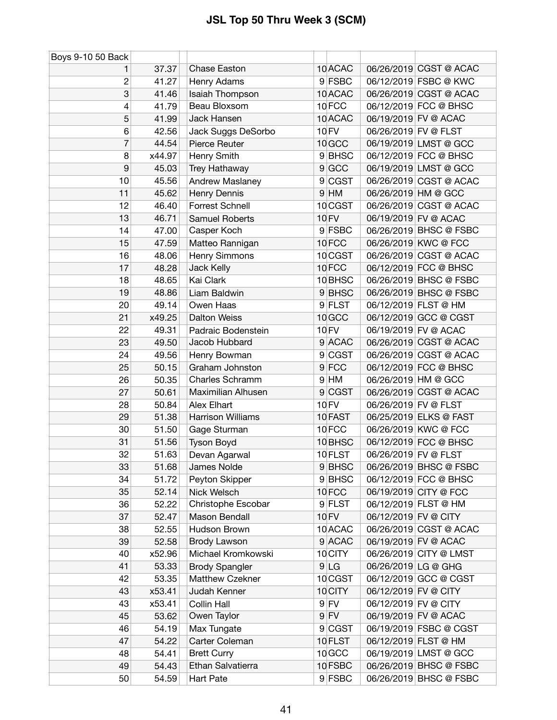| Boys 9-10 50 Back |                |                          |                    |                      |                        |
|-------------------|----------------|--------------------------|--------------------|----------------------|------------------------|
|                   | 37.37          | <b>Chase Easton</b>      | 10 ACAC            |                      | 06/26/2019 CGST @ ACAC |
| $\overline{c}$    | 41.27          | Henry Adams              | 9 FSBC             |                      | 06/12/2019 FSBC @ KWC  |
| 3                 | 41.46          | Isaiah Thompson          | 10 ACAC            |                      | 06/26/2019 CGST @ ACAC |
| 4                 | 41.79          | Beau Bloxsom             | 10FCC              |                      | 06/12/2019 FCC @ BHSC  |
| 5                 | 41.99          | Jack Hansen              | 10 ACAC            |                      | 06/19/2019 FV @ ACAC   |
| 6                 | 42.56          | Jack Suggs DeSorbo       | <b>10 FV</b>       | 06/26/2019 FV @ FLST |                        |
| 7                 | 44.54          | Pierce Reuter            | 10 GCC             |                      | 06/19/2019 LMST @ GCC  |
| 8                 | x44.97         | Henry Smith              | 9BHSC              |                      | 06/12/2019 FCC @ BHSC  |
| 9                 | 45.03          | Trey Hathaway            | 9 GCC              |                      | 06/19/2019 LMST @ GCC  |
| 10                | 45.56          | <b>Andrew Maslaney</b>   | 9 CGST             |                      | 06/26/2019 CGST @ ACAC |
| 11                | 45.62          | Henry Dennis             | $9$ HM             |                      | 06/26/2019 HM @ GCC    |
| 12                | 46.40          | Forrest Schnell          | 10 CGST            |                      | 06/26/2019 CGST @ ACAC |
| 13                | 46.71          | Samuel Roberts           | <b>10 FV</b>       |                      | 06/19/2019 FV @ ACAC   |
| 14                | 47.00          | Casper Koch              | 9 FSBC             |                      | 06/26/2019 BHSC @ FSBC |
| 15                | 47.59          | Matteo Rannigan          | 10FCC              |                      | 06/26/2019 KWC @ FCC   |
| 16                | 48.06          | Henry Simmons            | 10 CGST            |                      | 06/26/2019 CGST @ ACAC |
| 17                | 48.28          | Jack Kelly               | 10FCC              |                      | 06/12/2019 FCC @ BHSC  |
| 18                | 48.65          | Kai Clark                | 10 BHSC            |                      | 06/26/2019 BHSC @ FSBC |
| 19                | 48.86          | Liam Baldwin             | 9BHSC              |                      | 06/26/2019 BHSC @ FSBC |
| 20                | 49.14          | Owen Haas                | 9 FLST             |                      | 06/12/2019 FLST @ HM   |
| 21                | x49.25         | <b>Dalton Weiss</b>      | 10 GCC             |                      | 06/12/2019 GCC @ CGST  |
| 22                | 49.31          | Padraic Bodenstein       | <b>10 FV</b>       |                      | 06/19/2019 FV @ ACAC   |
| 23                | 49.50          | Jacob Hubbard            | 9 ACAC             |                      | 06/26/2019 CGST @ ACAC |
| 24                | 49.56          | Henry Bowman             | 9 CGST             |                      | 06/26/2019 CGST @ ACAC |
| 25                | 50.15          | Graham Johnston          | $9$ FCC            |                      | 06/12/2019 FCC @ BHSC  |
| 26                | 50.35          | Charles Schramm          | $9$ HM             | 06/26/2019 HM @ GCC  |                        |
| 27                | 50.61          | Maximilian Alhusen       | 9 CGST             |                      | 06/26/2019 CGST @ ACAC |
| 28                | 50.84          | Alex Elhart              | <b>10 FV</b>       | 06/26/2019 FV @ FLST |                        |
| 29                | 51.38          | <b>Harrison Williams</b> | 10 FAST            |                      | 06/25/2019 ELKS @ FAST |
| 30                | 51.50          | Gage Sturman             | 10FCC              |                      | 06/26/2019 KWC @ FCC   |
| 31                | 51.56          | <b>Tyson Boyd</b>        | 10 <sub>BHSC</sub> |                      | 06/12/2019 FCC @ BHSC  |
| 32                | 51.63          | Devan Agarwal            | 10 FLST            | 06/26/2019 FV @ FLST |                        |
| 33                | 51.68          | James Nolde              | 9 BHSC             |                      | 06/26/2019 BHSC @ FSBC |
| 34                | 51.72          | Peyton Skipper           | 9BHSC              |                      | 06/12/2019 FCC @ BHSC  |
| 35                | 52.14          | Nick Welsch              | 10FCC              |                      | 06/19/2019 CITY @ FCC  |
| 36                | 52.22          | Christophe Escobar       | 9 FLST             |                      | 06/12/2019 FLST @ HM   |
| 37                | 52.47          | Mason Bendall            | 10 FV              | 06/12/2019 FV @ CITY |                        |
| 38                | 52.55          | Hudson Brown             | 10 ACAC            |                      | 06/26/2019 CGST @ ACAC |
| 39                | 52.58          | Brody Lawson             | 9 ACAC             |                      | 06/19/2019 FV @ ACAC   |
| 40                | x52.96         | Michael Kromkowski       | 10 CITY            |                      | 06/26/2019 CITY @ LMST |
| 41                | 53.33          | <b>Brody Spangler</b>    | 9 LG               | 06/26/2019 LG @ GHG  |                        |
| 42                | 53.35          | Matthew Czekner          | 10 CGST            |                      | 06/12/2019 GCC @ CGST  |
| 43                | x53.41         | Judah Kenner             | 10 CITY            | 06/12/2019 FV @ CITY |                        |
| 43                | x53.41         | <b>Collin Hall</b>       | $9$ FV             | 06/12/2019 FV @ CITY |                        |
| 45                | 53.62          | Owen Taylor              | $9$ FV             |                      | 06/19/2019 FV @ ACAC   |
| 46                |                | Max Tungate              | 9 CGST             |                      | 06/19/2019 FSBC @ CGST |
| 47                | 54.19<br>54.22 |                          |                    |                      | 06/12/2019 FLST @ HM   |
|                   |                | Carter Coleman           | 10 FLST<br>10 GCC  |                      | 06/19/2019 LMST @ GCC  |
| 48                | 54.41          | <b>Brett Curry</b>       |                    |                      |                        |
| 49                | 54.43          | Ethan Salvatierra        | 10 FSBC            |                      | 06/26/2019 BHSC @ FSBC |
| 50                | 54.59          | Hart Pate                | 9 FSBC             |                      | 06/26/2019 BHSC @ FSBC |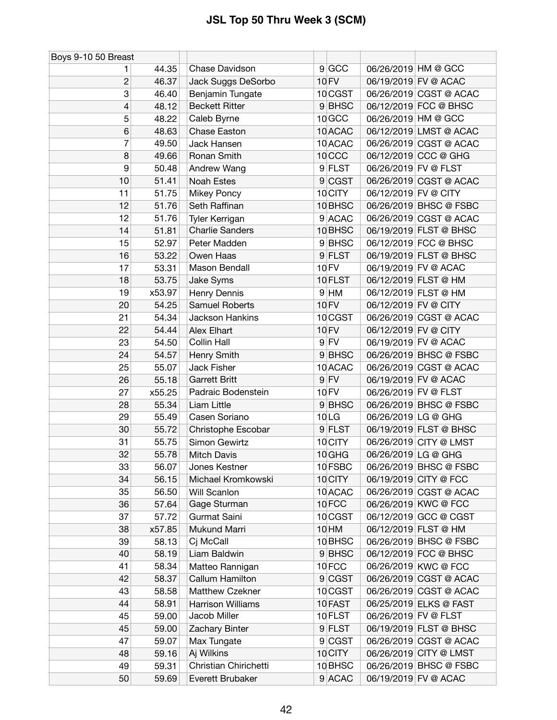| Boys 9-10 50 Breast |        |                          |                    |                        |
|---------------------|--------|--------------------------|--------------------|------------------------|
| 1                   | 44.35  | Chase Davidson           | 9 GCC              | 06/26/2019 HM @ GCC    |
| $\overline{c}$      | 46.37  | Jack Suggs DeSorbo       | <b>10 FV</b>       | 06/19/2019 FV @ ACAC   |
| 3                   | 46.40  | Benjamin Tungate         | 10 CGST            | 06/26/2019 CGST @ ACAC |
| 4                   | 48.12  | <b>Beckett Ritter</b>    | 9BHSC              | 06/12/2019 FCC @ BHSC  |
| 5                   | 48.22  | Caleb Byrne              | 10 GCC             | 06/26/2019 HM @ GCC    |
| 6                   | 48.63  | Chase Easton             | 10 ACAC            | 06/12/2019 LMST @ ACAC |
| 7                   | 49.50  | Jack Hansen              | 10 ACAC            | 06/26/2019 CGST @ ACAC |
| 8                   | 49.66  | Ronan Smith              | 10 <sub>CCC</sub>  | 06/12/2019 CCC @ GHG   |
| 9                   | 50.48  | Andrew Wang              | 9 FLST             | 06/26/2019 FV @ FLST   |
| 10                  | 51.41  | <b>Noah Estes</b>        | 9 CGST             | 06/26/2019 CGST @ ACAC |
| 11                  | 51.75  | Mikey Poncy              | 10 CITY            | 06/12/2019 FV @ CITY   |
| 12                  | 51.76  | Seth Raffinan            | 10 <sub>BHSC</sub> | 06/26/2019 BHSC @ FSBC |
| 12                  | 51.76  | Tyler Kerrigan           | 9 ACAC             | 06/26/2019 CGST @ ACAC |
| 14                  | 51.81  | <b>Charlie Sanders</b>   | 10 BHSC            | 06/19/2019 FLST @ BHSC |
| 15                  | 52.97  | Peter Madden             | 9BHSC              | 06/12/2019 FCC @ BHSC  |
| 16                  | 53.22  | Owen Haas                | 9 FLST             | 06/19/2019 FLST @ BHSC |
| 17                  | 53.31  | Mason Bendall            | 10 FV              | 06/19/2019 FV @ ACAC   |
| 18                  | 53.75  | Jake Syms                | 10 FLST            | 06/12/2019 FLST @ HM   |
| 19                  | x53.97 | Henry Dennis             | $9$ HM             | 06/12/2019 FLST @ HM   |
| 20                  | 54.25  | Samuel Roberts           | 10 FV              | 06/12/2019 FV @ CITY   |
| 21                  | 54.34  | <b>Jackson Hankins</b>   | 10 CGST            | 06/26/2019 CGST @ ACAC |
| 22                  | 54.44  | Alex Elhart              | <b>10 FV</b>       | 06/12/2019 FV @ CITY   |
| 23                  | 54.50  | Collin Hall              | $9$ FV             | 06/19/2019 FV @ ACAC   |
| 24                  | 54.57  | Henry Smith              | 9BHSC              | 06/26/2019 BHSC @ FSBC |
| 25                  | 55.07  | Jack Fisher              | 10 ACAC            | 06/26/2019 CGST @ ACAC |
| 26                  | 55.18  | <b>Garrett Britt</b>     | $9$ FV             | 06/19/2019 FV @ ACAC   |
| 27                  | x55.25 | Padraic Bodenstein       | <b>10 FV</b>       | 06/26/2019 FV @ FLST   |
| 28                  | 55.34  | Liam Little              | 9BHSC              | 06/26/2019 BHSC @ FSBC |
| 29                  | 55.49  | Casen Soriano            | 10LG               | 06/26/2019 LG @ GHG    |
| 30                  | 55.72  | Christophe Escobar       | 9 FLST             | 06/19/2019 FLST @ BHSC |
| 31                  | 55.75  | Simon Gewirtz            | 10 CITY            | 06/26/2019 CITY @ LMST |
| 32                  | 55.78  | <b>Mitch Davis</b>       | 10 GHG             | 06/26/2019 LG @ GHG    |
| 33                  | 56.07  | Jones Kestner            | 10 FSBC            | 06/26/2019 BHSC @ FSBC |
| 34                  | 56.15  | Michael Kromkowski       | 10 CITY            | 06/19/2019 CITY @ FCC  |
| 35                  | 56.50  | Will Scanlon             | 10 ACAC            | 06/26/2019 CGST @ ACAC |
| 36                  | 57.64  | Gage Sturman             | 10FCC              | 06/26/2019 KWC @ FCC   |
| 37                  | 57.72  | Gurmat Saini             | 10 CGST            | 06/12/2019 GCC @ CGST  |
| 38                  | x57.85 | Mukund Marri             | 10 HM              | 06/12/2019 FLST @ HM   |
| 39                  | 58.13  | Cj McCall                | 10 BHSC            | 06/26/2019 BHSC @ FSBC |
| 40                  | 58.19  | Liam Baldwin             | 9BHSC              | 06/12/2019 FCC @ BHSC  |
| 41                  | 58.34  | Matteo Rannigan          | 10FCC              | 06/26/2019 KWC @ FCC   |
| 42                  | 58.37  | Callum Hamilton          | 9 CGST             | 06/26/2019 CGST @ ACAC |
| 43                  | 58.58  | Matthew Czekner          | 10 CGST            | 06/26/2019 CGST @ ACAC |
| 44                  | 58.91  | <b>Harrison Williams</b> | 10 FAST            | 06/25/2019 ELKS @ FAST |
| 45                  | 59.00  | Jacob Miller             | 10 FLST            | 06/26/2019 FV @ FLST   |
| 45                  | 59.00  | Zachary Binter           | $9$ FLST           | 06/19/2019 FLST @ BHSC |
| 47                  | 59.07  | Max Tungate              | 9 CGST             | 06/26/2019 CGST @ ACAC |
| 48                  | 59.16  | Aj Wilkins               | 10 CITY            | 06/26/2019 CITY @ LMST |
| 49                  | 59.31  | Christian Chirichetti    | 10 BHSC            | 06/26/2019 BHSC @ FSBC |
| 50                  | 59.69  | Everett Brubaker         | 9 ACAC             | 06/19/2019 FV @ ACAC   |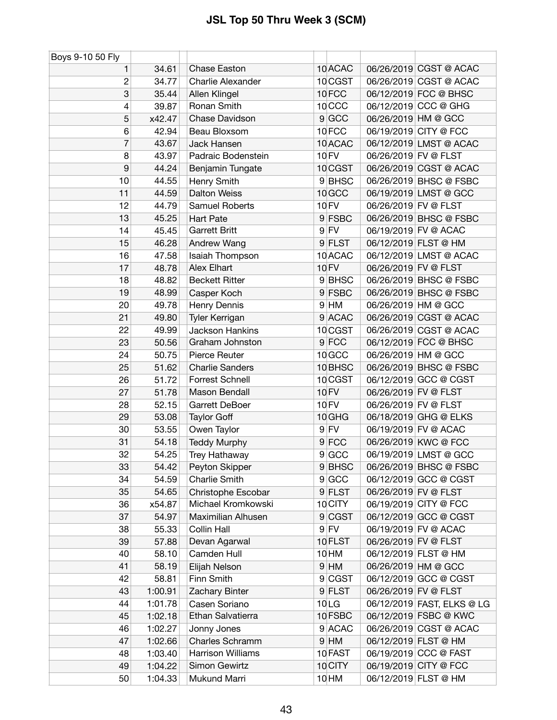| Boys 9-10 50 Fly |         |                        |                   |                            |
|------------------|---------|------------------------|-------------------|----------------------------|
| 1                | 34.61   | <b>Chase Easton</b>    | 10 ACAC           | 06/26/2019 CGST @ ACAC     |
| $\overline{c}$   | 34.77   | Charlie Alexander      | 10 CGST           | 06/26/2019 CGST @ ACAC     |
| 3                | 35.44   | Allen Klingel          | 10FCC             | 06/12/2019 FCC @ BHSC      |
| 4                | 39.87   | Ronan Smith            | 10 <sub>CCC</sub> | 06/12/2019 CCC @ GHG       |
| 5                | x42.47  | Chase Davidson         | $9$ GCC           | 06/26/2019 HM @ GCC        |
| 6                | 42.94   | Beau Bloxsom           | 10FCC             | 06/19/2019 CITY @ FCC      |
| 7                | 43.67   | <b>Jack Hansen</b>     | 10 ACAC           | 06/12/2019 LMST @ ACAC     |
| 8                | 43.97   | Padraic Bodenstein     | <b>10 FV</b>      | 06/26/2019 FV @ FLST       |
| 9                | 44.24   | Benjamin Tungate       | 10 CGST           | 06/26/2019 CGST @ ACAC     |
| 10               | 44.55   | Henry Smith            | 9BHSC             | 06/26/2019 BHSC @ FSBC     |
| 11               | 44.59   | <b>Dalton Weiss</b>    | 10 GCC            | 06/19/2019 LMST @ GCC      |
| 12               | 44.79   | Samuel Roberts         | <b>10 FV</b>      | 06/26/2019 FV @ FLST       |
| 13               | 45.25   | <b>Hart Pate</b>       | 9 FSBC            | 06/26/2019 BHSC @ FSBC     |
| 14               | 45.45   | <b>Garrett Britt</b>   | $9$ FV            | 06/19/2019 FV @ ACAC       |
| 15               | 46.28   | Andrew Wang            | 9 FLST            | 06/12/2019 FLST @ HM       |
| 16               | 47.58   | Isaiah Thompson        | 10 ACAC           | 06/12/2019 LMST @ ACAC     |
| 17               | 48.78   | Alex Elhart            | 10 FV             | 06/26/2019 FV @ FLST       |
| 18               | 48.82   | <b>Beckett Ritter</b>  | 9BHSC             | 06/26/2019 BHSC @ FSBC     |
| 19               | 48.99   | Casper Koch            | 9 FSBC            | 06/26/2019 BHSC @ FSBC     |
| 20               | 49.78   | Henry Dennis           | $9$ HM            | 06/26/2019 HM @ GCC        |
| 21               | 49.80   | Tyler Kerrigan         | 9 ACAC            | 06/26/2019 CGST @ ACAC     |
| 22               | 49.99   | <b>Jackson Hankins</b> | 10 CGST           | 06/26/2019 CGST @ ACAC     |
| 23               | 50.56   | Graham Johnston        | $9$ FCC           | 06/12/2019 FCC @ BHSC      |
| 24               | 50.75   | Pierce Reuter          | 10 GCC            | 06/26/2019 HM @ GCC        |
| 25               | 51.62   | <b>Charlie Sanders</b> | 10 BHSC           | 06/26/2019 BHSC @ FSBC     |
| 26               | 51.72   | Forrest Schnell        | 10 CGST           | 06/12/2019 GCC @ CGST      |
| 27               | 51.78   | Mason Bendall          | <b>10 FV</b>      | 06/26/2019 FV @ FLST       |
| 28               | 52.15   | Garrett DeBoer         | <b>10 FV</b>      | 06/26/2019 FV @ FLST       |
| 29               | 53.08   | <b>Taylor Goff</b>     | 10 GHG            | 06/18/2019 GHG @ ELKS      |
| 30               | 53.55   | Owen Taylor            | $9$ FV            | 06/19/2019 FV @ ACAC       |
| 31               | 54.18   | <b>Teddy Murphy</b>    | $9$ FCC           | 06/26/2019 KWC @ FCC       |
| 32               | 54.25   | Trey Hathaway          | 9 GCC             | 06/19/2019 LMST @ GCC      |
| 33               | 54.42   | Peyton Skipper         | 9BHSC             | 06/26/2019 BHSC @ FSBC     |
| 34               | 54.59   | <b>Charlie Smith</b>   | 9 GCC             | 06/12/2019 GCC @ CGST      |
| 35               | 54.65   | Christophe Escobar     | $9$ FLST          | 06/26/2019 FV @ FLST       |
| 36               | x54.87  | Michael Kromkowski     | 10 CITY           | 06/19/2019 CITY @ FCC      |
| 37               | 54.97   | Maximilian Alhusen     | 9 CGST            | 06/12/2019 GCC @ CGST      |
| 38               | 55.33   | Collin Hall            | $9$ FV            | 06/19/2019 FV @ ACAC       |
| 39               | 57.88   | Devan Agarwal          | 10 FLST           | 06/26/2019 FV @ FLST       |
| 40               | 58.10   | Camden Hull            | 10 HM             | 06/12/2019 FLST @ HM       |
| 41               | 58.19   | Elijah Nelson          | $9$ HM            | 06/26/2019 HM @ GCC        |
| 42               | 58.81   | Finn Smith             | 9 CGST            | 06/12/2019 GCC @ CGST      |
| 43               | 1:00.91 | Zachary Binter         | $9$ FLST          | 06/26/2019 FV @ FLST       |
| 44               | 1:01.78 | Casen Soriano          | 10 <sub>LG</sub>  | 06/12/2019 FAST, ELKS @ LG |
| 45               | 1:02.18 | Ethan Salvatierra      | 10 FSBC           | 06/12/2019 FSBC @ KWC      |
| 46               | 1:02.27 | Jonny Jones            | 9 ACAC            | 06/26/2019 CGST @ ACAC     |
| 47               | 1:02.66 | Charles Schramm        | $9$ HM            | 06/12/2019 FLST @ HM       |
| 48               | 1:03.40 | Harrison Williams      | 10 FAST           | 06/19/2019 CCC @ FAST      |
| 49               | 1:04.22 | Simon Gewirtz          | 10 CITY           | 06/19/2019 CITY @ FCC      |
| 50               | 1:04.33 | Mukund Marri           | 10 HM             | 06/12/2019 FLST @ HM       |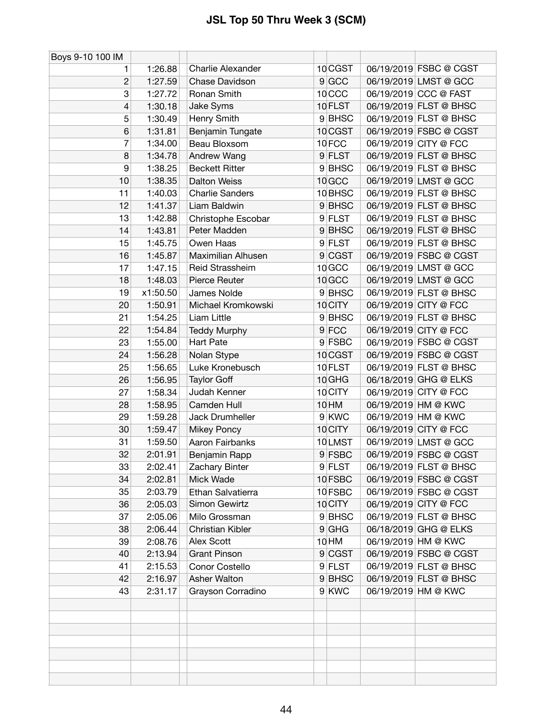| Boys 9-10 100 IM |          |                          |                   |                        |
|------------------|----------|--------------------------|-------------------|------------------------|
| 1                | 1:26.88  | <b>Charlie Alexander</b> | 10 CGST           | 06/19/2019 FSBC @ CGST |
| $\overline{c}$   | 1:27.59  | Chase Davidson           | 9 GCC             | 06/19/2019 LMST @ GCC  |
| 3                | 1:27.72  | Ronan Smith              | 10 <sub>CCC</sub> | 06/19/2019 CCC @ FAST  |
| $\overline{4}$   | 1:30.18  | Jake Syms                | 10 FLST           | 06/19/2019 FLST @ BHSC |
| 5                | 1:30.49  | Henry Smith              | 9BHSC             | 06/19/2019 FLST @ BHSC |
| 6                | 1:31.81  | Benjamin Tungate         | 10 CGST           | 06/19/2019 FSBC @ CGST |
| 7                | 1:34.00  | Beau Bloxsom             | 10FCC             | 06/19/2019 CITY @ FCC  |
| 8                | 1:34.78  | Andrew Wang              | $9$ FLST          | 06/19/2019 FLST @ BHSC |
| 9                | 1:38.25  | <b>Beckett Ritter</b>    | 9 BHSC            | 06/19/2019 FLST @ BHSC |
| 10               | 1:38.35  | <b>Dalton Weiss</b>      | 10 GCC            | 06/19/2019 LMST @ GCC  |
| 11               | 1:40.03  | <b>Charlie Sanders</b>   | 10 BHSC           | 06/19/2019 FLST @ BHSC |
| 12               | 1:41.37  | Liam Baldwin             | 9BHSC             | 06/19/2019 FLST @ BHSC |
| 13               | 1:42.88  | Christophe Escobar       | 9 FLST            | 06/19/2019 FLST @ BHSC |
| 14               | 1:43.81  | Peter Madden             | 9BHSC             | 06/19/2019 FLST @ BHSC |
| 15               | 1:45.75  | Owen Haas                | 9 FLST            | 06/19/2019 FLST @ BHSC |
| 16               | 1:45.87  | Maximilian Alhusen       | 9 CGST            | 06/19/2019 FSBC @ CGST |
| 17               | 1:47.15  | Reid Strassheim          | 10 GCC            | 06/19/2019 LMST @ GCC  |
| 18               | 1:48.03  | Pierce Reuter            | 10 GCC            | 06/19/2019 LMST @ GCC  |
| 19               | x1:50.50 | James Nolde              | 9 BHSC            | 06/19/2019 FLST @ BHSC |
| 20               | 1:50.91  | Michael Kromkowski       | 10 CITY           | 06/19/2019 CITY @ FCC  |
| 21               | 1:54.25  | Liam Little              | 9 BHSC            | 06/19/2019 FLST @ BHSC |
| 22               | 1:54.84  | <b>Teddy Murphy</b>      | $9$ FCC           | 06/19/2019 CITY @ FCC  |
| 23               | 1:55.00  | <b>Hart Pate</b>         | 9 FSBC            | 06/19/2019 FSBC @ CGST |
| 24               | 1:56.28  | Nolan Stype              | 10 CGST           | 06/19/2019 FSBC @ CGST |
| 25               | 1:56.65  | Luke Kronebusch          | 10 FLST           | 06/19/2019 FLST @ BHSC |
| 26               | 1:56.95  | <b>Taylor Goff</b>       | 10 GHG            | 06/18/2019 GHG @ ELKS  |
| 27               | 1:58.34  | Judah Kenner             | 10 CITY           | 06/19/2019 CITY @ FCC  |
| 28               | 1:58.95  | Camden Hull              | 10 HM             | 06/19/2019 HM @ KWC    |
| 29               | 1:59.28  | Jack Drumheller          | 9 KWC             | 06/19/2019 HM @ KWC    |
| 30               | 1:59.47  | <b>Mikey Poncy</b>       | 10 CITY           | 06/19/2019 CITY @ FCC  |
| 31               | 1:59.50  | Aaron Fairbanks          | 10LMST            | 06/19/2019 LMST @ GCC  |
| 32               | 2:01.91  | Benjamin Rapp            | 9 FSBC            | 06/19/2019 FSBC @ CGST |
| 33               | 2:02.41  | Zachary Binter           | 9 FLST            | 06/19/2019 FLST @ BHSC |
| 34               | 2:02.81  | Mick Wade                | 10 FSBC           | 06/19/2019 FSBC @ CGST |
| 35               | 2:03.79  | Ethan Salvatierra        | 10 FSBC           | 06/19/2019 FSBC @ CGST |
| 36               | 2:05.03  | Simon Gewirtz            | 10 CITY           | 06/19/2019 CITY @ FCC  |
| 37               | 2:05.06  | Milo Grossman            | 9BHSC             | 06/19/2019 FLST @ BHSC |
| 38               | 2:06.44  | <b>Christian Kibler</b>  | $9$ GHG           | 06/18/2019 GHG @ ELKS  |
| 39               | 2:08.76  | Alex Scott               | 10 HM             | 06/19/2019 HM @ KWC    |
| 40               | 2:13.94  | <b>Grant Pinson</b>      | 9 CGST            | 06/19/2019 FSBC @ CGST |
| 41               | 2:15.53  | Conor Costello           | 9 FLST            | 06/19/2019 FLST @ BHSC |
| 42               | 2:16.97  | Asher Walton             | 9BHSC             | 06/19/2019 FLST @ BHSC |
| 43               | 2:31.17  | Grayson Corradino        | 9 KWC             | 06/19/2019 HM @ KWC    |
|                  |          |                          |                   |                        |
|                  |          |                          |                   |                        |
|                  |          |                          |                   |                        |
|                  |          |                          |                   |                        |
|                  |          |                          |                   |                        |
|                  |          |                          |                   |                        |
|                  |          |                          |                   |                        |
|                  |          |                          |                   |                        |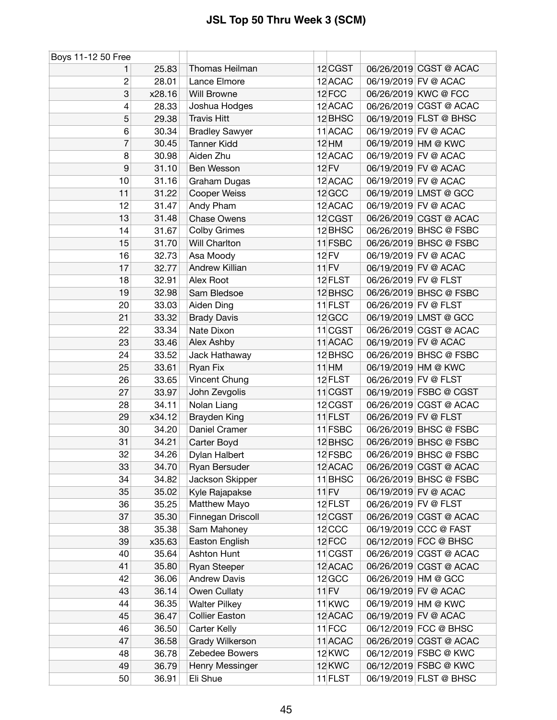| Boys 11-12 50 Free |        |                       |                   |                      |                        |
|--------------------|--------|-----------------------|-------------------|----------------------|------------------------|
|                    | 25.83  | Thomas Heilman        | 12 CGST           |                      | 06/26/2019 CGST @ ACAC |
| $\boldsymbol{2}$   | 28.01  | Lance Elmore          | 12 ACAC           |                      | 06/19/2019 FV @ ACAC   |
| 3                  | x28.16 | Will Browne           | 12 FCC            |                      | 06/26/2019 KWC @ FCC   |
| 4                  | 28.33  | Joshua Hodges         | 12 ACAC           |                      | 06/26/2019 CGST @ ACAC |
| 5                  | 29.38  | <b>Travis Hitt</b>    | 12 BHSC           |                      | 06/19/2019 FLST @ BHSC |
| 6                  | 30.34  | <b>Bradley Sawyer</b> | 11 ACAC           |                      | 06/19/2019 FV @ ACAC   |
| $\overline{7}$     | 30.45  | <b>Tanner Kidd</b>    | $12$ HM           |                      | 06/19/2019 HM @ KWC    |
| 8                  | 30.98  | Aiden Zhu             | 12 ACAC           |                      | 06/19/2019 FV @ ACAC   |
| $\boldsymbol{9}$   | 31.10  | Ben Wesson            | <b>12 FV</b>      |                      | 06/19/2019 FV @ ACAC   |
| 10                 | 31.16  | Graham Dugas          | 12 ACAC           |                      | 06/19/2019 FV @ ACAC   |
| 11                 | 31.22  | Cooper Weiss          | 12 GCC            |                      | 06/19/2019 LMST @ GCC  |
| 12                 | 31.47  | Andy Pham             | 12 ACAC           |                      | 06/19/2019 FV @ ACAC   |
| 13                 | 31.48  | <b>Chase Owens</b>    | 12 CGST           |                      | 06/26/2019 CGST @ ACAC |
| 14                 | 31.67  | <b>Colby Grimes</b>   | 12 BHSC           |                      | 06/26/2019 BHSC @ FSBC |
| 15                 | 31.70  | Will Charlton         | 11 FSBC           |                      | 06/26/2019 BHSC @ FSBC |
| 16                 | 32.73  | Asa Moody             | 12 FV             |                      | 06/19/2019 FV @ ACAC   |
| 17                 | 32.77  | Andrew Killian        | $11$ FV           |                      | 06/19/2019 FV @ ACAC   |
| 18                 | 32.91  | Alex Root             | 12 FLST           | 06/26/2019 FV @ FLST |                        |
| 19                 | 32.98  | Sam Bledsoe           | 12 BHSC           |                      | 06/26/2019 BHSC @ FSBC |
| 20                 | 33.03  | Aiden Ding            | 11 FLST           | 06/26/2019 FV @ FLST |                        |
| 21                 | 33.32  | <b>Brady Davis</b>    | 12 GCC            |                      | 06/19/2019 LMST @ GCC  |
| 22                 | 33.34  | Nate Dixon            | 11 CGST           |                      | 06/26/2019 CGST @ ACAC |
| 23                 | 33.46  | Alex Ashby            | 11 ACAC           |                      | 06/19/2019 FV @ ACAC   |
| 24                 | 33.52  | Jack Hathaway         | 12 BHSC           |                      | 06/26/2019 BHSC @ FSBC |
| 25                 | 33.61  | Ryan Fix              | $11$ HM           |                      | 06/19/2019 HM @ KWC    |
| 26                 | 33.65  | Vincent Chung         | 12 FLST           | 06/26/2019 FV @ FLST |                        |
| 27                 | 33.97  | John Zevgolis         | $11$ CGST         |                      | 06/19/2019 FSBC @ CGST |
| 28                 | 34.11  | Nolan Liang           | 12 CGST           |                      | 06/26/2019 CGST @ ACAC |
| 29                 | x34.12 | Brayden King          | $11$ FLST         | 06/26/2019 FV @ FLST |                        |
| 30                 | 34.20  | Daniel Cramer         | $11$ FSBC         |                      | 06/26/2019 BHSC @ FSBC |
| 31                 | 34.21  | Carter Boyd           | 12 BHSC           |                      | 06/26/2019 BHSC @ FSBC |
| 32                 | 34.26  | Dylan Halbert         | 12 FSBC           |                      | 06/26/2019 BHSC @ FSBC |
| 33                 | 34.70  | Ryan Bersuder         | 12 ACAC           |                      | 06/26/2019 CGST @ ACAC |
| 34                 | 34.82  | Jackson Skipper       | 11 BHSC           |                      | 06/26/2019 BHSC @ FSBC |
| 35                 | 35.02  | Kyle Rajapakse        | $11$ FV           |                      | 06/19/2019 FV @ ACAC   |
| 36                 | 35.25  | Matthew Mayo          | 12 FLST           | 06/26/2019 FV @ FLST |                        |
| 37                 | 35.30  | Finnegan Driscoll     | 12 CGST           |                      | 06/26/2019 CGST @ ACAC |
| 38                 | 35.38  | Sam Mahoney           | 12 <sub>CCC</sub> |                      | 06/19/2019 CCC @ FAST  |
| 39                 | x35.63 | Easton English        | 12FCC             |                      | 06/12/2019 FCC @ BHSC  |
| 40                 | 35.64  | Ashton Hunt           | 11 CGST           |                      | 06/26/2019 CGST @ ACAC |
| 41                 | 35.80  | Ryan Steeper          | 12 ACAC           |                      | 06/26/2019 CGST @ ACAC |
| 42                 | 36.06  | <b>Andrew Davis</b>   | 12 GCC            |                      | 06/26/2019 HM @ GCC    |
| 43                 | 36.14  | Owen Cullaty          | $11$ FV           |                      | 06/19/2019 FV @ ACAC   |
| 44                 | 36.35  | <b>Walter Pilkey</b>  | 11 <sub>KWC</sub> |                      | 06/19/2019 HM @ KWC    |
| 45                 | 36.47  | <b>Collier Easton</b> | 12 ACAC           |                      | 06/19/2019 FV @ ACAC   |
| 46                 | 36.50  | Carter Kelly          | 11FCC             |                      | 06/12/2019 FCC @ BHSC  |
| 47                 | 36.58  | Grady Wilkerson       | 11 ACAC           |                      | 06/26/2019 CGST @ ACAC |
| 48                 | 36.78  | Zebedee Bowers        | 12 KWC            |                      | 06/12/2019 FSBC @ KWC  |
| 49                 | 36.79  | Henry Messinger       | 12 KWC            |                      | 06/12/2019 FSBC @ KWC  |
|                    |        |                       |                   |                      |                        |
| 50                 | 36.91  | Eli Shue              | $11$ FLST         |                      | 06/19/2019 FLST @ BHSC |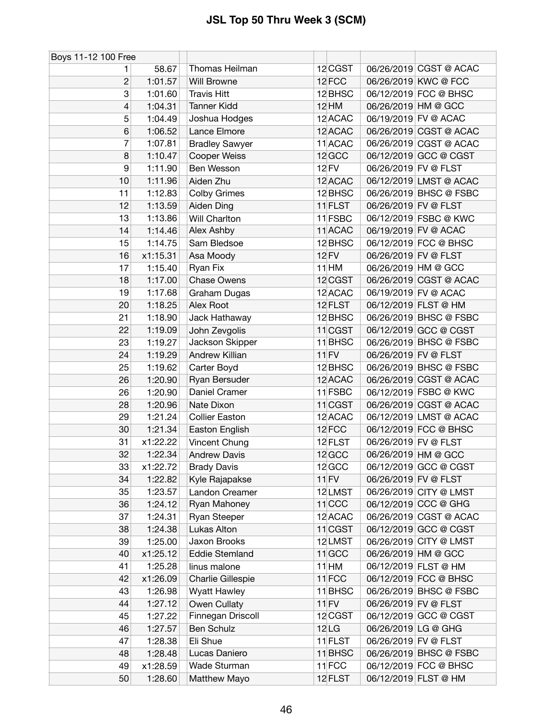| Boys 11-12 100 Free |          |                       |              |                      |                        |
|---------------------|----------|-----------------------|--------------|----------------------|------------------------|
| 1.                  | 58.67    | Thomas Heilman        | 12 CGST      |                      | 06/26/2019 CGST @ ACAC |
| $\overline{c}$      | 1:01.57  | Will Browne           | 12 FCC       | 06/26/2019 KWC @ FCC |                        |
| 3                   | 1:01.60  | <b>Travis Hitt</b>    | 12 BHSC      |                      | 06/12/2019 FCC @ BHSC  |
| 4                   | 1:04.31  | <b>Tanner Kidd</b>    | <b>12 HM</b> | 06/26/2019 HM @ GCC  |                        |
| 5                   | 1:04.49  | Joshua Hodges         | 12 ACAC      | 06/19/2019 FV @ ACAC |                        |
| 6                   | 1:06.52  | Lance Elmore          | 12 ACAC      |                      | 06/26/2019 CGST @ ACAC |
| 7                   | 1:07.81  | <b>Bradley Sawyer</b> | 11 ACAC      |                      | 06/26/2019 CGST @ ACAC |
| 8                   | 1:10.47  | Cooper Weiss          | 12 GCC       |                      | 06/12/2019 GCC @ CGST  |
| 9                   | 1:11.90  | Ben Wesson            | 12 FV        | 06/26/2019 FV @ FLST |                        |
| 10                  | 1:11.96  | Aiden Zhu             | 12 ACAC      |                      | 06/12/2019 LMST @ ACAC |
| 11                  | 1:12.83  | <b>Colby Grimes</b>   | 12 BHSC      |                      | 06/26/2019 BHSC @ FSBC |
| 12                  | 1:13.59  | Aiden Ding            | 11 FLST      | 06/26/2019 FV @ FLST |                        |
| 13                  | 1:13.86  | Will Charlton         | 11 FSBC      |                      | 06/12/2019 FSBC @ KWC  |
| 14                  | 1:14.46  | Alex Ashby            | 11 ACAC      | 06/19/2019 FV @ ACAC |                        |
| 15                  | 1:14.75  | Sam Bledsoe           | 12 BHSC      |                      | 06/12/2019 FCC @ BHSC  |
| 16                  | x1:15.31 | Asa Moody             | 12 FV        | 06/26/2019 FV @ FLST |                        |
| 17                  | 1:15.40  | Ryan Fix              | $11$ HM      | 06/26/2019 HM @ GCC  |                        |
| 18                  | 1:17.00  | Chase Owens           | 12 CGST      |                      | 06/26/2019 CGST @ ACAC |
| 19                  | 1:17.68  | Graham Dugas          | 12 ACAC      | 06/19/2019 FV @ ACAC |                        |
| 20                  | 1:18.25  | Alex Root             | 12 FLST      | 06/12/2019 FLST @ HM |                        |
| 21                  | 1:18.90  | Jack Hathaway         | 12 BHSC      |                      | 06/26/2019 BHSC @ FSBC |
| 22                  | 1:19.09  | John Zevgolis         | $11$ CGST    |                      | 06/12/2019 GCC @ CGST  |
| 23                  | 1:19.27  | Jackson Skipper       | 11 BHSC      |                      | 06/26/2019 BHSC @ FSBC |
| 24                  | 1:19.29  | Andrew Killian        | $11$ FV      | 06/26/2019 FV @ FLST |                        |
| 25                  | 1:19.62  | Carter Boyd           | 12 BHSC      |                      | 06/26/2019 BHSC @ FSBC |
| 26                  | 1:20.90  | Ryan Bersuder         | 12 ACAC      |                      | 06/26/2019 CGST @ ACAC |
| 26                  | 1:20.90  | Daniel Cramer         | $11$ FSBC    |                      | 06/12/2019 FSBC @ KWC  |
| 28                  | 1:20.96  | Nate Dixon            | 11 CGST      |                      | 06/26/2019 CGST @ ACAC |
| 29                  | 1:21.24  | <b>Collier Easton</b> | 12 ACAC      |                      | 06/12/2019 LMST @ ACAC |
| 30                  | 1:21.34  | Easton English        | 12 FCC       |                      | 06/12/2019 FCC @ BHSC  |
| 31                  | x1:22.22 | Vincent Chung         | 12 FLST      | 06/26/2019 FV @ FLST |                        |
| 32                  | 1:22.34  | <b>Andrew Davis</b>   | 12 GCC       | 06/26/2019 HM @ GCC  |                        |
| 33                  | x1:22.72 | <b>Brady Davis</b>    | 12 GCC       |                      | 06/12/2019 GCC @ CGST  |
| 34                  | 1:22.82  | Kyle Rajapakse        | $11$ FV      | 06/26/2019 FV @ FLST |                        |
| 35                  | 1:23.57  | Landon Creamer        | 12 LMST      |                      | 06/26/2019 CITY @ LMST |
| 36                  | 1:24.12  | Ryan Mahoney          | $11$ CCC     | 06/12/2019 CCC @ GHG |                        |
| 37                  | 1:24.31  | Ryan Steeper          | 12 ACAC      |                      | 06/26/2019 CGST @ ACAC |
| 38                  | 1:24.38  | Lukas Alton           | $11$ CGST    |                      | 06/12/2019 GCC @ CGST  |
| 39                  | 1:25.00  | Jaxon Brooks          | 12LMST       |                      | 06/26/2019 CITY @ LMST |
| 40                  | x1:25.12 | <b>Eddie Stemland</b> | $11$ GCC     | 06/26/2019 HM @ GCC  |                        |
| 41                  | 1:25.28  | linus malone          | $11$ HM      | 06/12/2019 FLST @ HM |                        |
| 42                  | x1:26.09 | Charlie Gillespie     | $11$ FCC     |                      | 06/12/2019 FCC @ BHSC  |
| 43                  | 1:26.98  | <b>Wyatt Hawley</b>   | 11 BHSC      |                      | 06/26/2019 BHSC @ FSBC |
| 44                  | 1:27.12  | Owen Cullaty          | $11$ FV      | 06/26/2019 FV @ FLST |                        |
| 45                  | 1:27.22  | Finnegan Driscoll     | 12 CGST      |                      | 06/12/2019 GCC @ CGST  |
| 46                  | 1:27.57  | Ben Schulz            | $12$ LG      | 06/26/2019 LG @ GHG  |                        |
| 47                  | 1:28.38  | Eli Shue              | 11 FLST      | 06/26/2019 FV @ FLST |                        |
| 48                  | 1:28.48  | Lucas Daniero         | 11 BHSC      |                      | 06/26/2019 BHSC @ FSBC |
| 49                  | x1:28.59 | Wade Sturman          | 11FCC        |                      | 06/12/2019 FCC @ BHSC  |
| 50                  | 1:28.60  | Matthew Mayo          | 12 FLST      | 06/12/2019 FLST @ HM |                        |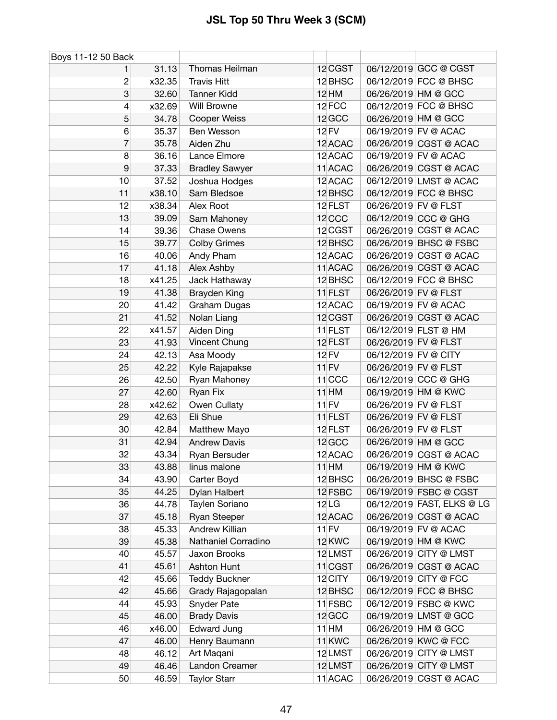| Boys 11-12 50 Back |        |                       |                   |                      |                            |
|--------------------|--------|-----------------------|-------------------|----------------------|----------------------------|
| 1                  | 31.13  | Thomas Heilman        | 12 CGST           |                      | 06/12/2019 GCC @ CGST      |
| 2                  | x32.35 | <b>Travis Hitt</b>    | 12 BHSC           |                      | 06/12/2019 FCC @ BHSC      |
| 3                  | 32.60  | <b>Tanner Kidd</b>    | $12$ HM           |                      | 06/26/2019 HM @ GCC        |
| 4                  | x32.69 | Will Browne           | 12FCC             |                      | 06/12/2019 FCC @ BHSC      |
| 5                  | 34.78  | Cooper Weiss          | 12 GCC            |                      | 06/26/2019 HM @ GCC        |
| 6                  | 35.37  | Ben Wesson            | 12 FV             |                      | 06/19/2019 FV @ ACAC       |
| 7                  | 35.78  | Aiden Zhu             | 12 ACAC           |                      | 06/26/2019 CGST @ ACAC     |
| 8                  | 36.16  | Lance Elmore          | 12 ACAC           |                      | 06/19/2019 FV @ ACAC       |
| 9                  | 37.33  | <b>Bradley Sawyer</b> | 11 ACAC           |                      | 06/26/2019 CGST @ ACAC     |
| 10                 | 37.52  | Joshua Hodges         | 12 ACAC           |                      | 06/12/2019 LMST @ ACAC     |
| 11                 | x38.10 | Sam Bledsoe           | 12 BHSC           |                      | 06/12/2019 FCC @ BHSC      |
| 12                 | x38.34 | Alex Root             | 12 FLST           | 06/26/2019 FV @ FLST |                            |
| 13                 | 39.09  | Sam Mahoney           | $12$ CCC          |                      | 06/12/2019 CCC @ GHG       |
| 14                 | 39.36  | <b>Chase Owens</b>    | 12 CGST           |                      | 06/26/2019 CGST @ ACAC     |
| 15                 | 39.77  | <b>Colby Grimes</b>   | 12 BHSC           |                      | 06/26/2019 BHSC @ FSBC     |
| 16                 | 40.06  | Andy Pham             | 12 ACAC           |                      | 06/26/2019 CGST @ ACAC     |
| 17                 | 41.18  | Alex Ashby            | 11 ACAC           |                      | 06/26/2019 CGST @ ACAC     |
| 18                 | x41.25 | Jack Hathaway         | 12 BHSC           |                      | 06/12/2019 FCC @ BHSC      |
| 19                 | 41.38  | <b>Brayden King</b>   | 11 FLST           | 06/26/2019 FV @ FLST |                            |
| 20                 | 41.42  | Graham Dugas          | 12 ACAC           |                      | 06/19/2019 FV @ ACAC       |
| 21                 | 41.52  | Nolan Liang           | 12 CGST           |                      | 06/26/2019 CGST @ ACAC     |
| 22                 | x41.57 | Aiden Ding            | 11 FLST           |                      | 06/12/2019 FLST @ HM       |
| 23                 | 41.93  | Vincent Chung         | 12 FLST           | 06/26/2019 FV @ FLST |                            |
| 24                 | 42.13  | Asa Moody             | 12 FV             | 06/12/2019 FV @ CITY |                            |
| 25                 | 42.22  | Kyle Rajapakse        | $11$ FV           | 06/26/2019 FV @ FLST |                            |
| 26                 | 42.50  | Ryan Mahoney          | $11$ CCC          |                      | 06/12/2019 CCC @ GHG       |
| 27                 | 42.60  | Ryan Fix              | $11$ HM           |                      | 06/19/2019 HM @ KWC        |
| 28                 | x42.62 | Owen Cullaty          | $11$ FV           | 06/26/2019 FV @ FLST |                            |
| 29                 | 42.63  | Eli Shue              | 11 FLST           | 06/26/2019 FV @ FLST |                            |
| 30                 | 42.84  | Matthew Mayo          | 12 FLST           | 06/26/2019 FV @ FLST |                            |
| 31                 | 42.94  | <b>Andrew Davis</b>   | 12 GCC            |                      | 06/26/2019 HM @ GCC        |
| 32                 | 43.34  | Ryan Bersuder         | 12 ACAC           |                      | 06/26/2019 CGST @ ACAC     |
| 33                 | 43.88  | linus malone          | $11$ HM           |                      | 06/19/2019 HM @ KWC        |
| 34                 | 43.90  | Carter Boyd           | 12 BHSC           |                      | 06/26/2019 BHSC @ FSBC     |
| 35                 | 44.25  | Dylan Halbert         | 12 FSBC           |                      | 06/19/2019 FSBC @ CGST     |
| 36                 | 44.78  | Taylen Soriano        | 12 <sub>LG</sub>  |                      | 06/12/2019 FAST, ELKS @ LG |
| 37                 | 45.18  | <b>Ryan Steeper</b>   | 12 ACAC           |                      | 06/26/2019 CGST @ ACAC     |
| 38                 | 45.33  | Andrew Killian        | $11$ FV           |                      | 06/19/2019 FV @ ACAC       |
| 39                 | 45.38  | Nathaniel Corradino   | 12 KWC            |                      | 06/19/2019 HM @ KWC        |
| 40                 | 45.57  | Jaxon Brooks          | 12LMST            |                      | 06/26/2019 CITY @ LMST     |
| 41                 | 45.61  | Ashton Hunt           | $11$ CGST         |                      | 06/26/2019 CGST @ ACAC     |
| 42                 | 45.66  | <b>Teddy Buckner</b>  | 12 CITY           |                      | 06/19/2019 CITY @ FCC      |
| 42                 | 45.66  | Grady Rajagopalan     | 12 BHSC           |                      | 06/12/2019 FCC @ BHSC      |
| 44                 | 45.93  | Snyder Pate           | $11$ FSBC         |                      | 06/12/2019 FSBC @ KWC      |
| 45                 | 46.00  | <b>Brady Davis</b>    | 12 GCC            |                      | 06/19/2019 LMST @ GCC      |
| 46                 | x46.00 | <b>Edward Jung</b>    | $11$ HM           |                      | 06/26/2019 HM @ GCC        |
| 47                 | 46.00  | Henry Baumann         | 11 <sub>KWC</sub> |                      | 06/26/2019 KWC @ FCC       |
| 48                 | 46.12  | Art Maqani            | 12LMST            |                      | 06/26/2019 CITY @ LMST     |
| 49                 | 46.46  | Landon Creamer        | 12LMST            |                      | 06/26/2019 CITY @ LMST     |
| 50                 | 46.59  | <b>Taylor Starr</b>   | 11 ACAC           |                      | 06/26/2019 CGST @ ACAC     |
|                    |        |                       |                   |                      |                            |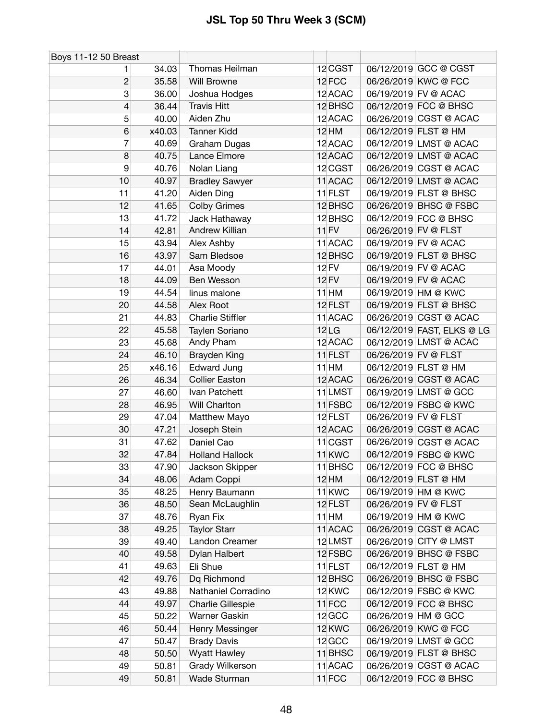| Boys 11-12 50 Breast |        |                         |                   |                      |                            |
|----------------------|--------|-------------------------|-------------------|----------------------|----------------------------|
|                      | 34.03  | Thomas Heilman          | 12 CGST           |                      | 06/12/2019 GCC @ CGST      |
| 2                    | 35.58  | Will Browne             | 12 FCC            |                      | 06/26/2019 KWC @ FCC       |
| 3                    | 36.00  | Joshua Hodges           | 12 ACAC           |                      | 06/19/2019 FV @ ACAC       |
| 4                    | 36.44  | <b>Travis Hitt</b>      | 12 BHSC           |                      | 06/12/2019 FCC @ BHSC      |
| 5                    | 40.00  | Aiden Zhu               | 12 ACAC           |                      | 06/26/2019 CGST @ ACAC     |
| 6                    | x40.03 | <b>Tanner Kidd</b>      | 12 HM             |                      | 06/12/2019 FLST @ HM       |
| 7                    | 40.69  | Graham Dugas            | 12 ACAC           |                      | 06/12/2019 LMST @ ACAC     |
| 8                    | 40.75  | Lance Elmore            | 12 ACAC           |                      | 06/12/2019 LMST @ ACAC     |
| 9                    | 40.76  | Nolan Liang             | 12 CGST           |                      | 06/26/2019 CGST @ ACAC     |
| 10                   | 40.97  | <b>Bradley Sawyer</b>   | 11 ACAC           |                      | 06/12/2019 LMST @ ACAC     |
| 11                   | 41.20  | Aiden Ding              | 11 FLST           |                      | 06/19/2019 FLST @ BHSC     |
| 12                   | 41.65  | <b>Colby Grimes</b>     | 12 BHSC           |                      | 06/26/2019 BHSC @ FSBC     |
| 13                   | 41.72  | Jack Hathaway           | 12 BHSC           |                      | 06/12/2019 FCC @ BHSC      |
| 14                   | 42.81  | Andrew Killian          | $11$ FV           | 06/26/2019 FV @ FLST |                            |
| 15                   | 43.94  | Alex Ashby              | 11 ACAC           |                      | 06/19/2019 FV @ ACAC       |
| 16                   | 43.97  | Sam Bledsoe             | 12 BHSC           |                      | 06/19/2019 FLST @ BHSC     |
| 17                   | 44.01  | Asa Moody               | 12 FV             |                      | 06/19/2019 FV @ ACAC       |
| 18                   | 44.09  | Ben Wesson              | 12 FV             |                      | 06/19/2019 FV @ ACAC       |
| 19                   | 44.54  | linus malone            | $11$ HM           |                      | 06/19/2019 HM @ KWC        |
| 20                   | 44.58  | Alex Root               | 12 FLST           |                      | 06/19/2019 FLST @ BHSC     |
| 21                   | 44.83  | <b>Charlie Stiffler</b> | 11 ACAC           |                      | 06/26/2019 CGST @ ACAC     |
| 22                   | 45.58  | Taylen Soriano          | 12 <sub>LG</sub>  |                      | 06/12/2019 FAST, ELKS @ LG |
| 23                   | 45.68  | Andy Pham               | 12 ACAC           |                      | 06/12/2019 LMST @ ACAC     |
| 24                   | 46.10  | Brayden King            | 11 FLST           | 06/26/2019 FV @ FLST |                            |
| 25                   | x46.16 | <b>Edward Jung</b>      | $11$ HM           |                      | 06/12/2019 FLST @ HM       |
| 26                   | 46.34  | <b>Collier Easton</b>   | 12 ACAC           |                      | 06/26/2019 CGST @ ACAC     |
| 27                   | 46.60  | Ivan Patchett           | 11 LMST           |                      | 06/19/2019 LMST @ GCC      |
| 28                   | 46.95  | Will Charlton           | 11 FSBC           |                      | 06/12/2019 FSBC @ KWC      |
| 29                   | 47.04  | Matthew Mayo            | 12 FLST           | 06/26/2019 FV @ FLST |                            |
| 30                   | 47.21  | Joseph Stein            | 12 ACAC           |                      | 06/26/2019 CGST @ ACAC     |
| 31                   | 47.62  | Daniel Cao              | $11$ CGST         |                      | 06/26/2019 CGST @ ACAC     |
| 32                   | 47.84  | <b>Holland Hallock</b>  | 11 <sub>KWC</sub> |                      | 06/12/2019 FSBC @ KWC      |
| 33                   | 47.90  | Jackson Skipper         | 11 BHSC           |                      | 06/12/2019 FCC @ BHSC      |
| 34                   | 48.06  | Adam Coppi              | $12$ HM           |                      | 06/12/2019 FLST @ HM       |
| 35                   | 48.25  | Henry Baumann           | 11 <sub>KWC</sub> |                      | 06/19/2019 HM @ KWC        |
| 36                   | 48.50  | Sean McLaughlin         | 12 FLST           |                      | 06/26/2019 FV @ FLST       |
| 37                   | 48.76  | Ryan Fix                | $11$ HM           |                      | 06/19/2019 HM @ KWC        |
| 38                   | 49.25  | <b>Taylor Starr</b>     | 11 ACAC           |                      | 06/26/2019 CGST @ ACAC     |
| 39                   | 49.40  | Landon Creamer          | 12LMST            |                      | 06/26/2019 CITY @ LMST     |
| 40                   | 49.58  | Dylan Halbert           | 12 FSBC           |                      | 06/26/2019 BHSC @ FSBC     |
| 41                   | 49.63  | Eli Shue                | 11 FLST           |                      | 06/12/2019 FLST @ HM       |
| 42                   | 49.76  | Dq Richmond             | 12 BHSC           |                      | 06/26/2019 BHSC @ FSBC     |
| 43                   | 49.88  | Nathaniel Corradino     | 12 KWC            |                      | 06/12/2019 FSBC @ KWC      |
| 44                   | 49.97  | Charlie Gillespie       | $11$ FCC          |                      | 06/12/2019 FCC @ BHSC      |
| 45                   | 50.22  | Warner Gaskin           | 12 GCC            |                      | 06/26/2019 HM @ GCC        |
| 46                   | 50.44  | Henry Messinger         | 12 KWC            |                      | 06/26/2019 KWC @ FCC       |
| 47                   | 50.47  | <b>Brady Davis</b>      | 12 GCC            |                      | 06/19/2019 LMST @ GCC      |
| 48                   | 50.50  | <b>Wyatt Hawley</b>     | $11$ BHSC         |                      | 06/19/2019 FLST @ BHSC     |
| 49                   | 50.81  | Grady Wilkerson         | 11 ACAC           |                      | 06/26/2019 CGST @ ACAC     |
| 49                   | 50.81  | Wade Sturman            | 11FCC             |                      | 06/12/2019 FCC @ BHSC      |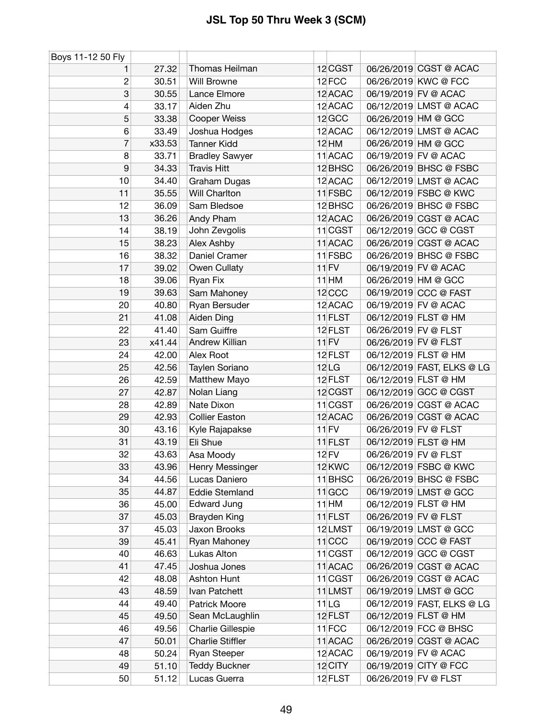| Boys 11-12 50 Fly |        |                         |                   |                      |                            |
|-------------------|--------|-------------------------|-------------------|----------------------|----------------------------|
| 1                 | 27.32  | Thomas Heilman          | 12 CGST           |                      | 06/26/2019 CGST @ ACAC     |
| $\boldsymbol{2}$  | 30.51  | Will Browne             | 12 FCC            |                      | 06/26/2019 KWC @ FCC       |
| 3                 | 30.55  | Lance Elmore            | 12 ACAC           |                      | 06/19/2019 FV @ ACAC       |
| 4                 | 33.17  | Aiden Zhu               | 12 ACAC           |                      | 06/12/2019 LMST @ ACAC     |
| 5                 | 33.38  | <b>Cooper Weiss</b>     | 12 GCC            |                      | 06/26/2019 HM @ GCC        |
| 6                 | 33.49  | Joshua Hodges           | 12 ACAC           |                      | 06/12/2019 LMST @ ACAC     |
| $\overline{7}$    | x33.53 | <b>Tanner Kidd</b>      | $12$ HM           |                      | 06/26/2019 HM @ GCC        |
| 8                 | 33.71  | <b>Bradley Sawyer</b>   | 11 ACAC           |                      | 06/19/2019 FV @ ACAC       |
| $\boldsymbol{9}$  | 34.33  | <b>Travis Hitt</b>      | 12 BHSC           |                      | 06/26/2019 BHSC @ FSBC     |
| 10                | 34.40  | Graham Dugas            | 12 ACAC           |                      | 06/12/2019 LMST @ ACAC     |
| 11                | 35.55  | Will Charlton           | 11 FSBC           |                      | 06/12/2019 FSBC @ KWC      |
| 12                | 36.09  | Sam Bledsoe             | 12 BHSC           |                      | 06/26/2019 BHSC @ FSBC     |
| 13                | 36.26  | Andy Pham               | 12 ACAC           |                      | 06/26/2019 CGST @ ACAC     |
| 14                | 38.19  | John Zevgolis           | $11$ CGST         |                      | 06/12/2019 GCC @ CGST      |
| 15                | 38.23  | Alex Ashby              | 11 ACAC           |                      | 06/26/2019 CGST @ ACAC     |
| 16                | 38.32  | Daniel Cramer           | 11 FSBC           |                      | 06/26/2019 BHSC @ FSBC     |
| 17                | 39.02  | Owen Cullaty            | $11$ FV           |                      | 06/19/2019 FV @ ACAC       |
| 18                | 39.06  | Ryan Fix                | $11$ HM           |                      | 06/26/2019 HM @ GCC        |
| 19                | 39.63  | Sam Mahoney             | 12 <sub>CCC</sub> |                      | 06/19/2019 CCC @ FAST      |
| 20                | 40.80  | Ryan Bersuder           | 12 ACAC           |                      | 06/19/2019 FV @ ACAC       |
| 21                | 41.08  | Aiden Ding              | 11 FLST           |                      | 06/12/2019 FLST @ HM       |
| 22                | 41.40  | Sam Guiffre             | 12 FLST           | 06/26/2019 FV @ FLST |                            |
| 23                | x41.44 | <b>Andrew Killian</b>   | $11$ FV           | 06/26/2019 FV @ FLST |                            |
| 24                | 42.00  | Alex Root               | 12 FLST           |                      | 06/12/2019 FLST @ HM       |
| 25                | 42.56  | Taylen Soriano          | 12 <sub>LG</sub>  |                      | 06/12/2019 FAST, ELKS @ LG |
| 26                | 42.59  | Matthew Mayo            | 12 FLST           |                      | 06/12/2019 FLST @ HM       |
| 27                | 42.87  | Nolan Liang             | 12 CGST           |                      | 06/12/2019 GCC @ CGST      |
| 28                | 42.89  | Nate Dixon              | 11 CGST           |                      | 06/26/2019 CGST @ ACAC     |
| 29                | 42.93  | <b>Collier Easton</b>   | 12 ACAC           |                      | 06/26/2019 CGST @ ACAC     |
| 30                | 43.16  | Kyle Rajapakse          | $11$ FV           | 06/26/2019 FV @ FLST |                            |
| 31                | 43.19  | Eli Shue                | 11 FLST           |                      | 06/12/2019 FLST @ HM       |
| 32                | 43.63  | Asa Moody               | <b>12 FV</b>      | 06/26/2019 FV @ FLST |                            |
| 33                | 43.96  | Henry Messinger         | 12 KWC            |                      | 06/12/2019 FSBC @ KWC      |
| 34                | 44.56  | Lucas Daniero           | 11 BHSC           |                      | 06/26/2019 BHSC @ FSBC     |
| 35                | 44.87  | <b>Eddie Stemland</b>   | $11$ GCC          |                      | 06/19/2019 LMST @ GCC      |
| 36                | 45.00  | Edward Jung             | $11$ HM           |                      | 06/12/2019 FLST @ HM       |
| 37                | 45.03  | Brayden King            | 11 FLST           | 06/26/2019 FV @ FLST |                            |
| 37                | 45.03  | Jaxon Brooks            | 12LMST            |                      | 06/19/2019 LMST @ GCC      |
| 39                | 45.41  | Ryan Mahoney            | $11$ CCC          |                      | 06/19/2019 CCC @ FAST      |
| 40                | 46.63  | Lukas Alton             | $11$ CGST         |                      | 06/12/2019 GCC @ CGST      |
| 41                | 47.45  | Joshua Jones            | 11 ACAC           |                      | 06/26/2019 CGST @ ACAC     |
| 42                | 48.08  | Ashton Hunt             | $11$ CGST         |                      | 06/26/2019 CGST @ ACAC     |
| 43                | 48.59  | Ivan Patchett           | 11 LMST           |                      | 06/19/2019 LMST @ GCC      |
| 44                | 49.40  | Patrick Moore           | 11 LG             |                      | 06/12/2019 FAST, ELKS @ LG |
| 45                | 49.50  | Sean McLaughlin         | 12 FLST           |                      | 06/12/2019 FLST @ HM       |
| 46                | 49.56  | Charlie Gillespie       | 11FCC             |                      | 06/12/2019 FCC @ BHSC      |
| 47                | 50.01  | <b>Charlie Stiffler</b> | 11 ACAC           |                      | 06/26/2019 CGST @ ACAC     |
| 48                | 50.24  | Ryan Steeper            | 12 ACAC           |                      | 06/19/2019 FV @ ACAC       |
| 49                | 51.10  | <b>Teddy Buckner</b>    | 12 CITY           |                      | 06/19/2019 CITY @ FCC      |
| 50                | 51.12  | Lucas Guerra            | 12 FLST           | 06/26/2019 FV @ FLST |                            |
|                   |        |                         |                   |                      |                            |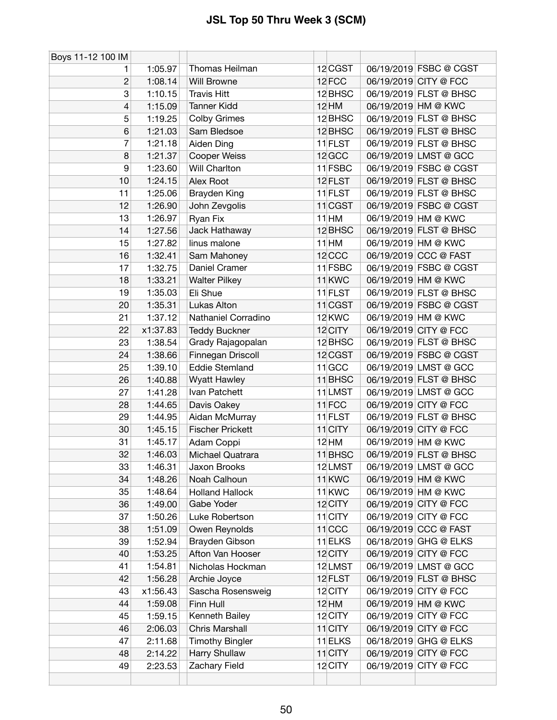| Boys 11-12 100 IM |          |                         |                   |                        |
|-------------------|----------|-------------------------|-------------------|------------------------|
| 1.                | 1:05.97  | Thomas Heilman          | 12 CGST           | 06/19/2019 FSBC @ CGST |
| $\overline{c}$    | 1:08.14  | Will Browne             | 12 FCC            | 06/19/2019 CITY @ FCC  |
| 3                 | 1:10.15  | <b>Travis Hitt</b>      | 12 BHSC           | 06/19/2019 FLST @ BHSC |
| $\overline{4}$    | 1:15.09  | <b>Tanner Kidd</b>      | <b>12 HM</b>      | 06/19/2019 HM @ KWC    |
| 5                 | 1:19.25  | Colby Grimes            | 12 BHSC           | 06/19/2019 FLST @ BHSC |
| $6\phantom{1}6$   | 1:21.03  | Sam Bledsoe             | 12 BHSC           | 06/19/2019 FLST @ BHSC |
| 7                 | 1:21.18  | Aiden Ding              | 11 FLST           | 06/19/2019 FLST @ BHSC |
| 8                 | 1:21.37  | Cooper Weiss            | 12 GCC            | 06/19/2019 LMST @ GCC  |
| 9                 | 1:23.60  | Will Charlton           | 11 FSBC           | 06/19/2019 FSBC @ CGST |
| 10                | 1:24.15  | Alex Root               | 12 FLST           | 06/19/2019 FLST @ BHSC |
| 11                | 1:25.06  | Brayden King            | 11 FLST           | 06/19/2019 FLST @ BHSC |
| 12                | 1:26.90  | John Zevgolis           | $11$ CGST         | 06/19/2019 FSBC @ CGST |
| 13                | 1:26.97  | Ryan Fix                | $11$ HM           | 06/19/2019 HM @ KWC    |
| 14                | 1:27.56  | Jack Hathaway           | 12 BHSC           | 06/19/2019 FLST @ BHSC |
| 15                | 1:27.82  | linus malone            | $11$ HM           | 06/19/2019 HM @ KWC    |
| 16                | 1:32.41  | Sam Mahoney             | 12 <sub>CCC</sub> | 06/19/2019 CCC @ FAST  |
| 17                | 1:32.75  | Daniel Cramer           | 11 FSBC           | 06/19/2019 FSBC @ CGST |
| 18                | 1:33.21  | <b>Walter Pilkey</b>    | 11 <sub>KWC</sub> | 06/19/2019 HM @ KWC    |
| 19                | 1:35.03  | Eli Shue                | 11 FLST           | 06/19/2019 FLST @ BHSC |
| 20                | 1:35.31  | Lukas Alton             | $11$ CGST         | 06/19/2019 FSBC @ CGST |
| 21                | 1:37.12  | Nathaniel Corradino     | 12 KWC            | 06/19/2019 HM @ KWC    |
| 22                | x1:37.83 | <b>Teddy Buckner</b>    | 12 CITY           | 06/19/2019 CITY @ FCC  |
| 23                | 1:38.54  | Grady Rajagopalan       | 12 BHSC           | 06/19/2019 FLST @ BHSC |
| 24                | 1:38.66  | Finnegan Driscoll       | 12 CGST           | 06/19/2019 FSBC @ CGST |
| 25                | 1:39.10  | <b>Eddie Stemland</b>   | $11$ GCC          | 06/19/2019 LMST @ GCC  |
| 26                | 1:40.88  | <b>Wyatt Hawley</b>     | 11 BHSC           | 06/19/2019 FLST @ BHSC |
| 27                | 1:41.28  | Ivan Patchett           | 11 LMST           | 06/19/2019 LMST @ GCC  |
| 28                | 1:44.65  | Davis Oakey             | 11FCC             | 06/19/2019 CITY @ FCC  |
| 29                | 1:44.95  | Aidan McMurray          | 11 FLST           | 06/19/2019 FLST @ BHSC |
| 30                | 1:45.15  | <b>Fischer Prickett</b> | 11 CITY           | 06/19/2019 CITY @ FCC  |
| 31                | 1:45.17  | Adam Coppi              | <b>12 HM</b>      | 06/19/2019 HM @ KWC    |
| 32                | 1:46.03  | Michael Quatrara        | 11 BHSC           | 06/19/2019 FLST @ BHSC |
| 33                | 1:46.31  | Jaxon Brooks            | 12LMST            | 06/19/2019 LMST @ GCC  |
| 34                | 1:48.26  | Noah Calhoun            | 11 <sub>KWC</sub> | 06/19/2019 HM @ KWC    |
| 35                | 1:48.64  | <b>Holland Hallock</b>  | 11 <sub>KWC</sub> | 06/19/2019 HM @ KWC    |
| 36                | 1:49.00  | Gabe Yoder              | 12 CITY           | 06/19/2019 CITY @ FCC  |
| 37                | 1:50.26  | Luke Robertson          | 11 CITY           | 06/19/2019 CITY @ FCC  |
| 38                | 1:51.09  | Owen Reynolds           | $11$ CCC          | 06/19/2019 CCC @ FAST  |
| 39                | 1:52.94  | Brayden Gibson          | $11$ ELKS         | 06/18/2019 GHG @ ELKS  |
| 40                | 1:53.25  | Afton Van Hooser        | 12 CITY           | 06/19/2019 CITY @ FCC  |
| 41                | 1:54.81  | Nicholas Hockman        | 12LMST            | 06/19/2019 LMST @ GCC  |
| 42                | 1:56.28  | Archie Joyce            | 12 FLST           | 06/19/2019 FLST @ BHSC |
| 43                | x1:56.43 | Sascha Rosensweig       | 12 CITY           | 06/19/2019 CITY @ FCC  |
| 44                | 1:59.08  | Finn Hull               | 12 HM             | 06/19/2019 HM @ KWC    |
| 45                | 1:59.15  | Kenneth Bailey          | 12 CITY           | 06/19/2019 CITY @ FCC  |
| 46                | 2:06.03  | <b>Chris Marshall</b>   | 11 CITY           | 06/19/2019 CITY @ FCC  |
| 47                | 2:11.68  | <b>Timothy Bingler</b>  | 11 ELKS           | 06/18/2019 GHG @ ELKS  |
| 48                | 2:14.22  | Harry Shullaw           | 11 CITY           | 06/19/2019 CITY @ FCC  |
| 49                | 2:23.53  | Zachary Field           | 12 CITY           | 06/19/2019 CITY @ FCC  |
|                   |          |                         |                   |                        |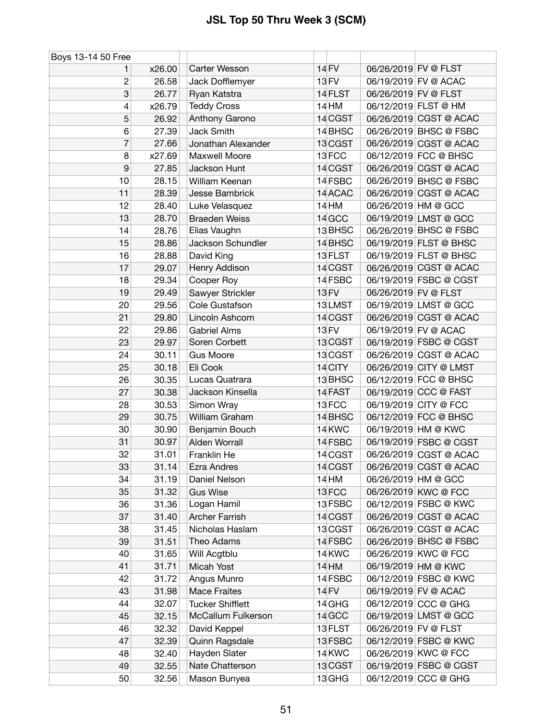| Boys 13-14 50 Free |        |                         |              |                      |                        |
|--------------------|--------|-------------------------|--------------|----------------------|------------------------|
| 1.                 | x26.00 | Carter Wesson           | 14 FV        | 06/26/2019 FV @ FLST |                        |
| $\boldsymbol{2}$   | 26.58  | Jack Dofflemyer         | 13 FV        |                      | 06/19/2019 FV @ ACAC   |
| 3                  | 26.77  | Ryan Katstra            | 14 FLST      | 06/26/2019 FV @ FLST |                        |
| 4                  | x26.79 | <b>Teddy Cross</b>      | 14 HM        |                      | 06/12/2019 FLST @ HM   |
| 5                  | 26.92  | Anthony Garono          | 14 CGST      |                      | 06/26/2019 CGST @ ACAC |
| 6                  | 27.39  | Jack Smith              | 14 BHSC      |                      | 06/26/2019 BHSC @ FSBC |
| 7                  | 27.66  | Jonathan Alexander      | 13 CGST      |                      | 06/26/2019 CGST @ ACAC |
| 8                  | x27.69 | Maxwell Moore           | 13FCC        |                      | 06/12/2019 FCC @ BHSC  |
| 9                  | 27.85  | Jackson Hunt            | 14 CGST      |                      | 06/26/2019 CGST @ ACAC |
| 10                 | 28.15  | William Keenan          | 14 FSBC      |                      | 06/26/2019 BHSC @ FSBC |
| 11                 | 28.39  | Jesse Bambrick          | 14 ACAC      |                      | 06/26/2019 CGST @ ACAC |
| 12                 | 28.40  | Luke Velasquez          | <b>14 HM</b> |                      | 06/26/2019 HM @ GCC    |
| 13                 | 28.70  | <b>Braeden Weiss</b>    | 14 GCC       |                      | 06/19/2019 LMST @ GCC  |
| 14                 | 28.76  | Elias Vaughn            | 13 BHSC      |                      | 06/26/2019 BHSC @ FSBC |
| 15                 | 28.86  | Jackson Schundler       | 14 BHSC      |                      | 06/19/2019 FLST @ BHSC |
| 16                 | 28.88  | David King              | 13 FLST      |                      | 06/19/2019 FLST @ BHSC |
| 17                 | 29.07  | Henry Addison           | 14 CGST      |                      | 06/26/2019 CGST @ ACAC |
| 18                 | 29.34  | Cooper Roy              | 14 FSBC      |                      | 06/19/2019 FSBC @ CGST |
| 19                 | 29.49  | Sawyer Strickler        | <b>13 FV</b> | 06/26/2019 FV @ FLST |                        |
| 20                 | 29.56  | Cole Gustafson          | 13LMST       |                      | 06/19/2019 LMST @ GCC  |
| 21                 | 29.80  | Lincoln Ashcom          | 14 CGST      |                      | 06/26/2019 CGST @ ACAC |
| 22                 | 29.86  | <b>Gabriel Alms</b>     | <b>13 FV</b> |                      | 06/19/2019 FV @ ACAC   |
| 23                 | 29.97  | Soren Corbett           | 13 CGST      |                      | 06/19/2019 FSBC @ CGST |
| 24                 | 30.11  | <b>Gus Moore</b>        | 13 CGST      |                      | 06/26/2019 CGST @ ACAC |
| 25                 | 30.18  | Eli Cook                | 14 CITY      |                      | 06/26/2019 CITY @ LMST |
| 26                 | 30.35  | Lucas Quatrara          | 13 BHSC      |                      | 06/12/2019 FCC @ BHSC  |
| 27                 | 30.38  | Jackson Kinsella        | 14 FAST      |                      | 06/19/2019 CCC @ FAST  |
| 28                 | 30.53  | Simon Wray              | 13FCC        |                      | 06/19/2019 CITY @ FCC  |
| 29                 | 30.75  | William Graham          | 14 BHSC      |                      | 06/12/2019 FCC @ BHSC  |
| 30                 | 30.90  | Benjamin Bouch          | 14 KWC       |                      | 06/19/2019 HM @ KWC    |
| 31                 | 30.97  | Alden Worrall           | 14 FSBC      |                      | 06/19/2019 FSBC @ CGST |
| 32                 | 31.01  | Franklin He             | 14 CGST      |                      | 06/26/2019 CGST @ ACAC |
| 33                 | 31.14  | Ezra Andres             | 14 CGST      |                      | 06/26/2019 CGST @ ACAC |
| 34                 | 31.19  | Daniel Nelson           | 14 HM        |                      | 06/26/2019 HM @ GCC    |
| 35                 | 31.32  | <b>Gus Wise</b>         | 13FCC        |                      | 06/26/2019 KWC @ FCC   |
| 36                 | 31.36  | Logan Hamil             | 13 FSBC      |                      | 06/12/2019 FSBC @ KWC  |
| 37                 | 31.40  | <b>Archer Farrish</b>   | 14 CGST      |                      | 06/26/2019 CGST @ ACAC |
| 38                 | 31.45  | Nicholas Haslam         | 13 CGST      |                      | 06/26/2019 CGST @ ACAC |
| 39                 | 31.51  | Theo Adams              | 14 FSBC      |                      | 06/26/2019 BHSC @ FSBC |
| 40                 | 31.65  | Will Acgtblu            | 14 KWC       |                      | 06/26/2019 KWC @ FCC   |
| 41                 | 31.71  | Micah Yost              | <b>14 HM</b> |                      | 06/19/2019 HM @ KWC    |
| 42                 | 31.72  | Angus Munro             | 14 FSBC      |                      | 06/12/2019 FSBC @ KWC  |
| 43                 | 31.98  | <b>Mace Fraites</b>     | <b>14 FV</b> |                      | 06/19/2019 FV @ ACAC   |
| 44                 | 32.07  | <b>Tucker Shifflett</b> | 14 GHG       |                      | 06/12/2019 CCC @ GHG   |
| 45                 | 32.15  | McCallum Fulkerson      | 14 GCC       |                      | 06/19/2019 LMST @ GCC  |
| 46                 | 32.32  | David Keppel            | 13 FLST      | 06/26/2019 FV @ FLST |                        |
| 47                 | 32.39  | Quinn Ragsdale          | 13 FSBC      |                      | 06/12/2019 FSBC @ KWC  |
| 48                 | 32.40  | Hayden Slater           | 14 KWC       |                      | 06/26/2019 KWC @ FCC   |
| 49                 | 32.55  | Nate Chatterson         | 13 CGST      |                      | 06/19/2019 FSBC @ CGST |
| 50                 | 32.56  | Mason Bunyea            | 13 GHG       |                      | 06/12/2019 CCC @ GHG   |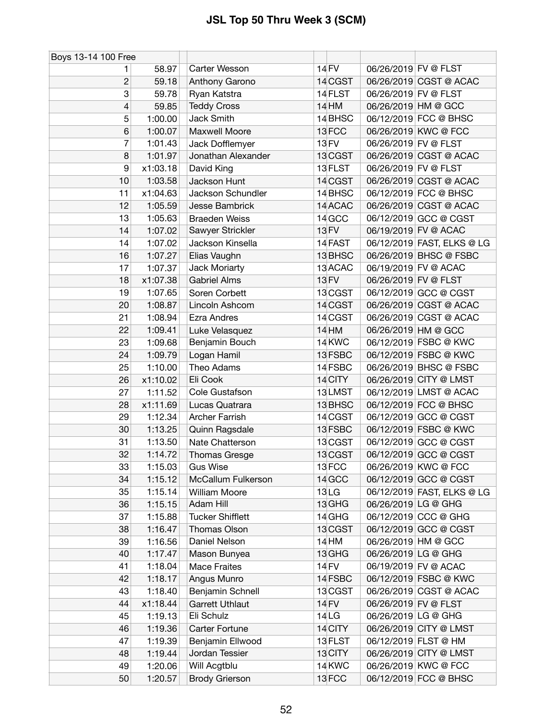| Boys 13-14 100 Free |          |                         |                  |                      |                            |
|---------------------|----------|-------------------------|------------------|----------------------|----------------------------|
| 1                   | 58.97    | Carter Wesson           | 14 FV            | 06/26/2019 FV @ FLST |                            |
| $\overline{c}$      | 59.18    | Anthony Garono          | 14 CGST          |                      | 06/26/2019 CGST @ ACAC     |
| 3                   | 59.78    | Ryan Katstra            | 14 FLST          | 06/26/2019 FV @ FLST |                            |
| 4                   | 59.85    | <b>Teddy Cross</b>      | <b>14 HM</b>     |                      | 06/26/2019 HM @ GCC        |
| 5                   | 1:00.00  | Jack Smith              | 14 BHSC          |                      | 06/12/2019 FCC @ BHSC      |
| 6                   | 1:00.07  | Maxwell Moore           | 13FCC            |                      | 06/26/2019 KWC @ FCC       |
| 7                   | 1:01.43  | Jack Dofflemyer         | <b>13 FV</b>     | 06/26/2019 FV @ FLST |                            |
| 8                   | 1:01.97  | Jonathan Alexander      | 13 CGST          |                      | 06/26/2019 CGST @ ACAC     |
| $\boldsymbol{9}$    | x1:03.18 | David King              | 13 FLST          | 06/26/2019 FV @ FLST |                            |
| 10                  | 1:03.58  | Jackson Hunt            | 14 CGST          |                      | 06/26/2019 CGST @ ACAC     |
| 11                  | x1:04.63 | Jackson Schundler       | 14 BHSC          |                      | 06/12/2019 FCC @ BHSC      |
| 12                  | 1:05.59  | Jesse Bambrick          | 14 ACAC          |                      | 06/26/2019 CGST @ ACAC     |
| 13                  | 1:05.63  | <b>Braeden Weiss</b>    | 14 GCC           |                      | 06/12/2019 GCC @ CGST      |
| 14                  | 1:07.02  | Sawyer Strickler        | 13 FV            |                      | 06/19/2019 FV @ ACAC       |
| 14                  | 1:07.02  | Jackson Kinsella        | 14 FAST          |                      | 06/12/2019 FAST, ELKS @ LG |
| 16                  | 1:07.27  | Elias Vaughn            | 13 BHSC          |                      | 06/26/2019 BHSC @ FSBC     |
| 17                  | 1:07.37  | Jack Moriarty           | 13 ACAC          |                      | 06/19/2019 FV @ ACAC       |
| 18                  | x1:07.38 | <b>Gabriel Alms</b>     | <b>13 FV</b>     | 06/26/2019 FV @ FLST |                            |
| 19                  | 1:07.65  | Soren Corbett           | 13 CGST          |                      | 06/12/2019 GCC @ CGST      |
| 20                  | 1:08.87  | Lincoln Ashcom          | 14 CGST          |                      | 06/26/2019 CGST @ ACAC     |
| 21                  | 1:08.94  | <b>Ezra Andres</b>      | 14 CGST          |                      | 06/26/2019 CGST @ ACAC     |
| 22                  | 1:09.41  | Luke Velasquez          | <b>14 HM</b>     |                      | 06/26/2019 HM @ GCC        |
| 23                  | 1:09.68  | Benjamin Bouch          | 14 KWC           |                      | 06/12/2019 FSBC @ KWC      |
| 24                  | 1:09.79  | Logan Hamil             | 13 FSBC          |                      | 06/12/2019 FSBC @ KWC      |
| 25                  | 1:10.00  | Theo Adams              | 14 FSBC          |                      | 06/26/2019 BHSC @ FSBC     |
| 26                  | x1:10.02 | Eli Cook                | 14 CITY          |                      | 06/26/2019 CITY @ LMST     |
| 27                  | 1:11.52  | Cole Gustafson          | 13LMST           |                      | 06/12/2019 LMST @ ACAC     |
| 28                  | x1:11.69 | Lucas Quatrara          | 13 BHSC          |                      | 06/12/2019 FCC @ BHSC      |
| 29                  | 1:12.34  | <b>Archer Farrish</b>   | 14 CGST          |                      | 06/12/2019 GCC @ CGST      |
| 30                  | 1:13.25  | Quinn Ragsdale          | 13 FSBC          |                      | 06/12/2019 FSBC @ KWC      |
| 31                  | 1:13.50  | Nate Chatterson         | 13 CGST          |                      | 06/12/2019 GCC @ CGST      |
| 32                  | 1:14.72  | Thomas Gresge           | 13 CGST          |                      | 06/12/2019 GCC @ CGST      |
| 33                  | 1:15.03  | <b>Gus Wise</b>         | 13 FCC           |                      | 06/26/2019 KWC @ FCC       |
| 34                  | 1:15.12  | McCallum Fulkerson      | 14 GCC           |                      | 06/12/2019 GCC @ CGST      |
| 35                  | 1:15.14  | <b>William Moore</b>    | 13 <sub>LG</sub> |                      | 06/12/2019 FAST, ELKS @ LG |
| 36                  | 1:15.15  | Adam Hill               | 13 GHG           | 06/26/2019 LG @ GHG  |                            |
| 37                  | 1:15.88  | <b>Tucker Shifflett</b> | $14$ GHG         |                      | 06/12/2019 CCC @ GHG       |
| 38                  | 1:16.47  | <b>Thomas Olson</b>     | 13 CGST          |                      | 06/12/2019 GCC @ CGST      |
| 39                  | 1:16.56  | Daniel Nelson           | $14$ HM          |                      | 06/26/2019 HM @ GCC        |
| 40                  | 1:17.47  | Mason Bunyea            | 13 GHG           | 06/26/2019 LG @ GHG  |                            |
| 41                  | 1:18.04  | <b>Mace Fraites</b>     | 14 FV            |                      | 06/19/2019 FV @ ACAC       |
| 42                  | 1:18.17  | Angus Munro             | 14 FSBC          |                      | 06/12/2019 FSBC @ KWC      |
| 43                  | 1:18.40  | Benjamin Schnell        | 13 CGST          |                      | 06/26/2019 CGST @ ACAC     |
| 44                  | x1:18.44 | <b>Garrett Uthlaut</b>  | 14 FV            | 06/26/2019 FV @ FLST |                            |
| 45                  | 1:19.13  | Eli Schulz              | 14 <sub>LG</sub> | 06/26/2019 LG @ GHG  |                            |
| 46                  | 1:19.36  | Carter Fortune          | 14 CITY          |                      | 06/26/2019 CITY @ LMST     |
| 47                  | 1:19.39  | Benjamin Ellwood        | 13 FLST          |                      | 06/12/2019 FLST @ HM       |
| 48                  | 1:19.44  | Jordan Tessier          | 13 CITY          |                      | 06/26/2019 CITY @ LMST     |
| 49                  | 1:20.06  | Will Acgtblu            | 14 KWC           |                      | 06/26/2019 KWC @ FCC       |
| 50                  | 1:20.57  | <b>Brody Grierson</b>   | 13FCC            |                      | 06/12/2019 FCC @ BHSC      |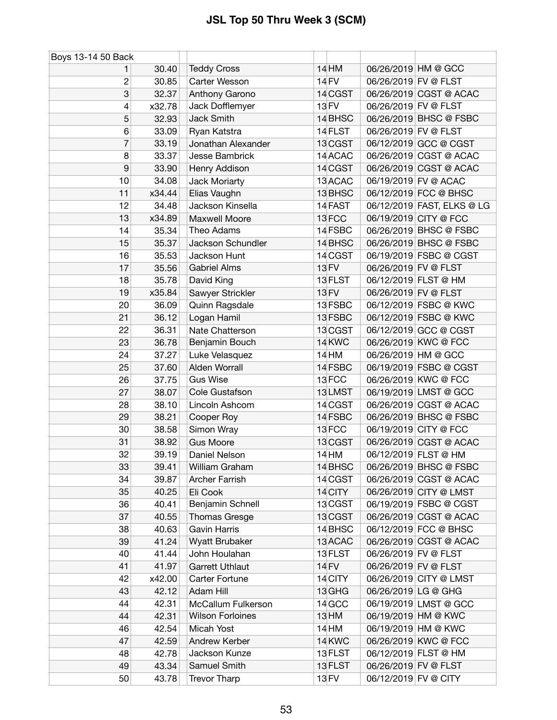| Boys 13-14 50 Back |        |                         |              |                      |                            |
|--------------------|--------|-------------------------|--------------|----------------------|----------------------------|
| 1                  | 30.40  | <b>Teddy Cross</b>      | 14 HM        |                      | 06/26/2019 HM @ GCC        |
| 2                  | 30.85  | Carter Wesson           | 14 FV        | 06/26/2019 FV @ FLST |                            |
| 3                  | 32.37  | Anthony Garono          | 14 CGST      |                      | 06/26/2019 CGST @ ACAC     |
| 4                  | x32.78 | Jack Dofflemyer         | 13 FV        | 06/26/2019 FV @ FLST |                            |
| 5                  | 32.93  | Jack Smith              | 14 BHSC      |                      | 06/26/2019 BHSC @ FSBC     |
| 6                  | 33.09  | Ryan Katstra            | 14 FLST      | 06/26/2019 FV @ FLST |                            |
| 7                  | 33.19  | Jonathan Alexander      | 13 CGST      |                      | 06/12/2019 GCC @ CGST      |
| 8                  | 33.37  | Jesse Bambrick          | 14 ACAC      |                      | 06/26/2019 CGST @ ACAC     |
| 9                  | 33.90  | Henry Addison           | 14 CGST      |                      | 06/26/2019 CGST @ ACAC     |
| 10                 | 34.08  | Jack Moriarty           | 13 ACAC      |                      | 06/19/2019 FV @ ACAC       |
| 11                 | x34.44 | Elias Vaughn            | 13 BHSC      |                      | 06/12/2019 FCC @ BHSC      |
| 12                 | 34.48  | Jackson Kinsella        | 14 FAST      |                      | 06/12/2019 FAST, ELKS @ LG |
| 13                 | x34.89 | Maxwell Moore           | 13 FCC       |                      | 06/19/2019 CITY @ FCC      |
| 14                 | 35.34  | Theo Adams              | 14 FSBC      |                      | 06/26/2019 BHSC @ FSBC     |
| 15                 | 35.37  | Jackson Schundler       | 14 BHSC      |                      | 06/26/2019 BHSC @ FSBC     |
| 16                 | 35.53  | Jackson Hunt            | 14 CGST      |                      | 06/19/2019 FSBC @ CGST     |
| 17                 | 35.56  | <b>Gabriel Alms</b>     | 13 FV        | 06/26/2019 FV @ FLST |                            |
| 18                 | 35.78  | David King              | 13 FLST      |                      | 06/12/2019 FLST @ HM       |
| 19                 | x35.84 | Sawyer Strickler        | <b>13 FV</b> | 06/26/2019 FV @ FLST |                            |
| 20                 | 36.09  | Quinn Ragsdale          | 13 FSBC      |                      | 06/12/2019 FSBC @ KWC      |
| 21                 | 36.12  | Logan Hamil             | 13 FSBC      |                      | 06/12/2019 FSBC @ KWC      |
| 22                 | 36.31  | Nate Chatterson         | 13 CGST      |                      | 06/12/2019 GCC @ CGST      |
| 23                 | 36.78  | Benjamin Bouch          | 14 KWC       |                      | 06/26/2019 KWC @ FCC       |
| 24                 | 37.27  | Luke Velasquez          | 14 HM        |                      | 06/26/2019 HM @ GCC        |
| 25                 | 37.60  | Alden Worrall           | 14 FSBC      |                      | 06/19/2019 FSBC @ CGST     |
| 26                 | 37.75  | <b>Gus Wise</b>         | 13FCC        |                      | 06/26/2019 KWC @ FCC       |
| 27                 | 38.07  | Cole Gustafson          | 13LMST       |                      | 06/19/2019 LMST @ GCC      |
| 28                 | 38.10  | Lincoln Ashcom          | 14 CGST      |                      | 06/26/2019 CGST @ ACAC     |
| 29                 | 38.21  | Cooper Roy              | 14 FSBC      |                      | 06/26/2019 BHSC @ FSBC     |
| 30                 | 38.58  | Simon Wray              | 13FCC        |                      | 06/19/2019 CITY @ FCC      |
| 31                 | 38.92  | <b>Gus Moore</b>        | 13 CGST      |                      | 06/26/2019 CGST @ ACAC     |
| 32                 | 39.19  | Daniel Nelson           | 14 HM        |                      | 06/12/2019 FLST @ HM       |
| 33                 | 39.41  | William Graham          | 14 BHSC      |                      | 06/26/2019 BHSC @ FSBC     |
| 34                 | 39.87  | Archer Farrish          | 14 CGST      |                      | 06/26/2019 CGST @ ACAC     |
| 35                 | 40.25  | Eli Cook                | 14 CITY      |                      | 06/26/2019 CITY @ LMST     |
| 36                 | 40.41  | Benjamin Schnell        | 13 CGST      |                      | 06/19/2019 FSBC @ CGST     |
| 37                 | 40.55  | Thomas Gresge           | 13 CGST      |                      | 06/26/2019 CGST @ ACAC     |
| 38                 | 40.63  | <b>Gavin Harris</b>     | 14 BHSC      |                      | 06/12/2019 FCC @ BHSC      |
| 39                 | 41.24  | Wyatt Brubaker          | 13 ACAC      |                      | 06/26/2019 CGST @ ACAC     |
| 40                 | 41.44  | John Houlahan           | 13 FLST      | 06/26/2019 FV @ FLST |                            |
| 41                 | 41.97  | <b>Garrett Uthlaut</b>  | 14 FV        | 06/26/2019 FV @ FLST |                            |
| 42                 | x42.00 | Carter Fortune          | 14 CITY      |                      | 06/26/2019 CITY @ LMST     |
| 43                 | 42.12  | Adam Hill               | 13 GHG       | 06/26/2019 LG @ GHG  |                            |
| 44                 | 42.31  | McCallum Fulkerson      | 14 GCC       |                      | 06/19/2019 LMST @ GCC      |
| 44                 | 42.31  | <b>Wilson Forloines</b> | 13 HM        |                      | 06/19/2019 HM @ KWC        |
| 46                 | 42.54  | Micah Yost              | <b>14 HM</b> |                      | 06/19/2019 HM @ KWC        |
| 47                 | 42.59  | Andrew Kerber           | 14 KWC       |                      | 06/26/2019 KWC @ FCC       |
| 48                 | 42.78  | Jackson Kunze           | 13 FLST      |                      | 06/12/2019 FLST @ HM       |
| 49                 | 43.34  | Samuel Smith            | 13 FLST      | 06/26/2019 FV @ FLST |                            |
| 50                 | 43.78  | <b>Trevor Tharp</b>     | 13 FV        | 06/12/2019 FV @ CITY |                            |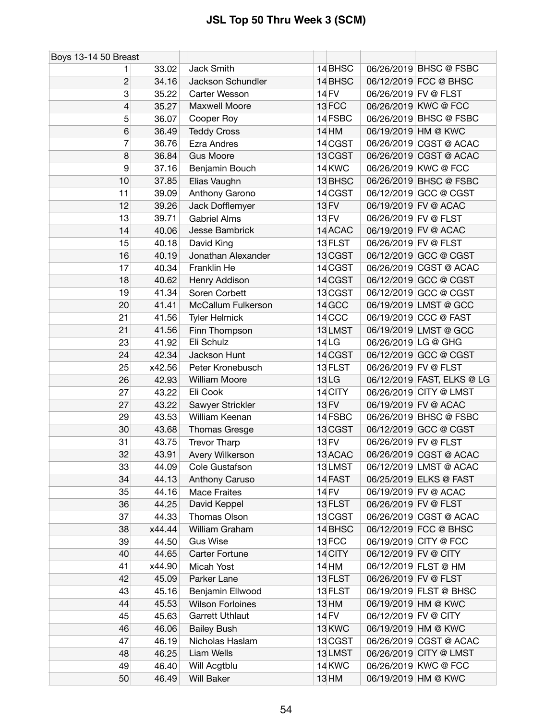| Boys 13-14 50 Breast |        |                         |                   |                      |                            |
|----------------------|--------|-------------------------|-------------------|----------------------|----------------------------|
|                      | 33.02  | Jack Smith              | 14 BHSC           |                      | 06/26/2019 BHSC @ FSBC     |
| $\overline{c}$       | 34.16  | Jackson Schundler       | 14 BHSC           |                      | 06/12/2019 FCC @ BHSC      |
| 3                    | 35.22  | Carter Wesson           | <b>14 FV</b>      | 06/26/2019 FV @ FLST |                            |
| 4                    | 35.27  | Maxwell Moore           | 13FCC             |                      | 06/26/2019 KWC @ FCC       |
| 5                    | 36.07  | Cooper Roy              | 14 FSBC           |                      | 06/26/2019 BHSC @ FSBC     |
| 6                    | 36.49  | <b>Teddy Cross</b>      | $14$ HM           |                      | 06/19/2019 HM @ KWC        |
| 7                    | 36.76  | <b>Ezra Andres</b>      | 14 CGST           |                      | 06/26/2019 CGST @ ACAC     |
| 8                    | 36.84  | <b>Gus Moore</b>        | 13 CGST           |                      | 06/26/2019 CGST @ ACAC     |
| 9                    | 37.16  | Benjamin Bouch          | 14 KWC            |                      | 06/26/2019 KWC @ FCC       |
| 10                   | 37.85  | Elias Vaughn            | 13 BHSC           |                      | 06/26/2019 BHSC @ FSBC     |
| 11                   | 39.09  | Anthony Garono          | 14 CGST           |                      | 06/12/2019 GCC @ CGST      |
| 12                   | 39.26  | Jack Dofflemyer         | <b>13 FV</b>      |                      | 06/19/2019 FV @ ACAC       |
| 13                   | 39.71  | <b>Gabriel Alms</b>     | 13 FV             | 06/26/2019 FV @ FLST |                            |
| 14                   | 40.06  | Jesse Bambrick          | 14 ACAC           |                      | 06/19/2019 FV @ ACAC       |
| 15                   | 40.18  | David King              | 13 FLST           | 06/26/2019 FV @ FLST |                            |
| 16                   | 40.19  | Jonathan Alexander      | 13 CGST           |                      | 06/12/2019 GCC @ CGST      |
| 17                   | 40.34  | Franklin He             | 14 CGST           |                      | 06/26/2019 CGST @ ACAC     |
| 18                   | 40.62  | <b>Henry Addison</b>    | 14 CGST           |                      | 06/12/2019 GCC @ CGST      |
| 19                   | 41.34  | Soren Corbett           | 13 CGST           |                      | 06/12/2019 GCC @ CGST      |
| 20                   | 41.41  | McCallum Fulkerson      | 14 GCC            |                      | 06/19/2019 LMST @ GCC      |
| 21                   | 41.56  | <b>Tyler Helmick</b>    | 14 <sub>CCC</sub> |                      | 06/19/2019 CCC @ FAST      |
| 21                   | 41.56  | Finn Thompson           | 13LMST            |                      | 06/19/2019 LMST @ GCC      |
| 23                   | 41.92  | Eli Schulz              | 14 LG             | 06/26/2019 LG @ GHG  |                            |
| 24                   | 42.34  | Jackson Hunt            | 14 CGST           |                      | 06/12/2019 GCC @ CGST      |
| 25                   | x42.56 | Peter Kronebusch        | 13 FLST           | 06/26/2019 FV @ FLST |                            |
| 26                   | 42.93  | William Moore           | <b>13LG</b>       |                      | 06/12/2019 FAST, ELKS @ LG |
| 27                   | 43.22  | Eli Cook                | 14 CITY           |                      | 06/26/2019 CITY @ LMST     |
| 27                   | 43.22  | Sawyer Strickler        | 13 FV             |                      | 06/19/2019 FV @ ACAC       |
| 29                   | 43.53  | William Keenan          | 14 FSBC           |                      | 06/26/2019 BHSC @ FSBC     |
| 30                   | 43.68  | <b>Thomas Gresge</b>    | 13 CGST           |                      | 06/12/2019 GCC @ CGST      |
| 31                   | 43.75  | <b>Trevor Tharp</b>     | <b>13 FV</b>      | 06/26/2019 FV @ FLST |                            |
| 32                   | 43.91  | Avery Wilkerson         | 13 ACAC           |                      | 06/26/2019 CGST @ ACAC     |
| 33                   | 44.09  | Cole Gustafson          | 13LMST            |                      | 06/12/2019 LMST @ ACAC     |
| 34                   | 44.13  | Anthony Caruso          | 14 FAST           |                      | 06/25/2019 ELKS @ FAST     |
| 35                   | 44.16  | <b>Mace Fraites</b>     | 14 FV             |                      | 06/19/2019 FV @ ACAC       |
| 36                   | 44.25  | David Keppel            | 13 FLST           | 06/26/2019 FV @ FLST |                            |
| 37                   | 44.33  | Thomas Olson            | 13 CGST           |                      | 06/26/2019 CGST @ ACAC     |
| 38                   | x44.44 | William Graham          | 14 BHSC           |                      | 06/12/2019 FCC @ BHSC      |
| 39                   | 44.50  | <b>Gus Wise</b>         | 13 FCC            |                      | 06/19/2019 CITY @ FCC      |
| 40                   | 44.65  | Carter Fortune          | 14 CITY           | 06/12/2019 FV @ CITY |                            |
| 41                   | x44.90 | Micah Yost              | 14 HM             |                      | 06/12/2019 FLST @ HM       |
| 42                   | 45.09  | Parker Lane             | 13 FLST           | 06/26/2019 FV @ FLST |                            |
| 43                   | 45.16  | Benjamin Ellwood        | 13 FLST           |                      | 06/19/2019 FLST @ BHSC     |
| 44                   | 45.53  | <b>Wilson Forloines</b> | 13 HM             |                      | 06/19/2019 HM @ KWC        |
| 45                   | 45.63  | <b>Garrett Uthlaut</b>  | 14 FV             | 06/12/2019 FV @ CITY |                            |
| 46                   | 46.06  | <b>Bailey Bush</b>      | 13 KWC            |                      | 06/19/2019 HM @ KWC        |
| 47                   | 46.19  | Nicholas Haslam         | 13 CGST           |                      | 06/26/2019 CGST @ ACAC     |
| 48                   | 46.25  | Liam Wells              | 13LMST            |                      | 06/26/2019 CITY @ LMST     |
| 49                   | 46.40  | Will Acgtblu            | 14 KWC            |                      | 06/26/2019 KWC @ FCC       |
| 50                   | 46.49  | <b>Will Baker</b>       | $13$ HM           |                      | 06/19/2019 HM @ KWC        |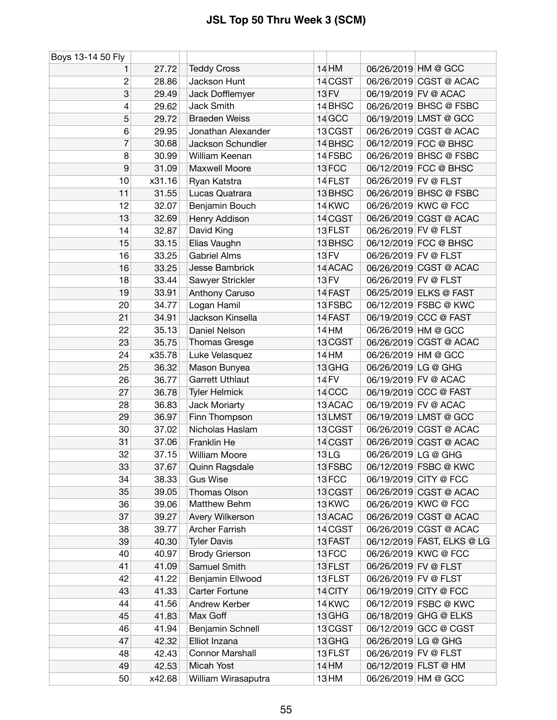| Boys 13-14 50 Fly |        |                        |                   |                      |                            |
|-------------------|--------|------------------------|-------------------|----------------------|----------------------------|
| 1                 | 27.72  | <b>Teddy Cross</b>     | 14 HM             |                      | 06/26/2019 HM @ GCC        |
| $\overline{c}$    | 28.86  | Jackson Hunt           | 14 CGST           |                      | 06/26/2019 CGST @ ACAC     |
| 3                 | 29.49  | Jack Dofflemyer        | 13 FV             |                      | 06/19/2019 FV @ ACAC       |
| $\overline{4}$    | 29.62  | <b>Jack Smith</b>      | 14 BHSC           |                      | 06/26/2019 BHSC @ FSBC     |
| 5                 | 29.72  | <b>Braeden Weiss</b>   | 14 GCC            |                      | 06/19/2019 LMST @ GCC      |
| 6                 | 29.95  | Jonathan Alexander     | 13 CGST           |                      | 06/26/2019 CGST @ ACAC     |
| $\overline{7}$    | 30.68  | Jackson Schundler      | 14 BHSC           |                      | 06/12/2019 FCC @ BHSC      |
| 8                 | 30.99  | William Keenan         | 14 FSBC           |                      | 06/26/2019 BHSC @ FSBC     |
| $\boldsymbol{9}$  | 31.09  | Maxwell Moore          | 13FCC             |                      | 06/12/2019 FCC @ BHSC      |
| 10                | x31.16 | Ryan Katstra           | 14 FLST           | 06/26/2019 FV @ FLST |                            |
| 11                | 31.55  | Lucas Quatrara         | 13 BHSC           |                      | 06/26/2019 BHSC @ FSBC     |
| 12                | 32.07  | Benjamin Bouch         | 14 KWC            |                      | 06/26/2019 KWC @ FCC       |
| 13                | 32.69  | Henry Addison          | 14 CGST           |                      | 06/26/2019 CGST @ ACAC     |
| 14                | 32.87  | David King             | 13 FLST           | 06/26/2019 FV @ FLST |                            |
| 15                | 33.15  | Elias Vaughn           | 13 BHSC           |                      | 06/12/2019 FCC @ BHSC      |
| 16                | 33.25  | <b>Gabriel Alms</b>    | <b>13 FV</b>      | 06/26/2019 FV @ FLST |                            |
| 16                | 33.25  | Jesse Bambrick         | 14 ACAC           |                      | 06/26/2019 CGST @ ACAC     |
| 18                | 33.44  | Sawyer Strickler       | <b>13 FV</b>      | 06/26/2019 FV @ FLST |                            |
| 19                | 33.91  | Anthony Caruso         | 14 FAST           |                      | 06/25/2019 ELKS @ FAST     |
| 20                | 34.77  | Logan Hamil            | 13 FSBC           |                      | 06/12/2019 FSBC @ KWC      |
| 21                | 34.91  | Jackson Kinsella       | 14 FAST           |                      | 06/19/2019 CCC @ FAST      |
| 22                | 35.13  | Daniel Nelson          | 14 HM             |                      | 06/26/2019 HM @ GCC        |
| 23                | 35.75  | <b>Thomas Gresge</b>   | 13 CGST           |                      | 06/26/2019 CGST @ ACAC     |
| 24                | x35.78 | Luke Velasquez         | <b>14 HM</b>      |                      | 06/26/2019 HM @ GCC        |
| 25                | 36.32  | Mason Bunyea           | 13 GHG            | 06/26/2019 LG @ GHG  |                            |
| 26                | 36.77  | <b>Garrett Uthlaut</b> | 14 FV             |                      | 06/19/2019 FV @ ACAC       |
| 27                | 36.78  | <b>Tyler Helmick</b>   | 14 <sub>CCC</sub> |                      | 06/19/2019 CCC @ FAST      |
| 28                | 36.83  | Jack Moriarty          | 13 ACAC           |                      | 06/19/2019 FV @ ACAC       |
| 29                | 36.97  | Finn Thompson          | 13LMST            |                      | 06/19/2019 LMST @ GCC      |
| 30                | 37.02  | Nicholas Haslam        | 13 CGST           |                      | 06/26/2019 CGST @ ACAC     |
| 31                | 37.06  | Franklin He            | 14 CGST           |                      | 06/26/2019 CGST @ ACAC     |
| 32                | 37.15  | <b>William Moore</b>   | <b>13LG</b>       | 06/26/2019 LG @ GHG  |                            |
| 33                | 37.67  | Quinn Ragsdale         | 13 FSBC           |                      | 06/12/2019 FSBC @ KWC      |
| 34                | 38.33  | <b>Gus Wise</b>        | 13FCC             |                      | 06/19/2019 CITY @ FCC      |
| 35                | 39.05  | Thomas Olson           | 13 CGST           |                      | 06/26/2019 CGST @ ACAC     |
| 36                | 39.06  | Matthew Behm           | 13 KWC            |                      | 06/26/2019 KWC @ FCC       |
| 37                | 39.27  | Avery Wilkerson        | 13 ACAC           |                      | 06/26/2019 CGST @ ACAC     |
| 38                | 39.77  | <b>Archer Farrish</b>  | 14 CGST           |                      | 06/26/2019 CGST @ ACAC     |
| 39                | 40.30  | <b>Tyler Davis</b>     | 13 FAST           |                      | 06/12/2019 FAST, ELKS @ LG |
| 40                | 40.97  | <b>Brody Grierson</b>  | 13FCC             |                      | 06/26/2019 KWC @ FCC       |
| 41                | 41.09  | Samuel Smith           | 13 FLST           | 06/26/2019 FV @ FLST |                            |
| 42                | 41.22  | Benjamin Ellwood       | 13 FLST           | 06/26/2019 FV @ FLST |                            |
| 43                | 41.33  | Carter Fortune         | 14 CITY           |                      | 06/19/2019 CITY @ FCC      |
| 44                | 41.56  | Andrew Kerber          | 14 KWC            |                      | 06/12/2019 FSBC @ KWC      |
| 45                | 41.83  | Max Goff               | 13 GHG            |                      | 06/18/2019 GHG @ ELKS      |
| 46                | 41.94  | Benjamin Schnell       | 13 CGST           |                      | 06/12/2019 GCC @ CGST      |
| 47                | 42.32  | Elliot Inzana          | 13 GHG            | 06/26/2019 LG @ GHG  |                            |
| 48                | 42.43  | Connor Marshall        | 13 FLST           | 06/26/2019 FV @ FLST |                            |
| 49                | 42.53  | Micah Yost             | 14 HM             |                      | 06/12/2019 FLST @ HM       |
| 50                | x42.68 | William Wirasaputra    | 13 HM             |                      | 06/26/2019 HM @ GCC        |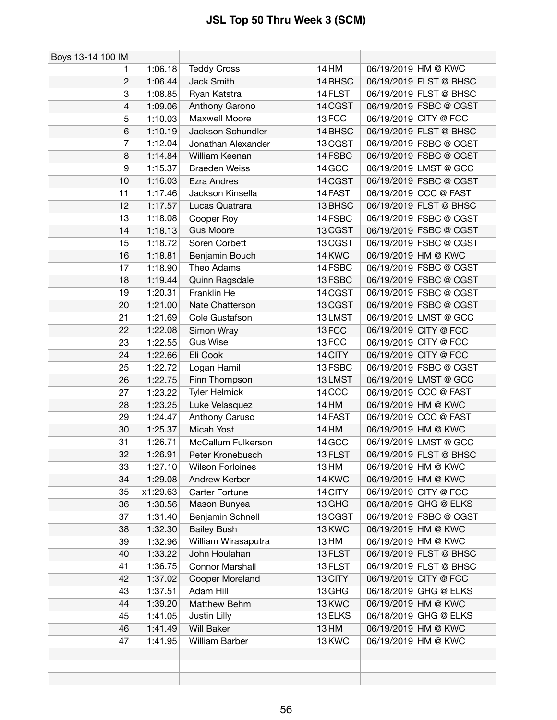| Boys 13-14 100 IM |          |                         |                   |                        |
|-------------------|----------|-------------------------|-------------------|------------------------|
| 1                 | 1:06.18  | <b>Teddy Cross</b>      | 14 HM             | 06/19/2019 HM @ KWC    |
| 2                 | 1:06.44  | Jack Smith              | 14 BHSC           | 06/19/2019 FLST @ BHSC |
| 3                 | 1:08.85  | Ryan Katstra            | 14 FLST           | 06/19/2019 FLST @ BHSC |
| 4                 | 1:09.06  | Anthony Garono          | 14 CGST           | 06/19/2019 FSBC @ CGST |
| 5                 | 1:10.03  | <b>Maxwell Moore</b>    | 13FCC             | 06/19/2019 CITY @ FCC  |
| 6                 | 1:10.19  | Jackson Schundler       | 14 BHSC           | 06/19/2019 FLST @ BHSC |
| 7                 | 1:12.04  | Jonathan Alexander      | 13 CGST           | 06/19/2019 FSBC @ CGST |
| 8                 | 1:14.84  | William Keenan          | 14 FSBC           | 06/19/2019 FSBC @ CGST |
| 9                 | 1:15.37  | <b>Braeden Weiss</b>    | 14 GCC            | 06/19/2019 LMST @ GCC  |
| 10                | 1:16.03  | <b>Ezra Andres</b>      | 14 CGST           | 06/19/2019 FSBC @ CGST |
| 11                | 1:17.46  | Jackson Kinsella        | 14 FAST           | 06/19/2019 CCC @ FAST  |
| 12                | 1:17.57  | Lucas Quatrara          | 13 BHSC           | 06/19/2019 FLST @ BHSC |
| 13                | 1:18.08  | Cooper Roy              | 14 FSBC           | 06/19/2019 FSBC @ CGST |
| 14                | 1:18.13  | <b>Gus Moore</b>        | 13 CGST           | 06/19/2019 FSBC @ CGST |
| 15                | 1:18.72  | Soren Corbett           | 13 CGST           | 06/19/2019 FSBC @ CGST |
| 16                | 1:18.81  | Benjamin Bouch          | 14 KWC            | 06/19/2019 HM @ KWC    |
| 17                | 1:18.90  | Theo Adams              | 14 FSBC           | 06/19/2019 FSBC @ CGST |
| 18                | 1:19.44  | Quinn Ragsdale          | 13 FSBC           | 06/19/2019 FSBC @ CGST |
| 19                | 1:20.31  | Franklin He             | 14 CGST           | 06/19/2019 FSBC @ CGST |
| 20                | 1:21.00  | Nate Chatterson         | 13 CGST           | 06/19/2019 FSBC @ CGST |
| 21                | 1:21.69  | Cole Gustafson          | 13LMST            | 06/19/2019 LMST @ GCC  |
| 22                | 1:22.08  | Simon Wray              | 13FCC             | 06/19/2019 CITY @ FCC  |
| 23                | 1:22.55  | <b>Gus Wise</b>         | 13FCC             | 06/19/2019 CITY @ FCC  |
| 24                | 1:22.66  | Eli Cook                | 14 CITY           | 06/19/2019 CITY @ FCC  |
| 25                | 1:22.72  | Logan Hamil             | 13 FSBC           | 06/19/2019 FSBC @ CGST |
| 26                | 1:22.75  | Finn Thompson           | 13LMST            | 06/19/2019 LMST @ GCC  |
| 27                | 1:23.22  | <b>Tyler Helmick</b>    | 14 <sub>CCC</sub> | 06/19/2019 CCC @ FAST  |
| 28                | 1:23.25  | Luke Velasquez          | 14 HM             | 06/19/2019 HM @ KWC    |
| 29                | 1:24.47  | Anthony Caruso          | 14 FAST           | 06/19/2019 CCC @ FAST  |
| 30                | 1:25.37  | Micah Yost              | 14 HM             | 06/19/2019 HM @ KWC    |
| 31                | 1:26.71  | McCallum Fulkerson      | 14 GCC            | 06/19/2019 LMST @ GCC  |
| 32                | 1:26.91  | Peter Kronebusch        | 13 FLST           | 06/19/2019 FLST @ BHSC |
| 33                | 1:27.10  | <b>Wilson Forloines</b> | 13 HM             | 06/19/2019 HM @ KWC    |
| 34                | 1:29.08  | Andrew Kerber           | 14 KWC            | 06/19/2019 HM @ KWC    |
| 35                | x1:29.63 | Carter Fortune          | 14 CITY           | 06/19/2019 CITY @ FCC  |
| 36                | 1:30.56  | Mason Bunyea            | 13 GHG            | 06/18/2019 GHG @ ELKS  |
| 37                | 1:31.40  | Benjamin Schnell        | 13 CGST           | 06/19/2019 FSBC @ CGST |
| 38                | 1:32.30  | <b>Bailey Bush</b>      | 13 KWC            | 06/19/2019 HM @ KWC    |
| 39                | 1:32.96  | William Wirasaputra     | 13 HM             | 06/19/2019 HM @ KWC    |
| 40                | 1:33.22  | John Houlahan           | 13 FLST           | 06/19/2019 FLST @ BHSC |
| 41                | 1:36.75  | <b>Connor Marshall</b>  | 13 FLST           | 06/19/2019 FLST @ BHSC |
| 42                | 1:37.02  | Cooper Moreland         | 13 CITY           | 06/19/2019 CITY @ FCC  |
| 43                | 1:37.51  | Adam Hill               | 13 GHG            | 06/18/2019 GHG @ ELKS  |
| 44                | 1:39.20  | Matthew Behm            | 13 KWC            | 06/19/2019 HM @ KWC    |
| 45                | 1:41.05  | Justin Lilly            | 13 ELKS           | 06/18/2019 GHG @ ELKS  |
| 46                | 1:41.49  | <b>Will Baker</b>       | 13 HM             | 06/19/2019 HM @ KWC    |
| 47                | 1:41.95  | <b>William Barber</b>   | 13 KWC            | 06/19/2019 HM @ KWC    |
|                   |          |                         |                   |                        |
|                   |          |                         |                   |                        |
|                   |          |                         |                   |                        |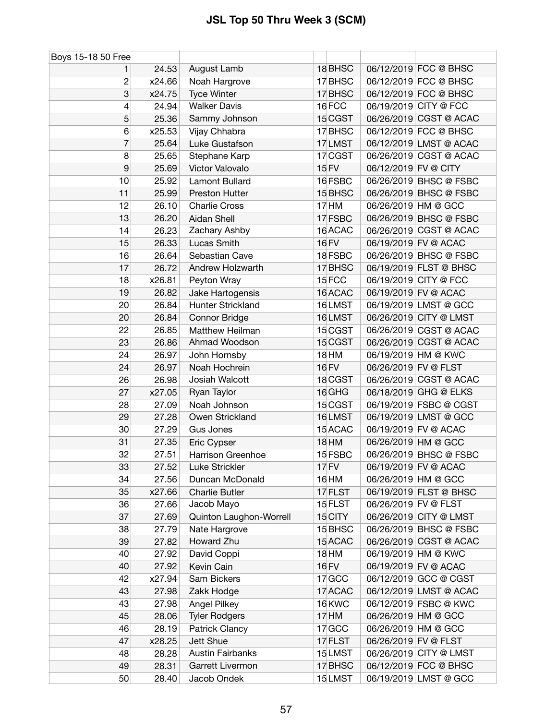| Boys 15-18 50 Free |        |                         |                  |                      |                        |
|--------------------|--------|-------------------------|------------------|----------------------|------------------------|
| 1                  | 24.53  | August Lamb             | 18 BHSC          |                      | 06/12/2019 FCC @ BHSC  |
| $\overline{c}$     | x24.66 | Noah Hargrove           | 17 BHSC          |                      | 06/12/2019 FCC @ BHSC  |
| 3                  | x24.75 | <b>Tyce Winter</b>      | 17 BHSC          |                      | 06/12/2019 FCC @ BHSC  |
| 4                  | 24.94  | <b>Walker Davis</b>     | 16FCC            |                      | 06/19/2019 CITY @ FCC  |
| 5                  | 25.36  | Sammy Johnson           | 15 CGST          |                      | 06/26/2019 CGST @ ACAC |
| 6                  | x25.53 | Vijay Chhabra           | 17 BHSC          |                      | 06/12/2019 FCC @ BHSC  |
| 7                  | 25.64  | Luke Gustafson          | 17LMST           |                      | 06/12/2019 LMST @ ACAC |
| 8                  | 25.65  | Stephane Karp           | 17 CGST          |                      | 06/26/2019 CGST @ ACAC |
| 9                  | 25.69  | Victor Valovalo         | <b>15 FV</b>     | 06/12/2019 FV @ CITY |                        |
| 10                 | 25.92  | Lamont Bullard          | 16 FSBC          |                      | 06/26/2019 BHSC @ FSBC |
| 11                 | 25.99  | Preston Hutter          | 15 BHSC          |                      | 06/26/2019 BHSC @ FSBC |
| 12                 | 26.10  | <b>Charlie Cross</b>    | 17 <sub>HM</sub> |                      | 06/26/2019 HM @ GCC    |
| 13                 | 26.20  | Aidan Shell             | 17 FSBC          |                      | 06/26/2019 BHSC @ FSBC |
| 14                 | 26.23  | Zachary Ashby           | 16 ACAC          |                      | 06/26/2019 CGST @ ACAC |
| 15                 | 26.33  | Lucas Smith             | <b>16 FV</b>     |                      | 06/19/2019 FV @ ACAC   |
| 16                 | 26.64  | Sebastian Cave          | 18 FSBC          |                      | 06/26/2019 BHSC @ FSBC |
| 17                 | 26.72  | Andrew Holzwarth        | 17 BHSC          |                      | 06/19/2019 FLST @ BHSC |
| 18                 | x26.81 | Peyton Wray             | 15FCC            |                      | 06/19/2019 CITY @ FCC  |
| 19                 | 26.82  | Jake Hartogensis        | 16 ACAC          |                      | 06/19/2019 FV @ ACAC   |
| 20                 | 26.84  | Hunter Strickland       | 16LMST           |                      | 06/19/2019 LMST @ GCC  |
| 20                 | 26.84  | <b>Connor Bridge</b>    | 16LMST           |                      | 06/26/2019 CITY @ LMST |
| 22                 | 26.85  | Matthew Heilman         | 15 CGST          |                      | 06/26/2019 CGST @ ACAC |
| 23                 | 26.86  | Ahmad Woodson           | 15 CGST          |                      | 06/26/2019 CGST @ ACAC |
| 24                 | 26.97  | John Hornsby            | 18 HM            |                      | 06/19/2019 HM @ KWC    |
| 24                 | 26.97  | Noah Hochrein           | 16 FV            | 06/26/2019 FV @ FLST |                        |
| 26                 | 26.98  | Josiah Walcott          | 18 CGST          |                      | 06/26/2019 CGST @ ACAC |
| 27                 | x27.05 | Ryan Taylor             | 16 GHG           |                      | 06/18/2019 GHG @ ELKS  |
| 28                 | 27.09  | Noah Johnson            | 15 CGST          |                      | 06/19/2019 FSBC @ CGST |
| 29                 | 27.28  | Owen Strickland         | 16LMST           |                      | 06/19/2019 LMST @ GCC  |
| 30                 | 27.29  | Gus Jones               | 15 ACAC          |                      | 06/19/2019 FV @ ACAC   |
| 31                 | 27.35  | Eric Cypser             | <b>18 HM</b>     |                      | 06/26/2019 HM @ GCC    |
| 32                 | 27.51  | Harrison Greenhoe       | 15 FSBC          |                      | 06/26/2019 BHSC @ FSBC |
| 33                 | 27.52  | Luke Strickler          | 17 FV            |                      | 06/19/2019 FV @ ACAC   |
| 34                 | 27.56  | Duncan McDonald         | 16 HM            |                      | 06/26/2019 HM @ GCC    |
| 35                 | x27.66 | <b>Charlie Butler</b>   | 17 FLST          |                      | 06/19/2019 FLST @ BHSC |
| 36                 | 27.66  | Jacob Mayo              | 15 FLST          | 06/26/2019 FV @ FLST |                        |
| 37                 | 27.69  | Quinton Laughon-Worrell | 15 CITY          |                      | 06/26/2019 CITY @ LMST |
| 38                 | 27.79  | Nate Hargrove           | 15 BHSC          |                      | 06/26/2019 BHSC @ FSBC |
| 39                 | 27.82  | Howard Zhu              | 15 ACAC          |                      | 06/26/2019 CGST @ ACAC |
| 40                 | 27.92  | David Coppi             | 18 HM            |                      | 06/19/2019 HM @ KWC    |
| 40                 | 27.92  | Kevin Cain              | 16 FV            |                      | 06/19/2019 FV @ ACAC   |
| 42                 | x27.94 | Sam Bickers             | 17 GCC           |                      | 06/12/2019 GCC @ CGST  |
| 43                 | 27.98  | Zakk Hodge              | 17 ACAC          |                      | 06/12/2019 LMST @ ACAC |
| 43                 | 27.98  | <b>Angel Pilkey</b>     | 16KWC            |                      | 06/12/2019 FSBC @ KWC  |
| 45                 | 28.06  | <b>Tyler Rodgers</b>    | $17$ HM          |                      | 06/26/2019 HM @ GCC    |
| 46                 | 28.19  | <b>Patrick Clancy</b>   | 17 GCC           |                      | 06/26/2019 HM @ GCC    |
| 47                 | x28.25 | Jett Shue               | 17 FLST          | 06/26/2019 FV @ FLST |                        |
| 48                 | 28.28  | <b>Austin Fairbanks</b> | 15LMST           |                      | 06/26/2019 CITY @ LMST |
| 49                 | 28.31  | Garrett Livermon        | 17 BHSC          |                      | 06/12/2019 FCC @ BHSC  |
| 50                 | 28.40  | Jacob Ondek             | 15LMST           |                      | 06/19/2019 LMST @ GCC  |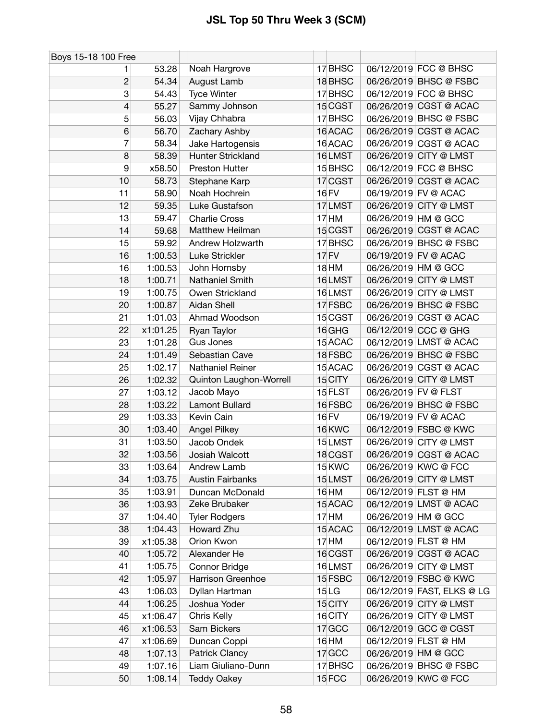| Boys 15-18 100 Free |          |                         |                  |                      |                            |
|---------------------|----------|-------------------------|------------------|----------------------|----------------------------|
| 1                   | 53.28    | Noah Hargrove           | 17 BHSC          |                      | 06/12/2019 FCC @ BHSC      |
| $\overline{c}$      | 54.34    | August Lamb             | 18 BHSC          |                      | 06/26/2019 BHSC @ FSBC     |
| 3                   | 54.43    | <b>Tyce Winter</b>      | 17 BHSC          |                      | 06/12/2019 FCC @ BHSC      |
| 4                   | 55.27    | Sammy Johnson           | 15 CGST          |                      | 06/26/2019 CGST @ ACAC     |
| 5                   | 56.03    | Vijay Chhabra           | 17 BHSC          |                      | 06/26/2019 BHSC @ FSBC     |
| 6                   | 56.70    | Zachary Ashby           | 16 ACAC          |                      | 06/26/2019 CGST @ ACAC     |
| 7                   | 58.34    | Jake Hartogensis        | 16 ACAC          |                      | 06/26/2019 CGST @ ACAC     |
| 8                   | 58.39    | Hunter Strickland       | 16LMST           |                      | 06/26/2019 CITY @ LMST     |
| 9                   | x58.50   | <b>Preston Hutter</b>   | 15 BHSC          |                      | 06/12/2019 FCC @ BHSC      |
| 10                  | 58.73    | Stephane Karp           | 17 CGST          |                      | 06/26/2019 CGST @ ACAC     |
| 11                  | 58.90    | Noah Hochrein           | <b>16 FV</b>     |                      | 06/19/2019 FV @ ACAC       |
| 12                  | 59.35    | Luke Gustafson          | 17LMST           |                      | 06/26/2019 CITY @ LMST     |
| 13                  | 59.47    | <b>Charlie Cross</b>    | $17$ HM          |                      | 06/26/2019 HM @ GCC        |
| 14                  | 59.68    | Matthew Heilman         | 15 CGST          |                      | 06/26/2019 CGST @ ACAC     |
| 15                  | 59.92    | Andrew Holzwarth        | 17 BHSC          |                      | 06/26/2019 BHSC @ FSBC     |
| 16                  | 1:00.53  | Luke Strickler          | 17 FV            |                      | 06/19/2019 FV @ ACAC       |
| 16                  | 1:00.53  | John Hornsby            | 18 HM            |                      | 06/26/2019 HM @ GCC        |
| 18                  | 1:00.71  | Nathaniel Smith         | 16LMST           |                      | 06/26/2019 CITY @ LMST     |
| 19                  | 1:00.75  | Owen Strickland         | 16LMST           |                      | 06/26/2019 CITY @ LMST     |
| 20                  | 1:00.87  | Aidan Shell             | 17 FSBC          |                      | 06/26/2019 BHSC @ FSBC     |
| 21                  | 1:01.03  | Ahmad Woodson           | 15 CGST          |                      | 06/26/2019 CGST @ ACAC     |
| 22                  | x1:01.25 | Ryan Taylor             | 16 GHG           |                      | 06/12/2019 CCC @ GHG       |
| 23                  | 1:01.28  | <b>Gus Jones</b>        | 15 ACAC          |                      | 06/12/2019 LMST @ ACAC     |
| 24                  | 1:01.49  | Sebastian Cave          | 18 FSBC          |                      | 06/26/2019 BHSC @ FSBC     |
| 25                  | 1:02.17  | Nathaniel Reiner        | 15 ACAC          |                      | 06/26/2019 CGST @ ACAC     |
| 26                  | 1:02.32  | Quinton Laughon-Worrell | 15 CITY          |                      | 06/26/2019 CITY @ LMST     |
| 27                  | 1:03.12  | Jacob Mayo              | 15 FLST          | 06/26/2019 FV @ FLST |                            |
| 28                  | 1:03.22  | <b>Lamont Bullard</b>   | 16 FSBC          |                      | 06/26/2019 BHSC @ FSBC     |
| 29                  | 1:03.33  | Kevin Cain              | 16 FV            |                      | 06/19/2019 FV @ ACAC       |
| 30                  | 1:03.40  | <b>Angel Pilkey</b>     | 16KWC            |                      | 06/12/2019 FSBC @ KWC      |
| 31                  | 1:03.50  | Jacob Ondek             | 15LMST           |                      | 06/26/2019 CITY @ LMST     |
| 32                  | 1:03.56  | Josiah Walcott          | 18 CGST          |                      | 06/26/2019 CGST @ ACAC     |
| 33                  | 1:03.64  | Andrew Lamb             | 15 KWC           |                      | 06/26/2019 KWC @ FCC       |
| 34                  | 1:03.75  | <b>Austin Fairbanks</b> | 15LMST           |                      | 06/26/2019 CITY @ LMST     |
| 35                  | 1:03.91  | Duncan McDonald         | 16 HM            |                      | 06/12/2019 FLST @ HM       |
| 36                  | 1:03.93  | Zeke Brubaker           | 15 ACAC          |                      | 06/12/2019 LMST @ ACAC     |
| 37                  | 1:04.40  | <b>Tyler Rodgers</b>    | $17$ HM          |                      | 06/26/2019 HM @ GCC        |
| 38                  | 1:04.43  | Howard Zhu              | 15 ACAC          |                      | 06/12/2019 LMST @ ACAC     |
| 39                  | x1:05.38 | Orion Kwon              | $17$ HM          |                      | 06/12/2019 FLST @ HM       |
| 40                  | 1:05.72  | Alexander He            | 16 CGST          |                      | 06/26/2019 CGST @ ACAC     |
| 41                  | 1:05.75  | Connor Bridge           | 16LMST           |                      | 06/26/2019 CITY @ LMST     |
| 42                  | 1:05.97  | Harrison Greenhoe       | 15 FSBC          |                      | 06/12/2019 FSBC @ KWC      |
| 43                  | 1:06.03  | Dyllan Hartman          | 15 <sub>LG</sub> |                      | 06/12/2019 FAST, ELKS @ LG |
| 44                  | 1:06.25  | Joshua Yoder            | 15 CITY          |                      | 06/26/2019 CITY @ LMST     |
| 45                  | x1:06.47 | Chris Kelly             | 16 CITY          |                      | 06/26/2019 CITY @ LMST     |
| 46                  | x1:06.53 | Sam Bickers             | 17 GCC           |                      | 06/12/2019 GCC @ CGST      |
| 47                  | x1:06.69 | Duncan Coppi            | 16 HM            |                      | 06/12/2019 FLST @ HM       |
| 48                  | 1:07.13  | <b>Patrick Clancy</b>   | 17 GCC           |                      | 06/26/2019 HM @ GCC        |
| 49                  | 1:07.16  | Liam Giuliano-Dunn      | 17 BHSC          |                      | 06/26/2019 BHSC @ FSBC     |
| 50                  | 1:08.14  | <b>Teddy Oakey</b>      | 15FCC            |                      | 06/26/2019 KWC @ FCC       |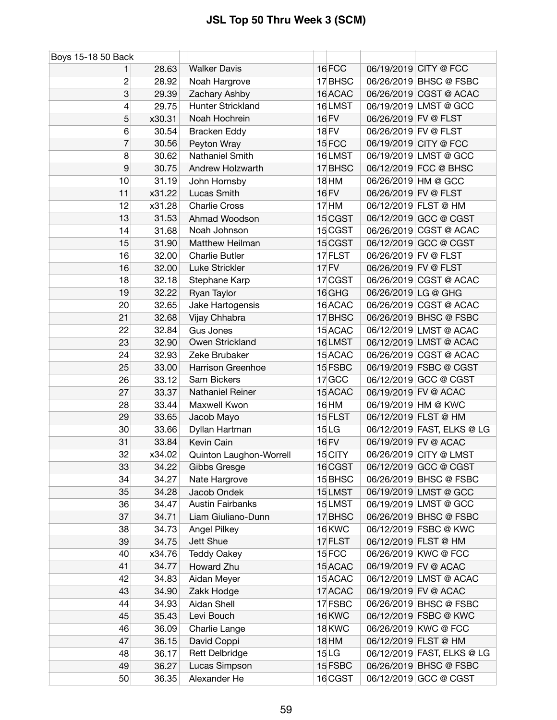| Boys 15-18 50 Back |        |                          |                   |                      |                            |
|--------------------|--------|--------------------------|-------------------|----------------------|----------------------------|
|                    | 28.63  | <b>Walker Davis</b>      | 16FCC             |                      | 06/19/2019 CITY @ FCC      |
| 2                  | 28.92  | Noah Hargrove            | 17 BHSC           |                      | 06/26/2019 BHSC @ FSBC     |
| 3                  | 29.39  | Zachary Ashby            | 16 ACAC           |                      | 06/26/2019 CGST @ ACAC     |
| 4                  | 29.75  | Hunter Strickland        | 16LMST            |                      | 06/19/2019 LMST @ GCC      |
| 5                  | x30.31 | Noah Hochrein            | 16 FV             | 06/26/2019 FV @ FLST |                            |
| 6                  | 30.54  | <b>Bracken Eddy</b>      | <b>18 FV</b>      | 06/26/2019 FV @ FLST |                            |
| 7                  | 30.56  | Peyton Wray              | 15 <sub>FCC</sub> |                      | 06/19/2019 CITY @ FCC      |
| 8                  | 30.62  | Nathaniel Smith          | 16LMST            |                      | 06/19/2019 LMST @ GCC      |
| 9                  | 30.75  | Andrew Holzwarth         | 17 BHSC           |                      | 06/12/2019 FCC @ BHSC      |
| 10                 | 31.19  | John Hornsby             | <b>18 HM</b>      |                      | 06/26/2019 HM @ GCC        |
| 11                 | x31.22 | Lucas Smith              | 16 FV             | 06/26/2019 FV @ FLST |                            |
| 12                 | x31.28 | <b>Charlie Cross</b>     | 17 <sub>HM</sub>  |                      | 06/12/2019 FLST @ HM       |
| 13                 | 31.53  | Ahmad Woodson            | 15 CGST           |                      | 06/12/2019 GCC @ CGST      |
| 14                 | 31.68  | Noah Johnson             | 15 CGST           |                      | 06/26/2019 CGST @ ACAC     |
| 15                 | 31.90  | Matthew Heilman          | 15 CGST           |                      | 06/12/2019 GCC @ CGST      |
| 16                 | 32.00  | <b>Charlie Butler</b>    | 17 FLST           | 06/26/2019 FV @ FLST |                            |
| 16                 | 32.00  | Luke Strickler           | 17 FV             | 06/26/2019 FV @ FLST |                            |
| 18                 | 32.18  | Stephane Karp            | 17 CGST           |                      | 06/26/2019 CGST @ ACAC     |
| 19                 | 32.22  | Ryan Taylor              | 16 GHG            | 06/26/2019 LG @ GHG  |                            |
| 20                 | 32.65  | Jake Hartogensis         | 16 ACAC           |                      | 06/26/2019 CGST @ ACAC     |
| 21                 | 32.68  | Vijay Chhabra            | 17 BHSC           |                      | 06/26/2019 BHSC @ FSBC     |
| 22                 | 32.84  | Gus Jones                | 15 ACAC           |                      | 06/12/2019 LMST @ ACAC     |
| 23                 | 32.90  | Owen Strickland          | 16LMST            |                      | 06/12/2019 LMST @ ACAC     |
| 24                 | 32.93  | Zeke Brubaker            | 15 ACAC           |                      | 06/26/2019 CGST @ ACAC     |
| 25                 | 33.00  | <b>Harrison Greenhoe</b> | 15 FSBC           |                      | 06/19/2019 FSBC @ CGST     |
| 26                 | 33.12  | Sam Bickers              | 17 GCC            |                      | 06/12/2019 GCC @ CGST      |
| 27                 | 33.37  | Nathaniel Reiner         | 15 ACAC           |                      | 06/19/2019 FV @ ACAC       |
| 28                 | 33.44  | Maxwell Kwon             | 16 HM             |                      | 06/19/2019 HM @ KWC        |
| 29                 | 33.65  | Jacob Mayo               | 15 FLST           |                      | 06/12/2019 FLST @ HM       |
| 30                 | 33.66  | Dyllan Hartman           | 15 <sub>LG</sub>  |                      | 06/12/2019 FAST, ELKS @ LG |
| 31                 | 33.84  | Kevin Cain               | <b>16 FV</b>      |                      | 06/19/2019 FV @ ACAC       |
| 32                 | x34.02 | Quinton Laughon-Worrell  | 15 CITY           |                      | 06/26/2019 CITY @ LMST     |
| 33                 | 34.22  | Gibbs Gresge             | 16 CGST           |                      | 06/12/2019 GCC @ CGST      |
| 34                 | 34.27  | Nate Hargrove            | 15 BHSC           |                      | 06/26/2019 BHSC @ FSBC     |
| 35                 | 34.28  | Jacob Ondek              | 15LMST            |                      | 06/19/2019 LMST @ GCC      |
| 36                 | 34.47  | <b>Austin Fairbanks</b>  | 15LMST            |                      | 06/19/2019 LMST @ GCC      |
| 37                 | 34.71  | Liam Giuliano-Dunn       | 17 BHSC           |                      | 06/26/2019 BHSC @ FSBC     |
| 38                 | 34.73  | Angel Pilkey             | 16 KWC            |                      | 06/12/2019 FSBC @ KWC      |
| 39                 | 34.75  | Jett Shue                | 17 FLST           |                      | 06/12/2019 FLST @ HM       |
| 40                 | x34.76 | <b>Teddy Oakey</b>       | 15FCC             |                      | 06/26/2019 KWC @ FCC       |
| 41                 | 34.77  | Howard Zhu               | 15 ACAC           |                      | 06/19/2019 FV @ ACAC       |
| 42                 | 34.83  | Aidan Meyer              | 15 ACAC           |                      | 06/12/2019 LMST @ ACAC     |
| 43                 | 34.90  | Zakk Hodge               | 17 ACAC           |                      | 06/19/2019 FV @ ACAC       |
| 44                 | 34.93  | Aidan Shell              | 17 FSBC           |                      | 06/26/2019 BHSC @ FSBC     |
| 45                 | 35.43  | Levi Bouch               | <b>16 KWC</b>     |                      | 06/12/2019 FSBC @ KWC      |
| 46                 | 36.09  | Charlie Lange            | 18 KWC            |                      | 06/26/2019 KWC @ FCC       |
| 47                 | 36.15  | David Coppi              | <b>18 HM</b>      |                      | 06/12/2019 FLST @ HM       |
| 48                 | 36.17  | Rett Delbridge           | 15 <sub>LG</sub>  |                      | 06/12/2019 FAST, ELKS @ LG |
| 49                 | 36.27  | Lucas Simpson            | 15 FSBC           |                      | 06/26/2019 BHSC @ FSBC     |
| 50                 | 36.35  | Alexander He             | 16 CGST           |                      | 06/12/2019 GCC @ CGST      |
|                    |        |                          |                   |                      |                            |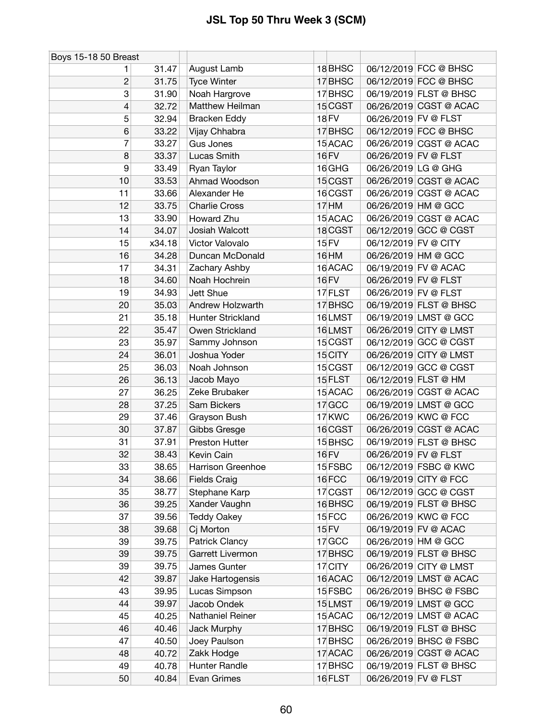| Boys 15-18 50 Breast |        |                       |                  |                        |
|----------------------|--------|-----------------------|------------------|------------------------|
|                      | 31.47  | August Lamb           | 18BHSC           | 06/12/2019 FCC @ BHSC  |
| $\overline{c}$       | 31.75  | <b>Tyce Winter</b>    | 17 BHSC          | 06/12/2019 FCC @ BHSC  |
| 3                    | 31.90  | Noah Hargrove         | 17 BHSC          | 06/19/2019 FLST @ BHSC |
| 4                    | 32.72  | Matthew Heilman       | 15 CGST          | 06/26/2019 CGST @ ACAC |
| 5                    | 32.94  | <b>Bracken Eddy</b>   | 18 FV            | 06/26/2019 FV @ FLST   |
| 6                    | 33.22  | Vijay Chhabra         | 17 BHSC          | 06/12/2019 FCC @ BHSC  |
| 7                    | 33.27  | Gus Jones             | 15 ACAC          | 06/26/2019 CGST @ ACAC |
| 8                    | 33.37  | Lucas Smith           | <b>16 FV</b>     | 06/26/2019 FV @ FLST   |
| $\boldsymbol{9}$     | 33.49  | Ryan Taylor           | 16 GHG           | 06/26/2019 LG @ GHG    |
| 10                   | 33.53  | Ahmad Woodson         | 15 CGST          | 06/26/2019 CGST @ ACAC |
| 11                   | 33.66  | Alexander He          | 16 CGST          | 06/26/2019 CGST @ ACAC |
| 12                   | 33.75  | <b>Charlie Cross</b>  | 17 <sub>HM</sub> | 06/26/2019 HM @ GCC    |
| 13                   | 33.90  | Howard Zhu            | 15 ACAC          | 06/26/2019 CGST @ ACAC |
| 14                   | 34.07  | Josiah Walcott        | 18 CGST          | 06/12/2019 GCC @ CGST  |
| 15                   | x34.18 | Victor Valovalo       | 15 FV            | 06/12/2019 FV @ CITY   |
| 16                   | 34.28  | Duncan McDonald       | 16 HM            | 06/26/2019 HM @ GCC    |
| 17                   | 34.31  | Zachary Ashby         | 16 ACAC          | 06/19/2019 FV @ ACAC   |
| 18                   | 34.60  | Noah Hochrein         | <b>16 FV</b>     | 06/26/2019 FV @ FLST   |
| 19                   | 34.93  | Jett Shue             | 17 FLST          | 06/26/2019 FV @ FLST   |
| 20                   | 35.03  | Andrew Holzwarth      | 17 BHSC          | 06/19/2019 FLST @ BHSC |
| 21                   | 35.18  | Hunter Strickland     | 16LMST           | 06/19/2019 LMST @ GCC  |
| 22                   | 35.47  | Owen Strickland       | 16LMST           | 06/26/2019 CITY @ LMST |
| 23                   | 35.97  | Sammy Johnson         | 15 CGST          | 06/12/2019 GCC @ CGST  |
| 24                   | 36.01  | Joshua Yoder          | 15 CITY          | 06/26/2019 CITY @ LMST |
| 25                   | 36.03  | Noah Johnson          | 15 CGST          | 06/12/2019 GCC @ CGST  |
| 26                   | 36.13  | Jacob Mayo            | 15 FLST          | 06/12/2019 FLST @ HM   |
| 27                   | 36.25  | Zeke Brubaker         | 15 ACAC          | 06/26/2019 CGST @ ACAC |
| 28                   | 37.25  | Sam Bickers           | $17$ GCC         | 06/19/2019 LMST @ GCC  |
| 29                   | 37.46  | Grayson Bush          | 17 KWC           | 06/26/2019 KWC @ FCC   |
| 30                   | 37.87  | Gibbs Gresge          | 16 CGST          | 06/26/2019 CGST @ ACAC |
| 31                   | 37.91  | <b>Preston Hutter</b> | 15 BHSC          | 06/19/2019 FLST @ BHSC |
| 32                   | 38.43  | Kevin Cain            | 16 FV            | 06/26/2019 FV @ FLST   |
| 33                   | 38.65  | Harrison Greenhoe     | 15 FSBC          | 06/12/2019 FSBC @ KWC  |
| 34                   | 38.66  | <b>Fields Craig</b>   | 16FCC            | 06/19/2019 CITY @ FCC  |
| 35                   | 38.77  | Stephane Karp         | 17 CGST          | 06/12/2019 GCC @ CGST  |
| 36                   | 39.25  | Xander Vaughn         | 16 BHSC          | 06/19/2019 FLST @ BHSC |
| 37                   | 39.56  | <b>Teddy Oakey</b>    | 15 FCC           | 06/26/2019 KWC @ FCC   |
| 38                   | 39.68  | Cj Morton             | 15 FV            | 06/19/2019 FV @ ACAC   |
| 39                   | 39.75  | <b>Patrick Clancy</b> | 17 GCC           | 06/26/2019 HM @ GCC    |
| 39                   | 39.75  | Garrett Livermon      | 17 BHSC          | 06/19/2019 FLST @ BHSC |
| 39                   | 39.75  | James Gunter          | 17 CITY          | 06/26/2019 CITY @ LMST |
| 42                   | 39.87  | Jake Hartogensis      | 16 ACAC          | 06/12/2019 LMST @ ACAC |
| 43                   | 39.95  | Lucas Simpson         | 15 FSBC          | 06/26/2019 BHSC @ FSBC |
| 44                   | 39.97  | Jacob Ondek           | 15LMST           | 06/19/2019 LMST @ GCC  |
| 45                   | 40.25  | Nathaniel Reiner      | 15 ACAC          | 06/12/2019 LMST @ ACAC |
| 46                   | 40.46  | Jack Murphy           | 17 BHSC          | 06/19/2019 FLST @ BHSC |
| 47                   | 40.50  | Joey Paulson          | 17 BHSC          | 06/26/2019 BHSC @ FSBC |
| 48                   | 40.72  | Zakk Hodge            | 17 ACAC          | 06/26/2019 CGST @ ACAC |
| 49                   | 40.78  | Hunter Randle         | 17 BHSC          | 06/19/2019 FLST @ BHSC |
| 50                   | 40.84  | Evan Grimes           | 16 FLST          | 06/26/2019 FV @ FLST   |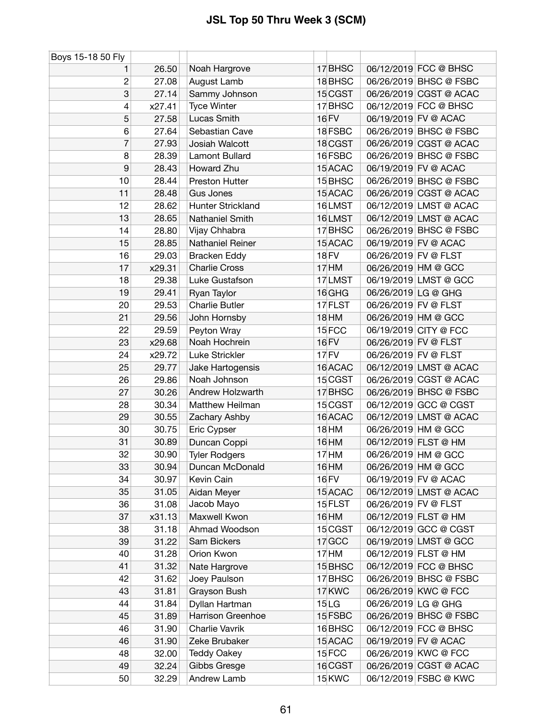| Boys 15-18 50 Fly |        |                       |                  |                      |                        |
|-------------------|--------|-----------------------|------------------|----------------------|------------------------|
| 1                 | 26.50  | Noah Hargrove         | 17 BHSC          |                      | 06/12/2019 FCC @ BHSC  |
| $\overline{c}$    | 27.08  | August Lamb           | 18 BHSC          |                      | 06/26/2019 BHSC @ FSBC |
| 3                 | 27.14  | Sammy Johnson         | 15 CGST          |                      | 06/26/2019 CGST @ ACAC |
| $\overline{4}$    | x27.41 | <b>Tyce Winter</b>    | 17 BHSC          |                      | 06/12/2019 FCC @ BHSC  |
| 5                 | 27.58  | Lucas Smith           | 16 FV            |                      | 06/19/2019 FV @ ACAC   |
| 6                 | 27.64  | Sebastian Cave        | 18 FSBC          |                      | 06/26/2019 BHSC @ FSBC |
| $\overline{7}$    | 27.93  | Josiah Walcott        | 18 CGST          |                      | 06/26/2019 CGST @ ACAC |
| 8                 | 28.39  | Lamont Bullard        | 16 FSBC          |                      | 06/26/2019 BHSC @ FSBC |
| 9                 | 28.43  | Howard Zhu            | 15 ACAC          |                      | 06/19/2019 FV @ ACAC   |
| 10                | 28.44  | <b>Preston Hutter</b> | 15 BHSC          |                      | 06/26/2019 BHSC @ FSBC |
| 11                | 28.48  | <b>Gus Jones</b>      | 15 ACAC          |                      | 06/26/2019 CGST @ ACAC |
| 12                | 28.62  | Hunter Strickland     | 16LMST           |                      | 06/12/2019 LMST @ ACAC |
| 13                | 28.65  | Nathaniel Smith       | 16LMST           |                      | 06/12/2019 LMST @ ACAC |
| 14                | 28.80  | Vijay Chhabra         | 17 BHSC          |                      | 06/26/2019 BHSC @ FSBC |
| 15                | 28.85  | Nathaniel Reiner      | 15 ACAC          |                      | 06/19/2019 FV @ ACAC   |
| 16                | 29.03  | <b>Bracken Eddy</b>   | <b>18 FV</b>     | 06/26/2019 FV @ FLST |                        |
| 17                | x29.31 | <b>Charlie Cross</b>  | 17 HM            |                      | 06/26/2019 HM @ GCC    |
| 18                | 29.38  | Luke Gustafson        | 17LMST           |                      | 06/19/2019 LMST @ GCC  |
| 19                | 29.41  | Ryan Taylor           | 16 GHG           | 06/26/2019 LG @ GHG  |                        |
| 20                | 29.53  | <b>Charlie Butler</b> | 17 FLST          | 06/26/2019 FV @ FLST |                        |
| 21                | 29.56  | John Hornsby          | 18 HM            |                      | 06/26/2019 HM @ GCC    |
| 22                | 29.59  | Peyton Wray           | 15FCC            |                      | 06/19/2019 CITY @ FCC  |
| 23                | x29.68 | Noah Hochrein         | 16 FV            | 06/26/2019 FV @ FLST |                        |
| 24                | x29.72 | Luke Strickler        | 17 FV            | 06/26/2019 FV @ FLST |                        |
| 25                | 29.77  | Jake Hartogensis      | 16 ACAC          |                      | 06/12/2019 LMST @ ACAC |
| 26                | 29.86  | Noah Johnson          | 15 CGST          |                      | 06/26/2019 CGST @ ACAC |
| 27                | 30.26  | Andrew Holzwarth      | 17 BHSC          |                      | 06/26/2019 BHSC @ FSBC |
| 28                | 30.34  | Matthew Heilman       | 15 CGST          |                      | 06/12/2019 GCC @ CGST  |
| 29                | 30.55  | Zachary Ashby         | 16 ACAC          |                      | 06/12/2019 LMST @ ACAC |
| 30                | 30.75  | Eric Cypser           | 18 HM            |                      | 06/26/2019 HM @ GCC    |
| 31                | 30.89  | Duncan Coppi          | 16 HM            |                      | 06/12/2019 FLST @ HM   |
| 32                | 30.90  | <b>Tyler Rodgers</b>  | 17 <sub>HM</sub> |                      | 06/26/2019 HM @ GCC    |
| 33                | 30.94  | Duncan McDonald       | 16 HM            |                      | 06/26/2019 HM @ GCC    |
| 34                | 30.97  | Kevin Cain            | <b>16 FV</b>     |                      | 06/19/2019 FV @ ACAC   |
| 35                | 31.05  | Aidan Meyer           | 15 ACAC          |                      | 06/12/2019 LMST @ ACAC |
| 36                | 31.08  | Jacob Mayo            | 15 FLST          | 06/26/2019 FV @ FLST |                        |
| 37                | x31.13 | Maxwell Kwon          | 16 HM            |                      | 06/12/2019 FLST @ HM   |
| 38                | 31.18  | Ahmad Woodson         | 15 CGST          |                      | 06/12/2019 GCC @ CGST  |
| 39                | 31.22  | Sam Bickers           | $17$ GCC         |                      | 06/19/2019 LMST @ GCC  |
| 40                | 31.28  | Orion Kwon            | 17 <sub>HM</sub> |                      | 06/12/2019 FLST @ HM   |
| 41                | 31.32  | Nate Hargrove         | 15 BHSC          |                      | 06/12/2019 FCC @ BHSC  |
| 42                | 31.62  | Joey Paulson          | 17 BHSC          |                      | 06/26/2019 BHSC @ FSBC |
| 43                | 31.81  | Grayson Bush          | 17 KWC           |                      | 06/26/2019 KWC @ FCC   |
| 44                | 31.84  | Dyllan Hartman        | 15 <sub>LG</sub> | 06/26/2019 LG @ GHG  |                        |
| 45                | 31.89  | Harrison Greenhoe     | 15 FSBC          |                      | 06/26/2019 BHSC @ FSBC |
| 46                | 31.90  | Charlie Vavrik        | 16BHSC           |                      | 06/12/2019 FCC @ BHSC  |
| 46                | 31.90  | Zeke Brubaker         | 15 ACAC          |                      | 06/19/2019 FV @ ACAC   |
| 48                | 32.00  | <b>Teddy Oakey</b>    | 15 FCC           |                      | 06/26/2019 KWC @ FCC   |
| 49                | 32.24  | Gibbs Gresge          | 16 CGST          |                      | 06/26/2019 CGST @ ACAC |
| 50                | 32.29  | Andrew Lamb           | 15 KWC           |                      | 06/12/2019 FSBC @ KWC  |